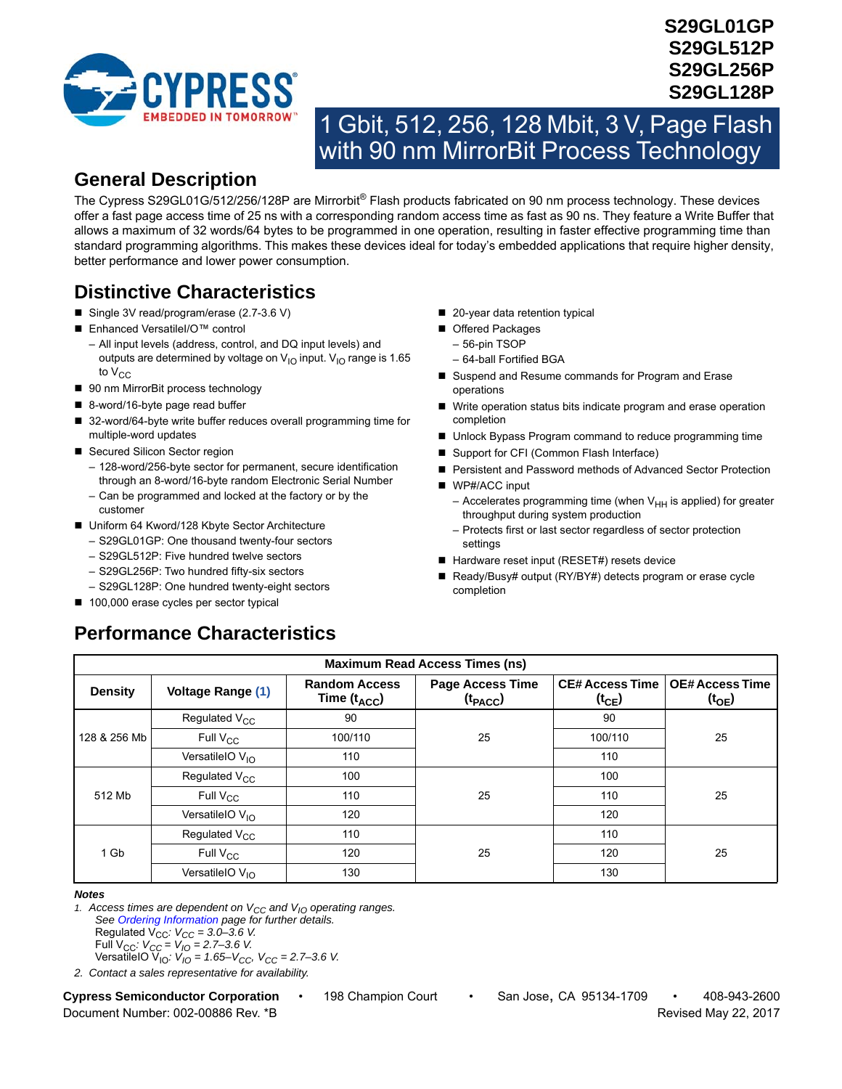

# **S29GL01GP S29GL512P S29GL256P S29GL128P**

# 1 Gbit, 512, 256, 128 Mbit, 3 V, Page Flash with 90 nm MirrorBit Process Technology

# <span id="page-0-1"></span>**General Description**

The Cypress S29GL01G/512/256/128P are Mirrorbit® Flash products fabricated on 90 nm process technology. These devices offer a fast page access time of 25 ns with a corresponding random access time as fast as 90 ns. They feature a Write Buffer that allows a maximum of 32 words/64 bytes to be programmed in one operation, resulting in faster effective programming time than standard programming algorithms. This makes these devices ideal for today's embedded applications that require higher density, better performance and lower power consumption.

# **Distinctive Characteristics**

- Single 3V read/program/erase (2.7-3.6 V)
- Enhanced VersatileI/O™ control
- All input levels (address, control, and DQ input levels) and outputs are determined by voltage on  $V_{1O}$  input.  $V_{1O}$  range is 1.65 to  $V_{CC}$
- 90 nm MirrorBit process technology
- 8-word/16-byte page read buffer
- 32-word/64-byte write buffer reduces overall programming time for multiple-word updates
- Secured Silicon Sector region
	- 128-word/256-byte sector for permanent, secure identification through an 8-word/16-byte random Electronic Serial Number
	- Can be programmed and locked at the factory or by the customer
- Uniform 64 Kword/128 Kbyte Sector Architecture
	- S29GL01GP: One thousand twenty-four sectors
	- S29GL512P: Five hundred twelve sectors
	- S29GL256P: Two hundred fifty-six sectors
	- S29GL128P: One hundred twenty-eight sectors

**Performance Characteristics**

■ 100,000 erase cycles per sector typical

- 20-year data retention typical
- Offered Packages
	- 56-pin TSOP
	- 64-ball Fortified BGA
- Suspend and Resume commands for Program and Erase operations
- Write operation status bits indicate program and erase operation completion
- Unlock Bypass Program command to reduce programming time
- Support for CFI (Common Flash Interface)
- Persistent and Password methods of Advanced Sector Protection
- WP#/ACC input
	- Accelerates programming time (when  $V_{HH}$  is applied) for greater throughput during system production
	- Protects first or last sector regardless of sector protection settings
- Hardware reset input (RESET#) resets device
- Ready/Busy# output (RY/BY#) detects program or erase cycle completion

| <b>Maximum Read Access Times (ns)</b> |                             |                                          |                                         |                                      |                                             |  |  |
|---------------------------------------|-----------------------------|------------------------------------------|-----------------------------------------|--------------------------------------|---------------------------------------------|--|--|
| <b>Density</b>                        | <b>Voltage Range (1)</b>    | <b>Random Access</b><br>Time $(t_{ACC})$ | <b>Page Access Time</b><br>$(t_{PACC})$ | <b>CE# Access Time</b><br>$(t_{CE})$ | <b>OE#Access Time</b><br>(t <sub>OE</sub> ) |  |  |
|                                       | Regulated V <sub>CC</sub>   | 90                                       |                                         | 90                                   |                                             |  |  |
| 128 & 256 Mb                          | Full V <sub>CC</sub>        | 100/110                                  | 25                                      | 100/110                              | 25                                          |  |  |
|                                       | VersatileIO V <sub>IO</sub> | 110                                      |                                         | 110                                  |                                             |  |  |
|                                       | Regulated V <sub>CC</sub>   | 100                                      |                                         | 100                                  | 25                                          |  |  |
| 512 Mb                                | Full V <sub>CC</sub>        | 110                                      | 25                                      | 110                                  |                                             |  |  |
|                                       | VersatileIO $V_{10}$        | 120                                      |                                         | 120                                  |                                             |  |  |
|                                       | Regulated V <sub>CC</sub>   | 110                                      |                                         | 110                                  |                                             |  |  |
| 1 Gb                                  | Full V <sub>CC</sub>        | 120                                      | 25                                      | 120                                  | 25                                          |  |  |
|                                       | VersatileIO $V_{10}$        | 130                                      |                                         | 130                                  |                                             |  |  |

#### *Notes*

<span id="page-0-0"></span>1. Access times are dependent on  $V_{CC}$  and  $V_{IO}$  operating ranges. *See [Ordering Information](#page-3-0) page for further details.*  Regulated  $V_{CC}$ :  $V_{CC} = 3.0 - 3.6$  V. Full  $V_{CC}$ :  $V_{CC} = V_{IO} = 2.7 - 3.6$  V. VersatileIO V<sub>IO</sub>:  $V_{IO} = 1.65 - V_{CC}$ , V<sub>CC</sub> = 2.7–3.6 V.

*2. Contact a sales representative for availability.*

Document Number: 002-00886 Rev. \*B **Revised May 22, 2017** Revised May 22, 2017

**Cypress Semiconductor Corporation** • 198 Champion Court • San Jose, CA 95134-1709 • 408-943-2600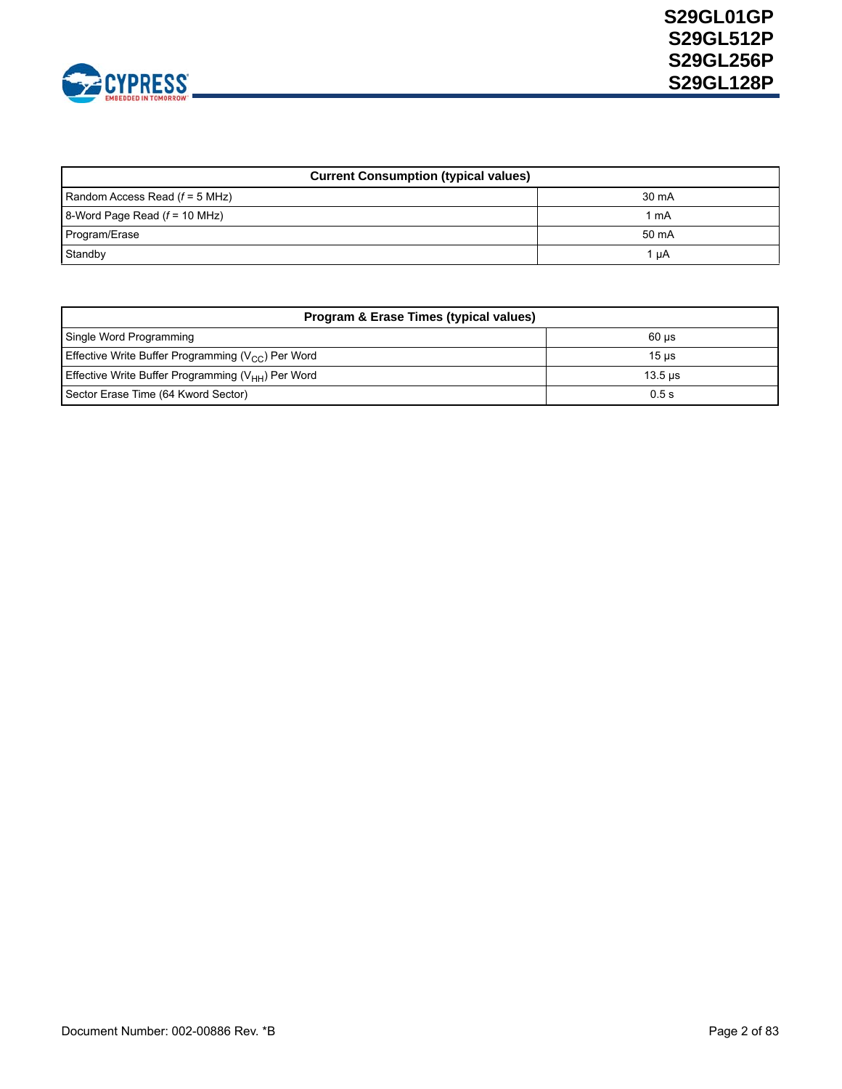

| <b>Current Consumption (typical values)</b> |       |
|---------------------------------------------|-------|
| Random Access Read $(f = 5$ MHz)            | 30 mA |
| 8-Word Page Read $(f = 10$ MHz)             | l mA  |
| Program/Erase                               | 50 mA |
| Standby                                     | 1 uA  |

| Program & Erase Times (typical values)                   |                  |  |  |  |  |
|----------------------------------------------------------|------------------|--|--|--|--|
| Single Word Programming                                  | $60$ us          |  |  |  |  |
| Effective Write Buffer Programming ( $V_{CC}$ ) Per Word | 15 <sub>us</sub> |  |  |  |  |
| Effective Write Buffer Programming $(V_{HH})$ Per Word   | $13.5$ us        |  |  |  |  |
| Sector Erase Time (64 Kword Sector)                      | 0.5s             |  |  |  |  |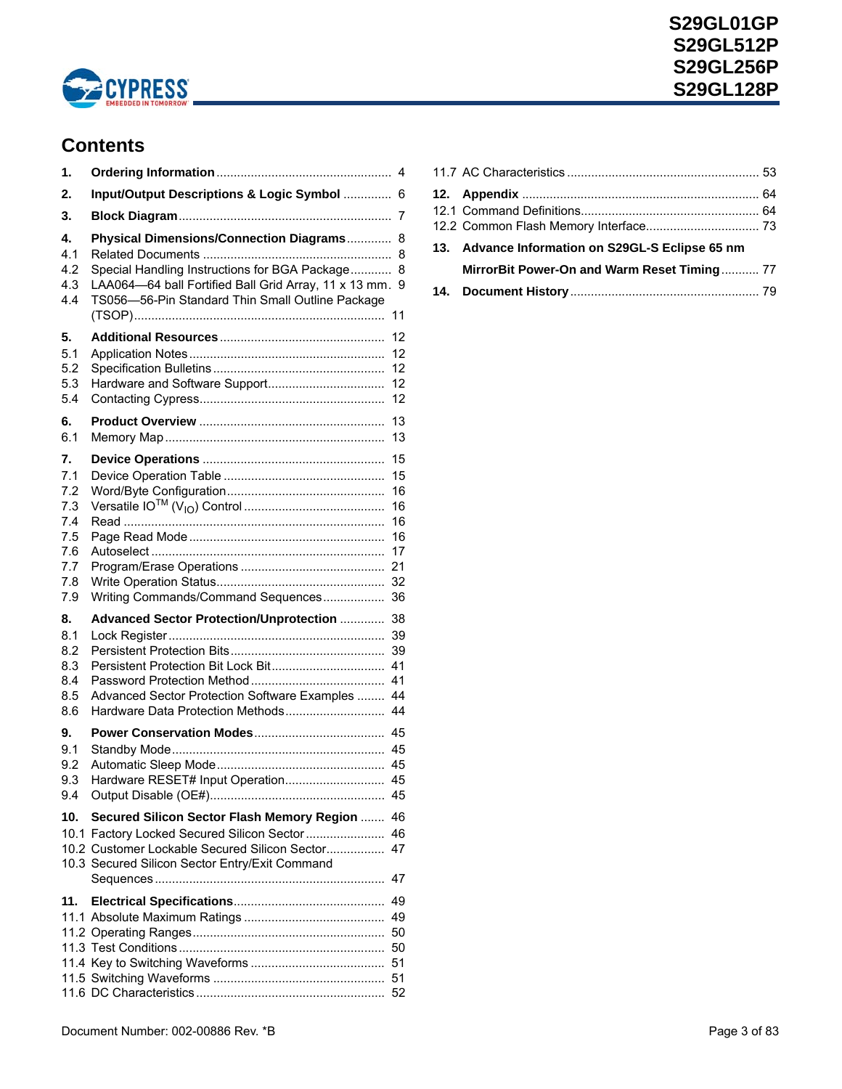

# **Content[s](#page-0-1)**

| 1.                                                                |                                                                                                                                                                                                       |                                        |
|-------------------------------------------------------------------|-------------------------------------------------------------------------------------------------------------------------------------------------------------------------------------------------------|----------------------------------------|
| 2.                                                                | Input/Output Descriptions & Logic Symbol  6                                                                                                                                                           |                                        |
| 3.                                                                |                                                                                                                                                                                                       | 7                                      |
| 4.<br>4.1<br>4.2<br>4.3<br>4.4                                    | Physical Dimensions/Connection Diagrams<br>Special Handling Instructions for BGA Package<br>LAA064-64 ball Fortified Ball Grid Array, 11 x 13 mm.<br>TS056-56-Pin Standard Thin Small Outline Package | 8<br>8<br>8<br>9<br>11                 |
| 5.<br>5.1<br>5.2<br>5.3<br>5.4<br>6.                              |                                                                                                                                                                                                       | 12<br>12<br>12<br>12<br>12<br>13       |
| 6.1                                                               |                                                                                                                                                                                                       | 13                                     |
| 7.<br>7.1<br>7.2<br>7.3<br>7.4<br>7.5<br>7.6<br>7.7<br>7.8<br>7.9 | Writing Commands/Command Sequences 36                                                                                                                                                                 | 15<br>15<br>16<br>16<br>16<br>16<br>17 |
| 8.<br>8.1<br>8.2<br>8.3<br>8.4<br>8.5<br>8.6                      | <b>Advanced Sector Protection/Unprotection </b><br>Advanced Sector Protection Software Examples<br>Hardware Data Protection Methods                                                                   | 38<br>39<br>39<br>41<br>41<br>44<br>44 |
| 9.<br>9.1<br>9.2<br>9.3<br>9.4                                    | Hardware RESET# Input Operation 45                                                                                                                                                                    |                                        |
| 10.                                                               | Secured Silicon Sector Flash Memory Region  46<br>10.1 Factory Locked Secured Silicon Sector<br>10.2 Customer Lockable Secured Silicon Sector 47<br>10.3 Secured Silicon Sector Entry/Exit Command    | 46<br>47                               |
| 11.                                                               |                                                                                                                                                                                                       |                                        |
|                                                                   |                                                                                                                                                                                                       |                                        |

|  | 13. Advance Information on S29GL-S Eclipse 65 nm |  |
|--|--------------------------------------------------|--|
|  | MirrorBit Power-On and Warm Reset Timing 77      |  |
|  |                                                  |  |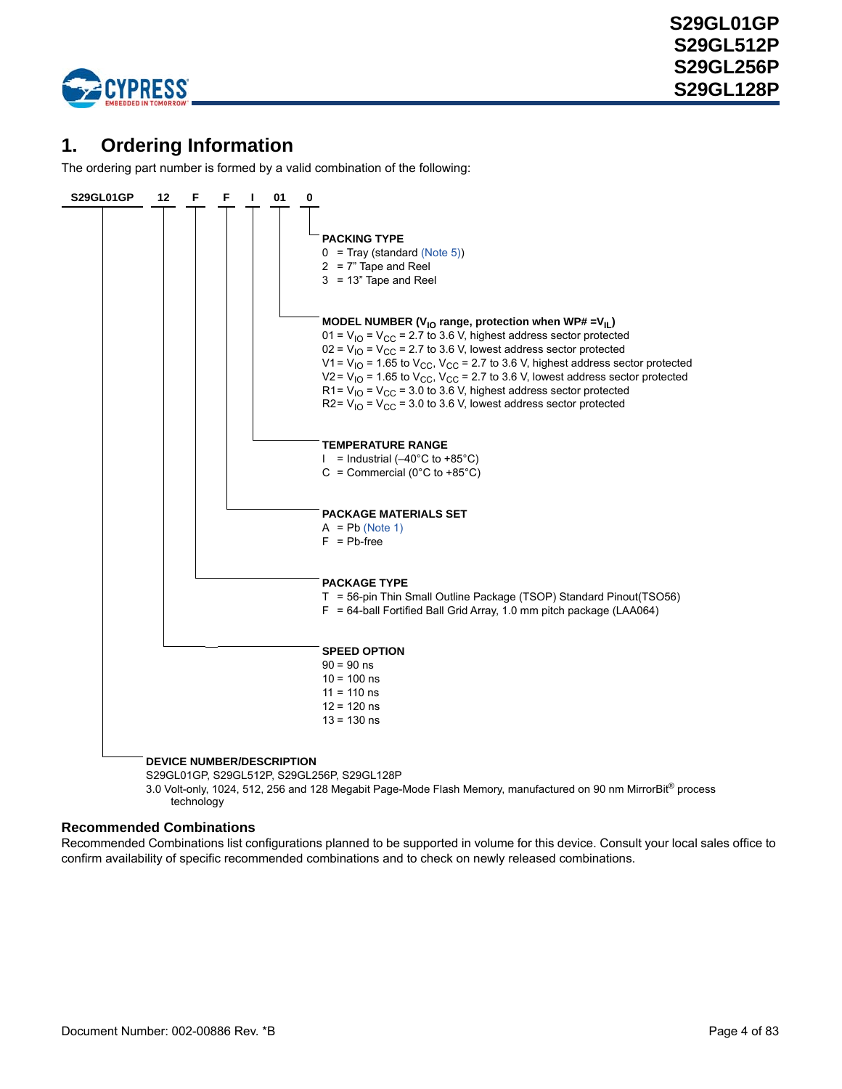

# <span id="page-3-1"></span><span id="page-3-0"></span>**1. Ordering Information**

The ordering part number is formed by a valid combination of the following:



3.0 Volt-only, 1024, 512, 256 and 128 Megabit Page-Mode Flash Memory, manufactured on 90 nm MirrorBit® process technology

### **Recommended Combinations**

Recommended Combinations list configurations planned to be supported in volume for this device. Consult your local sales office to confirm availability of specific recommended combinations and to check on newly released combinations.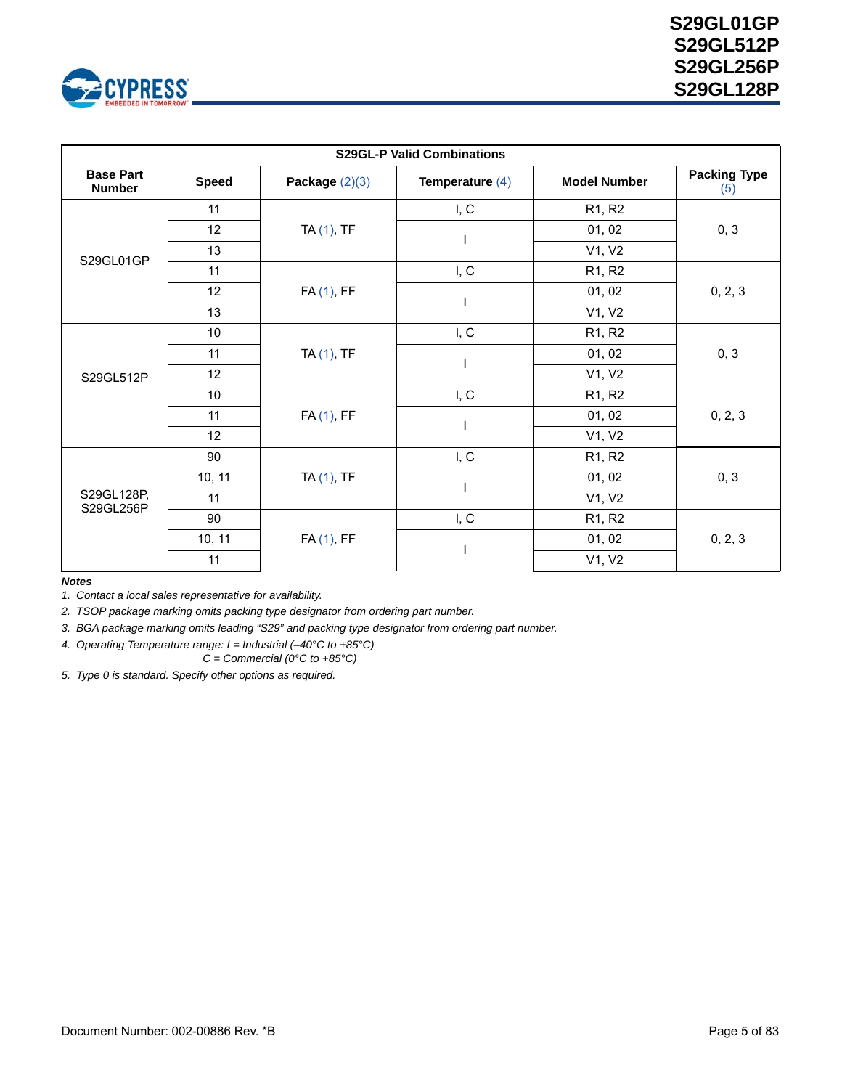

| <b>S29GL-P Valid Combinations</b> |                 |                  |                   |                                 |                            |  |
|-----------------------------------|-----------------|------------------|-------------------|---------------------------------|----------------------------|--|
| <b>Base Part</b><br><b>Number</b> | <b>Speed</b>    | Package $(2)(3)$ | Temperature $(4)$ | <b>Model Number</b>             | <b>Packing Type</b><br>(5) |  |
|                                   | 11              |                  | I, C              | R <sub>1</sub> , R <sub>2</sub> |                            |  |
|                                   | 12              | $TA(1)$ , TF     |                   | 01, 02                          | 0, 3                       |  |
| S29GL01GP                         | 13              |                  |                   | V1, V2                          |                            |  |
|                                   | 11              |                  | I, C              | R1, R2                          |                            |  |
|                                   | 12              | FA (1), FF       |                   | 01, 02                          | 0, 2, 3                    |  |
|                                   | 13              |                  |                   | V1, V2                          |                            |  |
|                                   | 10 <sub>1</sub> | $TA(1)$ , TF     | I, C              | R1, R2                          |                            |  |
|                                   | 11              |                  |                   | 01, 02                          | 0, 3<br>0, 2, 3            |  |
| S29GL512P                         | 12              |                  |                   | V1, V2                          |                            |  |
|                                   | 10              |                  | I, C              | R1, R2                          |                            |  |
|                                   | 11              | FA (1), FF       |                   | 01, 02                          |                            |  |
|                                   | 12              |                  |                   | V1, V2                          |                            |  |
|                                   | 90              |                  | I, C              | R1, R2                          |                            |  |
|                                   | 10, 11          | TA (1), TF       |                   | 01, 02                          | 0, 3                       |  |
| S29GL128P,                        | 11              |                  |                   | V1, V2                          |                            |  |
| S29GL256P                         | 90              |                  | I, C              | R <sub>1</sub> , R <sub>2</sub> | 0, 2, 3                    |  |
|                                   | 10, 11          | FA (1), FF       |                   | 01, 02                          |                            |  |
|                                   | 11              |                  |                   | V1, V2                          |                            |  |

#### *Notes*

<span id="page-4-1"></span>*1. Contact a local sales representative for availability.*

<span id="page-4-2"></span>*2. TSOP package marking omits packing type designator from ordering part number.*

<span id="page-4-3"></span>*3. BGA package marking omits leading "S29" and packing type designator from ordering part number.*

<span id="page-4-4"></span>*4. Operating Temperature range: I = Industrial (–40°C to +85°C)*

*C = Commercial (0°C to +85°C)*

<span id="page-4-0"></span>*5. Type 0 is standard. Specify other options as required.*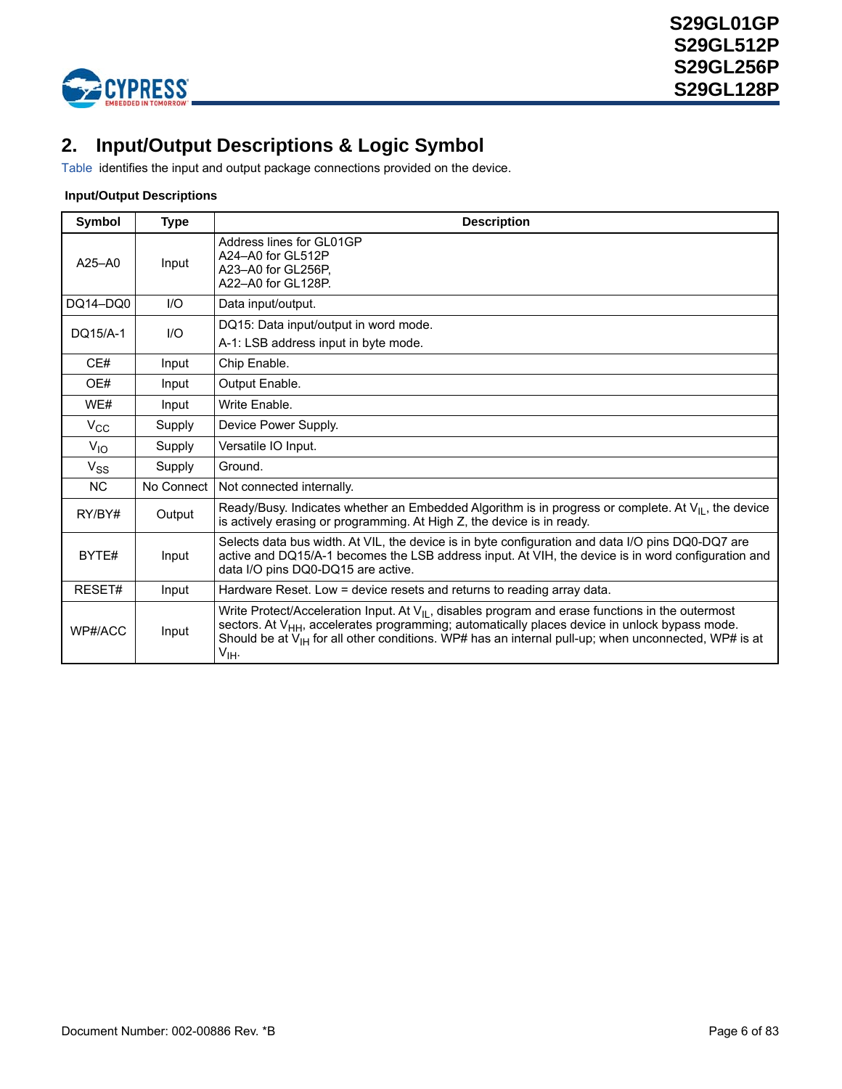

# <span id="page-5-0"></span>**2. Input/Output Descriptions & Logic Symbol**

[Table](#page-5-1) identifies the input and output package connections provided on the device.

### <span id="page-5-1"></span> **Input/Output Descriptions**

| Symbol       | <b>Type</b> | <b>Description</b>                                                                                                                                                                                                                                                                                                                                        |  |  |  |  |
|--------------|-------------|-----------------------------------------------------------------------------------------------------------------------------------------------------------------------------------------------------------------------------------------------------------------------------------------------------------------------------------------------------------|--|--|--|--|
| $A25 - A0$   | Input       | Address lines for GL01GP<br>A24-A0 for GL512P<br>A23-A0 for GL256P.<br>A22-A0 for GI 128P.                                                                                                                                                                                                                                                                |  |  |  |  |
| DO14-DO0     | $UO$        | Data input/output.                                                                                                                                                                                                                                                                                                                                        |  |  |  |  |
| DQ15/A-1     | $II$        | DQ15: Data input/output in word mode.<br>A-1: LSB address input in byte mode.                                                                                                                                                                                                                                                                             |  |  |  |  |
| CE#          | Input       | Chip Enable.                                                                                                                                                                                                                                                                                                                                              |  |  |  |  |
| OE#          | Input       | Output Enable.                                                                                                                                                                                                                                                                                                                                            |  |  |  |  |
| WE#          | Input       | Write Enable.                                                                                                                                                                                                                                                                                                                                             |  |  |  |  |
| $V_{\rm CC}$ | Supply      | Device Power Supply.                                                                                                                                                                                                                                                                                                                                      |  |  |  |  |
| $V_{10}$     | Supply      | Versatile IO Input.                                                                                                                                                                                                                                                                                                                                       |  |  |  |  |
| $V_{SS}$     | Supply      | Ground.                                                                                                                                                                                                                                                                                                                                                   |  |  |  |  |
| <b>NC</b>    | No Connect  | Not connected internally.                                                                                                                                                                                                                                                                                                                                 |  |  |  |  |
| RY/BY#       | Output      | Ready/Busy. Indicates whether an Embedded Algorithm is in progress or complete. At $V_{II}$ , the device<br>is actively erasing or programming. At High Z, the device is in ready.                                                                                                                                                                        |  |  |  |  |
| BYTE#        | Input       | Selects data bus width. At VIL, the device is in byte configuration and data I/O pins DQ0-DQ7 are<br>active and DQ15/A-1 becomes the LSB address input. At VIH, the device is in word configuration and<br>data I/O pins DQ0-DQ15 are active.                                                                                                             |  |  |  |  |
| RESET#       | Input       | Hardware Reset. Low = device resets and returns to reading array data.                                                                                                                                                                                                                                                                                    |  |  |  |  |
| WP#/ACC      | Input       | Write Protect/Acceleration Input. At $V_{\parallel}$ , disables program and erase functions in the outermost<br>sectors. At V <sub>HH</sub> , accelerates programming; automatically places device in unlock bypass mode.<br>Should be at $V_{H}$ for all other conditions. WP# has an internal pull-up; when unconnected, WP# is at<br>V <sub>IH</sub> . |  |  |  |  |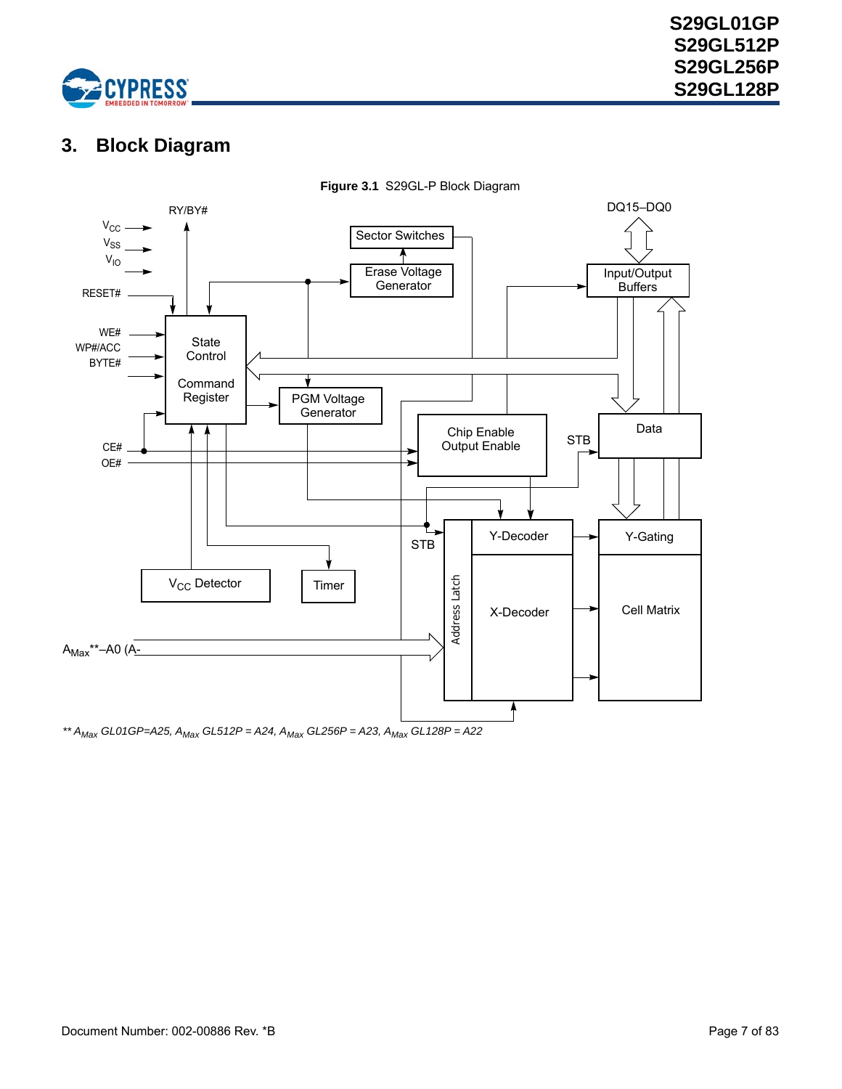

# <span id="page-6-0"></span>**3. Block Diagram**



**Figure 3.1** S29GL-P Block Diagram

*\*\* AMax GL01GP=A25, AMax GL512P = A24, AMax GL256P = A23, AMax GL128P = A22*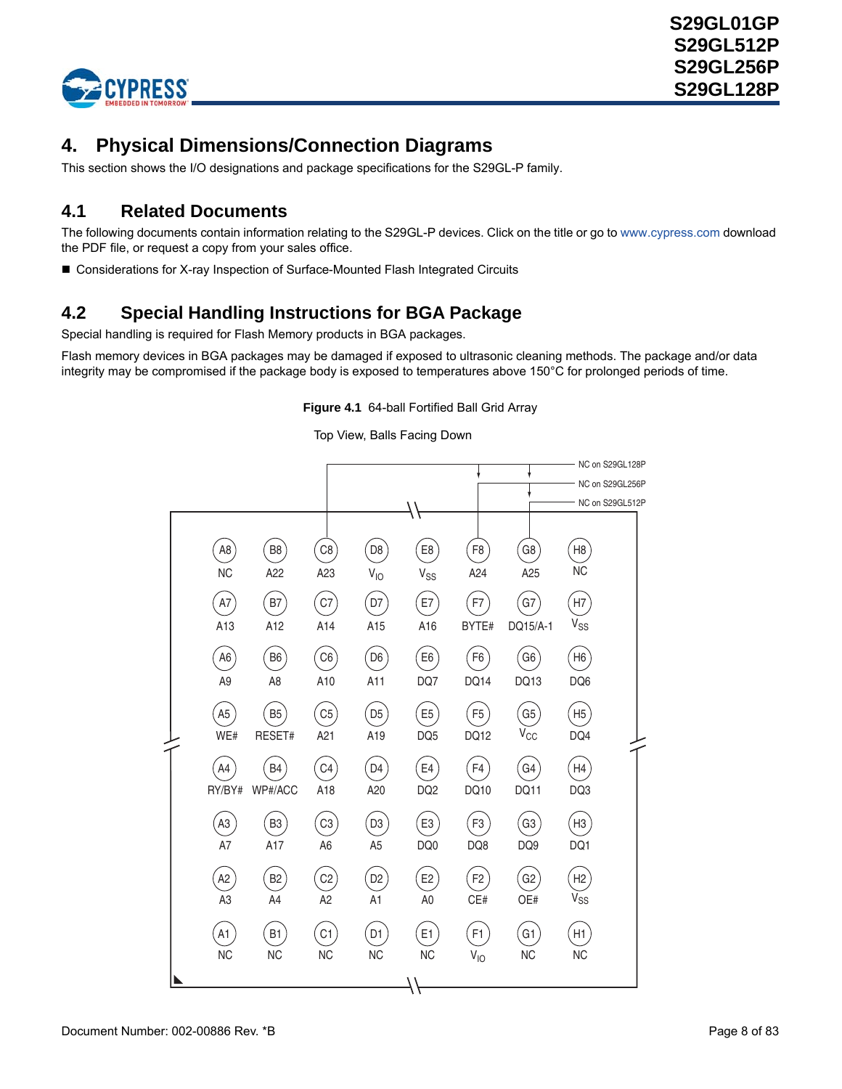

# <span id="page-7-0"></span>**4. Physical Dimensions/Connection Diagrams**

This section shows the I/O designations and package specifications for the S29GL-P family.

## <span id="page-7-1"></span>**4.1 Related Documents**

The following documents contain information relating to the S29GL-P devices. Click on the title or go to [www.cypress.com](www.spansion.com) download the PDF file, or request a copy from your sales office.

■ [Considerations for X-ray Inspection of Surface-Mounted Flash Integrated Circuits](http://www.spansion.com/application_notes/26831a.pdf)

# <span id="page-7-2"></span>**4.2 Special Handling Instructions for BGA Package**

Special handling is required for Flash Memory products in BGA packages.

Flash memory devices in BGA packages may be damaged if exposed to ultrasonic cleaning methods. The package and/or data integrity may be compromised if the package body is exposed to temperatures above 150°C for prolonged periods of time.

**Figure 4.1** 64-ball Fortified Ball Grid Array

Top View, Balls Facing Down

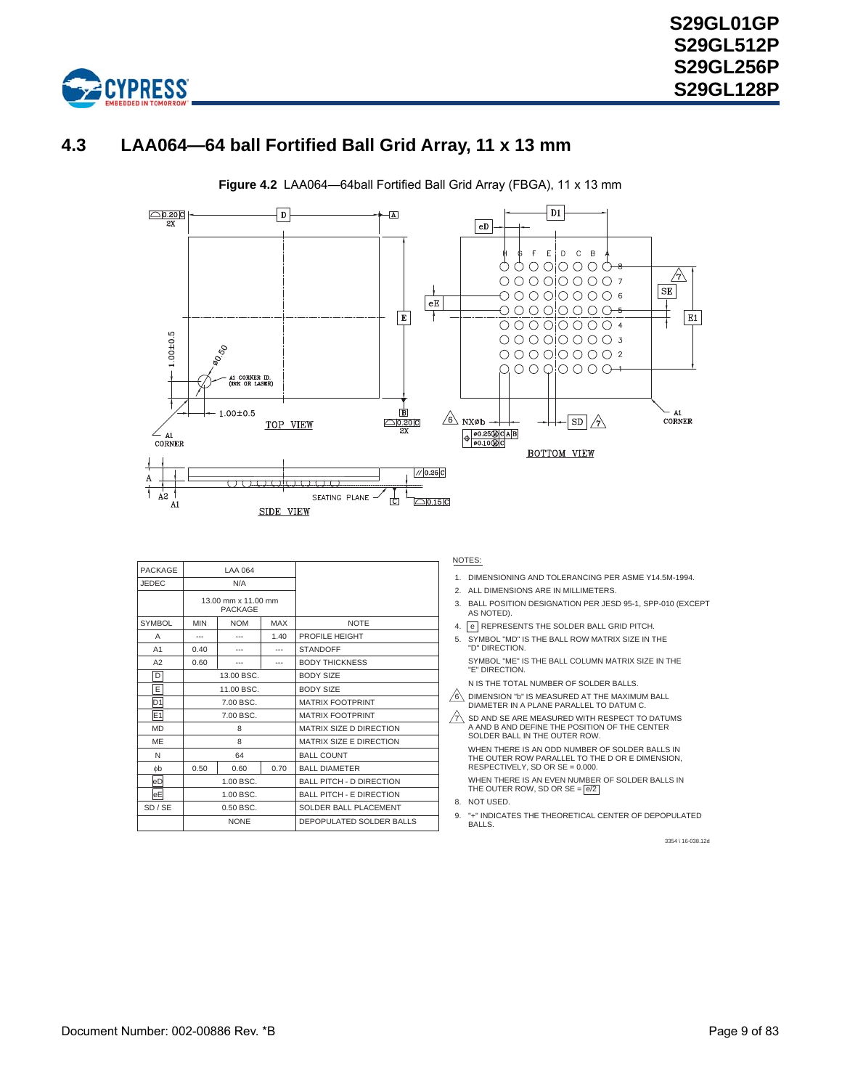

# <span id="page-8-0"></span>**4.3 LAA064—64 ball Fortified Ball Grid Array, 11 x 13 mm**



**Figure 4.2** LAA064—64ball Fortified Ball Grid Array (FBGA), 11 x 13 mm

| PACKAGE        | LAA 064                               |             |       |                                 |
|----------------|---------------------------------------|-------------|-------|---------------------------------|
| <b>JEDEC</b>   | N/A                                   |             |       |                                 |
|                | 13.00 mm x 11.00 mm<br><b>PACKAGE</b> |             |       |                                 |
| <b>SYMBOL</b>  | <b>MIN</b>                            | <b>NOM</b>  | MAX   | <b>NOTE</b>                     |
| Α              | ---                                   |             | 1.40  | PROFILE HEIGHT                  |
| A1             | 0.40                                  | ---         | ---   | <b>STANDOFF</b>                 |
| A2             | 0.60                                  | ---         | $---$ | <b>BODY THICKNESS</b>           |
| D              |                                       | 13.00 BSC.  |       | <b>BODY SIZE</b>                |
| E              | 11.00 BSC.                            |             |       | <b>BODY SIZE</b>                |
| D <sub>1</sub> |                                       | 7.00 BSC.   |       | <b>MATRIX FOOTPRINT</b>         |
| E1             |                                       | 7.00 BSC.   |       | <b>MATRIX FOOTPRINT</b>         |
| <b>MD</b>      |                                       | 8           |       | MATRIX SIZE D DIRECTION         |
| ME             |                                       | 8           |       | MATRIX SIZE E DIRECTION         |
| N              |                                       | 64          |       | <b>BALL COUNT</b>               |
| øЬ             | 0.50<br>0.60<br>0.70                  |             |       | <b>BALL DIAMETER</b>            |
| eD             | $1:00$ BSC.                           |             |       | <b>BALL PITCH - D DIRECTION</b> |
| eE             |                                       | 1.00 BSC.   |       | <b>BALL PITCH - E DIRECTION</b> |
| SD / SE        |                                       | $0.50$ BSC. |       | SOLDER BALL PLACEMENT           |
|                | <b>NONE</b>                           |             |       | DEPOPULATED SOLDER BALLS        |

#### NOTES:

- 1. DIMENSIONING AND TOLERANCING PER ASME Y14.5M-1994.
- 2. ALL DIMENSIONS ARE IN MILLIMETERS.
- 3. BALL POSITION DESIGNATION PER JESD 95-1, SPP-010 (EXCEPT AS NOTED).
- 4. **e** REPRESENTS THE SOLDER BALL GRID PITCH.
- 5. SYMBOL "MD" IS THE BALL ROW MATRIX SIZE IN THE "D" DIRECTION.

SYMBOL "ME" IS THE BALL COLUMN MATRIX SIZE IN THE "E" DIRECTION.

N IS THE TOTAL NUMBER OF SOLDER BALLS.

 $\frac{76}{6}$  DIMENSION "b" IS MEASURED AT THE MAXIMUM BALL DIAMETER IN A PLANE PARALLEL TO DATUM C.

 $\frac{7}{2}$  SD AND SE ARE MEASURED WITH RESPECT TO DATUMS A AND B AND DEFINE THE POSITION OF THE CENTER SOLDER BALL IN THE OUTER ROW. WHEN THERE IS AN ODD NUMBER OF SOLDER BALLS IN

THE OUTER ROW PARALLEL TO THE D OR E DIMENSION, RESPECTIVELY, SD OR SE = 0.000. WHEN THERE IS AN EVEN NUMBER OF SOLDER BALLS IN THE OUTER ROW, SD OR  $SE =  $\frac{e}{2}$$ 

- 8. NOT USED.
- 9. "+" INDICATES THE THEORETICAL CENTER OF DEPOPULATED BALLS.

3354 \ 16-038.12d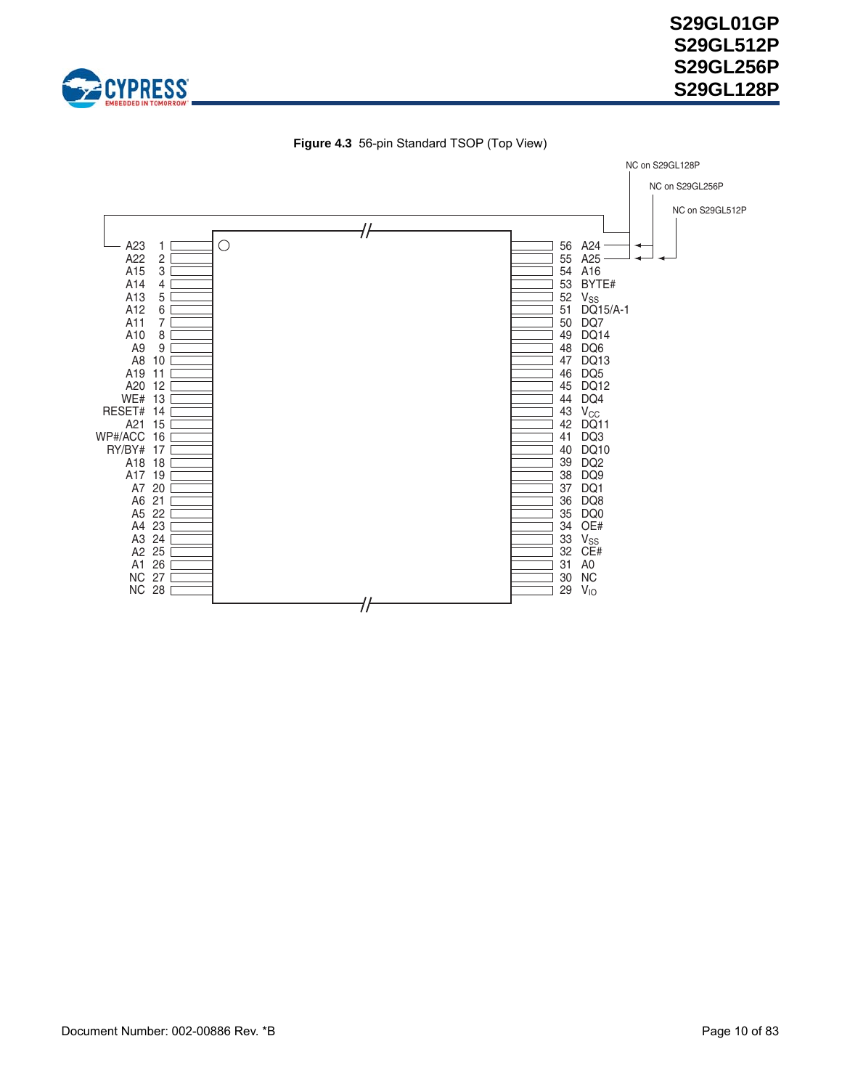



**Figure 4.3** 56-pin Standard TSOP (Top View)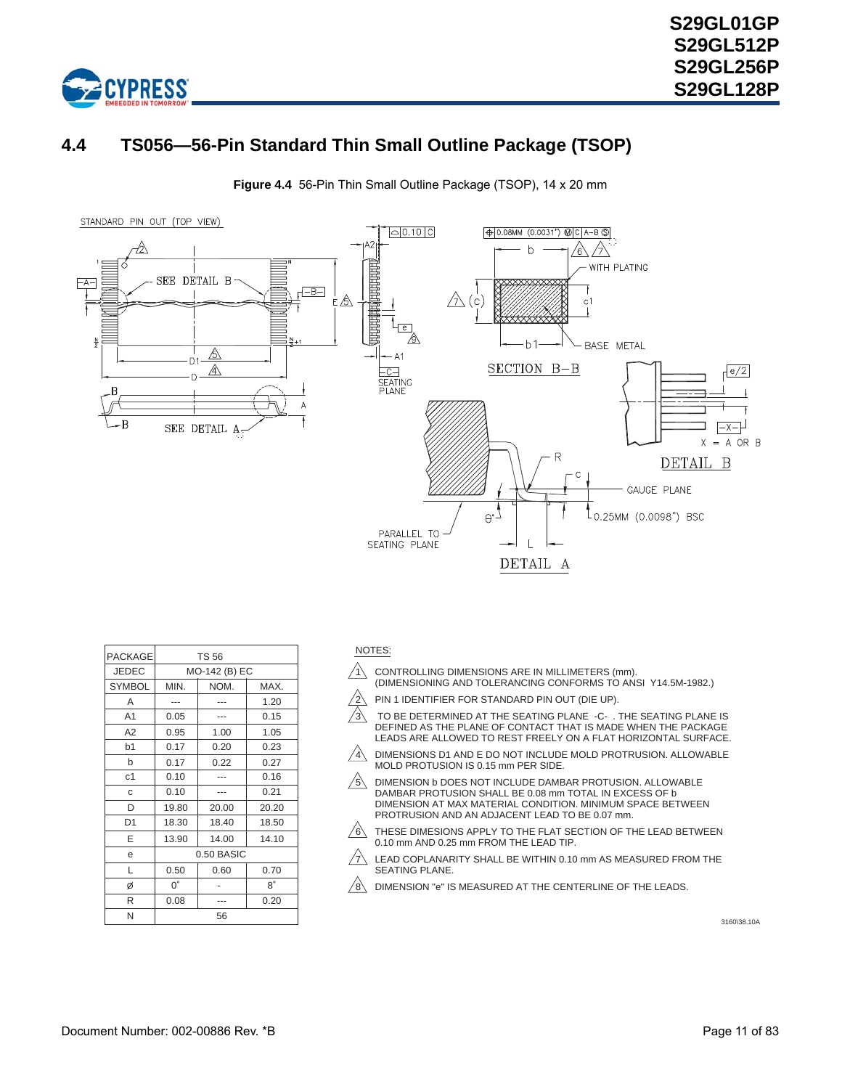

# <span id="page-10-0"></span>**4.4 TS056—56-Pin Standard Thin Small Outline Package (TSOP)**

**Figure 4.4** 56-Pin Thin Small Outline Package (TSOP), 14 x 20 mm



| <b>PACKAGE</b> | <b>TS 56</b>  |       |           |  |  |  |
|----------------|---------------|-------|-----------|--|--|--|
| <b>JEDEC</b>   | MO-142 (B) EC |       |           |  |  |  |
| <b>SYMBOL</b>  | MIN.          | NOM.  | MAX.      |  |  |  |
| A              |               |       | 1.20      |  |  |  |
| A <sub>1</sub> | 0.05          |       | 0.15      |  |  |  |
| A2             | 0.95          | 1.00  | 1.05      |  |  |  |
| b <sub>1</sub> | 0.17          | 0.20  | 0.23      |  |  |  |
| b              | 0.17          | 0.22  | 0.27      |  |  |  |
| c <sub>1</sub> | 0.10          |       | 0.16      |  |  |  |
| C              | 0.10          |       | 0.21      |  |  |  |
| D              | 19.80         | 20.00 | 20.20     |  |  |  |
| D <sub>1</sub> | 18.30         | 18.40 | 18.50     |  |  |  |
| E              | 13.90         | 14.00 | 14.10     |  |  |  |
| e              | 0.50 BASIC    |       |           |  |  |  |
| L              | 0.50          | 0.60  | 0.70      |  |  |  |
| Ø              | $0^{\circ}$   |       | $8^\circ$ |  |  |  |
| R              | 0.08          |       | 0.20      |  |  |  |
| N              | 56            |       |           |  |  |  |

#### NOTES:

- $\sqrt{1}$  CONTROLLING DIMENSIONS ARE IN MILLIMETERS (mm). (DIMENSIONING AND TOLERANCING CONFORMS TO ANSI Y14.5M-1982.)
- $\sqrt{2}$  PIN 1 IDENTIFIER FOR STANDARD PIN OUT (DIE UP).
- $\sqrt{3}$  to be determined at the seating plane  $\,$  -C- . The seating plane is DEFINED AS THE PLANE OF CONTACT THAT IS MADE WHEN THE PACKAGE LEADS ARE ALLOWED TO REST FREELY ON A FLAT HORIZONTAL SURFACE.
- $\sqrt{4}$  dimensions d1 and E do not include mold protrusion. Allowable MOLD PROTUSION IS 0.15 mm PER SIDE.
- $\sqrt{5}$  DIMENSION b DOES NOT INCLUDE DAMBAR PROTUSION. ALLOWABLE DAMBAR PROTUSION SHALL BE 0.08 mm TOTAL IN EXCESS OF b DIMENSION AT MAX MATERIAL CONDITION. MINIMUM SPACE BETWEEN PROTRUSION AND AN ADJACENT LEAD TO BE 0.07 mm.
- $\sqrt{6}$  THESE DIMESIONS APPLY TO THE FLAT SECTION OF THE LEAD BETWEEN 0.10 mm AND 0.25 mm FROM THE LEAD TIP.
- $\sqrt{7}$  LEAD COPLANARITY SHALL BE WITHIN 0.10 mm AS MEASURED FROM THE SEATING PLANE.
- $\sqrt{8}$  DIMENSION "e" IS MEASURED AT THE CENTERLINE OF THE LEADS.

3160\38.10A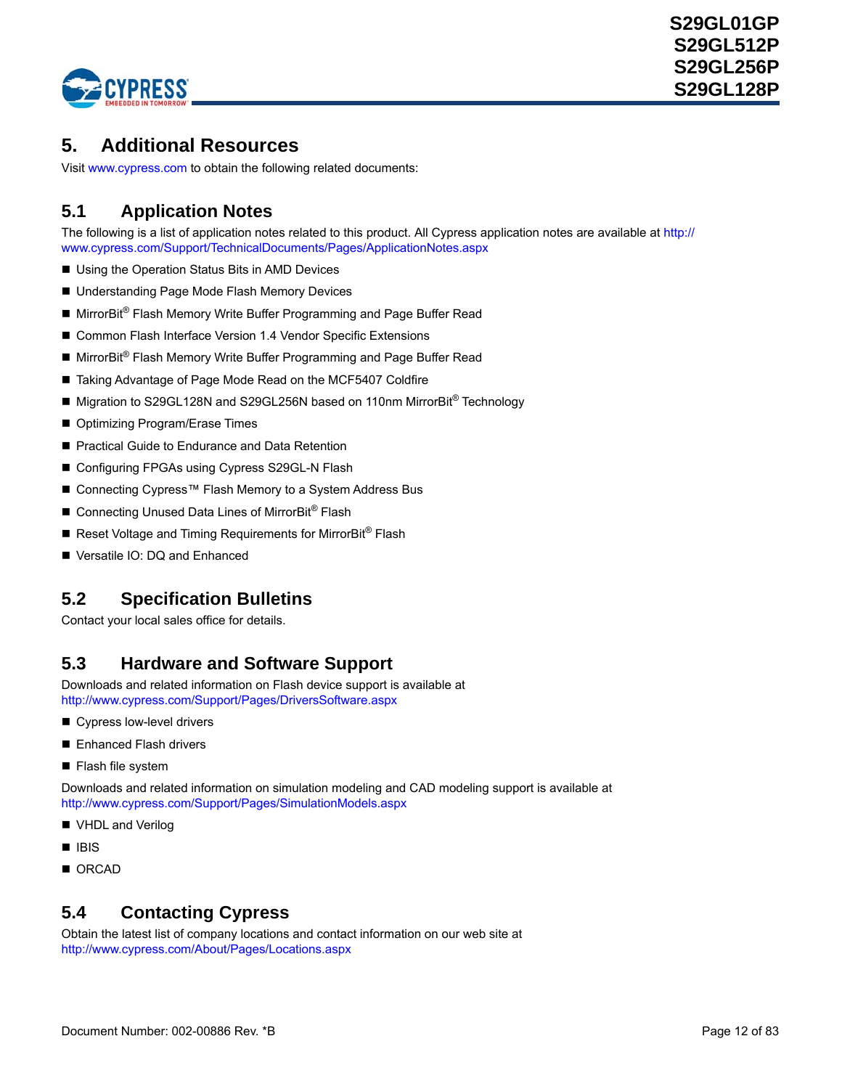

# <span id="page-11-0"></span>**5. Additional Resources**

Visit [www.cypress.com](http://www.spansion.com) to obtain the following related documents:

# <span id="page-11-1"></span>**5.1 Application Notes**

The following is a list of application notes related to this product. All Cypress application notes are available at [http://](http://www.spansion.com/Support/TechnicalDocuments/Pages/ApplicationNotes.aspx) [www.cypress.com/Support/TechnicalDocuments/Pages/ApplicationNotes.aspx](http://www.spansion.com/Support/TechnicalDocuments/Pages/ApplicationNotes.aspx)

- Using the Operation Status Bits in AMD Devices
- Understanding Page Mode Flash Memory Devices
- MirrorBit<sup>®</sup> Flash Memory Write Buffer Programming and Page Buffer Read
- Common Flash Interface Version 1.4 Vendor Specific Extensions
- MirrorBit<sup>®</sup> Flash Memory Write Buffer Programming and Page Buffer Read
- Taking Advantage of Page Mode Read on the MCF5407 Coldfire
- Migration to S29GL128N and S29GL256N based on 110nm MirrorBit<sup>®</sup> Technology
- Optimizing Program/Erase Times
- **Pactical Guide to Endurance and Data Retention**
- Configuring FPGAs using Cypress S29GL-N Flash
- Connecting Cypress™ Flash Memory to a System Address Bus
- Connecting Unused Data Lines of MirrorBit<sup>®</sup> Flash
- Reset Voltage and Timing Requirements for MirrorBit<sup>®</sup> Flash
- Versatile IO: DQ and Enhanced

## <span id="page-11-2"></span>**5.2 Specification Bulletins**

Contact your local sales office for details.

## <span id="page-11-3"></span>**[5.3 Hardware and Software Support](http://www.amd.com/us-en/FlashMemory/ProductInformation/0,,37_1447_2248_9557^11580^11581,00.html)**

Downloads and related information on Flash device support is available at [http://www.cypress.com/Support/Pages/DriversSoftware.aspx](http://www.spansion.com/Support/Pages/DriversSoftware.aspx)

- Cypress low-level drivers
- Enhanced Flash drivers
- **Flash file system**

Downloads and related information on simulation modeling and CAD modeling support is available at [http://www.cypress.com/Support/Pages/SimulationModels.aspx](http://www.spansion.com/Support/Pages/SimulationModels.aspx)

- VHDL and Verilog
- $IBIS$
- ORCAD

# <span id="page-11-4"></span>**5.4 Contacting Cypress**

Obtain the latest list of company locations and contact information on our web site at [http://www.cypress.com/About/Pages/Locations.aspx](http://www.spansion.com/About/Pages/Locations.aspx)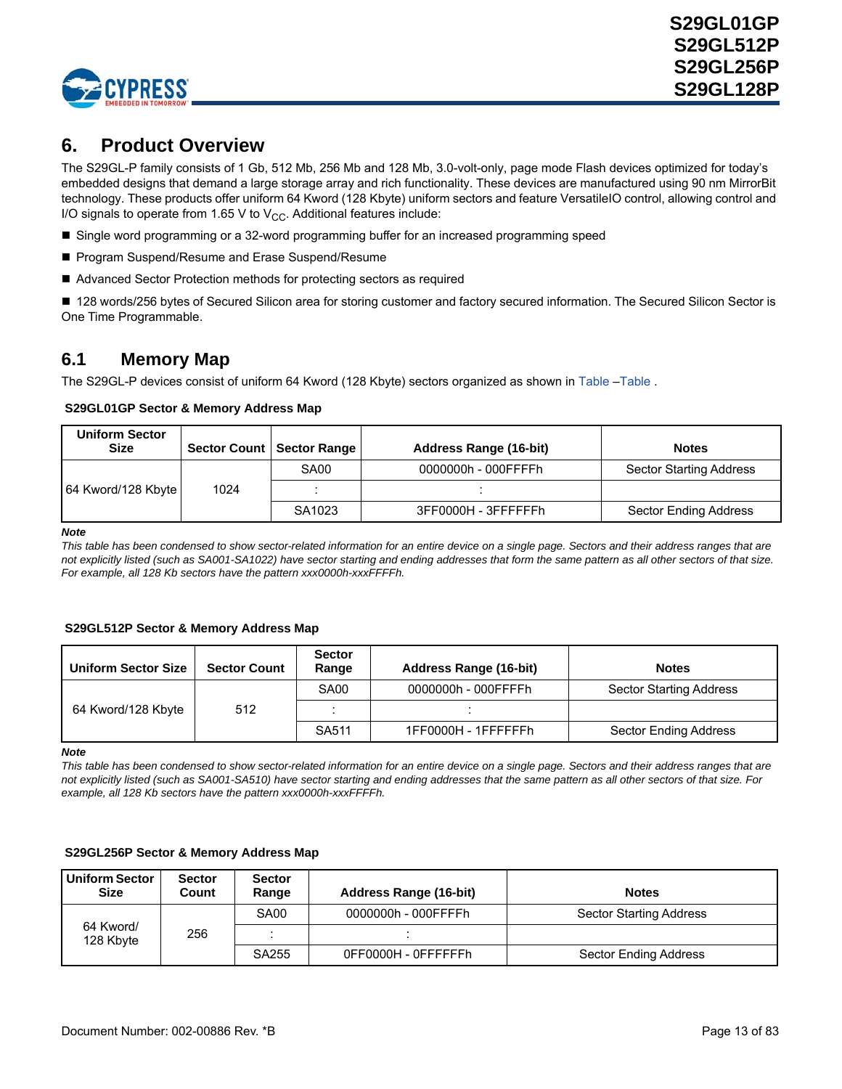

# <span id="page-12-0"></span>**6. Product Overview**

The S29GL-P family consists of 1 Gb, 512 Mb, 256 Mb and 128 Mb, 3.0-volt-only, page mode Flash devices optimized for today's embedded designs that demand a large storage array and rich functionality. These devices are manufactured using 90 nm MirrorBit technology. These products offer uniform 64 Kword (128 Kbyte) uniform sectors and feature VersatileIO control, allowing control and I/O signals to operate from 1.65 V to  $V_{CC}$ . Additional features include:

- Single word programming or a 32-word programming buffer for an increased programming speed
- Program Suspend/Resume and Erase Suspend/Resume
- Advanced Sector Protection methods for protecting sectors as required

■ 128 words/256 bytes of Secured Silicon area for storing customer and factory secured information. The Secured Silicon Sector is One Time Programmable.

### <span id="page-12-1"></span>**6.1 Memory Map**

The S29GL-P devices consist of uniform 64 Kword (128 Kbyte) sectors organized as shown in [Table](#page-12-2) –[Table](#page-13-0) .

### <span id="page-12-2"></span> **S29GL01GP Sector & Memory Address Map**

| <b>Uniform Sector</b><br><b>Size</b> |      | Sector Count   Sector Range | <b>Address Range (16-bit)</b> | <b>Notes</b>                   |
|--------------------------------------|------|-----------------------------|-------------------------------|--------------------------------|
|                                      |      | SA00                        | 0000000h - 000FFFFh           | <b>Sector Starting Address</b> |
| 64 Kword/128 Kbyte                   | 1024 |                             |                               |                                |
|                                      |      | SA1023                      | 3FF0000H - 3FFFFFFh           | Sector Ending Address          |

*Note*

*This table has been condensed to show sector-related information for an entire device on a single page. Sectors and their address ranges that are not explicitly listed (such as SA001-SA1022) have sector starting and ending addresses that form the same pattern as all other sectors of that size. For example, all 128 Kb sectors have the pattern xxx0000h-xxxFFFFh.*

#### **S29GL512P Sector & Memory Address Map**

| <b>Uniform Sector Size</b> | <b>Sector Count</b> | <b>Sector</b><br>Range | <b>Address Range (16-bit)</b> | <b>Notes</b>                   |
|----------------------------|---------------------|------------------------|-------------------------------|--------------------------------|
|                            |                     | <b>SA00</b>            | 0000000h - 000FFFFh           | <b>Sector Starting Address</b> |
| 64 Kword/128 Kbyte         | 512                 |                        |                               |                                |
|                            |                     | SA511                  | 1FF0000H - 1FFFFFFh           | Sector Ending Address          |

*Note*

*This table has been condensed to show sector-related information for an entire device on a single page. Sectors and their address ranges that are not explicitly listed (such as SA001-SA510) have sector starting and ending addresses that the same pattern as all other sectors of that size. For example, all 128 Kb sectors have the pattern xxx0000h-xxxFFFFh.*

#### **S29GL256P Sector & Memory Address Map**

| <b>Uniform Sector</b><br><b>Size</b> | <b>Sector</b><br>Count | <b>Sector</b><br>Range | <b>Address Range (16-bit)</b> | <b>Notes</b>                   |
|--------------------------------------|------------------------|------------------------|-------------------------------|--------------------------------|
| 64 Kword/<br>128 Kbyte               | 256                    | SA00                   | 0000000h - 000FFFFh           | <b>Sector Starting Address</b> |
|                                      |                        |                        |                               |                                |
|                                      |                        | SA255                  | OFF0000H - OFFFFFFh           | Sector Ending Address          |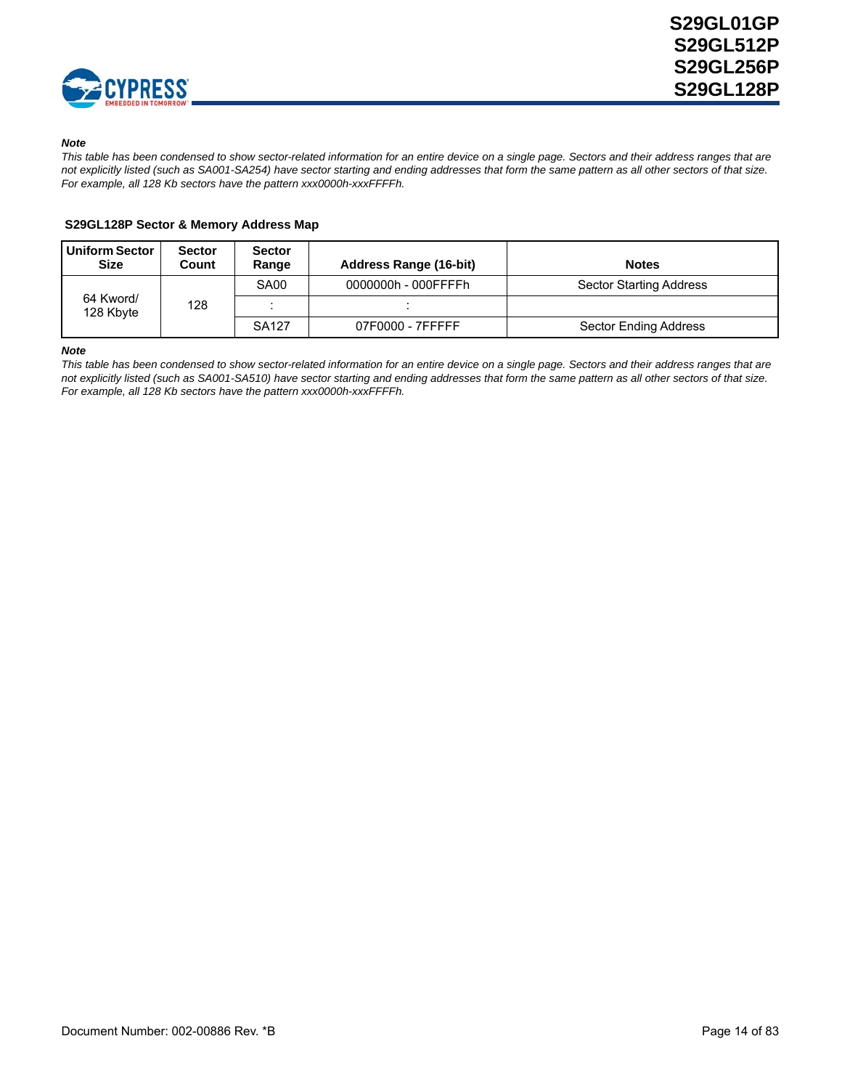

#### *Note*

*This table has been condensed to show sector-related information for an entire device on a single page. Sectors and their address ranges that are not explicitly listed (such as SA001-SA254) have sector starting and ending addresses that form the same pattern as all other sectors of that size. For example, all 128 Kb sectors have the pattern xxx0000h-xxxFFFFh.*

### <span id="page-13-0"></span> **S29GL128P Sector & Memory Address Map**

| <b>Uniform Sector</b><br><b>Size</b> | <b>Sector</b><br>Count | <b>Sector</b><br>Range | Address Range (16-bit) | <b>Notes</b>                   |
|--------------------------------------|------------------------|------------------------|------------------------|--------------------------------|
|                                      |                        | SA <sub>00</sub>       | 0000000h - 000FFFFh    | <b>Sector Starting Address</b> |
| 64 Kword/<br>128 Kbyte               | 128                    |                        |                        |                                |
|                                      |                        | SA127                  | 07F0000 - 7FFFFF       | Sector Ending Address          |

#### *Note*

*This table has been condensed to show sector-related information for an entire device on a single page. Sectors and their address ranges that are not explicitly listed (such as SA001-SA510) have sector starting and ending addresses that form the same pattern as all other sectors of that size. For example, all 128 Kb sectors have the pattern xxx0000h-xxxFFFFh.*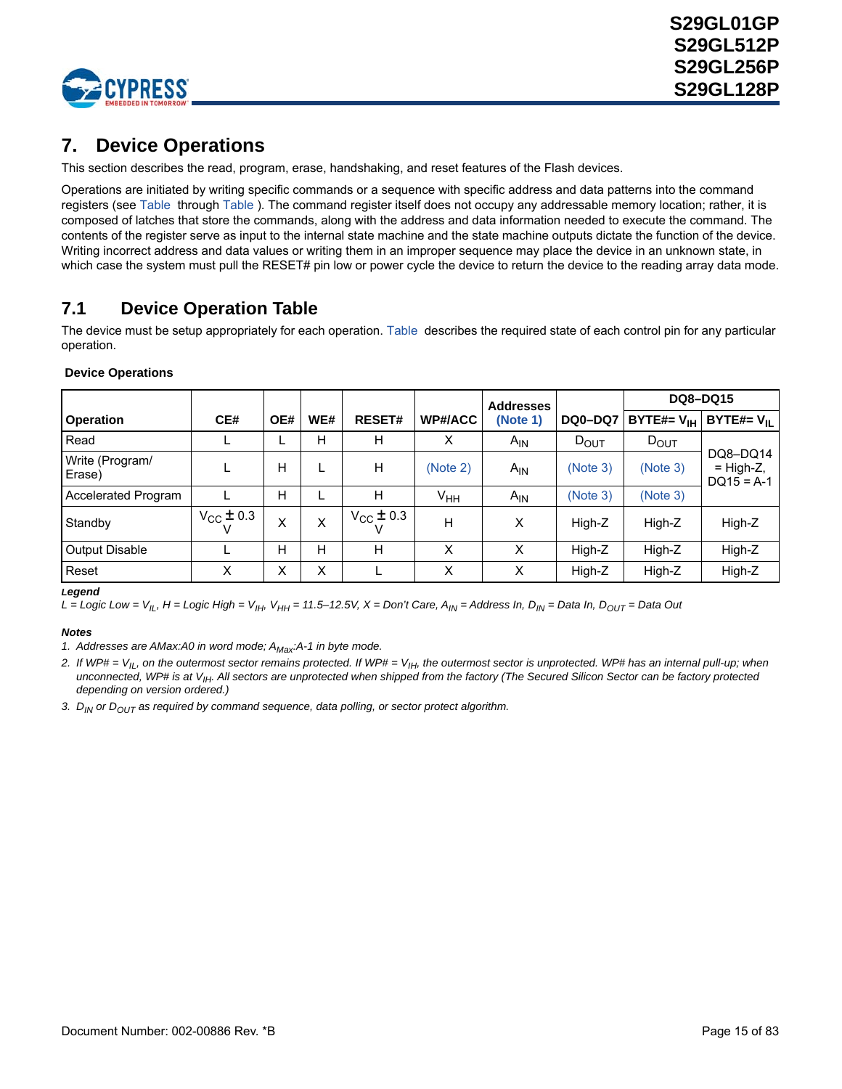

# <span id="page-14-0"></span>**7. Device Operations**

This section describes the read, program, erase, handshaking, and reset features of the Flash devices.

Operations are initiated by writing specific commands or a sequence with specific address and data patterns into the command registers (see [Table](#page-63-0) through [Table](#page-69-0) ). The command register itself does not occupy any addressable memory location; rather, it is composed of latches that store the commands, along with the address and data information needed to execute the command. The contents of the register serve as input to the internal state machine and the state machine outputs dictate the function of the device. Writing incorrect address and data values or writing them in an improper sequence may place the device in an unknown state, in which case the system must pull the RESET# pin low or power cycle the device to return the device to the reading array data mode.

# <span id="page-14-1"></span>**7.1 Device Operation Table**

The device must be setup appropriately for each operation. [Table](#page-14-5) describes the required state of each control pin for any particular operation.

<span id="page-14-5"></span>

|  | <b>Device Operations</b> |
|--|--------------------------|
|--|--------------------------|

|                           |                      |     |     |                         |                 | <b>Addresses</b> |                |                        | <b>DQ8-DQ15</b>                         |
|---------------------------|----------------------|-----|-----|-------------------------|-----------------|------------------|----------------|------------------------|-----------------------------------------|
| <b>Operation</b>          | CE#                  | OE# | WE# | <b>RESET#</b>           | <b>WP#/ACC</b>  | (Note 1)         | <b>DQ0-DQ7</b> | BYTE#= $V_{\text{IH}}$ | BYTE#= $V_{II}$                         |
| Read                      |                      |     | Н   | н                       | х               | $A_{IN}$         | $D_{OUT}$      | $D_{OUT}$              |                                         |
| Write (Program/<br>Erase) |                      | н   |     | н                       | (Note 2)        | $A_{IN}$         | (Note 3)       | (Note 3)               | DQ8-DQ14<br>$=$ High-Z,<br>$DQ15 = A-1$ |
| Accelerated Program       |                      | н   |     | н                       | V <sub>HH</sub> | $A_{IN}$         | (Note 3)       | (Note 3)               |                                         |
| Standby                   | $V_{\rm CC} \pm 0.3$ | X   | X   | $V_{\text{CC}} \pm 0.3$ | H               | X                | High-Z         | High-Z                 | High-Z                                  |
| <b>Output Disable</b>     |                      | н   | н   | н                       | X               | X                | High-Z         | High-Z                 | High-Z                                  |
| Reset                     | x                    | х   | Χ   |                         | Χ               | Χ                | High-Z         | High-Z                 | High-Z                                  |

*Legend*

 $L =$  *Logic Low = V<sub>IL</sub>, H = Logic High = V<sub>IH</sub>, V<sub>HH</sub> = 11.5–12.5V, X = Don't Care, A<sub>IN</sub> = Address In, D<sub>IN</sub> = Data In, D<sub>OUT</sub> = Data Out* 

#### *Notes*

<span id="page-14-2"></span>1. Addresses are AMax:A0 in word mode; A<sub>Max</sub>:A-1 in byte mode.

<span id="page-14-3"></span>2. If WP# = V<sub>IL</sub>, on the outermost sector remains protected. If WP# = V<sub>IH</sub>, the outermost sector is unprotected. WP# has an internal pull-up; when *unconnected, WP# is at VIH. All sectors are unprotected when shipped from the factory (The Secured Silicon Sector can be factory protected depending on version ordered.)*

<span id="page-14-4"></span>*3. DIN or DOUT as required by command sequence, data polling, or sector protect algorithm.*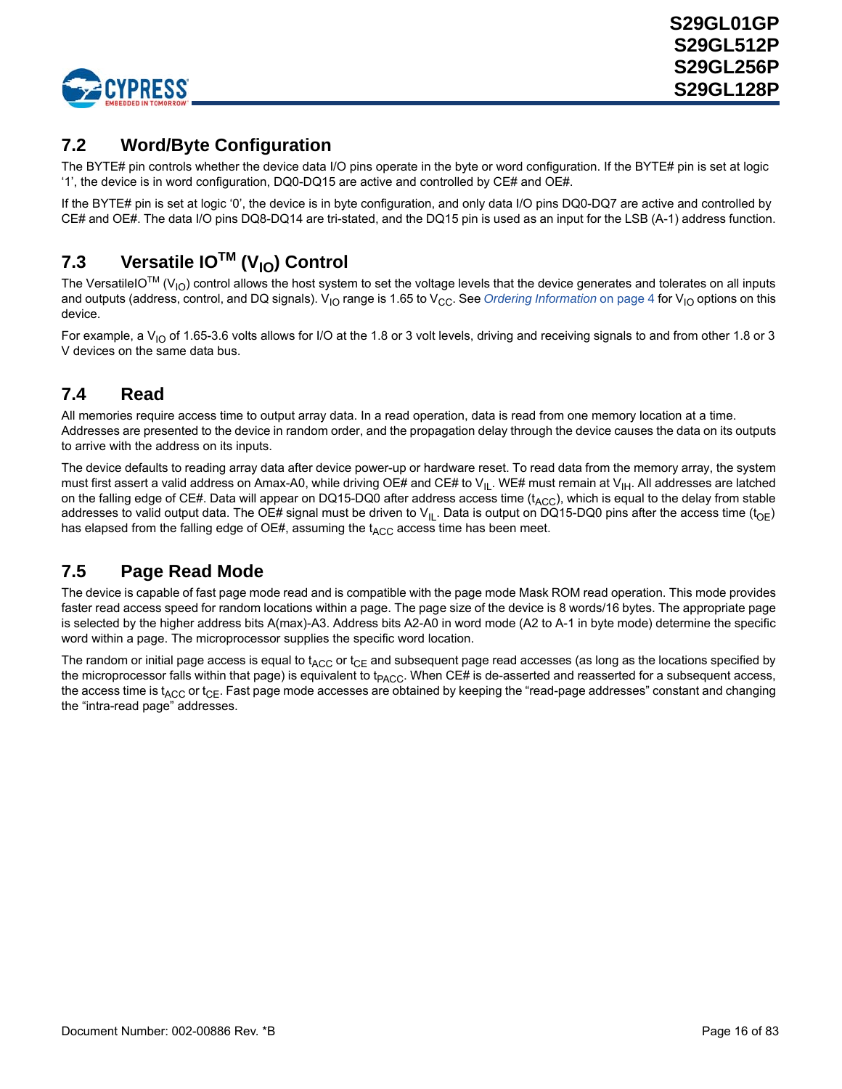

# <span id="page-15-0"></span>**7.2 Word/Byte Configuration**

The BYTE# pin controls whether the device data I/O pins operate in the byte or word configuration. If the BYTE# pin is set at logic '1', the device is in word configuration, DQ0-DQ15 are active and controlled by CE# and OE#.

If the BYTE# pin is set at logic '0', the device is in byte configuration, and only data I/O pins DQ0-DQ7 are active and controlled by CE# and OE#. The data I/O pins DQ8-DQ14 are tri-stated, and the DQ15 pin is used as an input for the LSB (A-1) address function.

# <span id="page-15-1"></span>**7.3 Versatile IOTM (VIO) Control**

The VersatileIO<sup>TM</sup> (V<sub>IO</sub>) control allows the host system to set the voltage levels that the device generates and tolerates on all inputs and outputs (address, control, and DQ signals). V<sub>IO</sub> range is 1.65 to V<sub>CC</sub>. See *[Ordering Information](#page-3-1)* on page 4 for V<sub>IO</sub> options on this device.

For example, a  $V_{1O}$  of 1.65-3.6 volts allows for I/O at the 1.8 or 3 volt levels, driving and receiving signals to and from other 1.8 or 3 V devices on the same data bus.

# <span id="page-15-2"></span>**7.4 Read**

All memories require access time to output array data. In a read operation, data is read from one memory location at a time. Addresses are presented to the device in random order, and the propagation delay through the device causes the data on its outputs to arrive with the address on its inputs.

The device defaults to reading array data after device power-up or hardware reset. To read data from the memory array, the system must first assert a valid address on Amax-A0, while driving OE# and CE# to V<sub>IL</sub>. WE# must remain at V<sub>IH</sub>. All addresses are latched on the falling edge of CE#. Data will appear on DQ15-DQ0 after address access time  $(t_{ACC})$ , which is equal to the delay from stable addresses to valid output data. The OE# signal must be driven to V<sub>IL</sub>. Data is output on DQ15-DQ0 pins after the access time (t<sub>OE</sub>) has elapsed from the falling edge of OE#, assuming the  $t_{\mathsf{ACC}}$  access time has been meet.

# <span id="page-15-3"></span>**7.5 Page Read Mode**

The device is capable of fast page mode read and is compatible with the page mode Mask ROM read operation. This mode provides faster read access speed for random locations within a page. The page size of the device is 8 words/16 bytes. The appropriate page is selected by the higher address bits A(max)-A3. Address bits A2-A0 in word mode (A2 to A-1 in byte mode) determine the specific word within a page. The microprocessor supplies the specific word location.

The random or initial page access is equal to  $t_{\rm ACC}$  or  $t_{\rm CE}$  and subsequent page read accesses (as long as the locations specified by the microprocessor falls within that page) is equivalent to t<sub>PACC</sub>. When CE# is de-asserted and reasserted for a subsequent access, the access time is  $t_{\text{ACC}}$  or  $t_{\text{CE}}$ . Fast page mode accesses are obtained by keeping the "read-page addresses" constant and changing the "intra-read page" addresses.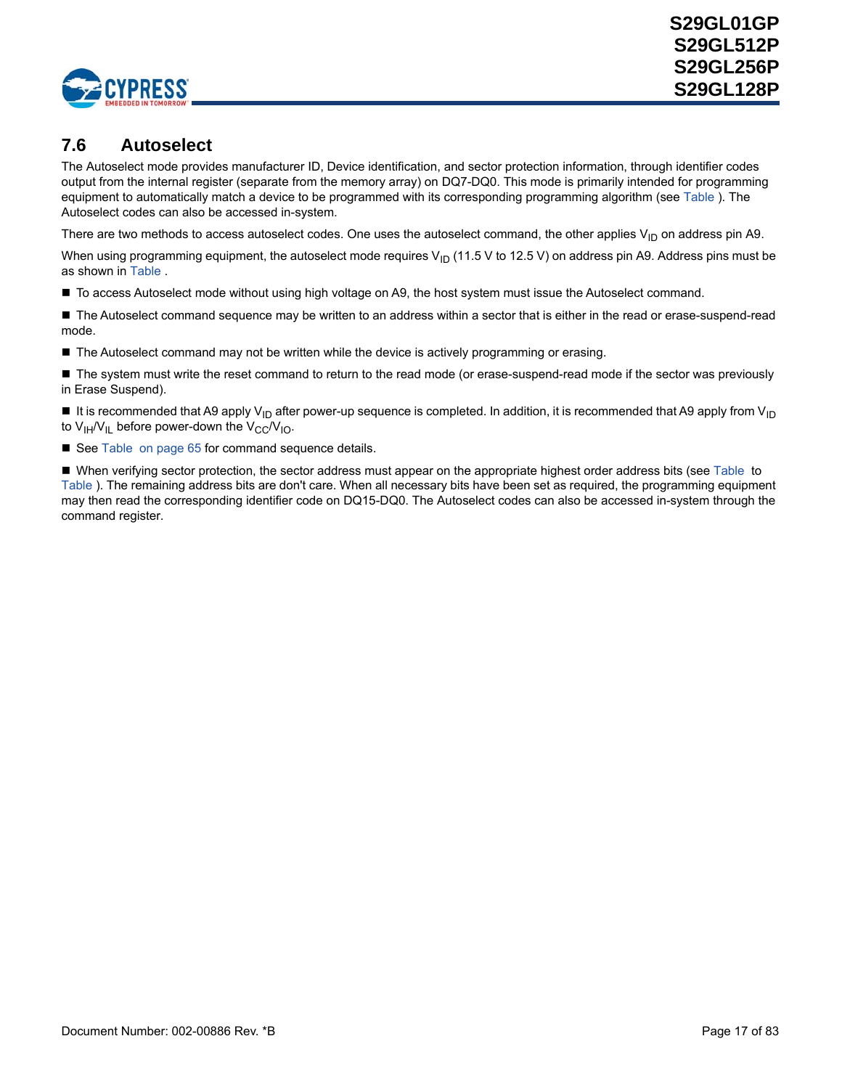

## <span id="page-16-0"></span>**7.6 Autoselect**

The Autoselect mode provides manufacturer ID, Device identification, and sector protection information, through identifier codes output from the internal register (separate from the memory array) on DQ7-DQ0. This mode is primarily intended for programming equipment to automatically match a device to be programmed with its corresponding programming algorithm (see [Table](#page-17-0) ). The Autoselect codes can also be accessed in-system.

There are two methods to access autoselect codes. One uses the autoselect command, the other applies  $V_{ID}$  on address pin A9.

When using programming equipment, the autoselect mode requires  $V_{\text{ID}}$  (11.5 V to 12.5 V) on address pin A9. Address pins must be as shown in [Table](#page-17-1) .

■ To access Autoselect mode without using high voltage on A9, the host system must issue the Autoselect command.

■ The Autoselect command sequence may be written to an address within a sector that is either in the read or erase-suspend-read mode.

The Autoselect command may not be written while the device is actively programming or erasing.

■ The system must write the reset command to return to the read mode (or erase-suspend-read mode if the sector was previously in Erase Suspend).

It is recommended that A9 apply V<sub>ID</sub> after power-up sequence is completed. In addition, it is recommended that A9 apply from V<sub>ID</sub> to  $V_{IH}/V_{II}$  before power-down the  $V_{CC}/V_{IO}$ .

See [Table on page 65](#page-63-0) for command sequence details.

When verifying sector protection, the sector address must appear on the appropriate highest order address bits (see [Table](#page-18-0) to [Table](#page-18-1) ). The remaining address bits are don't care. When all necessary bits have been set as required, the programming equipment may then read the corresponding identifier code on DQ15-DQ0. The Autoselect codes can also be accessed in-system through the command register.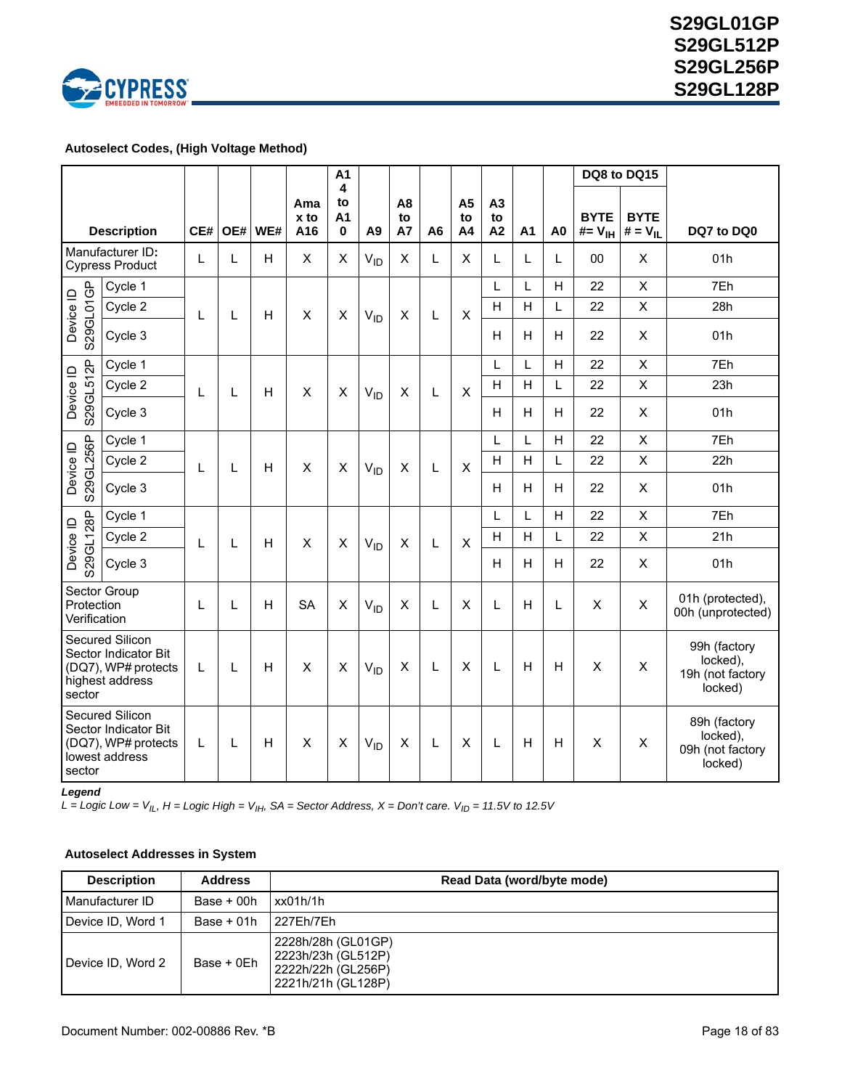

### <span id="page-17-1"></span> **Autoselect Codes, (High Voltage Method)**

|                                                                                                   |                                            |              |   |         |                    | A1                 |                |                                   |                |                            |                |    |                |                                  | DQ8 to DQ15                 |                                                         |
|---------------------------------------------------------------------------------------------------|--------------------------------------------|--------------|---|---------|--------------------|--------------------|----------------|-----------------------------------|----------------|----------------------------|----------------|----|----------------|----------------------------------|-----------------------------|---------------------------------------------------------|
|                                                                                                   | <b>Description</b>                         | CE#          |   | OE# WE# | Ama<br>x to<br>A16 | 4<br>to<br>A1<br>0 | A <sub>9</sub> | A <sub>8</sub><br>to<br><b>A7</b> | A <sub>6</sub> | A <sub>5</sub><br>to<br>A4 | A3<br>to<br>A2 | A1 | A <sub>0</sub> | <b>BYTE</b><br>$#=V_{\text{IH}}$ | <b>BYTE</b><br>$# = V_{II}$ | DQ7 to DQ0                                              |
|                                                                                                   | Manufacturer ID:<br><b>Cypress Product</b> | $\mathsf{L}$ | L | H       | $\times$           | X                  | $V_{ID}$       | $\mathsf{X}$                      | L              | X                          | L              | L  | L              | 00                               | X                           | 01h                                                     |
|                                                                                                   | Cycle 1                                    |              |   |         |                    |                    |                |                                   |                |                            | L              | L  | H              | 22                               | $\mathsf{x}$                | 7Eh                                                     |
|                                                                                                   | Cycle 2                                    | L            | L | H       | X                  | X                  | $V_{ID}$       | X                                 | L              | $\pmb{\times}$             | H              | H  | L              | 22                               | $\pmb{\times}$              | 28h                                                     |
| S29GL01GP<br>Device ID                                                                            | Cycle 3                                    |              |   |         |                    |                    |                |                                   |                |                            | H              | H  | H              | 22                               | X                           | 01h                                                     |
|                                                                                                   | Cycle 1                                    |              |   |         |                    |                    |                |                                   |                |                            | L              | L  | H              | 22                               | X                           | 7Eh                                                     |
|                                                                                                   | Cycle 2                                    | L            | L | H       | X                  | X                  | $V_{ID}$       | X                                 | L              | $\times$                   | H              | H  | L              | 22                               | $\mathsf{X}$                | 23h                                                     |
| S29GL512P<br>Device ID                                                                            | Cycle 3                                    |              |   |         |                    |                    |                |                                   |                |                            | H              | H  | H              | 22                               | X                           | 01h                                                     |
|                                                                                                   | Cycle 1                                    |              |   |         |                    |                    |                |                                   |                |                            | L              | L  | H              | 22                               | $\mathsf{X}$                | 7Eh                                                     |
|                                                                                                   | Cycle 2                                    | L            | L | H       | X                  | X                  | $V_{ID}$       | $\pmb{\times}$                    | L              | X                          | H              | H  | L              | 22                               | X                           | 22h                                                     |
| S29GL256P<br>Device ID                                                                            | Cycle 3                                    |              |   |         |                    |                    |                |                                   |                |                            | H              | H  | H              | 22                               | X                           | 01h                                                     |
|                                                                                                   | Cycle 1                                    |              |   | H       | X                  | X                  | $V_{ID}$       | X                                 | L              | $\pmb{\times}$             | L              | L  | H              | 22                               | $\boldsymbol{\mathsf{X}}$   | 7Eh                                                     |
|                                                                                                   | Cycle 2                                    | L            | L |         |                    |                    |                |                                   |                |                            | Н              | H  | L              | 22                               | $\pmb{\times}$              | 21h                                                     |
| 529GL128P<br>Device ID                                                                            | Cycle 3                                    |              |   |         |                    |                    |                |                                   |                |                            | H              | H  | H              | 22                               | Χ                           | 01h                                                     |
| Protection<br>Verification                                                                        | Sector Group                               | L            | Г | H       | <b>SA</b>          | X                  | $V_{ID}$       | X                                 | Г              | X                          | L              | H  | L              | X                                | $\times$                    | 01h (protected),<br>00h (unprotected)                   |
| Secured Silicon<br>Sector Indicator Bit<br>(DQ7), WP# protects<br>highest address<br>sector       |                                            | L            | L | н       | $\times$           | X                  | $V_{ID}$       | X                                 | L              | X                          | L              | H  | H              | X                                | X                           | 99h (factory<br>locked),<br>19h (not factory<br>locked) |
| <b>Secured Silicon</b><br>Sector Indicator Bit<br>(DQ7), WP# protects<br>lowest address<br>sector |                                            | L            | L | H       | X                  | X                  | $V_{ID}$       | X                                 | L              | X                          | L              | H  | H              | X                                | X                           | 89h (factory<br>locked),<br>09h (not factory<br>locked) |

*Legend*

*L* = *Logic Low = V<sub>IL</sub>, H = Logic High = V<sub>IH</sub>, SA = Sector Address, X = Don't care. V<sub>ID</sub> = 11.5V to 12.5V* 

### <span id="page-17-0"></span> **Autoselect Addresses in System**

| <b>Description</b> | <b>Address</b> | Read Data (word/byte mode)                                                           |
|--------------------|----------------|--------------------------------------------------------------------------------------|
| Manufacturer ID    | Base $+00h$    | xx01h/1h                                                                             |
| Device ID, Word 1  | $Base + 01h$   | l 227Eh/7Eh                                                                          |
| Device ID, Word 2  | Base + 0Eh     | 2228h/28h (GL01GP)<br>2223h/23h (GL512P)<br>2222h/22h (GL256P)<br>2221h/21h (GL128P) |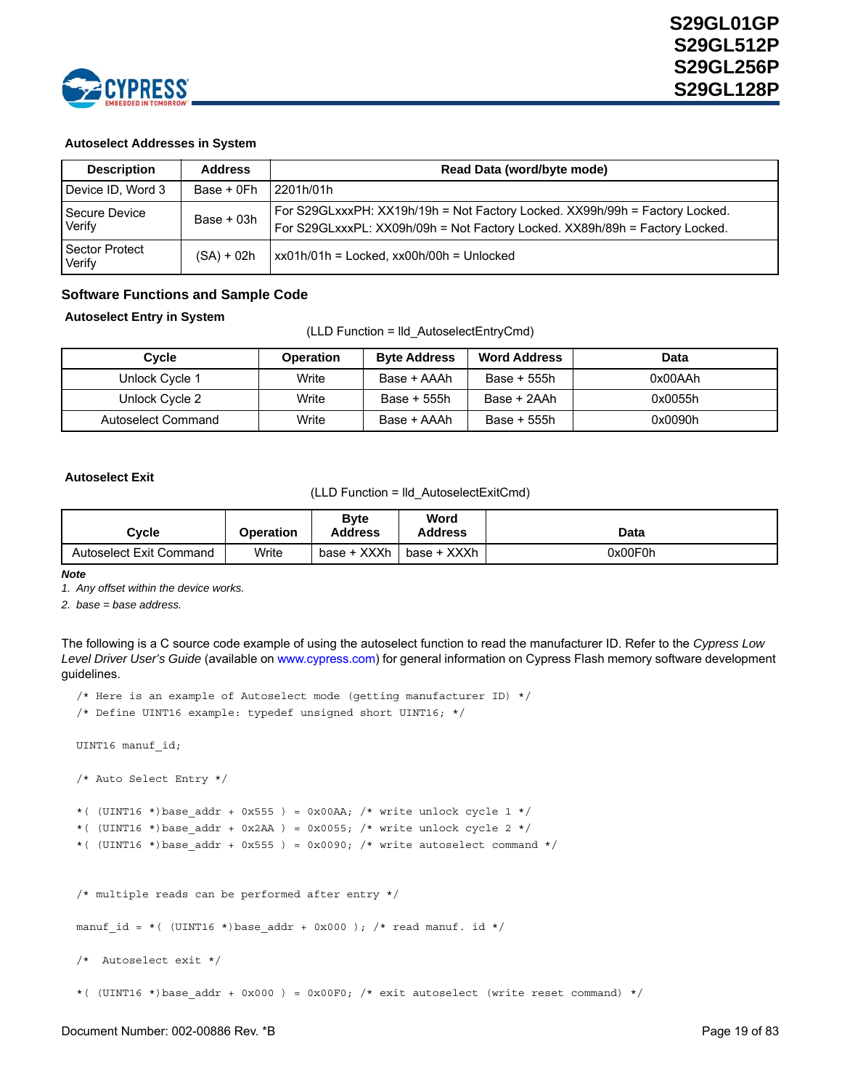

### **Autoselect Addresses in System**

| <b>Description</b>       | <b>Address</b> | Read Data (word/byte mode)                                                                                                                                 |
|--------------------------|----------------|------------------------------------------------------------------------------------------------------------------------------------------------------------|
| Device ID, Word 3        | Base + 0Fh     | 2201h/01h                                                                                                                                                  |
| Secure Device<br>Verify  | Base $+$ 03h   | For S29GLxxxPH: XX19h/19h = Not Factory Locked. XX99h/99h = Factory Locked.<br>For S29GLxxxPL: XX09h/09h = Not Factory Locked. XX89h/89h = Factory Locked. |
| Sector Protect<br>Verify | $(SA) + 02h$   | $\frac{1}{2}$ xx01h/01h = Locked, xx00h/00h = Unlocked                                                                                                     |

### **Software Functions and Sample Code**

#### <span id="page-18-0"></span> **Autoselect Entry in System**

(LLD Function = lld\_AutoselectEntryCmd)

| Cycle              | <b>Operation</b> | <b>Byte Address</b> | <b>Word Address</b> | Data    |
|--------------------|------------------|---------------------|---------------------|---------|
| Unlock Cycle 1     | Write            | Base + AAAh         | Base + 555h         | 0x00AAh |
| Unlock Cycle 2     | Write            | Base + 555h         | Base + 2AAh         | 0x0055h |
| Autoselect Command | Write            | Base + AAAh         | Base + 555h         | 0x0090h |

#### <span id="page-18-1"></span> **Autoselect Exit**

(LLD Function = lld\_AutoselectExitCmd)

| Cvcle                   | Operation | <b>B</b> vte<br>Address | Word<br>Address | Data    |
|-------------------------|-----------|-------------------------|-----------------|---------|
| Autoselect Exit Command | Write     | base + XXXh             | base + XXXh     | 0x00F0h |

*Note*

*1. Any offset within the device works.*

*2. base = base address.*

The following is a C source code example of using the autoselect function to read the manufacturer ID. Refer to the *Cypress Low Level Driver User's Guide* [\(available on w](http://www.spansion.com)ww.cypress.com) for general information on Cypress Flash memory software development guidelines.

```
/* Here is an example of Autoselect mode (getting manufacturer ID) */
/* Define UINT16 example: typedef unsigned short UINT16; */
UINT16 manuf_id; 
/* Auto Select Entry */
*( (UINT16 *)base addr + 0x555 ) = 0x00AA; /* write unlock cycle 1 */
*( (UINT16 *)base addr + 0x2AA ) = 0x0055; /* write unlock cycle 2 */
*( (UINT16 *)base addr + 0x555 ) = 0x0090; /* write autoselect command */
/* multiple reads can be performed after entry */
manuf_id = *( (UINT16 *)base_addr + 0x000 ); /* read manuf. id */
/* Autoselect exit */ 
*( (UINT16 *)base addr + 0x000 ) = 0x00F0; /* exit autoselect (write reset command) */
```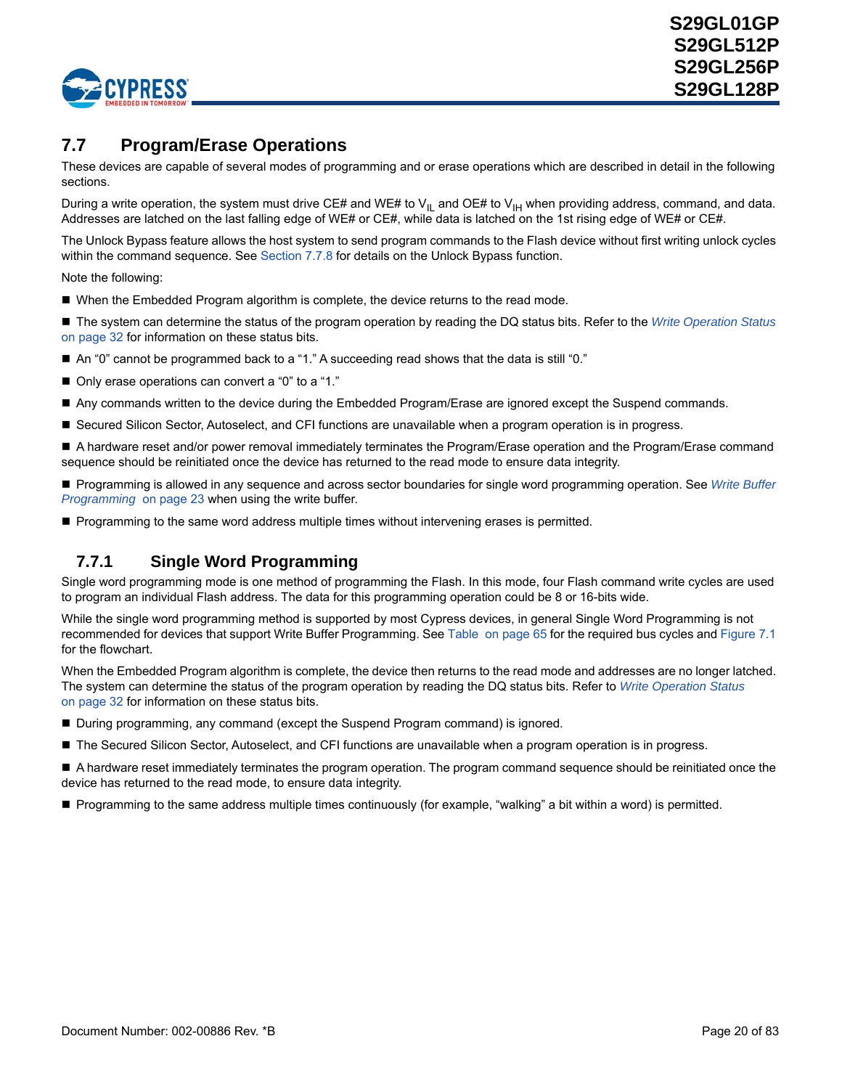

# <span id="page-19-0"></span>**7.7 Program/Erase Operations**

These devices are capable of several modes of programming and or erase operations which are described in detail in the following sections.

During a write operation, the system must drive CE# and WE# to V<sub>IL</sub> and OE# to V<sub>IH</sub> when providing address, command, and data. Addresses are latched on the last falling edge of WE# or CE#, while data is latched on the 1st rising edge of WE# or CE#.

The Unlock Bypass feature allows the host system to send program commands to the Flash device without first writing unlock cycles within the command sequence. See [Section 7.7.8](#page-29-0) for details on the Unlock Bypass function.

Note the following:

- When the Embedded Program algorithm is complete, the device returns to the read mode.
- The system can determine the status of the program operation by reading the DQ status bits. Refer to the *[Write Operation Status](#page-30-0)* [on page 32](#page-30-0) for information on these status bits.
- An "0" cannot be programmed back to a "1." A succeeding read shows that the data is still "0."
- Only erase operations can convert a "0" to a "1."
- Any commands written to the device during the Embedded Program/Erase are ignored except the Suspend commands.
- Secured Silicon Sector, Autoselect, and CFI functions are unavailable when a program operation is in progress.

A hardware reset and/or power removal immediately terminates the Program/Erase operation and the Program/Erase command sequence should be reinitiated once the device has returned to the read mode to ensure data integrity.

 Programming is allowed in any sequence and across sector boundaries for single word programming operation. See *[Write Buffer](#page-21-0)  [Programming](#page-21-0)* [on page 23](#page-21-0) when using the write buffer.

Programming to the same word address multiple times without intervening erases is permitted.

### **7.7.1 Single Word Programming**

Single word programming mode is one method of programming the Flash. In this mode, four Flash command write cycles are used to program an individual Flash address. The data for this programming operation could be 8 or 16-bits wide.

While the single word programming method is supported by most Cypress devices, in general Single Word Programming is not recommended for devices that support Write Buffer Programming. See [Table on page 65](#page-63-0) for the required bus cycles and [Figure 7.1](#page-20-0) for the flowchart.

When the Embedded Program algorithm is complete, the device then returns to the read mode and addresses are no longer latched. The system can determine the status of the program operation by reading the DQ status bits. Refer to *[Write Operation Status](#page-30-0)* [on page 32](#page-30-0) for information on these status bits.

- During programming, any command (except the Suspend Program command) is ignored.
- The Secured Silicon Sector, Autoselect, and CFI functions are unavailable when a program operation is in progress.

 A hardware reset immediately terminates the program operation. The program command sequence should be reinitiated once the device has returned to the read mode, to ensure data integrity.

**Programming to the same address multiple times continuously (for example, "walking" a bit within a word) is permitted.**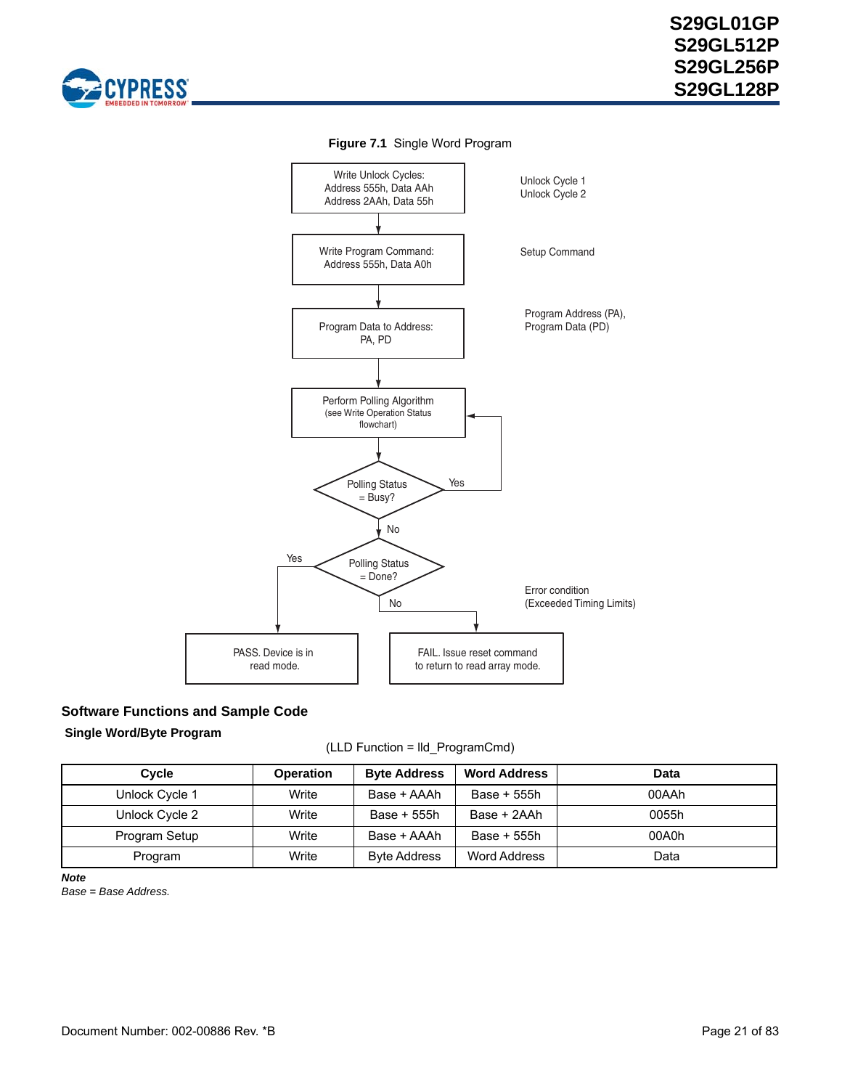<span id="page-20-0"></span>



**Figure 7.1** Single Word Program

### **Software Functions and Sample Code**

### **Single Word/Byte Program**

(LLD Function = lld\_ProgramCmd)

| Cycle          | <b>Operation</b> | <b>Byte Address</b> | <b>Word Address</b> | Data  |
|----------------|------------------|---------------------|---------------------|-------|
| Unlock Cycle 1 | Write            | Base + AAAh         | Base + 555h         | 00AAh |
| Unlock Cycle 2 | Write            | Base + 555h         | Base + 2AAh         | 0055h |
| Program Setup  | Write            | Base + AAAh         | Base + 555h         | 00A0h |
| Program        | Write            | <b>Byte Address</b> | Word Address        | Data  |

*Note*

*Base = Base Address.*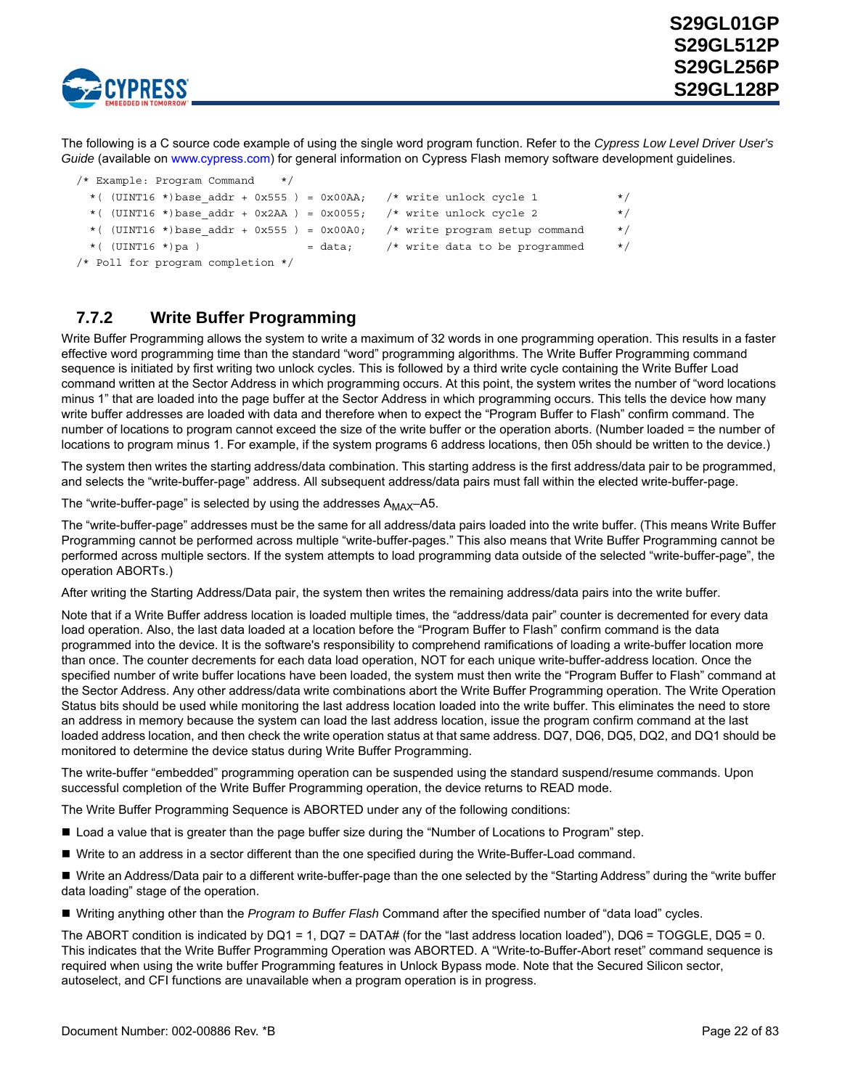

The following is a C source code example of using the single word program function. Refer to the *Cypress Low Level Driver User's Guide* [\(available on w](http://www.spansion.com)ww.cypress.com) for general information on Cypress Flash memory software development guidelines.

|  | $\mu$ brunners. In $\alpha$ is community $\mu$ |  |  |                                                                              |          |
|--|------------------------------------------------|--|--|------------------------------------------------------------------------------|----------|
|  |                                                |  |  | *( $(UINT16 * )$ base addr + 0x555) = 0x00AA; /* write unlock cycle 1        | $\star/$ |
|  |                                                |  |  | *( $(UINT16 * )$ base addr + 0x2AA) = 0x0055; /* write unlock cycle 2        | $\star/$ |
|  |                                                |  |  | *( $(UINT16 * )$ base addr + 0x555) = 0x00A0; /* write program setup command | $\star/$ |
|  | $*($ (UINT16 *)pa)                             |  |  | $=$ data; $/*$ write data to be programmed                                   | $\star/$ |
|  | /* Poll for program completion */              |  |  |                                                                              |          |

## <span id="page-21-0"></span>**7.7.2 Write Buffer Programming**

/\* Example: Program Command \*/

Write Buffer Programming allows the system to write a maximum of 32 words in one programming operation. This results in a faster effective word programming time than the standard "word" programming algorithms. The Write Buffer Programming command sequence is initiated by first writing two unlock cycles. This is followed by a third write cycle containing the Write Buffer Load command written at the Sector Address in which programming occurs. At this point, the system writes the number of "word locations minus 1" that are loaded into the page buffer at the Sector Address in which programming occurs. This tells the device how many write buffer addresses are loaded with data and therefore when to expect the "Program Buffer to Flash" confirm command. The number of locations to program cannot exceed the size of the write buffer or the operation aborts. (Number loaded = the number of locations to program minus 1. For example, if the system programs 6 address locations, then 05h should be written to the device.)

The system then writes the starting address/data combination. This starting address is the first address/data pair to be programmed, and selects the "write-buffer-page" address. All subsequent address/data pairs must fall within the elected write-buffer-page.

The "write-buffer-page" is selected by using the addresses  $A_{MAX}$ -A5.

The "write-buffer-page" addresses must be the same for all address/data pairs loaded into the write buffer. (This means Write Buffer Programming cannot be performed across multiple "write-buffer-pages." This also means that Write Buffer Programming cannot be performed across multiple sectors. If the system attempts to load programming data outside of the selected "write-buffer-page", the operation ABORTs.)

After writing the Starting Address/Data pair, the system then writes the remaining address/data pairs into the write buffer.

Note that if a Write Buffer address location is loaded multiple times, the "address/data pair" counter is decremented for every data load operation. Also, the last data loaded at a location before the "Program Buffer to Flash" confirm command is the data programmed into the device. It is the software's responsibility to comprehend ramifications of loading a write-buffer location more than once. The counter decrements for each data load operation, NOT for each unique write-buffer-address location. Once the specified number of write buffer locations have been loaded, the system must then write the "Program Buffer to Flash" command at the Sector Address. Any other address/data write combinations abort the Write Buffer Programming operation. The Write Operation Status bits should be used while monitoring the last address location loaded into the write buffer. This eliminates the need to store an address in memory because the system can load the last address location, issue the program confirm command at the last loaded address location, and then check the write operation status at that same address. DQ7, DQ6, DQ5, DQ2, and DQ1 should be monitored to determine the device status during Write Buffer Programming.

The write-buffer "embedded" programming operation can be suspended using the standard suspend/resume commands. Upon successful completion of the Write Buffer Programming operation, the device returns to READ mode.

The Write Buffer Programming Sequence is ABORTED under any of the following conditions:

- **Load a value that is greater than the page buffer size during the "Number of Locations to Program" step.**
- Write to an address in a sector different than the one specified during the Write-Buffer-Load command.

■ Write an Address/Data pair to a different write-buffer-page than the one selected by the "Starting Address" during the "write buffer data loading" stage of the operation.

Writing anything other than the *Program to Buffer Flash* Command after the specified number of "data load" cycles.

The ABORT condition is indicated by DQ1 = 1, DQ7 = DATA# (for the "last address location loaded"), DQ6 = TOGGLE, DQ5 = 0. This indicates that the Write Buffer Programming Operation was ABORTED. A "Write-to-Buffer-Abort reset" command sequence is required when using the write buffer Programming features in Unlock Bypass mode. Note that the Secured Silicon sector, autoselect, and CFI functions are unavailable when a program operation is in progress.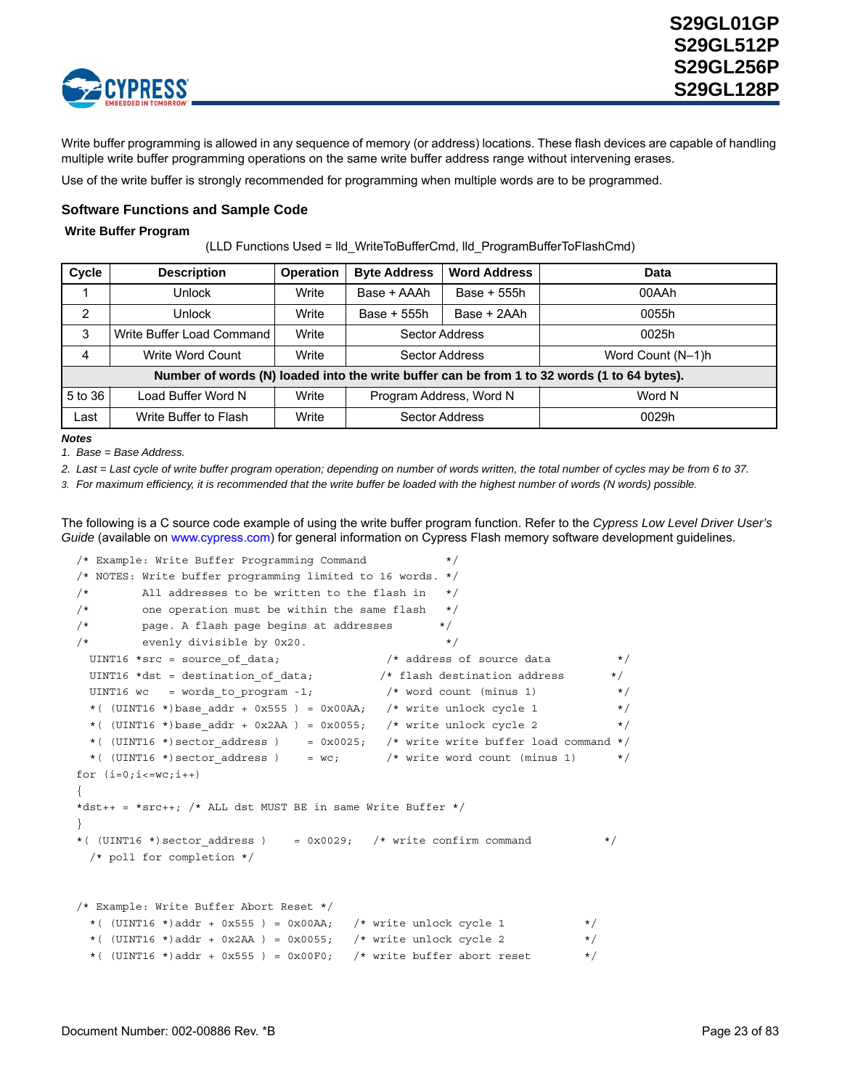

Write buffer programming is allowed in any sequence of memory (or address) locations. These flash devices are capable of handling multiple write buffer programming operations on the same write buffer address range without intervening erases.

Use of the write buffer is strongly recommended for programming when multiple words are to be programmed.

### **Software Functions and Sample Code**

#### **Write Buffer Program**

(LLD Functions Used = lld\_WriteToBufferCmd, lld\_ProgramBufferToFlashCmd)

| Cycle   | <b>Description</b>        | <b>Operation</b> | <b>Byte Address</b><br><b>Word Address</b> |                       | Data                                                                                        |
|---------|---------------------------|------------------|--------------------------------------------|-----------------------|---------------------------------------------------------------------------------------------|
|         | Unlock                    | Write            | Base + AAAh<br>Base + 555h                 |                       | 00AAh                                                                                       |
| 2       | Unlock                    | Write            | Base + 2AAh<br>Base + 555h                 |                       | 0055h                                                                                       |
| 3       | Write Buffer Load Command | Write            |                                            | <b>Sector Address</b> | 0025h                                                                                       |
| 4       | Write Word Count          | Write            |                                            | Sector Address        | Word Count (N-1)h                                                                           |
|         |                           |                  |                                            |                       | Number of words (N) loaded into the write buffer can be from 1 to 32 words (1 to 64 bytes). |
| 5 to 36 | Load Buffer Word N        | Write            | Program Address, Word N                    |                       | Word N                                                                                      |
| Last    | Write Buffer to Flash     | Write            |                                            | Sector Address        | 0029h                                                                                       |

#### *Notes*

*1. Base = Base Address.* 

*2. Last = Last cycle of write buffer program operation; depending on number of words written, the total number of cycles may be from 6 to 37.*

*3. For maximum efficiency, it is recommended that the write buffer be loaded with the highest number of words (N words) possible.*

The following is a C source code example of using the write buffer program function. Refer to the *Cypress Low Level Driver User's Guide* [\(available on w](http://www.spansion.com)ww.cypress.com) for general information on Cypress Flash memory software development guidelines.

```
/* Example: Write Buffer Programming Command */
/* NOTES: Write buffer programming limited to 16 words. */
/* All addresses to be written to the flash in *//* one operation must be within the same flash *//* page. A flash page begins at addresses */
/* evenly divisible by 0x20.
 UINT16 *src = source_of_data; \rightarrow /* address of source data */
UINT16 *dst = destination of data; /* flash destination address */
UINT16 wc = words to program -1; / /* word count (minus 1) */
 *( (UINT16 *)base addr + 0x555 ) = 0x00AA; /* write unlock cycle 1 */
 *( (UINT16 *)base addr + 0x2AA ) = 0x0055; /* write unlock cycle 2 */
 *( (UINT16 *) sector_address ) = 0x0025; /* write write buffer load command */
 *( (UINT16 *) sector address ) = wc; /* write word count (minus 1) */
for (i=0; i<=wc; i++){
*dst++ = *src++; /* ALL dst MUST BE in same Write Buffer */
}
*( (UINT16 *) sector_address ) = 0x0029; /* write confirm command */
  /* poll for completion */
/* Example: Write Buffer Abort Reset */
 *( (UINT16 *)addr + 0x555 ) = 0x00AA; /* write unlock cycle 1 */
 *( (UINT16 *)addr + 0x2AA ) = 0x0055; /* write unlock cycle 2 */
 *( (UINT16 *)addr + 0x555 ) = 0x00F0; /* write buffer abort reset */
```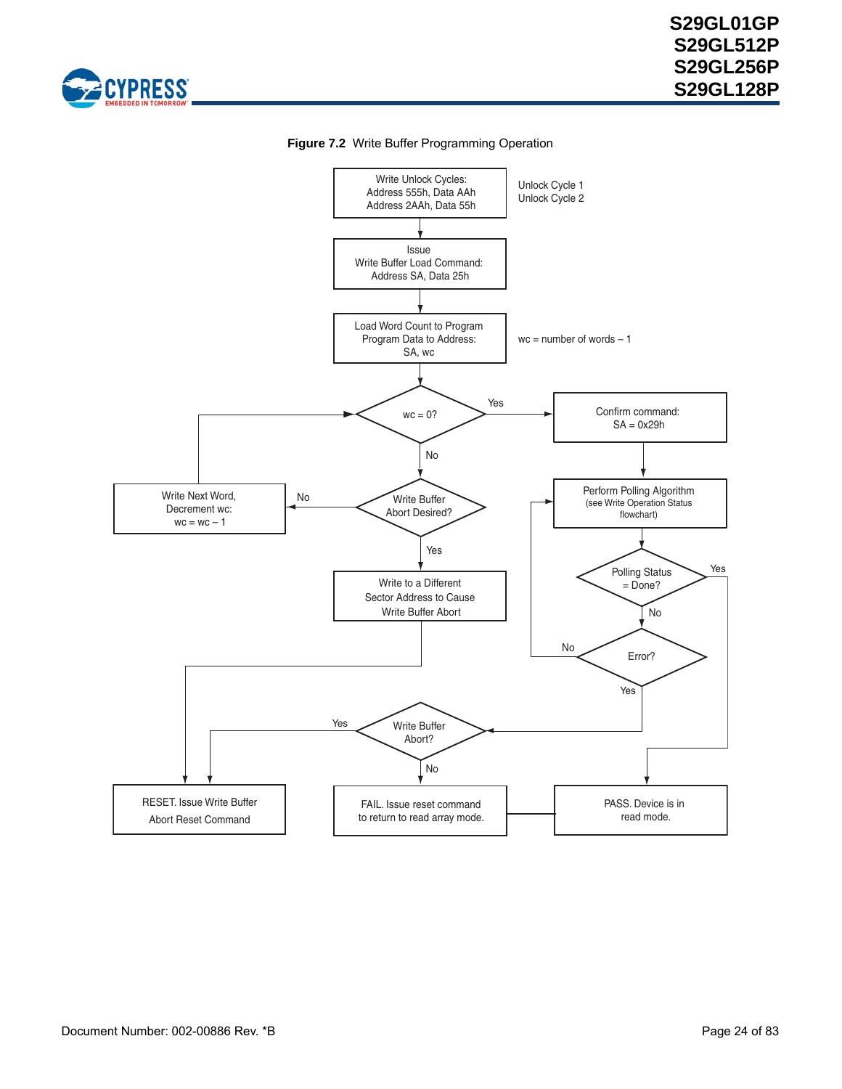



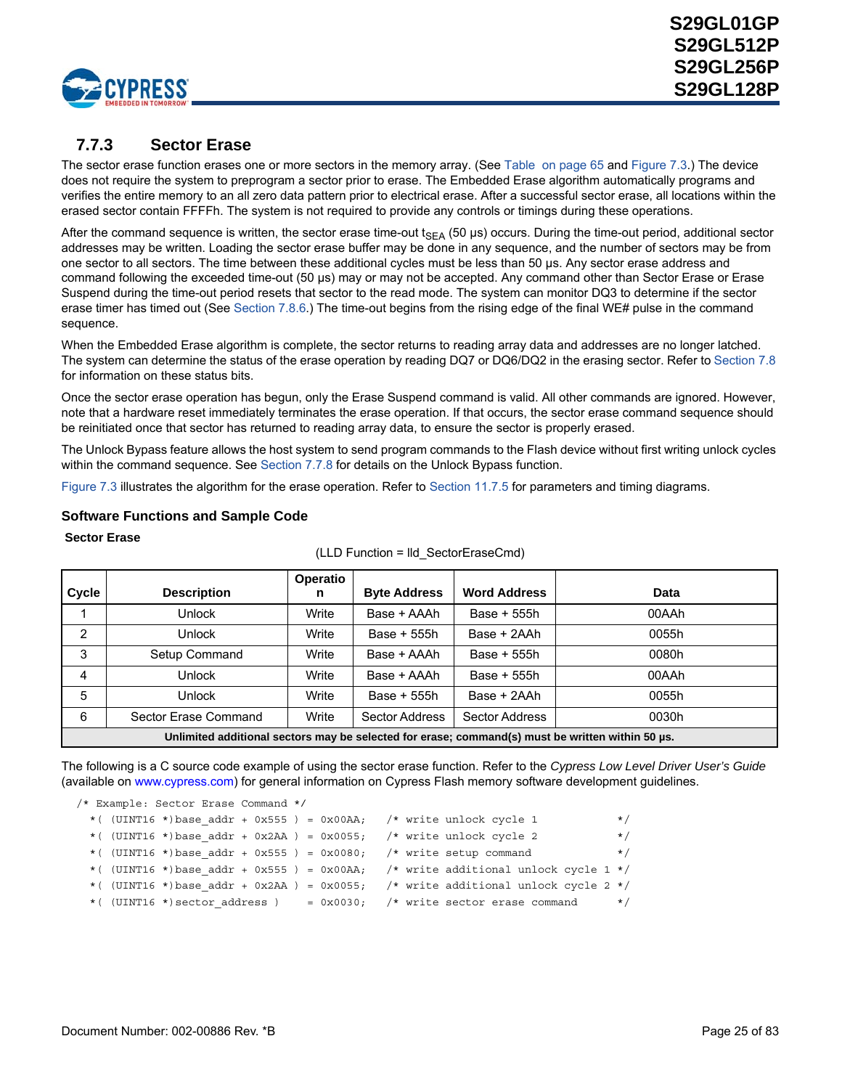

## <span id="page-24-0"></span>**7.7.3 Sector Erase**

The sector erase function erases one or more sectors in the memory array. (See [Table on page 65](#page-63-0) and [Figure 7.3.](#page-25-0)) The device does not require the system to preprogram a sector prior to erase. The Embedded Erase algorithm automatically programs and verifies the entire memory to an all zero data pattern prior to electrical erase. After a successful sector erase, all locations within the erased sector contain FFFFh. The system is not required to provide any controls or timings during these operations.

After the command sequence is written, the sector erase time-out  $t_{SEA}$  (50 µs) occurs. During the time-out period, additional sector addresses may be written. Loading the sector erase buffer may be done in any sequence, and the number of sectors may be from one sector to all sectors. The time between these additional cycles must be less than 50 µs. Any sector erase address and command following the exceeded time-out (50 µs) may or may not be accepted. Any command other than Sector Erase or Erase Suspend during the time-out period resets that sector to the read mode. The system can monitor DQ3 to determine if the sector erase timer has timed out (See [Section 7.8.6.](#page-33-0)) The time-out begins from the rising edge of the final WE# pulse in the command sequence.

When the Embedded Erase algorithm is complete, the sector returns to reading array data and addresses are no longer latched. The system can determine the status of the erase operation by reading DQ7 or DQ6/DQ2 in the erasing sector. Refer to [Section 7.8](#page-30-0) for information on these status bits.

Once the sector erase operation has begun, only the Erase Suspend command is valid. All other commands are ignored. However, note that a hardware reset immediately terminates the erase operation. If that occurs, the sector erase command sequence should be reinitiated once that sector has returned to reading array data, to ensure the sector is properly erased.

The Unlock Bypass feature allows the host system to send program commands to the Flash device without first writing unlock cycles within the command sequence. See [Section 7.7.8](#page-29-0) for details on the Unlock Bypass function.

[Figure 7.3](#page-25-0) illustrates the algorithm for the erase operation. Refer to [Section 11.7.5](#page-61-0) for parameters and timing diagrams.

### **Software Functions and Sample Code**

#### **Sector Erase**

| Cycle          | <b>Description</b>                                                                               | Operatio<br>n | <b>Byte Address</b>   | <b>Word Address</b> | <b>Data</b> |  |  |  |  |
|----------------|--------------------------------------------------------------------------------------------------|---------------|-----------------------|---------------------|-------------|--|--|--|--|
|                | <b>Unlock</b>                                                                                    | Write         | Base + AAAh           | Base + 555h         | 00AAh       |  |  |  |  |
| $\overline{2}$ | Unlock                                                                                           | Write         | Base + 555h           | Base + 2AAh         | 0055h       |  |  |  |  |
| 3              | Setup Command                                                                                    | Write         | Base + AAAh           | Base + 555h         | 0080h       |  |  |  |  |
| $\overline{4}$ | Unlock                                                                                           | Write         | Base + AAAh           | Base + 555h         | 00AAh       |  |  |  |  |
| 5              | <b>Unlock</b>                                                                                    | Write         | Base + 555h           | Base + 2AAh         | 0055h       |  |  |  |  |
| 6              | Sector Erase Command                                                                             | Write         | <b>Sector Address</b> | Sector Address      | 0030h       |  |  |  |  |
|                | Unlimited additional sectors may be selected for erase; command(s) must be written within 50 µs. |               |                       |                     |             |  |  |  |  |

#### (LLD Function = lld\_SectorEraseCmd)

The following is a C source code example of using the sector erase function. Refer to the *Cypress Low Level Driver User's Guid[e](http://www.spansion.com)* [\(available on](http://www.spansion.com) www.cypress.com) for general information on Cypress Flash memory software development guidelines.

|  | /* Example: Sector Erase Command */ |  |  |                                                                                     |          |
|--|-------------------------------------|--|--|-------------------------------------------------------------------------------------|----------|
|  |                                     |  |  | *( $(UINT16 * )$ base addr + 0x555) = 0x00AA; /* write unlock cycle 1               | $\star/$ |
|  |                                     |  |  | *( $(UINT16 * )$ base addr + 0x2AA) = 0x0055; /* write unlock cycle 2               | $\star/$ |
|  |                                     |  |  | * ( $\text{UINT16}$ *) base addr + 0x555 ) = 0x0080; /* write setup command         | $\star/$ |
|  |                                     |  |  | *( $(UINT16 * )$ base addr + 0x555) = 0x00AA; /* write additional unlock cycle 1 */ |          |
|  |                                     |  |  | *( $(UINT16 * )$ base addr + 0x2AA) = 0x0055; /* write additional unlock cycle 2 */ |          |
|  |                                     |  |  | *( $(UINT16 * )$ sector address) = 0x0030; /* write sector erase command */         |          |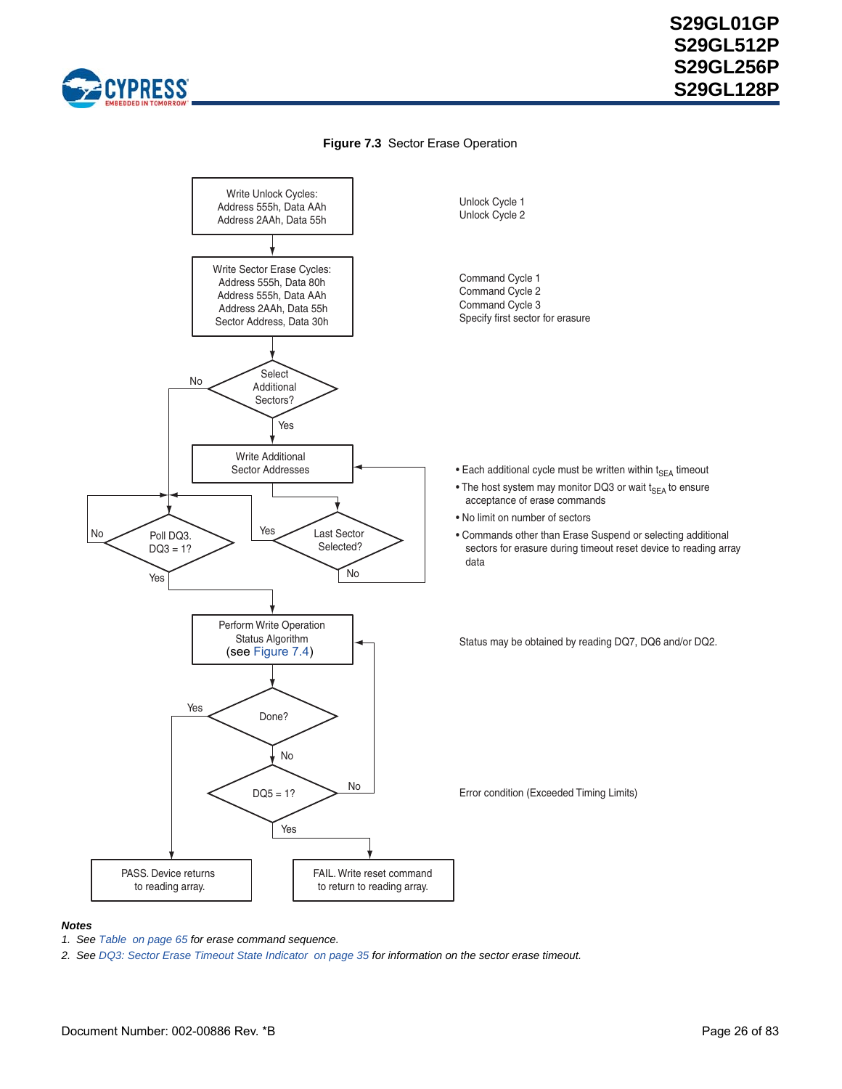

### **Figure 7.3** Sector Erase Operation

<span id="page-25-0"></span>

#### *Notes*

- *1. See [Table on page 65](#page-63-0) for erase command sequence.*
- *2. See [DQ3: Sector Erase Timeout State Indicator on page 35](#page-33-0) for information on the sector erase timeout.*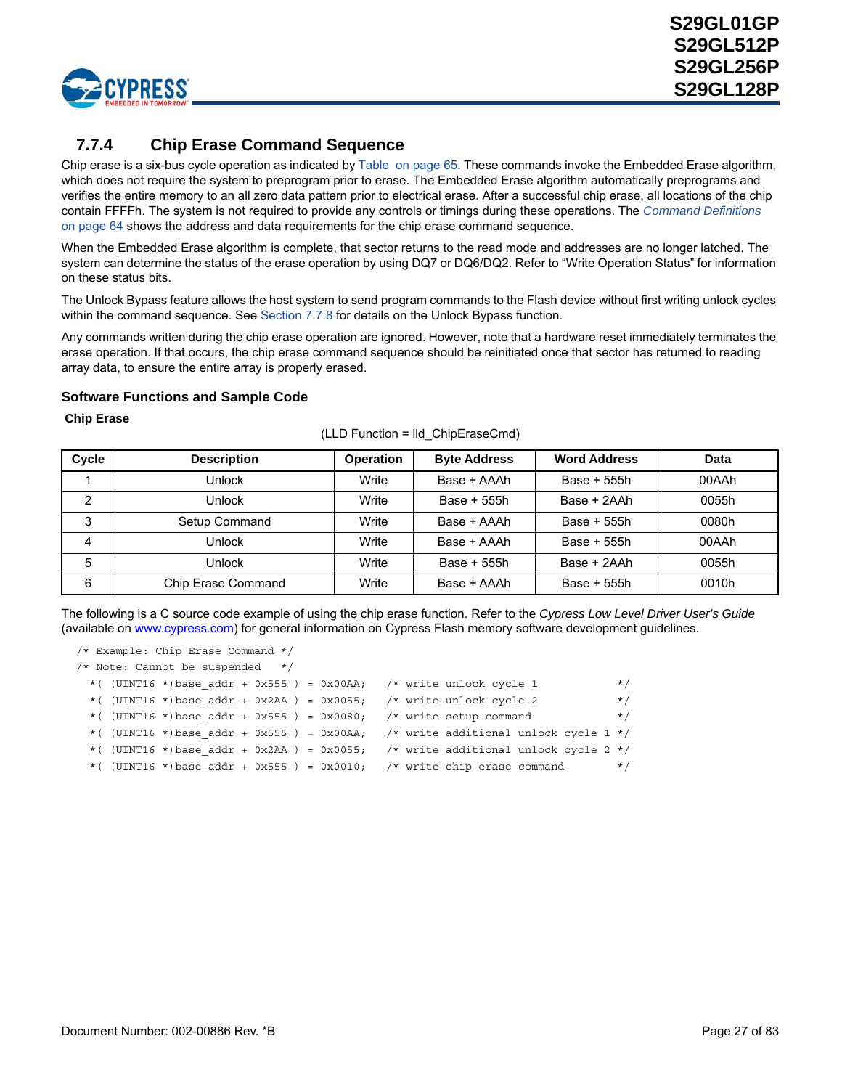

# **7.7.4 Chip Erase Command Sequence**

Chip erase is a six-bus cycle operation as indicated by [Table on page 65.](#page-63-0) These commands invoke the Embedded Erase algorithm, which does not require the system to preprogram prior to erase. The Embedded Erase algorithm automatically preprograms and verifies the entire memory to an all zero data pattern prior to electrical erase. After a successful chip erase, all locations of the chip contain FFFFh. The system is not required to provide any controls or timings during these operations. The *[Command Definitions](#page-62-1)* [on page 64](#page-62-1) shows the address and data requirements for the chip erase command sequence.

When the Embedded Erase algorithm is complete, that sector returns to the read mode and addresses are no longer latched. The system can determine the status of the erase operation by using DQ7 or DQ6/DQ2. Refer to "Write Operation Status" for information on these status bits.

The Unlock Bypass feature allows the host system to send program commands to the Flash device without first writing unlock cycles within the command sequence. See [Section 7.7.8](#page-29-0) for details on the Unlock Bypass function.

Any commands written during the chip erase operation are ignored. However, note that a hardware reset immediately terminates the erase operation. If that occurs, the chip erase command sequence should be reinitiated once that sector has returned to reading array data, to ensure the entire array is properly erased.

### **Software Functions and Sample Code**

#### **Chip Erase**

| Cycle | <b>Description</b> | <b>Operation</b> | <b>Byte Address</b> | <b>Word Address</b> | Data  |
|-------|--------------------|------------------|---------------------|---------------------|-------|
|       | Unlock             | Write            | Base + AAAh         | Base + 555h         | 00AAh |
| 2     | Unlock             | Write            | Base + 555h         | Base + 2AAh         | 0055h |
| 3     | Setup Command      | Write            | Base + AAAh         | Base + 555h         | 0080h |
| 4     | Unlock             | Write            | Base + AAAh         | Base + 555h         | 00AAh |
| 5     | Unlock             | Write            | Base + 555h         | Base + 2AAh         | 0055h |
| 6     | Chip Erase Command | Write            | Base + AAAh         | Base + 555h         | 0010h |

(LLD Function = lld\_ChipEraseCmd)

The following is a C source code example of using the chip erase function. Refer to the *Cypress Low Level Driver User's Guid[e](http://www.spansion.com)* [\(available on](http://www.spansion.com) www.cypress.com) for general information on Cypress Flash memory software development guidelines.

```
/* Example: Chip Erase Command */
/* Note: Cannot be suspended */ 
 *( (UINT16 *)base addr + 0x555 ) = 0x00AA; /* write unlock cycle 1 */
 *( (UINT16 *)base addr + 0x2AA ) = 0x0055; /* write unlock cycle 2 */
 *( (UINT16 *)base addr + 0x555 ) = 0x0080; /* write setup command */
 *( (UINT16 *)base addr + 0x555 ) = 0x00AA; /* write additional unlock cycle 1 */
 *( (UINT16 *)base addr + 0x2AA ) = 0x0055; /* write additional unlock cycle 2 */
 *( (UINT16 *)base addr + 0x555 ) = 0x0010; /* write chip erase command */
```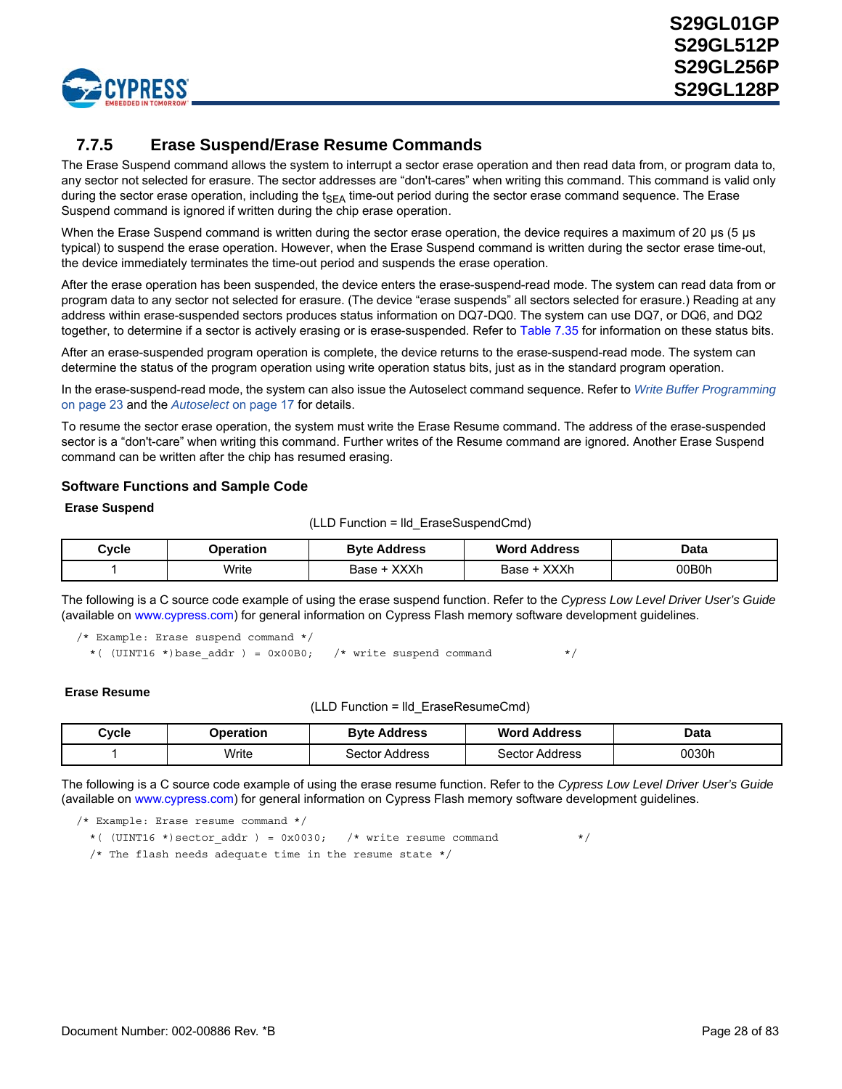

## **7.7.5 Erase Suspend/Erase Resume Commands**

The Erase Suspend command allows the system to interrupt a sector erase operation and then read data from, or program data to, any sector not selected for erasure. The sector addresses are "don't-cares" when writing this command. This command is valid only during the sector erase operation, including the  $t_{SFA}$  time-out period during the sector erase command sequence. The Erase Suspend command is ignored if written during the chip erase operation.

When the Erase Suspend command is written during the sector erase operation, the device requires a maximum of 20 µs (5 µs typical) to suspend the erase operation. However, when the Erase Suspend command is written during the sector erase time-out, the device immediately terminates the time-out period and suspends the erase operation.

After the erase operation has been suspended, the device enters the erase-suspend-read mode. The system can read data from or program data to any sector not selected for erasure. (The device "erase suspends" all sectors selected for erasure.) Reading at any address within erase-suspended sectors produces status information on DQ7-DQ0. The system can use DQ7, or DQ6, and DQ2 together, to determine if a sector is actively erasing or is erase-suspended. Refer to Table 7.35 for information on these status bits.

After an erase-suspended program operation is complete, the device returns to the erase-suspend-read mode. The system can determine the status of the program operation using write operation status bits, just as in the standard program operation.

In the erase-suspend-read mode, the system can also issue the Autoselect command sequence. Refer to *[Write Buffer Programming](#page-21-0)* [on page 23](#page-21-0) and the *Autoselect* [on page 17](#page-16-0) for details.

To resume the sector erase operation, the system must write the Erase Resume command. The address of the erase-suspended sector is a "don't-care" when writing this command. Further writes of the Resume command are ignored. Another Erase Suspend command can be written after the chip has resumed erasing.

### **Software Functions and Sample Code**

#### **Erase Suspend**

(LLD Function = lld\_EraseSuspendCmd)

| Cycle | <b>Byte Address</b><br>Operation |                     | Word<br>Address     | Data  |
|-------|----------------------------------|---------------------|---------------------|-------|
|       | Write                            | <b>XXXh</b><br>Base | <b>XXXh</b><br>Base | ገ0B0h |

The following is a C source code example of using the erase suspend function. Refer to the *Cypress Low Level Driver User's Guide* (available on [www.cypress.com](www.spansion.com)) for general information on Cypress Flash memory software development guidelines.

/\* Example: Erase suspend command \*/ \*( (UINT16 \*)base addr ) = 0x00B0; /\* write suspend command \*/

#### **Erase Resume**

(LLD Function = lld\_EraseResumeCmd)

| Operation<br>Cvcle |       | <b>Byte Address</b> | <b>Word Address</b> | Data  |
|--------------------|-------|---------------------|---------------------|-------|
|                    | Write | Sector Address      | Sector Address      | 0030h |

The following is a C source code example of using the erase resume function. Refer to the *Cypress Low Level Driver User's Guide* (available on [www.cypress.com](www.spansion.com)) for general information on Cypress Flash memory software development guidelines.

/\* Example: Erase resume command \*/

\*( (UINT16 \*)sector\_addr ) = 0x0030; /\* write resume command \*/

/\* The flash needs adequate time in the resume state \*/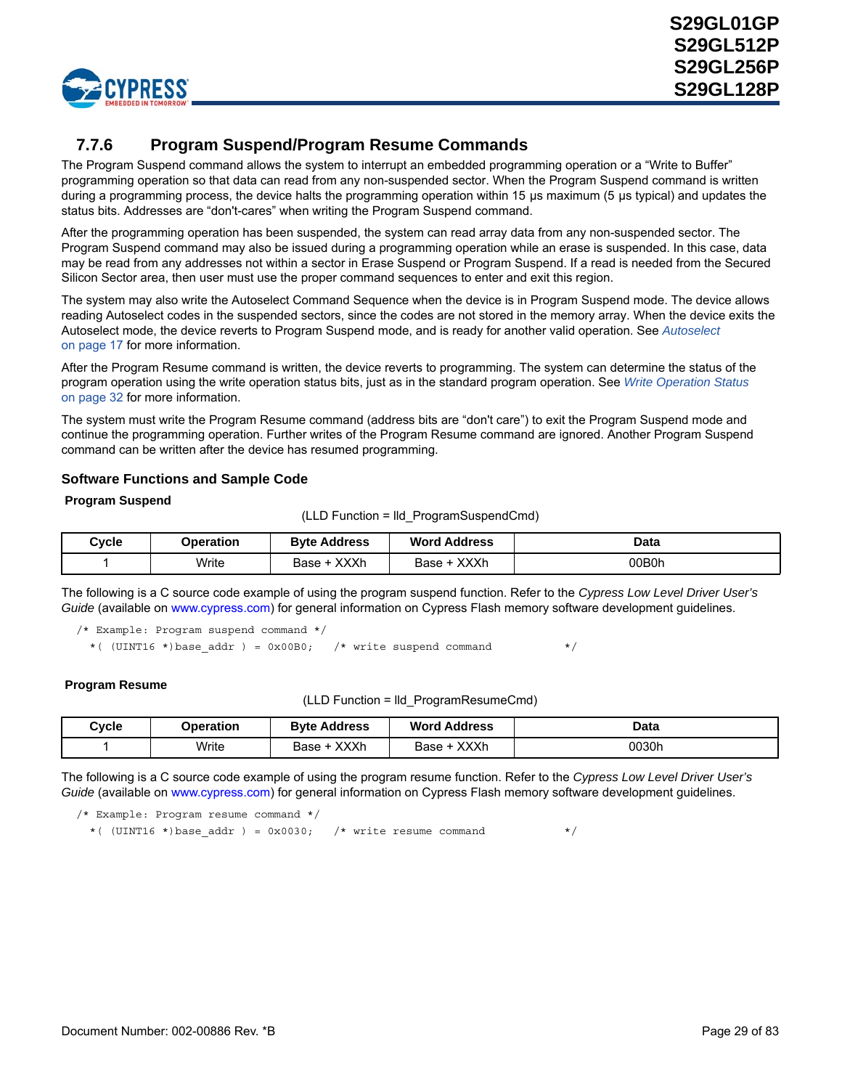

## **7.7.6 Program Suspend/Program Resume Commands**

The Program Suspend command allows the system to interrupt an embedded programming operation or a "Write to Buffer" programming operation so that data can read from any non-suspended sector. When the Program Suspend command is written during a programming process, the device halts the programming operation within 15 µs maximum (5 µs typical) and updates the status bits. Addresses are "don't-cares" when writing the Program Suspend command.

After the programming operation has been suspended, the system can read array data from any non-suspended sector. The Program Suspend command may also be issued during a programming operation while an erase is suspended. In this case, data may be read from any addresses not within a sector in Erase Suspend or Program Suspend. If a read is needed from the Secured Silicon Sector area, then user must use the proper command sequences to enter and exit this region.

The system may also write the Autoselect Command Sequence when the device is in Program Suspend mode. The device allows reading Autoselect codes in the suspended sectors, since the codes are not stored in the memory array. When the device exits the Autoselect mode, the device reverts to Program Suspend mode, and is ready for another valid operation. See *[Autoselect](#page-16-0)* [on page 17](#page-16-0) for more information.

After the Program Resume command is written, the device reverts to programming. The system can determine the status of the program operation using the write operation status bits, just as in the standard program operation. See *[Write Operation Status](#page-30-0)* [on page 32](#page-30-0) for more information.

The system must write the Program Resume command (address bits are "don't care") to exit the Program Suspend mode and continue the programming operation. Further writes of the Program Resume command are ignored. Another Program Suspend command can be written after the device has resumed programming.

### **Software Functions and Sample Code**

### **Program Suspend**

(LLD Function = lld\_ProgramSuspendCmd)

| Cvcle | Operation | <b>Byte Address</b> | <b>Word Address</b>   | Data  |
|-------|-----------|---------------------|-----------------------|-------|
|       | Write     | <b>XXXh</b><br>Base | <b>XXXh</b><br>Base + | 00B0h |

The following is a C source code example of using the program suspend function. Refer to the *Cypress Low Level Driver User's Guide* [\(available on w](http://www.spansion.com)ww.cypress.com) for general information on Cypress Flash memory software development guidelines.

/\* Example: Program suspend command \*/

\*( (UINT16 \*)base addr ) = 0x00B0; /\* write suspend command \*/

#### **Program Resume**

(LLD Function = lld\_ProgramResumeCmd)

| Cycle | <b>Dperation</b> | <b>Byte Address</b> | <b>Word Address</b>   | Data  |
|-------|------------------|---------------------|-----------------------|-------|
|       | Write            | <b>XXXh</b><br>Base | <b>XXXh</b><br>Base - | 0030h |

The following is a C source code example of using the program resume function. Refer to the *Cypress Low Level Driver User's Guide* [\(available on w](http://www.spansion.com)ww.cypress.com) for general information on Cypress Flash memory software development guidelines.

```
/* Example: Program resume command */
 *( (UINT16 *)base addr ) = 0x0030; /* write resume command */
```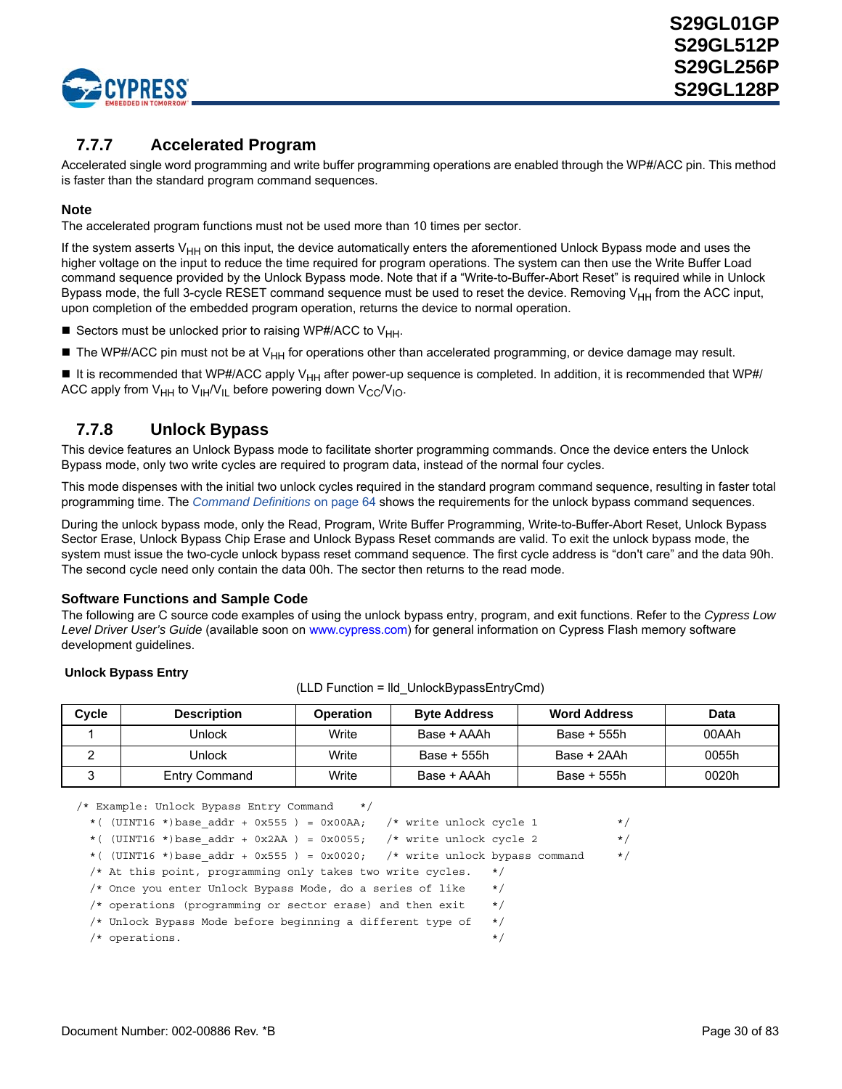

## **7.7.7 Accelerated Program**

Accelerated single word programming and write buffer programming operations are enabled through the WP#/ACC pin. This method is faster than the standard program command sequences.

### **Note**

The accelerated program functions must not be used more than 10 times per sector.

If the system asserts  $V_{HH}$  on this input, the device automatically enters the aforementioned Unlock Bypass mode and uses the higher voltage on the input to reduce the time required for program operations. The system can then use the Write Buffer Load command sequence provided by the Unlock Bypass mode. Note that if a "Write-to-Buffer-Abort Reset" is required while in Unlock Bypass mode, the full 3-cycle RESET command sequence must be used to reset the device. Removing V<sub>HH</sub> from the ACC input, upon completion of the embedded program operation, returns the device to normal operation.

- Sectors must be unlocked prior to raising WP#/ACC to  $V_{HH}$ .
- The WP#/ACC pin must not be at  $V_{HH}$  for operations other than accelerated programming, or device damage may result.

It is recommended that WP#/ACC apply V<sub>HH</sub> after power-up sequence is completed. In addition, it is recommended that WP#/ ACC apply from  $V_{HH}$  to  $V_{HH}/V_{IL}$  before powering down  $V_{CC}/V_{IO}$ .

### <span id="page-29-0"></span>**7.7.8 Unlock Bypass**

This device features an Unlock Bypass mode to facilitate shorter programming commands. Once the device enters the Unlock Bypass mode, only two write cycles are required to program data, instead of the normal four cycles.

This mode dispenses with the initial two unlock cycles required in the standard program command sequence, resulting in faster total programming time. The *[Command Definitions](#page-62-1)* on page 64 shows the requirements for the unlock bypass command sequences.

During the unlock bypass mode, only the Read, Program, Write Buffer Programming, Write-to-Buffer-Abort Reset, Unlock Bypass Sector Erase, Unlock Bypass Chip Erase and Unlock Bypass Reset commands are valid. To exit the unlock bypass mode, the system must issue the two-cycle unlock bypass reset command sequence. The first cycle address is "don't care" and the data 90h. The second cycle need only contain the data 00h. The sector then returns to the read mode.

### **Software Functions and Sample Code**

The following are C source code examples of using the unlock bypass entry, program, and exit functions. Refer to the *Cypress Low Level Driver User's Guide* [\(available soon on](http://www.spansion.com) www.cypress.com) for general information on Cypress Flash memory software development guidelines.

### **Unlock Bypass Entry**

| Cycle | <b>Description</b>   | <b>Operation</b> | <b>Byte Address</b> | <b>Word Address</b> | Data  |
|-------|----------------------|------------------|---------------------|---------------------|-------|
|       | Jnlock               | Write            | Base + AAAh         | Base + 555h         | 00AAh |
|       | Jnlock               | Write            | Base + 555h         | Base + 2AAh         | 0055h |
|       | <b>Entry Command</b> | Write            | Base + AAAh         | Base + 555h         | 0020h |

(LLD Function = lld\_UnlockBypassEntryCmd)

/\* Example: Unlock Bypass Entry Command \*/

| *( $(UINT16 * )$ base addr + 0x555) = 0x00AA; /* write unlock cycle 1        |           | $\star/$ |
|------------------------------------------------------------------------------|-----------|----------|
| *( $(UINT16 * )$ base addr + 0x2AA) = 0x0055; /* write unlock cycle 2        |           | $\star/$ |
| *( $(UINT16 * )$ base addr + 0x555) = 0x0020; /* write unlock bypass command |           | $\star/$ |
| $\prime\star$ At this point, programming only takes two write cycles.        | $\star$ / |          |
| /* Once you enter Unlock Bypass Mode, do a series of like                    | $\star$ / |          |
| $/*$ operations (programming or sector erase) and then exit                  | $\star$ / |          |
| /* Unlock Bypass Mode before beginning a different type of                   | $\star$ / |          |
| $/*$ operations.                                                             | $\star$   |          |
|                                                                              |           |          |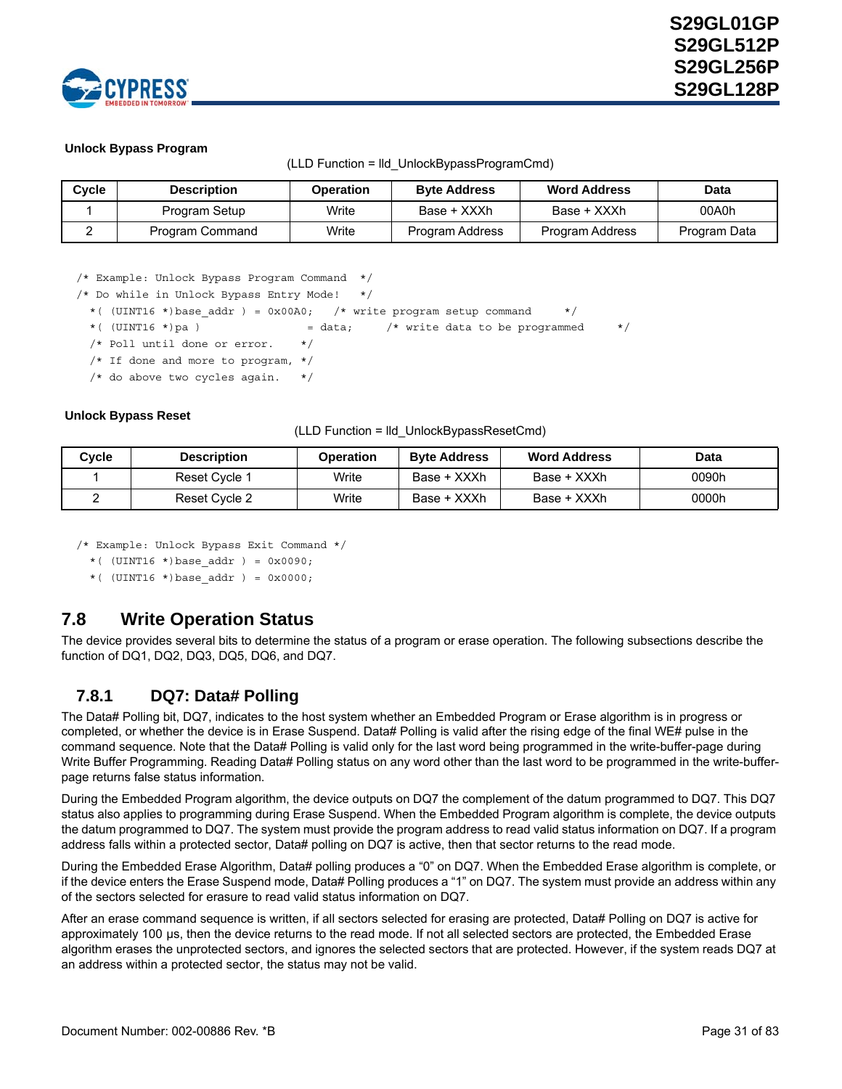

### **Unlock Bypass Program**

| Cycle | <b>Description</b> | <b>Operation</b> | <b>Byte Address</b>    | <b>Word Address</b> | Data         |
|-------|--------------------|------------------|------------------------|---------------------|--------------|
|       | Program Setup      | Write            | Base + XXXh            | Base + XXXh         | 00A0h        |
|       | Program Command    | Write            | <b>Program Address</b> | Program Address     | Program Data |

#### (LLD Function = lld\_UnlockBypassProgramCmd)

/\* Example: Unlock Bypass Program Command \*/

/\* Do while in Unlock Bypass Entry Mode! \*/

\*( (UINT16 \*)base addr ) =  $0x00A0$ ; /\* write program setup command \*/

\*( (UINT16 \*)pa ) = data;  $\gamma$  write data to be programmed \*/

/\* Poll until done or error. \*/

/\* If done and more to program, \*/

 $/*$  do above two cycles again.

#### **Unlock Bypass Reset**

(LLD Function = lld\_UnlockBypassResetCmd)

| Cvcle | <b>Description</b> | <b>Operation</b> | <b>Byte Address</b> | <b>Word Address</b> | Data  |
|-------|--------------------|------------------|---------------------|---------------------|-------|
|       | Reset Cycle 1      | Write            | Base + XXXh         | Base + XXXh         | 0090h |
|       | Reset Cycle 2      | Write            | Base + XXXh         | Base + XXXh         | 0000h |

/\* Example: Unlock Bypass Exit Command \*/

\*( (UINT16 \*)base\_addr ) = 0x0090;

\*(  $(UINT16 * )base addr$  ) = 0x0000;

### <span id="page-30-0"></span>**7.8 Write Operation Status**

The device provides several bits to determine the status of a program or erase operation. The following subsections describe the function of DQ1, DQ2, DQ3, DQ5, DQ6, and DQ7.

### <span id="page-30-1"></span>**7.8.1 DQ7: Data# Polling**

The Data# Polling bit, DQ7, indicates to the host system whether an Embedded Program or Erase algorithm is in progress or completed, or whether the device is in Erase Suspend. Data# Polling is valid after the rising edge of the final WE# pulse in the command sequence. Note that the Data# Polling is valid only for the last word being programmed in the write-buffer-page during Write Buffer Programming. Reading Data# Polling status on any word other than the last word to be programmed in the write-bufferpage returns false status information.

During the Embedded Program algorithm, the device outputs on DQ7 the complement of the datum programmed to DQ7. This DQ7 status also applies to programming during Erase Suspend. When the Embedded Program algorithm is complete, the device outputs the datum programmed to DQ7. The system must provide the program address to read valid status information on DQ7. If a program address falls within a protected sector, Data# polling on DQ7 is active, then that sector returns to the read mode.

During the Embedded Erase Algorithm, Data# polling produces a "0" on DQ7. When the Embedded Erase algorithm is complete, or if the device enters the Erase Suspend mode, Data# Polling produces a "1" on DQ7. The system must provide an address within any of the sectors selected for erasure to read valid status information on DQ7.

After an erase command sequence is written, if all sectors selected for erasing are protected, Data# Polling on DQ7 is active for approximately 100 µs, then the device returns to the read mode. If not all selected sectors are protected, the Embedded Erase algorithm erases the unprotected sectors, and ignores the selected sectors that are protected. However, if the system reads DQ7 at an address within a protected sector, the status may not be valid.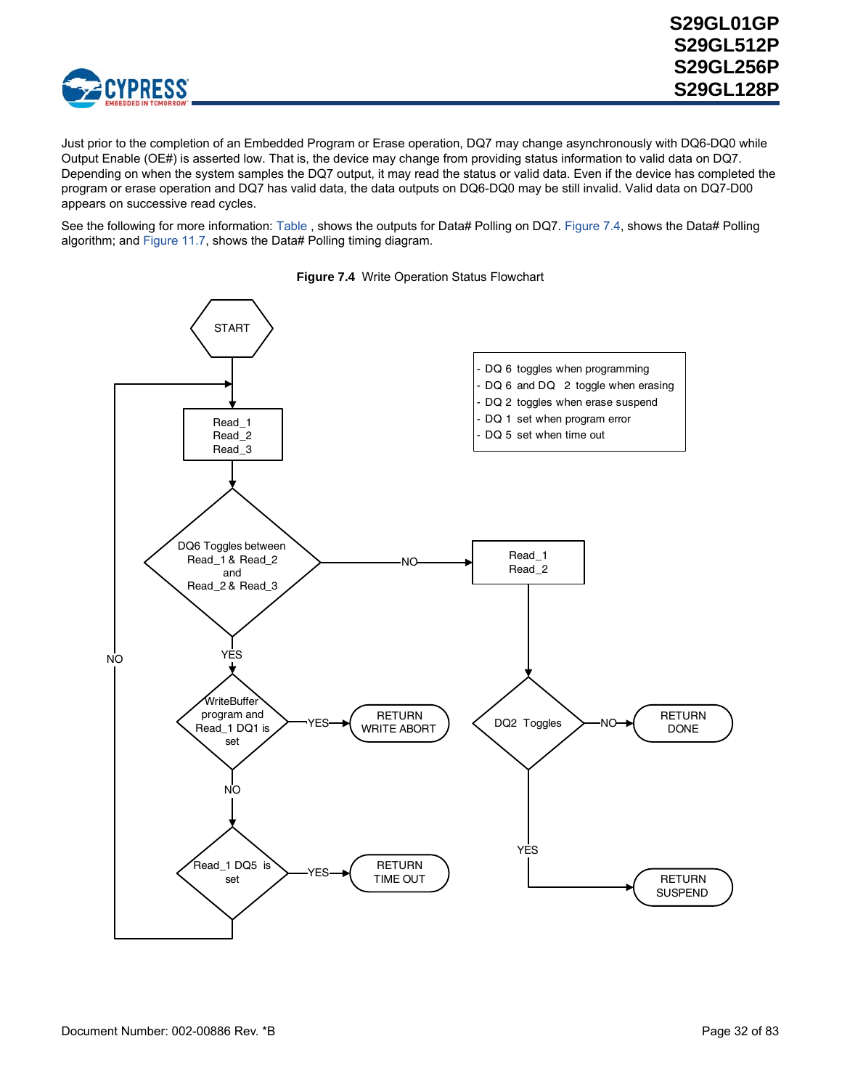

Just prior to the completion of an Embedded Program or Erase operation, DQ7 may change asynchronously with DQ6-DQ0 while Output Enable (OE#) is asserted low. That is, the device may change from providing status information to valid data on DQ7. Depending on when the system samples the DQ7 output, it may read the status or valid data. Even if the device has completed the program or erase operation and DQ7 has valid data, the data outputs on DQ6-DQ0 may be still invalid. Valid data on DQ7-D00 appears on successive read cycles.

See the following for more information: [Table](#page-34-1) , shows the outputs for Data# Polling on DQ7. [Figure 7.4](#page-31-0), shows the Data# Polling algorithm; and [Figure 11.7,](#page-53-0) shows the Data# Polling timing diagram.

<span id="page-31-0"></span>

**Figure 7.4** Write Operation Status Flowchart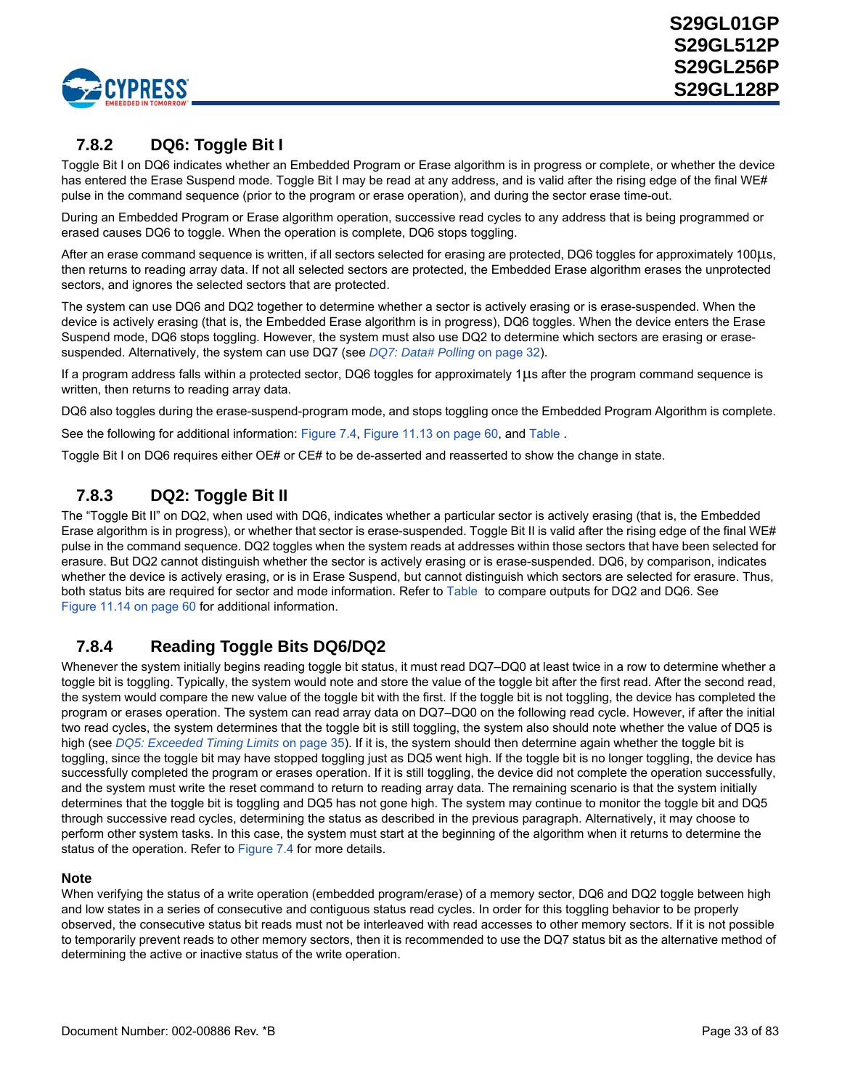

## **7.8.2 DQ6: Toggle Bit I**

Toggle Bit I on DQ6 indicates whether an Embedded Program or Erase algorithm is in progress or complete, or whether the device has entered the Erase Suspend mode. Toggle Bit I may be read at any address, and is valid after the rising edge of the final WE# pulse in the command sequence (prior to the program or erase operation), and during the sector erase time-out.

During an Embedded Program or Erase algorithm operation, successive read cycles to any address that is being programmed or erased causes DQ6 to toggle. When the operation is complete, DQ6 stops toggling.

After an erase command sequence is written, if all sectors selected for erasing are protected, DQ6 toggles for approximately 100µs, then returns to reading array data. If not all selected sectors are protected, the Embedded Erase algorithm erases the unprotected sectors, and ignores the selected sectors that are protected.

The system can use DQ6 and DQ2 together to determine whether a sector is actively erasing or is erase-suspended. When the device is actively erasing (that is, the Embedded Erase algorithm is in progress), DQ6 toggles. When the device enters the Erase Suspend mode, DQ6 stops toggling. However, the system must also use DQ2 to determine which sectors are erasing or erasesuspended. Alternatively, the system can use DQ7 (see *[DQ7: Data# Polling](#page-30-1)* on page 32).

If a program address falls within a protected sector, DQ6 toggles for approximately  $1\mu s$  after the program command sequence is written, then returns to reading array data.

DQ6 also toggles during the erase-suspend-program mode, and stops toggling once the Embedded Program Algorithm is complete.

See the following for additional information: [Figure 7.4,](#page-31-0) [Figure 11.13 on page 60](#page-58-0), and [Table](#page-34-1) .

Toggle Bit I on DQ6 requires either OE# or CE# to be de-asserted and reasserted to show the change in state.

## **7.8.3 DQ2: Toggle Bit II**

The "Toggle Bit II" on DQ2, when used with DQ6, indicates whether a particular sector is actively erasing (that is, the Embedded Erase algorithm is in progress), or whether that sector is erase-suspended. Toggle Bit II is valid after the rising edge of the final WE# pulse in the command sequence. DQ2 toggles when the system reads at addresses within those sectors that have been selected for erasure. But DQ2 cannot distinguish whether the sector is actively erasing or is erase-suspended. DQ6, by comparison, indicates whether the device is actively erasing, or is in Erase Suspend, but cannot distinguish which sectors are selected for erasure. Thus, both status bits are required for sector and mode information. Refer to [Table](#page-34-1) to compare outputs for DQ2 and DQ6. See [Figure 11.14 on page 60](#page-58-1) for additional information.

## **7.8.4 Reading Toggle Bits DQ6/DQ2**

Whenever the system initially begins reading toggle bit status, it must read DQ7–DQ0 at least twice in a row to determine whether a toggle bit is toggling. Typically, the system would note and store the value of the toggle bit after the first read. After the second read, the system would compare the new value of the toggle bit with the first. If the toggle bit is not toggling, the device has completed the program or erases operation. The system can read array data on DQ7–DQ0 on the following read cycle. However, if after the initial two read cycles, the system determines that the toggle bit is still toggling, the system also should note whether the value of DQ5 is high (see *[DQ5: Exceeded Timing Limits](#page-33-1)* on page 35). If it is, the system should then determine again whether the toggle bit is toggling, since the toggle bit may have stopped toggling just as DQ5 went high. If the toggle bit is no longer toggling, the device has successfully completed the program or erases operation. If it is still toggling, the device did not complete the operation successfully, and the system must write the reset command to return to reading array data. The remaining scenario is that the system initially determines that the toggle bit is toggling and DQ5 has not gone high. The system may continue to monitor the toggle bit and DQ5 through successive read cycles, determining the status as described in the previous paragraph. Alternatively, it may choose to perform other system tasks. In this case, the system must start at the beginning of the algorithm when it returns to determine the status of the operation. Refer to [Figure 7.4](#page-31-0) for more details.

### **Note**

When verifying the status of a write operation (embedded program/erase) of a memory sector, DQ6 and DQ2 toggle between high and low states in a series of consecutive and contiguous status read cycles. In order for this toggling behavior to be properly observed, the consecutive status bit reads must not be interleaved with read accesses to other memory sectors. If it is not possible to temporarily prevent reads to other memory sectors, then it is recommended to use the DQ7 status bit as the alternative method of determining the active or inactive status of the write operation.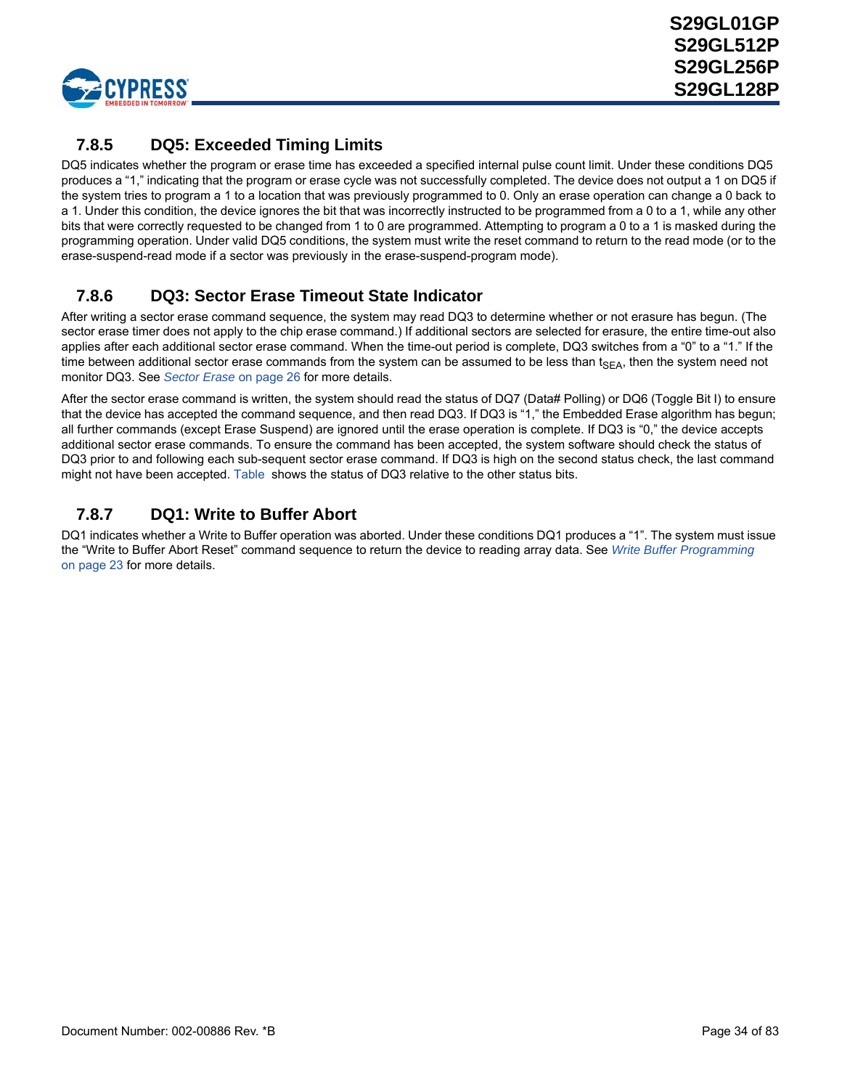

# <span id="page-33-1"></span>**7.8.5 DQ5: Exceeded Timing Limits**

DQ5 indicates whether the program or erase time has exceeded a specified internal pulse count limit. Under these conditions DQ5 produces a "1," indicating that the program or erase cycle was not successfully completed. The device does not output a 1 on DQ5 if the system tries to program a 1 to a location that was previously programmed to 0. Only an erase operation can change a 0 back to a 1. Under this condition, the device ignores the bit that was incorrectly instructed to be programmed from a 0 to a 1, while any other bits that were correctly requested to be changed from 1 to 0 are programmed. Attempting to program a 0 to a 1 is masked during the programming operation. Under valid DQ5 conditions, the system must write the reset command to return to the read mode (or to the erase-suspend-read mode if a sector was previously in the erase-suspend-program mode).

## <span id="page-33-0"></span>**7.8.6 DQ3: Sector Erase Timeout State Indicator**

After writing a sector erase command sequence, the system may read DQ3 to determine whether or not erasure has begun. (The sector erase timer does not apply to the chip erase command.) If additional sectors are selected for erasure, the entire time-out also applies after each additional sector erase command. When the time-out period is complete, DQ3 switches from a "0" to a "1." If the time between additional sector erase commands from the system can be assumed to be less than  $t_{SFA}$ , then the system need not monitor DQ3. See *[Sector Erase](#page-24-0)* on page 26 for more details.

After the sector erase command is written, the system should read the status of DQ7 (Data# Polling) or DQ6 (Toggle Bit I) to ensure that the device has accepted the command sequence, and then read DQ3. If DQ3 is "1," the Embedded Erase algorithm has begun; all further commands (except Erase Suspend) are ignored until the erase operation is complete. If DQ3 is "0," the device accepts additional sector erase commands. To ensure the command has been accepted, the system software should check the status of DQ3 prior to and following each sub-sequent sector erase command. If DQ3 is high on the second status check, the last command might not have been accepted. [Table](#page-34-1) shows the status of DQ3 relative to the other status bits.

## **7.8.7 DQ1: Write to Buffer Abort**

DQ1 indicates whether a Write to Buffer operation was aborted. Under these conditions DQ1 produces a "1". The system must issue the "Write to Buffer Abort Reset" command sequence to return the device to reading array data. See *[Write Buffer Programming](#page-21-0)* [on page 23](#page-21-0) for more details.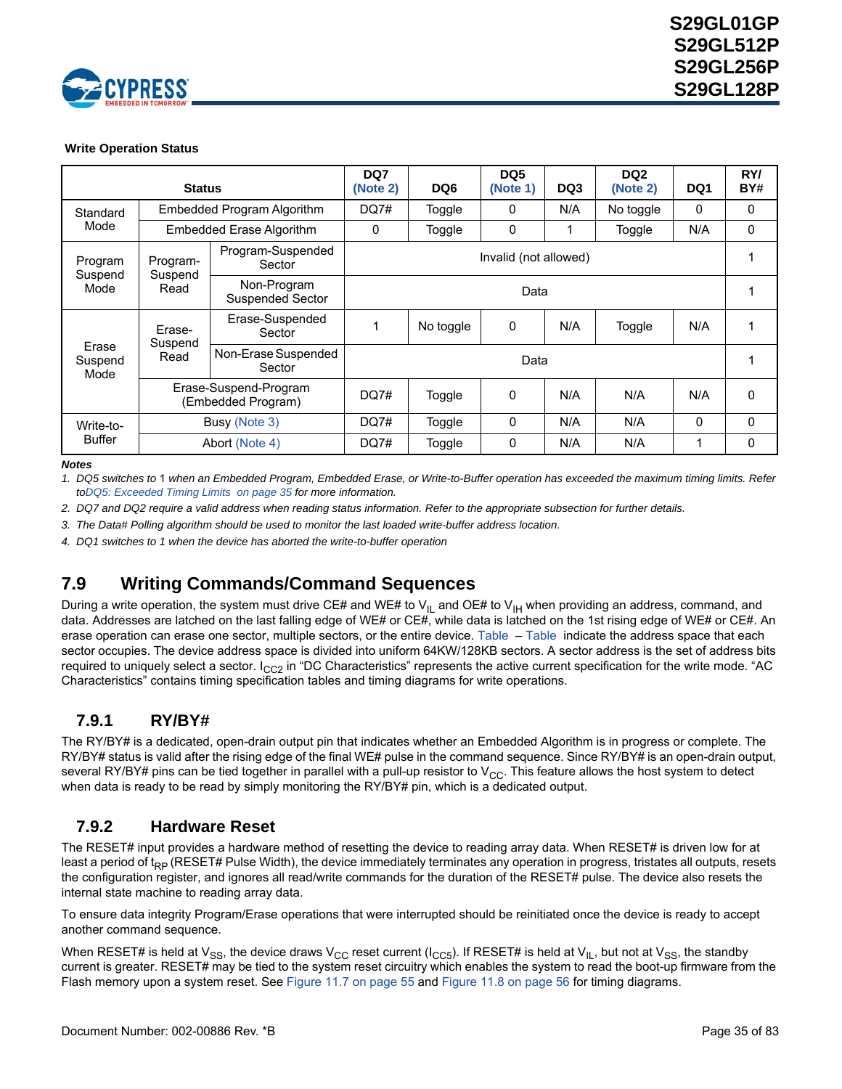

### <span id="page-34-1"></span> **Write Operation Status**

|                          | <b>Status</b>              |                                             | DQ7<br>(Note 2) | DQ <sub>6</sub>       | DQ <sub>5</sub><br>(Note 1) | DQ3                                         | DQ <sub>2</sub><br>(Note 2) | DQ1 | RY/<br>BY# |
|--------------------------|----------------------------|---------------------------------------------|-----------------|-----------------------|-----------------------------|---------------------------------------------|-----------------------------|-----|------------|
| Standard                 | Embedded Program Algorithm |                                             | DQ7#            | Toggle                | 0                           | N/A                                         | No toggle                   | 0   | 0          |
| Mode                     |                            | <b>Embedded Erase Algorithm</b>             | 0               | Toggle                | 0                           | 1                                           | Toggle                      | N/A | 0          |
| Program                  | Program-<br>Suspend        | Program-Suspended<br>Sector                 |                 | Invalid (not allowed) |                             |                                             |                             |     |            |
| Suspend<br>Mode          | Read                       | Non-Program<br>Suspended Sector             | Data            |                       |                             |                                             |                             |     |            |
|                          | Erase-                     | Erase-Suspended<br>Sector                   |                 | No toggle             | 0                           | N/A                                         | Toggle                      | N/A |            |
| Erase<br>Suspend<br>Mode | Suspend<br>Read            | Non-Erase Suspended<br>Sector               | Data            |                       |                             | N/A<br>N/A<br>N/A<br>N/A<br>N/A<br>$\Omega$ |                             |     |            |
|                          |                            | Erase-Suspend-Program<br>(Embedded Program) | DQ7#            | Toggle                | 0                           |                                             |                             |     | 0          |
| Write-to-                |                            | Busy (Note 3)                               | DQ7#            | Toggle                | 0                           |                                             |                             |     | $\Omega$   |
| <b>Buffer</b>            |                            | Abort (Note 4)                              | DQ7#            | Toggle                | 0                           | N/A                                         | N/A                         | 1   | 0          |

*Notes*

<span id="page-34-3"></span>*1. DQ5 switches to* 1 *when an Embedded Program, Embedded Erase, or Write-to-Buffer operation has exceeded the maximum timing limits. Refer t[oDQ5: Exceeded Timing Limits on page 35](#page-33-1) for more information.*

<span id="page-34-2"></span>*2. DQ7 and DQ2 require a valid address when reading status information. Refer to the appropriate subsection for further details.*

<span id="page-34-4"></span>*3. The Data# Polling algorithm should be used to monitor the last loaded write-buffer address location.*

<span id="page-34-5"></span>*4. DQ1 switches to 1 when the device has aborted the write-to-buffer operation*

# <span id="page-34-0"></span>**7.9 Writing Commands/Command Sequences**

During a write operation, the system must drive CE# and WE# to  $V_{II}$  and OE# to  $V_{II}$  when providing an address, command, and data. Addresses are latched on the last falling edge of WE# or CE#, while data is latched on the 1st rising edge of WE# or CE#. An erase operation can erase one sector, multiple sectors, or the entire device. [Table](#page-12-2) – [Table](#page-13-0) indicate the address space that each sector occupies. The device address space is divided into uniform 64KW/128KB sectors. A sector address is the set of address bits required to uniquely select a sector.  $I_{CC2}$  in "DC Characteristics" represents the active current specification for the write mode. "AC Characteristics" contains timing specification tables and timing diagrams for write operations.

## **7.9.1 RY/BY#**

The RY/BY# is a dedicated, open-drain output pin that indicates whether an Embedded Algorithm is in progress or complete. The RY/BY# status is valid after the rising edge of the final WE# pulse in the command sequence. Since RY/BY# is an open-drain output, several RY/BY# pins can be tied together in parallel with a pull-up resistor to  $V_{CC}$ . This feature allows the host system to detect when data is ready to be read by simply monitoring the RY/BY# pin, which is a dedicated output.

### **7.9.2 Hardware Reset**

The RESET# input provides a hardware method of resetting the device to reading array data. When RESET# is driven low for at least a period of t<sub>RP</sub> (RESET# Pulse Width), the device immediately terminates any operation in progress, tristates all outputs, resets the configuration register, and ignores all read/write commands for the duration of the RESET# pulse. The device also resets the internal state machine to reading array data.

To ensure data integrity Program/Erase operations that were interrupted should be reinitiated once the device is ready to accept another command sequence.

When RESET# is held at  $V_{SS}$ , the device draws  $V_{CC}$  reset current ( $I_{CC5}$ ). If RESET# is held at  $V_{IL}$ , but not at  $V_{SS}$ , the standby current is greater. RESET# may be tied to the system reset circuitry which enables the system to read the boot-up firmware from the Flash memory upon a system reset. See [Figure 11.7 on page 55](#page-53-0) and [Figure 11.8 on page 56](#page-54-0) for timing diagrams.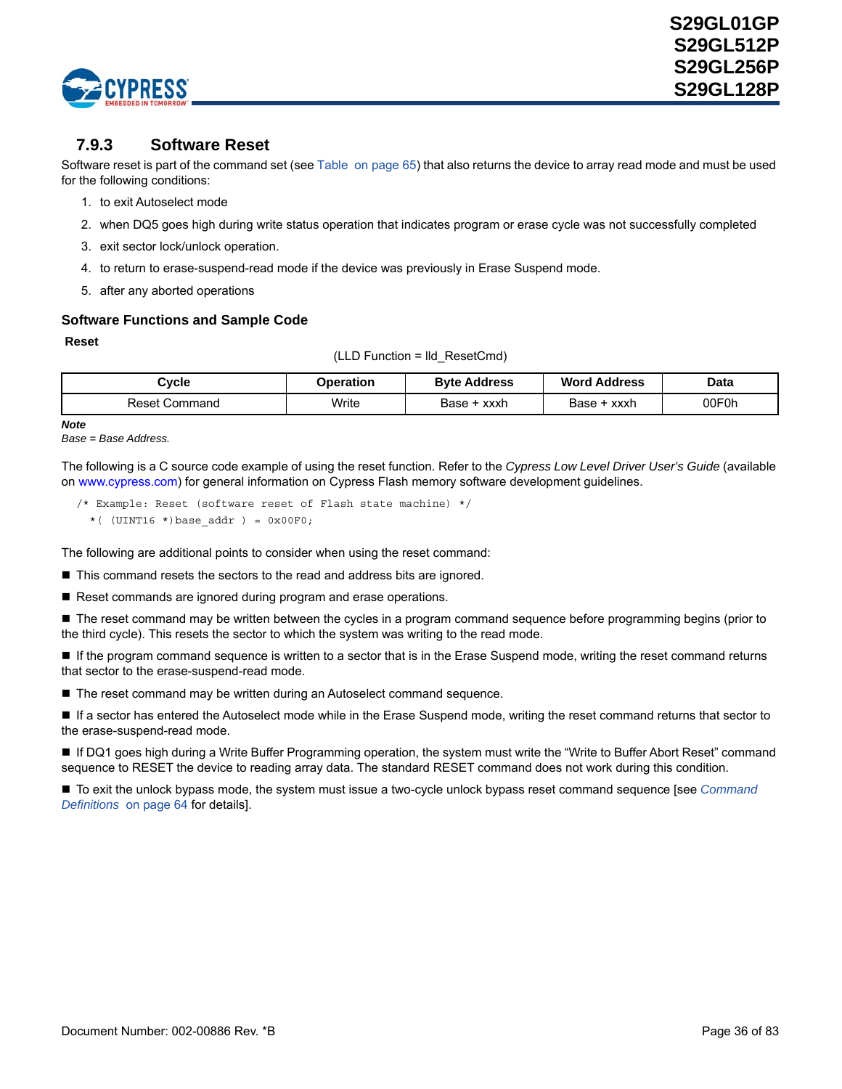

### **7.9.3 Software Reset**

Software reset is part of the command set (see [Table on page 65\)](#page-63-0) that also returns the device to array read mode and must be used for the following conditions:

- 1. to exit Autoselect mode
- 2. when DQ5 goes high during write status operation that indicates program or erase cycle was not successfully completed
- 3. exit sector lock/unlock operation.
- 4. to return to erase-suspend-read mode if the device was previously in Erase Suspend mode.
- 5. after any aborted operations

### **Software Functions and Sample Code**

#### **Reset**

(LLD Function = lld\_ResetCmd)

| Cvcle                | Operation | <b>Byte Address</b> | <b>Word Address</b> | Data  |
|----------------------|-----------|---------------------|---------------------|-------|
| <b>Reset Command</b> | Write     | Base + xxxh         | Base + xxxh         | 00F0h |

*Note*

*Base = Base Address.*

The following is a C source code example of using the reset function. Refer to the *Cypress Low Level Driver User's Guide* [\(available](http://www.spansion.com)  [on](http://www.spansion.com) www.cypress.com) for general information on Cypress Flash memory software development guidelines.

/\* Example: Reset (software reset of Flash state machine) \*/ \*(  $(UINT16 *) base\_addr$  ) =  $0x00F0$ ;

The following are additional points to consider when using the reset command:

■ This command resets the sectors to the read and address bits are ignored.

Reset commands are ignored during program and erase operations.

■ The reset command may be written between the cycles in a program command sequence before programming begins (prior to the third cycle). This resets the sector to which the system was writing to the read mode.

■ If the program command sequence is written to a sector that is in the Erase Suspend mode, writing the reset command returns that sector to the erase-suspend-read mode.

■ The reset command may be written during an Autoselect command sequence.

 If a sector has entered the Autoselect mode while in the Erase Suspend mode, writing the reset command returns that sector to the erase-suspend-read mode.

■ If DQ1 goes high during a Write Buffer Programming operation, the system must write the "Write to Buffer Abort Reset" command sequence to RESET the device to reading array data. The standard RESET command does not work during this condition.

 To exit the unlock bypass mode, the system must issue a two-cycle unlock bypass reset command sequence [see *[Command](#page-62-1)  [Definitions](#page-62-1)* [on page 64](#page-62-1) for details].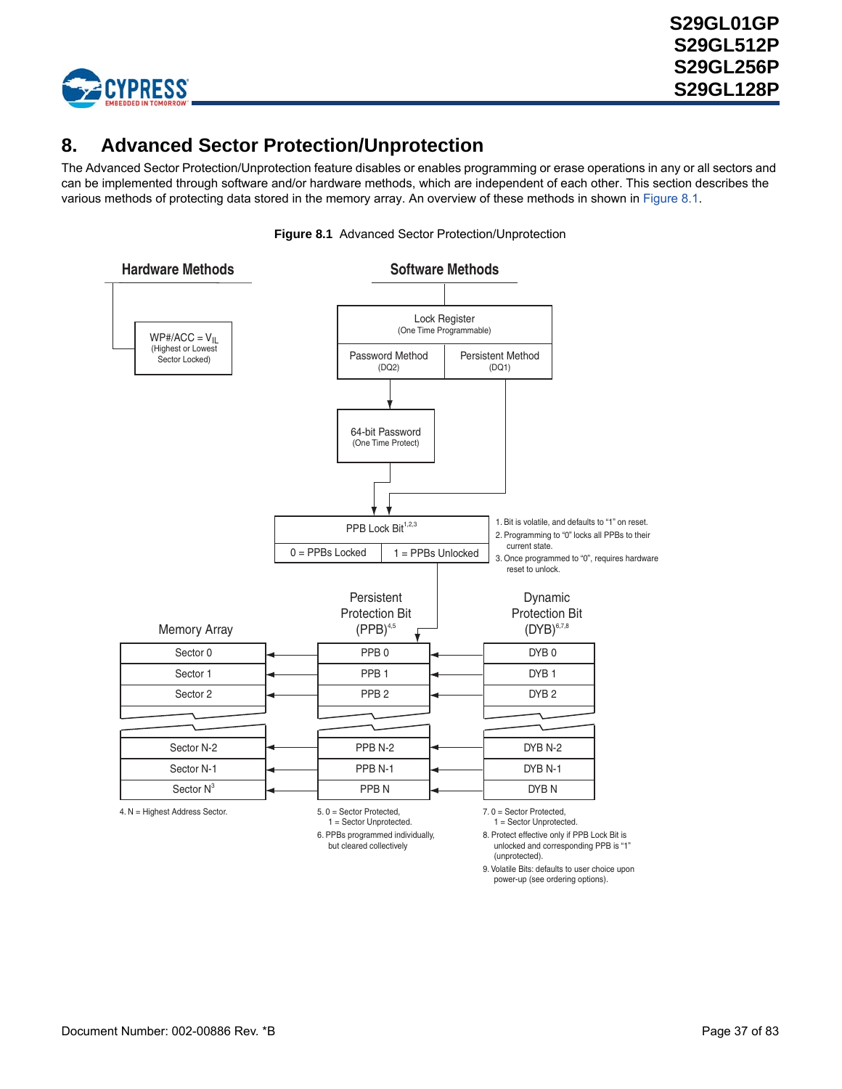

# <span id="page-36-1"></span>**8. Advanced Sector Protection/Unprotection**

The Advanced Sector Protection/Unprotection feature disables or enables programming or erase operations in any or all sectors and can be implemented through software and/or hardware methods, which are independent of each other. This section describes the various methods of protecting data stored in the memory array. An overview of these methods in shown in [Figure 8.1](#page-36-0).

<span id="page-36-0"></span>

(unprotected).

9. Volatile Bits: defaults to user choice upon power-up (see ordering options).

**Figure 8.1** Advanced Sector Protection/Unprotection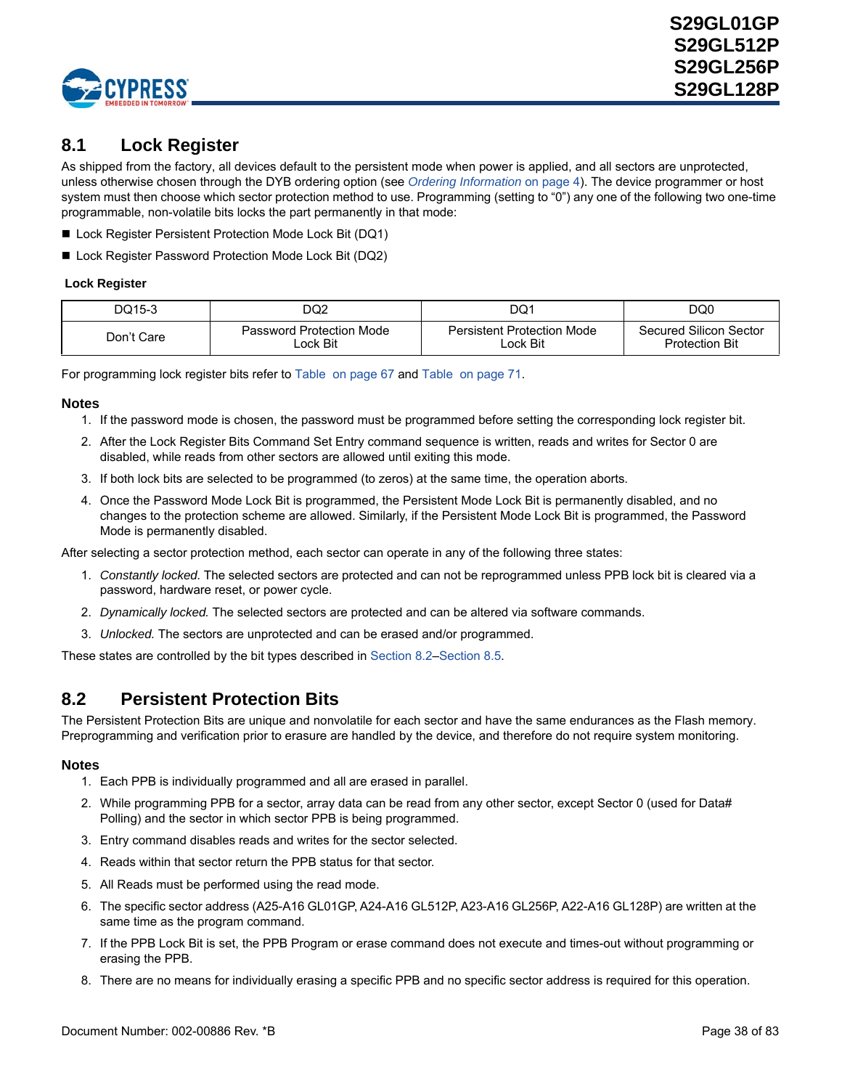

## **8.1 Lock Register**

As shipped from the factory, all devices default to the persistent mode when power is applied, and all sectors are unprotected, unless otherwise chosen through the DYB ordering option (see *[Ordering Information](#page-3-0)* on page 4). The device programmer or host system must then choose which sector protection method to use. Programming (setting to "0") any one of the following two one-time programmable, non-volatile bits locks the part permanently in that mode:

- Lock Register Persistent Protection Mode Lock Bit (DQ1)
- Lock Register Password Protection Mode Lock Bit (DQ2)

### **Lock Register**

| DQ15-3     | DQ2                      | DQ1                        | DQ0                    |
|------------|--------------------------|----------------------------|------------------------|
| Don't Care | Password Protection Mode | Persistent Protection Mode | Secured Silicon Sector |
|            | .ock Bit                 | ∟ock Bit                   | <b>Protection Bit</b>  |

For programming lock register bits refer to [Table on page 67](#page-65-0) and [Table on page 71](#page-69-0).

### **Notes**

- 1. If the password mode is chosen, the password must be programmed before setting the corresponding lock register bit.
- 2. After the Lock Register Bits Command Set Entry command sequence is written, reads and writes for Sector 0 are disabled, while reads from other sectors are allowed until exiting this mode.
- 3. If both lock bits are selected to be programmed (to zeros) at the same time, the operation aborts.
- 4. Once the Password Mode Lock Bit is programmed, the Persistent Mode Lock Bit is permanently disabled, and no changes to the protection scheme are allowed. Similarly, if the Persistent Mode Lock Bit is programmed, the Password Mode is permanently disabled.

After selecting a sector protection method, each sector can operate in any of the following three states:

- 1. *Constantly locked.* The selected sectors are protected and can not be reprogrammed unless PPB lock bit is cleared via a password, hardware reset, or power cycle.
- 2. *Dynamically locked.* The selected sectors are protected and can be altered via software commands.
- 3. *Unlocked.* The sectors are unprotected and can be erased and/or programmed.

These states are controlled by the bit types described in [Section 8.2](#page-37-0)–[Section 8.5](#page-42-0).

## <span id="page-37-0"></span>**8.2 Persistent Protection Bits**

The Persistent Protection Bits are unique and nonvolatile for each sector and have the same endurances as the Flash memory. Preprogramming and verification prior to erasure are handled by the device, and therefore do not require system monitoring.

- 1. Each PPB is individually programmed and all are erased in parallel.
- 2. While programming PPB for a sector, array data can be read from any other sector, except Sector 0 (used for Data# Polling) and the sector in which sector PPB is being programmed.
- 3. Entry command disables reads and writes for the sector selected.
- 4. Reads within that sector return the PPB status for that sector.
- 5. All Reads must be performed using the read mode.
- 6. The specific sector address (A25-A16 GL01GP, A24-A16 GL512P, A23-A16 GL256P, A22-A16 GL128P) are written at the same time as the program command.
- 7. If the PPB Lock Bit is set, the PPB Program or erase command does not execute and times-out without programming or erasing the PPB.
- 8. There are no means for individually erasing a specific PPB and no specific sector address is required for this operation.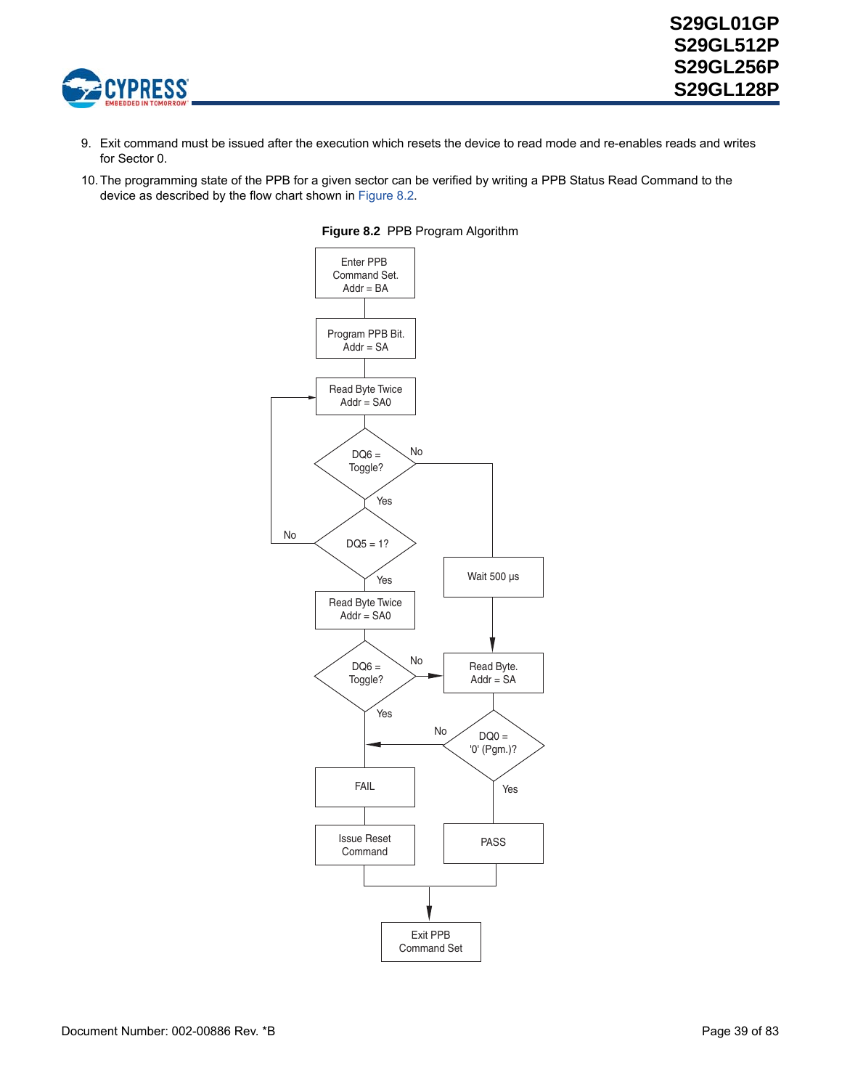

- 9. Exit command must be issued after the execution which resets the device to read mode and re-enables reads and writes for Sector 0.
- <span id="page-38-0"></span>10.The programming state of the PPB for a given sector can be verified by writing a PPB Status Read Command to the device as described by the flow chart shown in [Figure 8.2](#page-38-0).



#### **Figure 8.2** PPB Program Algorithm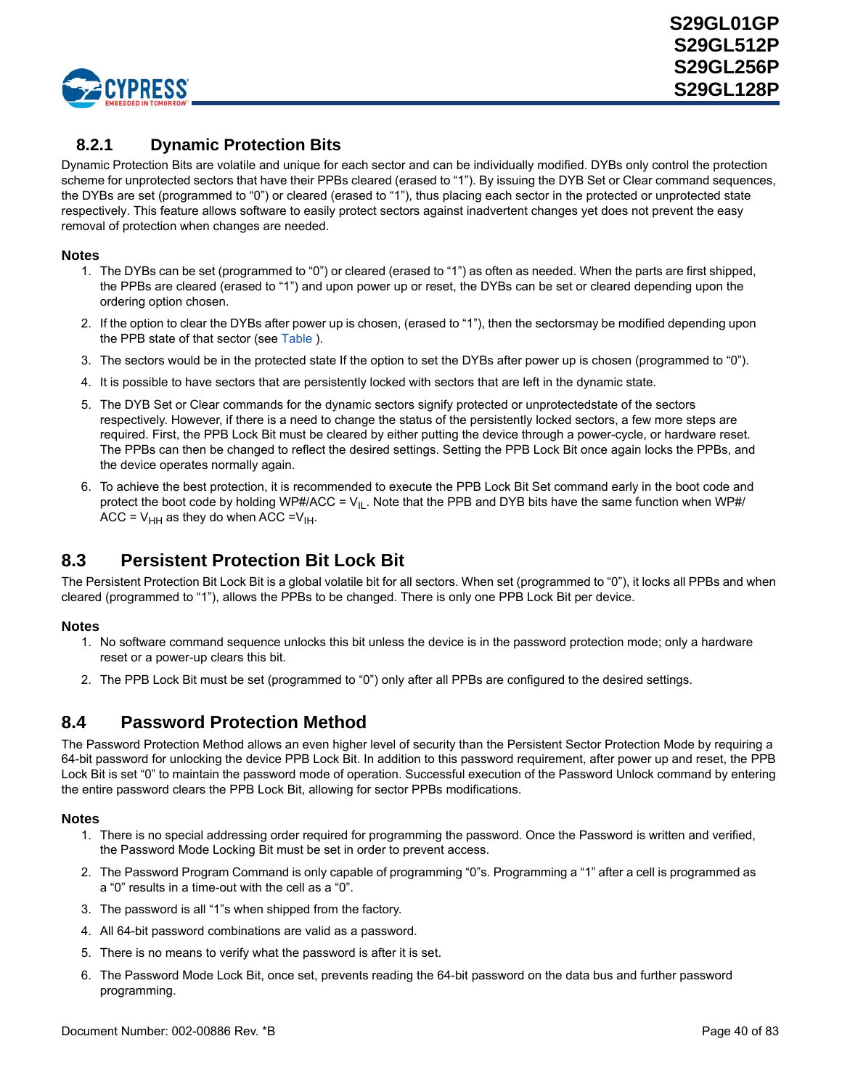

### **8.2.1 Dynamic Protection Bits**

Dynamic Protection Bits are volatile and unique for each sector and can be individually modified. DYBs only control the protection scheme for unprotected sectors that have their PPBs cleared (erased to "1"). By issuing the DYB Set or Clear command sequences, the DYBs are set (programmed to "0") or cleared (erased to "1"), thus placing each sector in the protected or unprotected state respectively. This feature allows software to easily protect sectors against inadvertent changes yet does not prevent the easy removal of protection when changes are needed.

### **Notes**

- 1. The DYBs can be set (programmed to "0") or cleared (erased to "1") as often as needed. When the parts are first shipped, the PPBs are cleared (erased to "1") and upon power up or reset, the DYBs can be set or cleared depending upon the ordering option chosen.
- 2. If the option to clear the DYBs after power up is chosen, (erased to "1"), then the sectorsmay be modified depending upon the PPB state of that sector (see [Table](#page-42-1) ).
- 3. The sectors would be in the protected state If the option to set the DYBs after power up is chosen (programmed to "0").
- 4. It is possible to have sectors that are persistently locked with sectors that are left in the dynamic state.
- 5. The DYB Set or Clear commands for the dynamic sectors signify protected or unprotectedstate of the sectors respectively. However, if there is a need to change the status of the persistently locked sectors, a few more steps are required. First, the PPB Lock Bit must be cleared by either putting the device through a power-cycle, or hardware reset. The PPBs can then be changed to reflect the desired settings. Setting the PPB Lock Bit once again locks the PPBs, and the device operates normally again.
- 6. To achieve the best protection, it is recommended to execute the PPB Lock Bit Set command early in the boot code and protect the boot code by holding WP#/ACC =  $V_{II}$ . Note that the PPB and DYB bits have the same function when WP#/ ACC =  $V_{HH}$  as they do when ACC = $V_{HH}$ .

## **8.3 Persistent Protection Bit Lock Bit**

The Persistent Protection Bit Lock Bit is a global volatile bit for all sectors. When set (programmed to "0"), it locks all PPBs and when cleared (programmed to "1"), allows the PPBs to be changed. There is only one PPB Lock Bit per device.

### **Notes**

- 1. No software command sequence unlocks this bit unless the device is in the password protection mode; only a hardware reset or a power-up clears this bit.
- 2. The PPB Lock Bit must be set (programmed to "0") only after all PPBs are configured to the desired settings.

## **8.4 Password Protection Method**

The Password Protection Method allows an even higher level of security than the Persistent Sector Protection Mode by requiring a 64-bit password for unlocking the device PPB Lock Bit. In addition to this password requirement, after power up and reset, the PPB Lock Bit is set "0" to maintain the password mode of operation. Successful execution of the Password Unlock command by entering the entire password clears the PPB Lock Bit, allowing for sector PPBs modifications.

- 1. There is no special addressing order required for programming the password. Once the Password is written and verified, the Password Mode Locking Bit must be set in order to prevent access.
- 2. The Password Program Command is only capable of programming "0"s. Programming a "1" after a cell is programmed as a "0" results in a time-out with the cell as a "0".
- 3. The password is all "1"s when shipped from the factory.
- 4. All 64-bit password combinations are valid as a password.
- 5. There is no means to verify what the password is after it is set.
- 6. The Password Mode Lock Bit, once set, prevents reading the 64-bit password on the data bus and further password programming.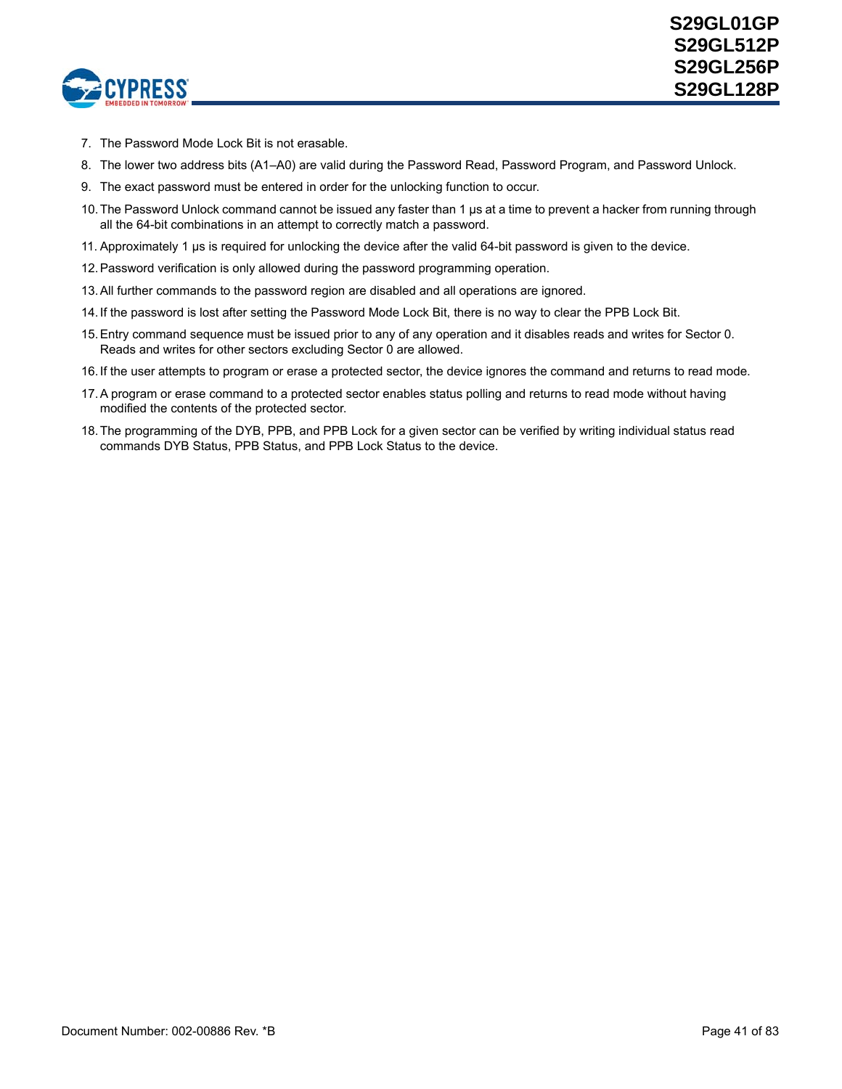

- 7. The Password Mode Lock Bit is not erasable.
- 8. The lower two address bits (A1–A0) are valid during the Password Read, Password Program, and Password Unlock.
- 9. The exact password must be entered in order for the unlocking function to occur.
- 10.The Password Unlock command cannot be issued any faster than 1 µs at a time to prevent a hacker from running through all the 64-bit combinations in an attempt to correctly match a password.
- 11. Approximately 1 µs is required for unlocking the device after the valid 64-bit password is given to the device.
- 12.Password verification is only allowed during the password programming operation.
- 13.All further commands to the password region are disabled and all operations are ignored.
- 14.If the password is lost after setting the Password Mode Lock Bit, there is no way to clear the PPB Lock Bit.
- 15.Entry command sequence must be issued prior to any of any operation and it disables reads and writes for Sector 0. Reads and writes for other sectors excluding Sector 0 are allowed.
- 16.If the user attempts to program or erase a protected sector, the device ignores the command and returns to read mode.
- 17.A program or erase command to a protected sector enables status polling and returns to read mode without having modified the contents of the protected sector.
- 18.The programming of the DYB, PPB, and PPB Lock for a given sector can be verified by writing individual status read commands DYB Status, PPB Status, and PPB Lock Status to the device.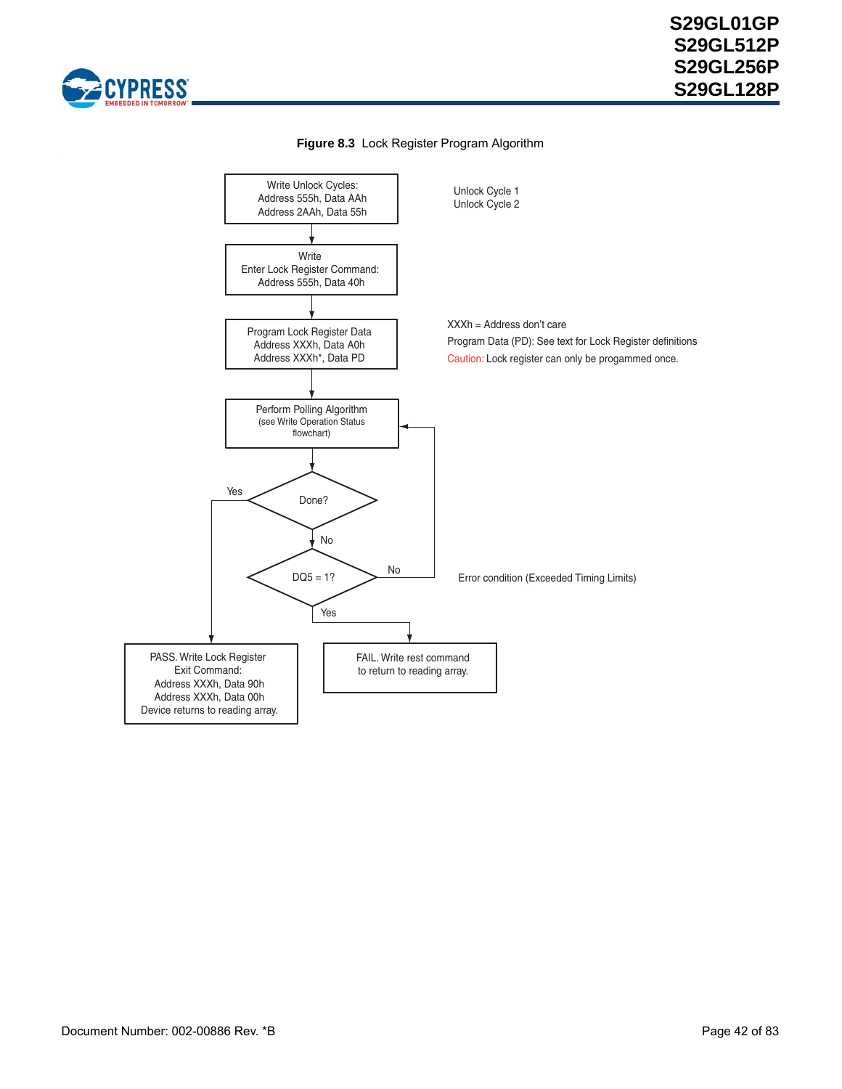



### **Figure 8.3** Lock Register Program Algorithm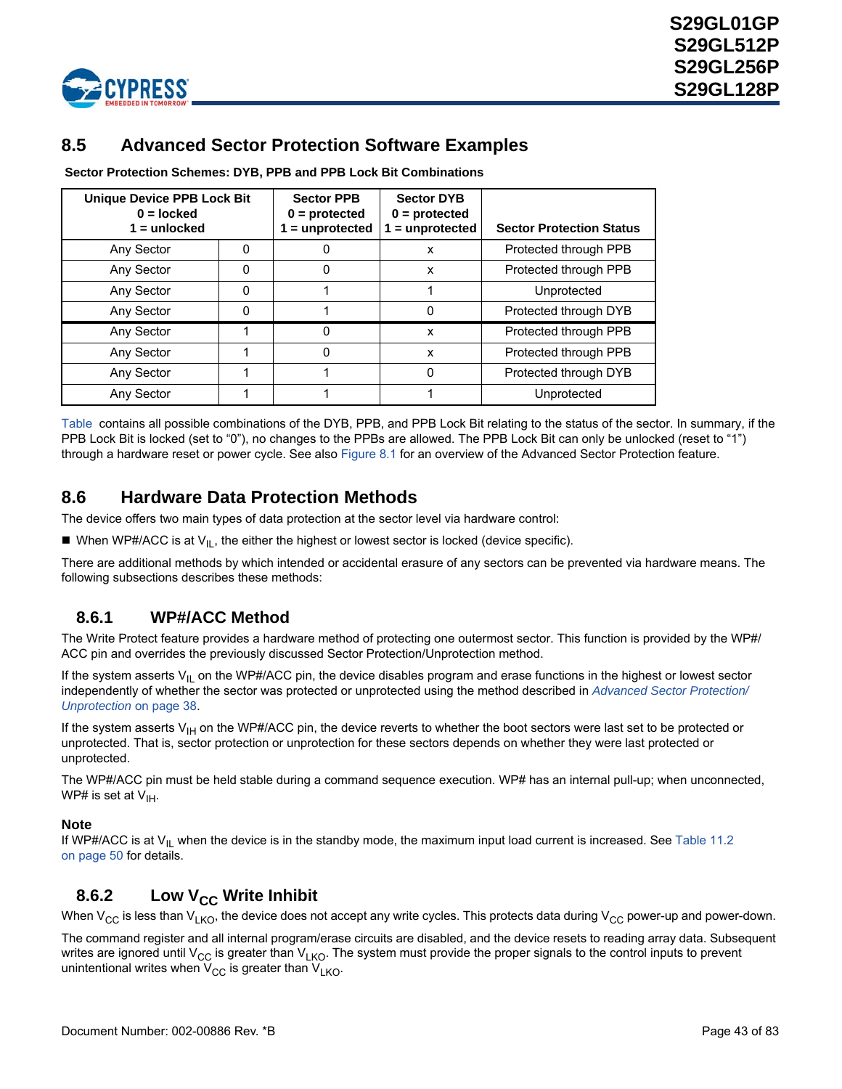

## <span id="page-42-0"></span>**8.5 Advanced Sector Protection Software Examples**

<span id="page-42-1"></span> **Sector Protection Schemes: DYB, PPB and PPB Lock Bit Combinations**

| <b>Unique Device PPB Lock Bit</b><br>$0 =$ locked<br>$1 =$ unlocked |   | <b>Sector PPB</b><br>$0 =$ protected<br>$1 =$ unprotected | <b>Sector DYB</b><br>$0 =$ protected<br>$1 =$ unprotected | <b>Sector Protection Status</b> |
|---------------------------------------------------------------------|---|-----------------------------------------------------------|-----------------------------------------------------------|---------------------------------|
| Any Sector                                                          | 0 |                                                           | x                                                         | Protected through PPB           |
| Any Sector                                                          | 0 |                                                           | x                                                         | Protected through PPB           |
| Any Sector                                                          | 0 |                                                           |                                                           | Unprotected                     |
| Any Sector                                                          | ი |                                                           | 0                                                         | Protected through DYB           |
| Any Sector                                                          |   |                                                           | x                                                         | Protected through PPB           |
| Any Sector                                                          |   |                                                           | x                                                         | Protected through PPB           |
| Any Sector                                                          |   |                                                           | 0                                                         | Protected through DYB           |
| Any Sector                                                          |   |                                                           |                                                           | Unprotected                     |

[Table](#page-42-1) contains all possible combinations of the DYB, PPB, and PPB Lock Bit relating to the status of the sector. In summary, if the PPB Lock Bit is locked (set to "0"), no changes to the PPBs are allowed. The PPB Lock Bit can only be unlocked (reset to "1") through a hardware reset or power cycle. See also [Figure 8.1](#page-36-0) for an overview of the Advanced Sector Protection feature.

## **8.6 Hardware Data Protection Methods**

The device offers two main types of data protection at the sector level via hardware control:

When WP#/ACC is at  $V_{\text{IL}}$ , the either the highest or lowest sector is locked (device specific).

There are additional methods by which intended or accidental erasure of any sectors can be prevented via hardware means. The following subsections describes these methods:

### **8.6.1 WP#/ACC Method**

The Write Protect feature provides a hardware method of protecting one outermost sector. This function is provided by the WP#/ ACC pin and overrides the previously discussed Sector Protection/Unprotection method.

If the system asserts  $V_{I_L}$  on the WP#/ACC pin, the device disables program and erase functions in the highest or lowest sector independently of whether the sector was protected or unprotected using the method described in *[Advanced Sector Protection/](#page-36-1) [Unprotection](#page-36-1)* on page 38.

If the system asserts  $V_{H}$  on the WP#/ACC pin, the device reverts to whether the boot sectors were last set to be protected or unprotected. That is, sector protection or unprotection for these sectors depends on whether they were last protected or unprotected.

The WP#/ACC pin must be held stable during a command sequence execution. WP# has an internal pull-up; when unconnected, WP# is set at  $V_{\text{IH}}$ .

### **Note**

If WP#/ACC is at  $V_{II}$  when the device is in the standby mode, the maximum input load current is increased. See Table 11.2 [on page 50](#page-48-0) for details.

### **8.6.2** Low V<sub>CC</sub> Write Inhibit

When  $V_{CC}$  is less than  $V_{LKO}$ , the device does not accept any write cycles. This protects data during  $V_{CC}$  power-up and power-down.

The command register and all internal program/erase circuits are disabled, and the device resets to reading array data. Subsequent writes are ignored until V<sub>CC</sub> is greater than V<sub>LKO</sub>. The system must provide the proper signals to the control inputs to prevent unintentional writes when  $V_{CC}$  is greater than  $V_{LKO}$ .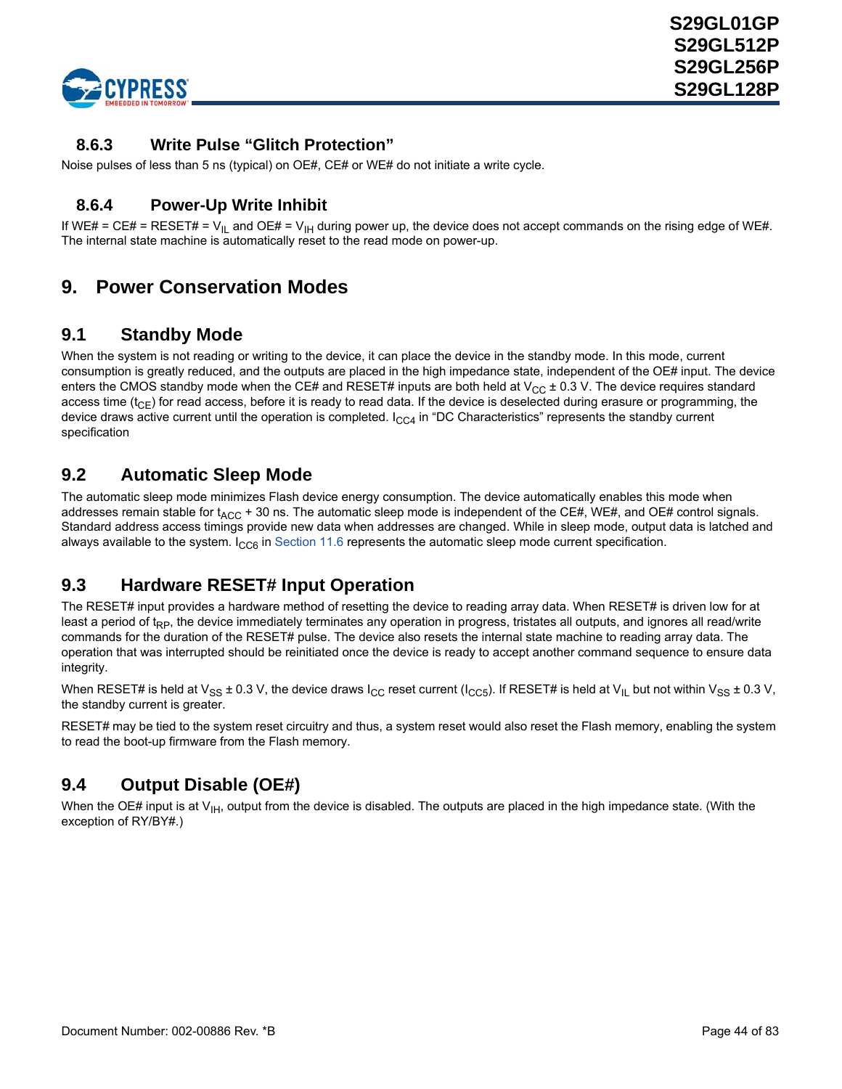

### **8.6.3 Write Pulse "Glitch Protection"**

Noise pulses of less than 5 ns (typical) on OE#, CE# or WE# do not initiate a write cycle.

### **8.6.4 Power-Up Write Inhibit**

If WE# = CE# = RESET# =  $V_{IL}$  and OE# =  $V_{IH}$  during power up, the device does not accept commands on the rising edge of WE#. The internal state machine is automatically reset to the read mode on power-up.

## **9. Power Conservation Modes**

### **9.1 Standby Mode**

When the system is not reading or writing to the device, it can place the device in the standby mode. In this mode, current consumption is greatly reduced, and the outputs are placed in the high impedance state, independent of the OE# input. The device enters the CMOS standby mode when the CE# and RESET# inputs are both held at  $V_{CC}$  ± 0.3 V. The device requires standard access time ( $t_{CF}$ ) for read access, before it is ready to read data. If the device is deselected during erasure or programming, the device draws active current until the operation is completed.  $I_{CCA}$  in "DC Characteristics" represents the standby current specification

## **9.2 Automatic Sleep Mode**

The automatic sleep mode minimizes Flash device energy consumption. The device automatically enables this mode when addresses remain stable for  $t_{ACC}$  + 30 ns. The automatic sleep mode is independent of the CE#, WE#, and OE# control signals. Standard address access timings provide new data when addresses are changed. While in sleep mode, output data is latched and always available to the system.  $I_{CC6}$  in [Section 11.6](#page-50-0) represents the automatic sleep mode current specification.

## **9.3 Hardware RESET# Input Operation**

The RESET# input provides a hardware method of resetting the device to reading array data. When RESET# is driven low for at least a period of t<sub>RP</sub>, the device immediately terminates any operation in progress, tristates all outputs, and ignores all read/write commands for the duration of the RESET# pulse. The device also resets the internal state machine to reading array data. The operation that was interrupted should be reinitiated once the device is ready to accept another command sequence to ensure data integrity.

When RESET# is held at V<sub>SS</sub> ± 0.3 V, the device draws I<sub>CC</sub> reset current (I<sub>CC5</sub>). If RESET# is held at V<sub>IL</sub> but not within V<sub>SS</sub> ± 0.3 V, the standby current is greater.

RESET# may be tied to the system reset circuitry and thus, a system reset would also reset the Flash memory, enabling the system to read the boot-up firmware from the Flash memory.

## **9.4 Output Disable (OE#)**

When the OE# input is at  $V_{IH}$ , output from the device is disabled. The outputs are placed in the high impedance state. (With the exception of RY/BY#.)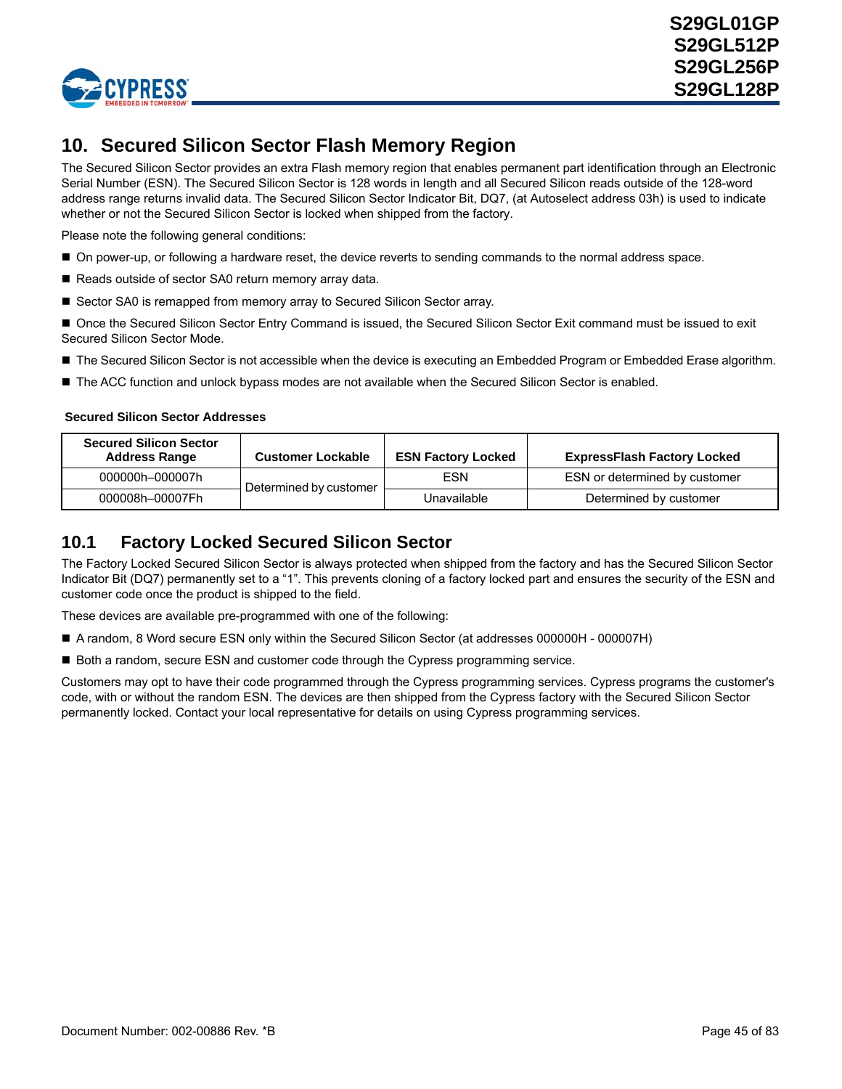

# **10. Secured Silicon Sector Flash Memory Region**

The Secured Silicon Sector provides an extra Flash memory region that enables permanent part identification through an Electronic Serial Number (ESN). The Secured Silicon Sector is 128 words in length and all Secured Silicon reads outside of the 128-word address range returns invalid data. The Secured Silicon Sector Indicator Bit, DQ7, (at Autoselect address 03h) is used to indicate whether or not the Secured Silicon Sector is locked when shipped from the factory.

Please note the following general conditions:

- On power-up, or following a hardware reset, the device reverts to sending commands to the normal address space.
- Reads outside of sector SA0 return memory array data.
- Sector SA0 is remapped from memory array to Secured Silicon Sector array.

Once the Secured Silicon Sector Entry Command is issued, the Secured Silicon Sector Exit command must be issued to exit Secured Silicon Sector Mode.

- The Secured Silicon Sector is not accessible when the device is executing an Embedded Program or Embedded Erase algorithm.
- The ACC function and unlock bypass modes are not available when the Secured Silicon Sector is enabled.

#### **Secured Silicon Sector Addresses**

| <b>Secured Silicon Sector</b><br><b>Address Range</b> | <b>Customer Lockable</b> | <b>ESN Factory Locked</b> | <b>ExpressFlash Factory Locked</b> |
|-------------------------------------------------------|--------------------------|---------------------------|------------------------------------|
| 000000h-000007h                                       | Determined by customer   | <b>ESN</b>                | ESN or determined by customer      |
| 000008h-00007Fh                                       |                          | Unavailable               | Determined by customer             |

## **10.1 Factory Locked Secured Silicon Sector**

The Factory Locked Secured Silicon Sector is always protected when shipped from the factory and has the Secured Silicon Sector Indicator Bit (DQ7) permanently set to a "1". This prevents cloning of a factory locked part and ensures the security of the ESN and customer code once the product is shipped to the field.

These devices are available pre-programmed with one of the following:

- A random, 8 Word secure ESN only within the Secured Silicon Sector (at addresses 000000H 000007H)
- Both a random, secure ESN and customer code through the Cypress programming service.

Customers may opt to have their code programmed through the Cypress programming services. Cypress programs the customer's code, with or without the random ESN. The devices are then shipped from the Cypress factory with the Secured Silicon Sector permanently locked. Contact your local representative for details on using Cypress programming services.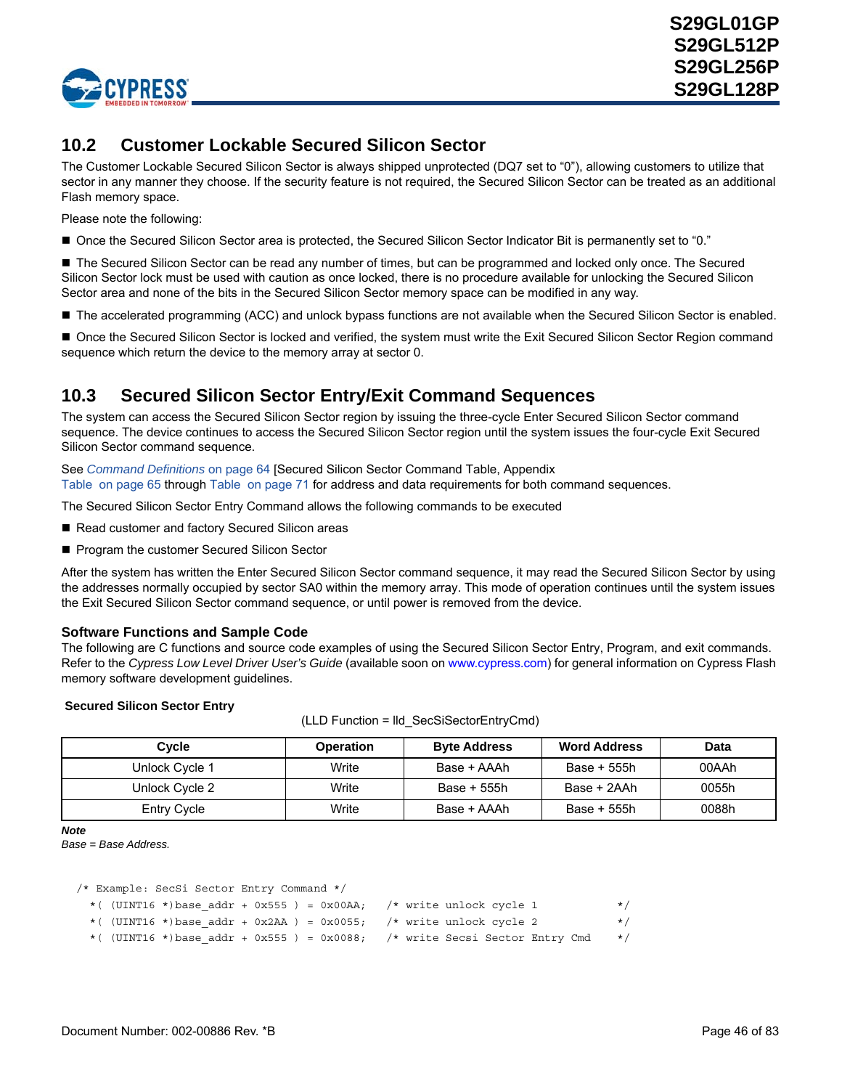

## **10.2 Customer Lockable Secured Silicon Sector**

The Customer Lockable Secured Silicon Sector is always shipped unprotected (DQ7 set to "0"), allowing customers to utilize that sector in any manner they choose. If the security feature is not required, the Secured Silicon Sector can be treated as an additional Flash memory space.

Please note the following:

Once the Secured Silicon Sector area is protected, the Secured Silicon Sector Indicator Bit is permanently set to "0."

■ The Secured Silicon Sector can be read any number of times, but can be programmed and locked only once. The Secured Silicon Sector lock must be used with caution as once locked, there is no procedure available for unlocking the Secured Silicon Sector area and none of the bits in the Secured Silicon Sector memory space can be modified in any way.

■ The accelerated programming (ACC) and unlock bypass functions are not available when the Secured Silicon Sector is enabled.

■ Once the Secured Silicon Sector is locked and verified, the system must write the Exit Secured Silicon Sector Region command sequence which return the device to the memory array at sector 0.

## **10.3 Secured Silicon Sector Entry/Exit Command Sequences**

The system can access the Secured Silicon Sector region by issuing the three-cycle Enter Secured Silicon Sector command sequence. The device continues to access the Secured Silicon Sector region until the system issues the four-cycle Exit Secured Silicon Sector command sequence.

See *[Command Definitions](#page-62-0)* on page 64 [Secured Silicon Sector Command Table, Appendix [Table on page 65](#page-63-0) through [Table on page 71](#page-69-0) for address and data requirements for both command sequences.

The Secured Silicon Sector Entry Command allows the following commands to be executed

- Read customer and factory Secured Silicon areas
- Program the customer Secured Silicon Sector

After the system has written the Enter Secured Silicon Sector command sequence, it may read the Secured Silicon Sector by using the addresses normally occupied by sector SA0 within the memory array. This mode of operation continues until the system issues the Exit Secured Silicon Sector command sequence, or until power is removed from the device.

### **Software Functions and Sample Code**

The following are C functions and source code examples of using the Secured Silicon Sector Entry, Program, and exit commands. Refer to the *Cypress Low Level Driver User's Guide* [\(available soon on](http://www.spansion.com) www.cypress.com) for general information on Cypress Flash memory software development guidelines.

#### **Secured Silicon Sector Entry**

(LLD Function = lld\_SecSiSectorEntryCmd)

| Cycle              | <b>Operation</b> | <b>Byte Address</b> | <b>Word Address</b> | <b>Data</b> |
|--------------------|------------------|---------------------|---------------------|-------------|
| Unlock Cycle 1     | Write            | Base + AAAh         | Base + 555h         | 00AAh       |
| Unlock Cycle 2     | Write            | Base + 555h         | Base + 2AAh         | 0055h       |
| <b>Entry Cycle</b> | Write            | Base + AAAh         | Base + 555h         | 0088h       |

*Note*

*Base = Base Address.*

```
/* Example: SecSi Sector Entry Command */
 *( (UINT16 *)base addr + 0x555 ) = 0x00AA; /* write unlock cycle 1 */
 *( (UINT16 *)base addr + 0x2AA ) = 0x0055; /* write unlock cycle 2 */
```
\*( (UINT16 \*)base addr + 0x555 ) = 0x0088; /\* write Secsi Sector Entry Cmd \*/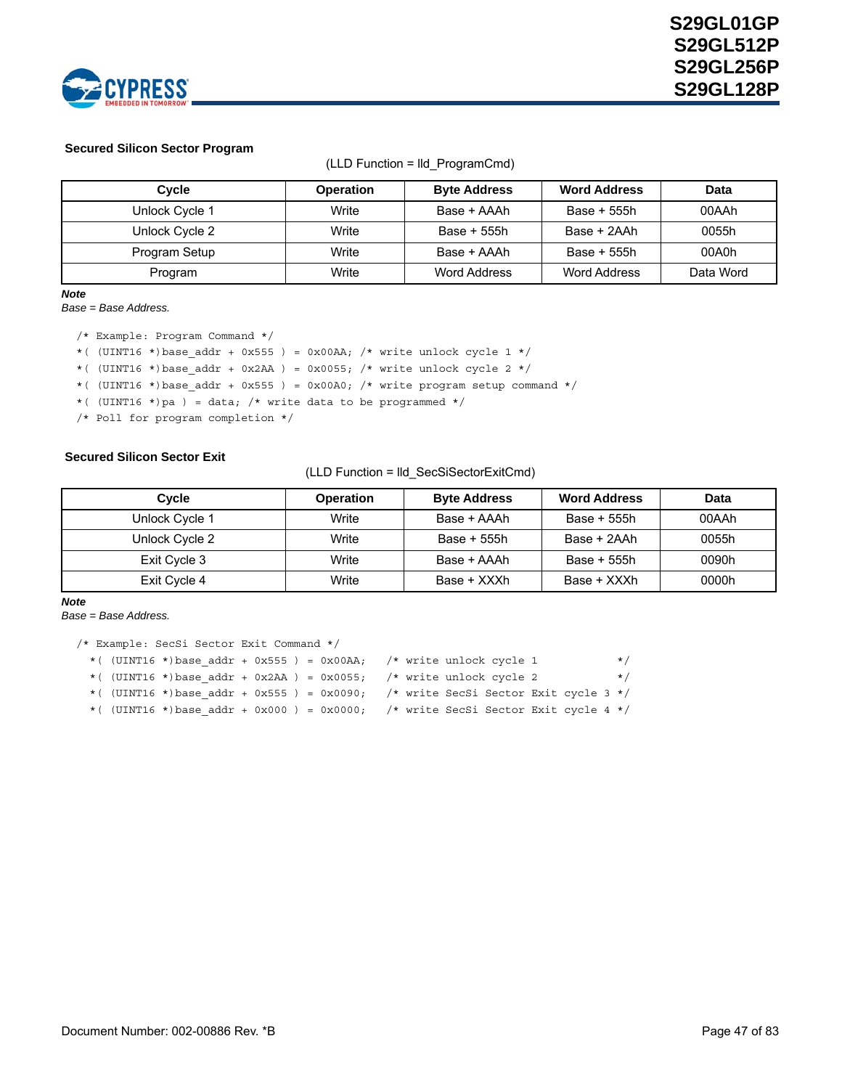

#### **Secured Silicon Sector Program**

| Cycle          | <b>Operation</b> | <b>Byte Address</b> | <b>Word Address</b> | Data      |
|----------------|------------------|---------------------|---------------------|-----------|
| Unlock Cycle 1 | Write            | Base + AAAh         | Base + 555h         | 00AAh     |
| Unlock Cycle 2 | Write            | Base + 555h         | Base + 2AAh         | 0055h     |
| Program Setup  | Write            | Base + AAAh         | Base + 555h         | 00A0h     |
| Program        | Write            | Word Address        | Word Address        | Data Word |

(LLD Function = lld\_ProgramCmd)

### *Note*

*Base = Base Address.*

/\* Example: Program Command \*/ \*( (UINT16 \*)base addr + 0x555 ) = 0x00AA; /\* write unlock cycle 1 \*/ \*( (UINT16 \*)base\_addr + 0x2AA ) = 0x0055; /\* write unlock cycle 2 \*/ \*( (UINT16 \*)base\_addr + 0x555 ) = 0x00A0; /\* write program setup command \*/ \*( (UINT16 \*)pa ) = data; /\* write data to be programmed \*/ /\* Poll for program completion \*/

#### **Secured Silicon Sector Exit**

(LLD Function = lld\_SecSiSectorExitCmd)

| Cvcle          | <b>Operation</b> | <b>Byte Address</b> | <b>Word Address</b> | Data  |
|----------------|------------------|---------------------|---------------------|-------|
| Unlock Cycle 1 | Write            | Base + AAAh         | Base + 555h         | 00AAh |
| Unlock Cycle 2 | Write            | Base + 555h         | Base + 2AAh         | 0055h |
| Exit Cycle 3   | Write            | Base + AAAh         | Base + 555h         | 0090h |
| Exit Cycle 4   | Write            | Base + XXXh         | Base + XXXh         | 0000h |

```
Note
```
*Base = Base Address.*

```
/* Example: SecSi Sector Exit Command */
 *( (UINT16 *)base addr + 0x555 ) = 0x00AA; /* write unlock cycle 1 */
 *( (UINT16 *)base_addr + 0x2AA ) = 0x0055; \rightarrow /* write unlock cycle 2 */
  *( (UINT16 *)base_addr + 0x555 ) = 0x0090; /* write SecSi Sector Exit cycle 3 */
 *( (UINT16 *)base_addr + 0x000 ) = 0x0000; /* write SecSi Sector Exit cycle 4 */
```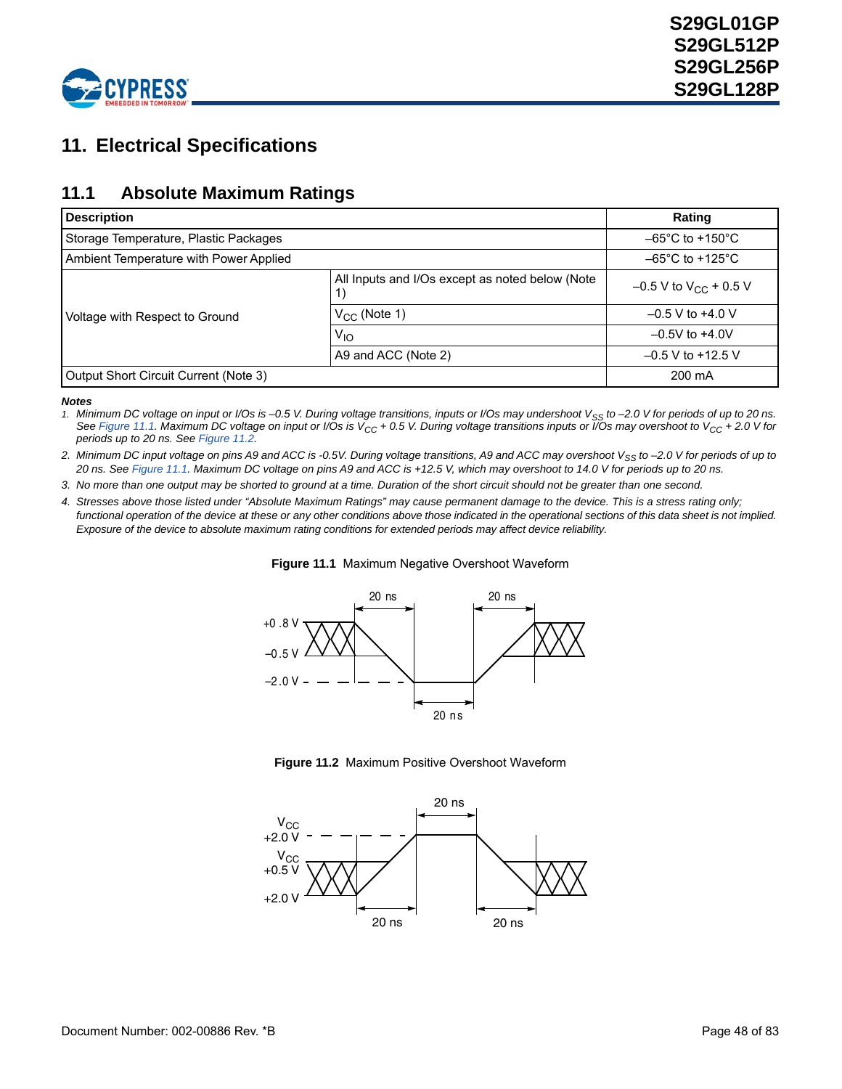

# **11. Electrical Specifications**

## **11.1 Absolute Maximum Ratings**

| <b>Description</b>                     |                                                 | Rating                               |
|----------------------------------------|-------------------------------------------------|--------------------------------------|
| Storage Temperature, Plastic Packages  |                                                 | $-65^{\circ}$ C to +150 $^{\circ}$ C |
| Ambient Temperature with Power Applied |                                                 | $-65^{\circ}$ C to +125 $^{\circ}$ C |
|                                        | All Inputs and I/Os except as noted below (Note | $-0.5$ V to V <sub>CC</sub> + 0.5 V  |
| Voltage with Respect to Ground         | $V_{CC}$ (Note 1)                               | $-0.5$ V to $+4.0$ V                 |
|                                        | $V_{1O}$                                        | $-0.5V$ to $+4.0V$                   |
|                                        | A9 and ACC (Note 2)                             | $-0.5$ V to +12.5 V                  |
| Output Short Circuit Current (Note 3)  |                                                 | 200 mA                               |

#### *Notes*

*1. Minimum DC voltage on input or I/Os is –0.5 V. During voltage transitions, inputs or I/Os may undershoot VSS to –2.0 V for periods of up to 20 ns. See [Figure 11.1](#page-47-0). Maximum DC voltage on input or I/Os is VCC + 0.5 V. During voltage transitions inputs or I/Os may overshoot to VCC + 2.0 V for periods up to 20 ns. See [Figure 11.2.](#page-47-1)*

2. Minimum DC input voltage on pins A9 and ACC is -0.5V. During voltage transitions, A9 and ACC may overshoot V<sub>SS</sub> to -2.0 V for periods of up to *20 ns. See [Figure 11.1](#page-47-0). Maximum DC voltage on pins A9 and ACC is +12.5 V, which may overshoot to 14.0 V for periods up to 20 ns.* 

*3. No more than one output may be shorted to ground at a time. Duration of the short circuit should not be greater than one second.*

<span id="page-47-0"></span>*4. Stresses above those listed under "Absolute Maximum Ratings" may cause permanent damage to the device. This is a stress rating only;*  functional operation of the device at these or any other conditions above those indicated in the operational sections of this data sheet is not implied. *Exposure of the device to absolute maximum rating conditions for extended periods may affect device reliability.*





**Figure 11.2** Maximum Positive Overshoot Waveform

<span id="page-47-1"></span>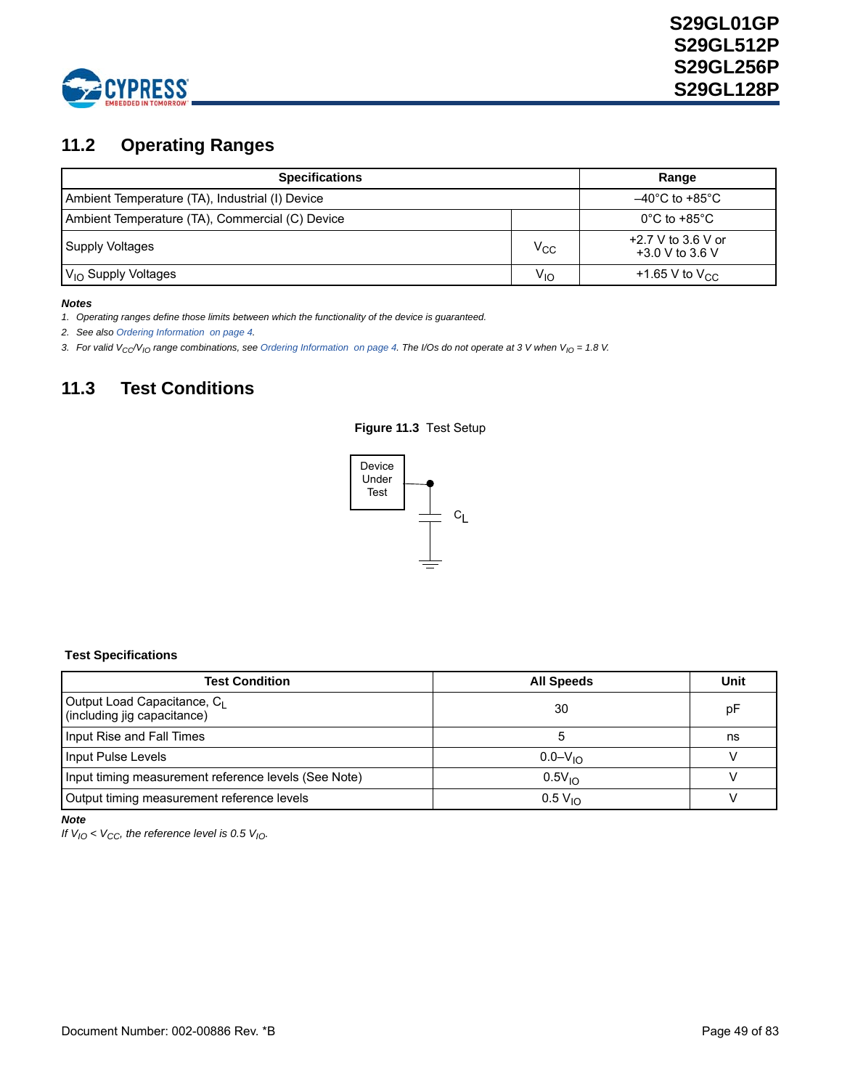

# <span id="page-48-0"></span>**11.2 Operating Ranges**

| <b>Specifications</b>                           | Range                               |                                           |  |
|-------------------------------------------------|-------------------------------------|-------------------------------------------|--|
| Ambient Temperature (TA), Industrial (I) Device | $-40^{\circ}$ C to +85 $^{\circ}$ C |                                           |  |
| Ambient Temperature (TA), Commercial (C) Device |                                     | $0^{\circ}$ C to +85 $^{\circ}$ C         |  |
| <b>Supply Voltages</b>                          | $V_{CC}$                            | $+2.7$ V to 3.6 V or<br>$+3.0$ V to 3.6 V |  |
| $V_{1O}$ Supply Voltages                        | $V_{\text{IO}}$                     | +1.65 V to $V_{CC}$                       |  |

#### *Notes*

*1. Operating ranges define those limits between which the functionality of the device is guaranteed.*

*2. See also [Ordering Information on page 4.](#page-3-0)*

3. For valid V<sub>CC</sub>/V<sub>IO</sub> range combinations, see [Ordering Information on page 4.](#page-3-0) The I/Os do not operate at 3 V when V<sub>IO</sub> = 1.8 V.

# <span id="page-48-1"></span>**11.3 Test Conditions**





### <span id="page-48-2"></span> **Test Specifications**

| <b>Test Condition</b>                                                  | <b>All Speeds</b>   | Unit |
|------------------------------------------------------------------------|---------------------|------|
| Output Load Capacitance, C <sub>1</sub><br>(including jig capacitance) | 30                  | рF   |
| Input Rise and Fall Times                                              |                     | ns   |
| Input Pulse Levels                                                     | $0.0 - V_{10}$      |      |
| Input timing measurement reference levels (See Note)                   | $0.5V_{10}$         |      |
| Output timing measurement reference levels                             | 0.5 V <sub>10</sub> |      |

*Note*

*If*  $V_{IO}$  <  $V_{CC}$ , the reference level is 0.5  $V_{IO}$ .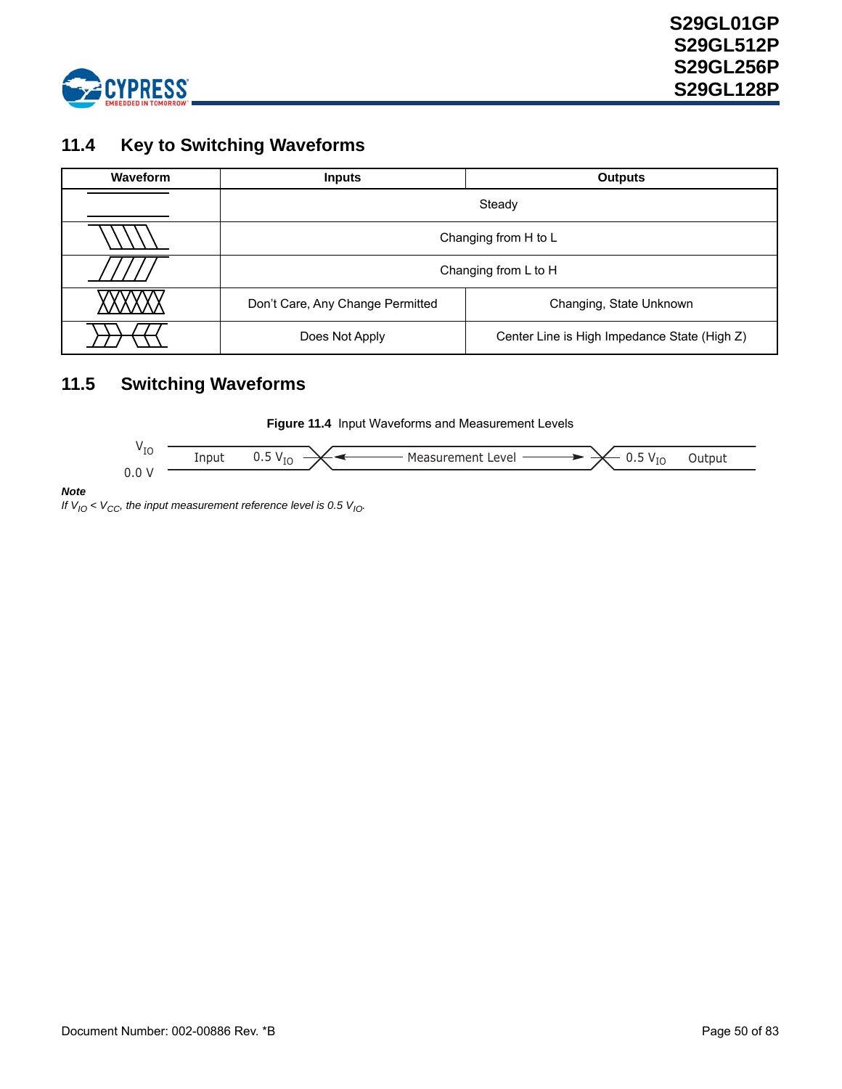

## **11.4 Key to Switching Waveforms**

| <b>Waveform</b> | <b>Inputs</b>                    | <b>Outputs</b>                               |  |  |
|-----------------|----------------------------------|----------------------------------------------|--|--|
|                 |                                  | Steady                                       |  |  |
|                 |                                  | Changing from H to L                         |  |  |
|                 | Changing from L to H             |                                              |  |  |
|                 | Don't Care, Any Change Permitted | Changing, State Unknown                      |  |  |
|                 | Does Not Apply                   | Center Line is High Impedance State (High Z) |  |  |

## **11.5 Switching Waveforms**





*Note*

*If*  $V_{10}$  <  $V_{CC}$ , the input measurement reference level is 0.5  $V_{10}$ .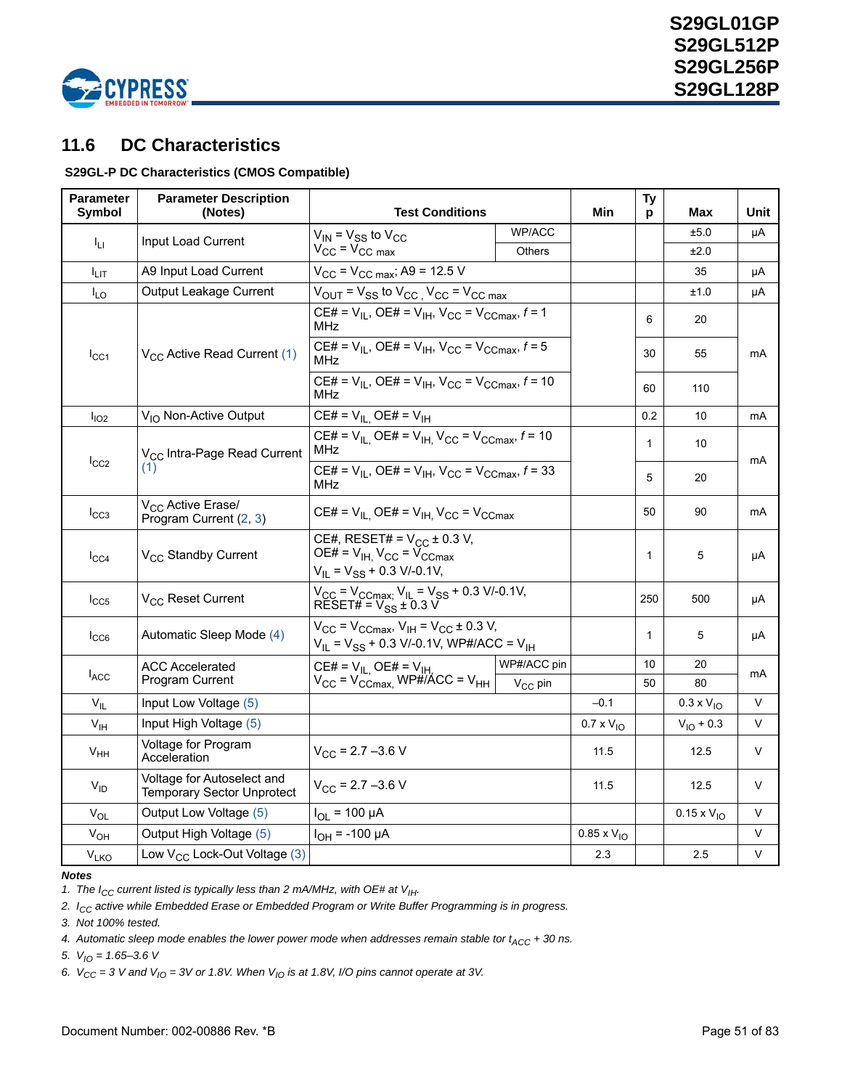

## <span id="page-50-0"></span>**11.6 DC Characteristics**

### **S29GL-P DC Characteristics (CMOS Compatible)**

| <b>Parameter</b><br>Symbol | <b>Parameter Description</b><br>(Notes)                         | <b>Test Conditions</b>                                                                                          |              | Min                  | Ty<br>p      | <b>Max</b>           | Unit   |
|----------------------------|-----------------------------------------------------------------|-----------------------------------------------------------------------------------------------------------------|--------------|----------------------|--------------|----------------------|--------|
| ŀц                         | Input Load Current                                              | $V_{IN}$ = $V_{SS}$ to $V_{CC}$                                                                                 | WP/ACC       |                      |              | ±5.0                 | μA     |
|                            |                                                                 | $V_{\text{CC}} = V_{\text{CC max}}$                                                                             | Others       |                      |              | ±2.0                 |        |
| I <sub>LIТ</sub>           | A9 Input Load Current                                           | $V_{CC}$ = $V_{CC \, max}$ ; A9 = 12.5 V                                                                        |              |                      |              | 35                   | μA     |
| $I_{LO}$                   | Output Leakage Current                                          | $V_{\text{OUT}}$ = $V_{SS}$ to $V_{\text{CC}}$ , $V_{\text{CC}}$ = $V_{\text{CC max}}$                          |              |                      |              | ±1.0                 | μA     |
|                            |                                                                 | CE# = $V_{IL}$ , OE# = $V_{IH}$ , $V_{CC}$ = $V_{CCmax}$ , $f = 1$<br><b>MHz</b>                                |              |                      | 6            | 20                   |        |
| $I_{\rm CC1}$              | V <sub>CC</sub> Active Read Current (1)                         | CE# = $V_{IL}$ , OE# = $V_{IH}$ , $V_{CC}$ = $V_{CCmax}$ , f = 5<br>MHz                                         |              |                      | 30           | 55                   | mA     |
|                            |                                                                 | CE# = $V_{IL}$ , OE# = $V_{IH}$ , $V_{CC}$ = $V_{CCmax}$ , $f = 10$<br>MHz                                      |              |                      | 60           | 110                  |        |
| I <sub>IO2</sub>           | V <sub>IO</sub> Non-Active Output                               | $CE# = V_{IL}$ OE# = $V_{IH}$                                                                                   |              |                      | 0.2          | 10                   | mA     |
|                            | V <sub>CC</sub> Intra-Page Read Current                         | CE# = $V_{IL}$ , OE# = $V_{IH}$ , $V_{CC}$ = $V_{CCmax}$ , $f = 10$<br><b>MHz</b>                               |              |                      | $\mathbf{1}$ | 10                   |        |
| $I_{CC2}$                  | (1)                                                             | CE# = $V_{II}$ , OE# = $V_{IH}$ , $V_{CC}$ = $V_{CCmax}$ , f = 33<br>MHz                                        |              |                      | 5            | 20                   | mA     |
| $I_{CC3}$                  | V <sub>CC</sub> Active Erase/<br>Program Current (2, 3)         | CE# = $V_{IL}$ OE# = $V_{IH}$ V <sub>CC</sub> = V <sub>CCmax</sub>                                              |              | 50                   | 90           | mA                   |        |
| $I_{CC4}$                  | V <sub>CC</sub> Standby Current                                 | CE#, RESET# = $V_{CC}$ ± 0.3 V,<br>OE# = $V_{IH}$ , $V_{CC}$ = $V_{CCmax}$<br>$V_{IL} = V_{SS} + 0.3 V/-0.1 V,$ |              |                      | $\mathbf{1}$ | 5                    | μA     |
| $I_{CC5}$                  | V <sub>CC</sub> Reset Current                                   | $V_{CC}$ = $V_{CCmax}$ , $V_{IL}$ = $V_{SS}$ + 0.3 V/-0.1V,<br>RESET# = $V_{SS}$ ± 0.3 V                        |              |                      | 250          | 500                  | μA     |
| $I_{CC6}$                  | Automatic Sleep Mode (4)                                        | $V_{CC}$ = $V_{CCmax}$ , $V_{IH}$ = $V_{CC}$ ± 0.3 V,<br>$V_{IL}$ = $V_{SS}$ + 0.3 V/-0.1V, WP#/ACC = $V_{IH}$  |              |                      | $\mathbf{1}$ | 5                    | μA     |
|                            | <b>ACC Accelerated</b>                                          | $CE# = V_{IL}$ OE# = V <sub>IH.</sub>                                                                           | WP#/ACC pin  |                      | 10           | 20                   | mA     |
| $I_{ACC}$                  | Program Current                                                 | $V_{CC}$ = $V_{CCmax}$ , WP#/ACC = $V_{HH}$                                                                     | $V_{CC}$ pin |                      | 50           | 80                   |        |
| $V_{IL}$                   | Input Low Voltage (5)                                           |                                                                                                                 |              | $-0.1$               |              | $0.3 \times V_{10}$  | V      |
| $V_{\text{IH}}$            | Input High Voltage (5)                                          |                                                                                                                 |              | $0.7 \times V_{10}$  |              | $V_{IO} + 0.3$       | V      |
| V <sub>HH</sub>            | Voltage for Program<br>Acceleration                             | $V_{CC}$ = 2.7 -3.6 V                                                                                           |              | 11.5                 |              | 12.5                 | V      |
| $V_{ID}$                   | Voltage for Autoselect and<br><b>Temporary Sector Unprotect</b> | $V_{CC}$ = 2.7 -3.6 V                                                                                           |              | 11.5                 |              | 12.5                 | V      |
| $V_{OL}$                   | Output Low Voltage (5)                                          | $I_{\text{OI}} = 100 \mu A$                                                                                     |              |                      |              | $0.15 \times V_{10}$ | V      |
| V <sub>OH</sub>            | Output High Voltage (5)                                         | $I_{OH}$ = -100 µA                                                                                              |              | $0.85 \times V_{IO}$ |              |                      | $\vee$ |
| V <sub>LKO</sub>           | Low $V_{CC}$ Lock-Out Voltage (3)                               |                                                                                                                 |              | 2.3                  |              | 2.5                  | V      |

#### *Notes*

<span id="page-50-1"></span>1. The I<sub>CC</sub> current listed is typically less than 2 mA/MHz, with OE# at V<sub>IH</sub>.

<span id="page-50-2"></span>*2. ICC active while Embedded Erase or Embedded Program or Write Buffer Programming is in progress.*

<span id="page-50-3"></span>*3. Not 100% tested.*

<span id="page-50-4"></span>4. Automatic sleep mode enables the lower power mode when addresses remain stable tor  $t_{\text{ACC}} + 30$  ns.

<span id="page-50-5"></span>*5. VIO = 1.65–3.6 V*

6.  $V_{CC} = 3$  V and  $V_{10} = 3V$  or 1.8V. When  $V_{10}$  is at 1.8V, I/O pins cannot operate at 3V.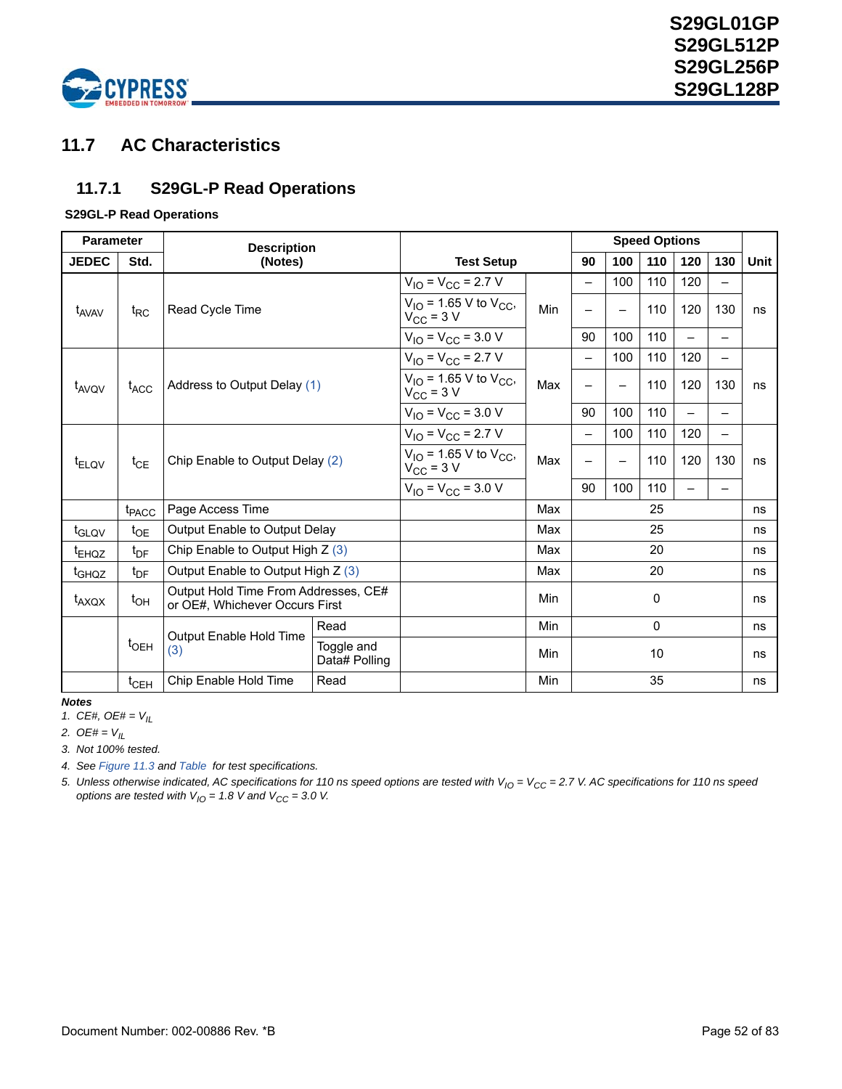

## **11.7 AC Characteristics**

### **11.7.1 S29GL-P Read Operations**

### **S29GL-P Read Operations**

| <b>Parameter</b>  |                   | <b>Description</b>                                                     |                             |                                                          |            | <b>Speed Options</b> |                          |                          |     |                          |      |  |
|-------------------|-------------------|------------------------------------------------------------------------|-----------------------------|----------------------------------------------------------|------------|----------------------|--------------------------|--------------------------|-----|--------------------------|------|--|
| <b>JEDEC</b>      | Std.              | (Notes)                                                                |                             |                                                          |            | 90                   | 100                      | 110                      | 120 | 130                      | Unit |  |
|                   |                   | $V_{IO} = V_{CC} = 2.7 V$                                              |                             | —                                                        | 100        | 110                  | 120                      | $\overline{\phantom{0}}$ |     |                          |      |  |
| t <sub>AVAV</sub> | $t_{RC}$          | Read Cycle Time                                                        |                             | $V_{IO}$ = 1.65 V to $V_{CC}$ ,<br>$V_{\text{CC}}$ = 3 V | Min        |                      | $\overline{\phantom{0}}$ | 110                      | 120 | 130                      | ns   |  |
|                   |                   |                                                                        |                             | $V_{IO} = V_{CC} = 3.0 V$                                |            | 90                   | 100                      | 110                      |     |                          |      |  |
|                   |                   |                                                                        |                             | $V_{IO} = V_{CC} = 2.7 V$                                |            | —                    | 100                      | 110                      | 120 | $\overline{\phantom{0}}$ |      |  |
| t <sub>AVQV</sub> | t <sub>ACC</sub>  | Address to Output Delay (1)                                            |                             | $V_{IO}$ = 1.65 V to $V_{CC}$ ,<br>$V_{\text{CC}}$ = 3 V | Max        |                      | $\overline{\phantom{0}}$ | 110                      | 120 | 130                      | ns   |  |
|                   |                   |                                                                        |                             | $V_{IO} = V_{CC} = 3.0 V$                                |            | 90                   | 100                      | 110                      |     |                          |      |  |
|                   |                   |                                                                        |                             | $V_{IO} = V_{CC} = 2.7 V$                                |            |                      | 100                      | 110                      | 120 |                          |      |  |
| <sup>t</sup> ELOV | $t_{CE}$          | Chip Enable to Output Delay (2)                                        |                             | $V_{IO}$ = 1.65 V to $V_{CC}$ ,<br>$V_{\text{CC}}$ = 3 V | Max        |                      | $\overline{\phantom{0}}$ | 110                      | 120 | 130                      | ns   |  |
|                   |                   |                                                                        |                             | $V_{IO} = V_{CC} = 3.0 V$                                |            | 90                   | 100                      | 110                      |     |                          |      |  |
|                   | t <sub>PACC</sub> | Page Access Time                                                       |                             |                                                          | Max        | 25                   |                          | ns                       |     |                          |      |  |
| t <sub>GLQV</sub> | $t_{OE}$          | Output Enable to Output Delay                                          |                             |                                                          | Max        | 25                   |                          |                          | ns  |                          |      |  |
| <sup>t</sup> EHQZ | $t_{DF}$          | Chip Enable to Output High $Z(3)$                                      |                             |                                                          | Max        |                      |                          | 20                       |     |                          | ns   |  |
| t <sub>GHQZ</sub> | $t_{\text{DF}}$   | Output Enable to Output High Z (3)                                     |                             |                                                          | Max        | 20                   |                          |                          | ns  |                          |      |  |
| t <sub>AXQX</sub> | $t_{OH}$          | Output Hold Time From Addresses, CE#<br>or OE#, Whichever Occurs First |                             |                                                          | Min        | 0                    |                          |                          | ns  |                          |      |  |
|                   |                   |                                                                        | Read                        |                                                          | <b>Min</b> |                      |                          | $\mathbf{0}$             |     |                          | ns   |  |
|                   | $t_{\text{OEH}}$  | Output Enable Hold Time<br>(3)                                         | Toggle and<br>Data# Polling |                                                          | Min        |                      |                          | 10                       |     |                          | ns   |  |
|                   | $t_{\sf CEH}$     | Chip Enable Hold Time                                                  | Read                        |                                                          | Min        |                      |                          | 35                       |     |                          | ns   |  |

*Notes*

<span id="page-51-0"></span>*1. CE#, OE# = VIL*

<span id="page-51-1"></span>*2. OE# = VIL*

<span id="page-51-2"></span>*3. Not 100% tested.*

*4. See [Figure 11.3](#page-48-1) and [Table](#page-48-2) for test specifications.*

5. Unless otherwise indicated, AC specifications for 110 ns speed options are tested with V<sub>IO</sub> = V<sub>CC</sub> = 2.7 V. AC specifications for 110 ns speed *options are tested with*  $V_{10} = 1.8$  *V and*  $V_{CC} = 3.0$  *V.*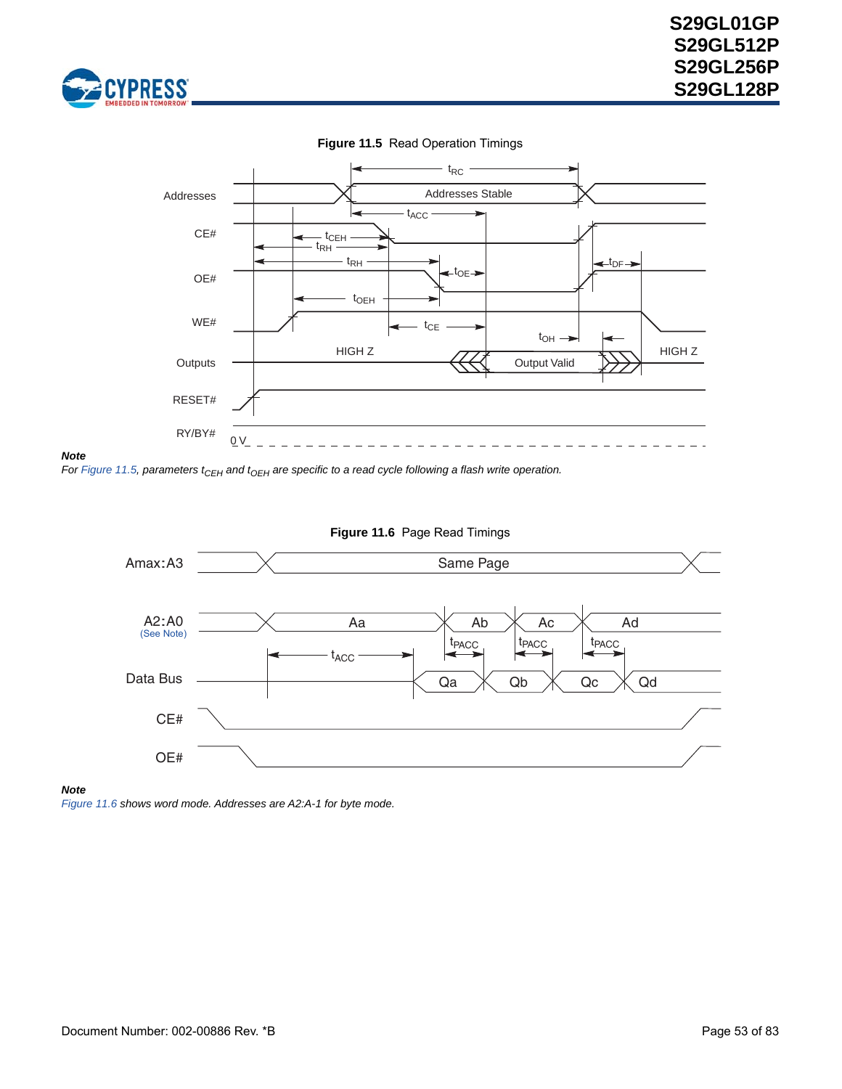<span id="page-52-0"></span>





#### *Note*

*For [Figure 11.5](#page-52-0), parameters t<sub>CEH</sub> and t<sub>OEH</sub> are specific to a read cycle following a flash write operation.* 

<span id="page-52-1"></span>

### **Figure 11.6** Page Read Timings

#### *Note*

<span id="page-52-2"></span>*[Figure 11.6](#page-52-1) shows word mode. Addresses are A2:A-1 for byte mode.*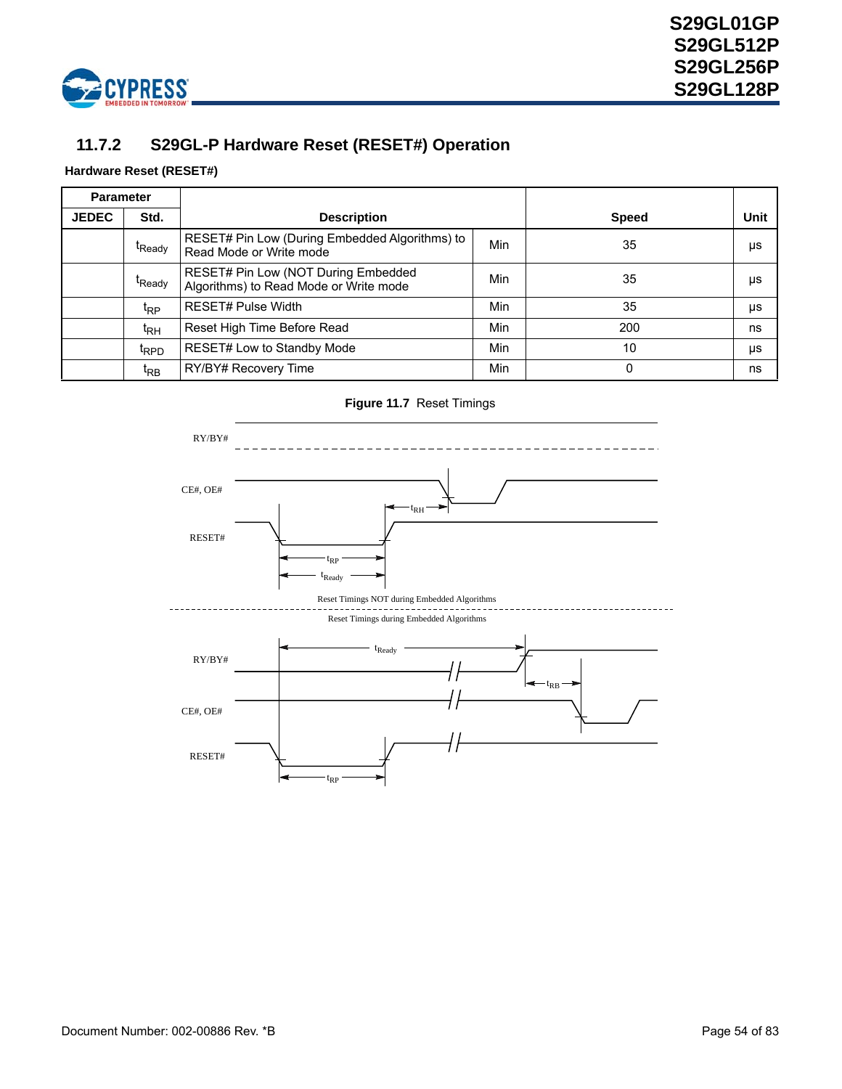

## **11.7.2 S29GL-P Hardware Reset (RESET#) Operation**

### **Hardware Reset (RESET#)**

| <b>Parameter</b> |                    |                                                                               |              |      |    |
|------------------|--------------------|-------------------------------------------------------------------------------|--------------|------|----|
| <b>JEDEC</b>     | Std.               | <b>Description</b>                                                            | <b>Speed</b> | Unit |    |
|                  | t <sub>Ready</sub> | RESET# Pin Low (During Embedded Algorithms) to<br>Read Mode or Write mode     | Min          | 35   | μs |
|                  | t <sub>Ready</sub> | RESET# Pin Low (NOT During Embedded<br>Algorithms) to Read Mode or Write mode | Min          | 35   | μs |
|                  | t <sub>RP</sub>    | <b>RESET# Pulse Width</b>                                                     | Min          | 35   | μs |
|                  | t <sub>RH</sub>    | Reset High Time Before Read                                                   | Min          | 200  | ns |
|                  | t <sub>RPD</sub>   | RESET# Low to Standby Mode                                                    | Min          | 10   | μs |
|                  | t <sub>RB</sub>    | RY/BY# Recovery Time                                                          | Min          | 0    | ns |

**Figure 11.7** Reset Timings

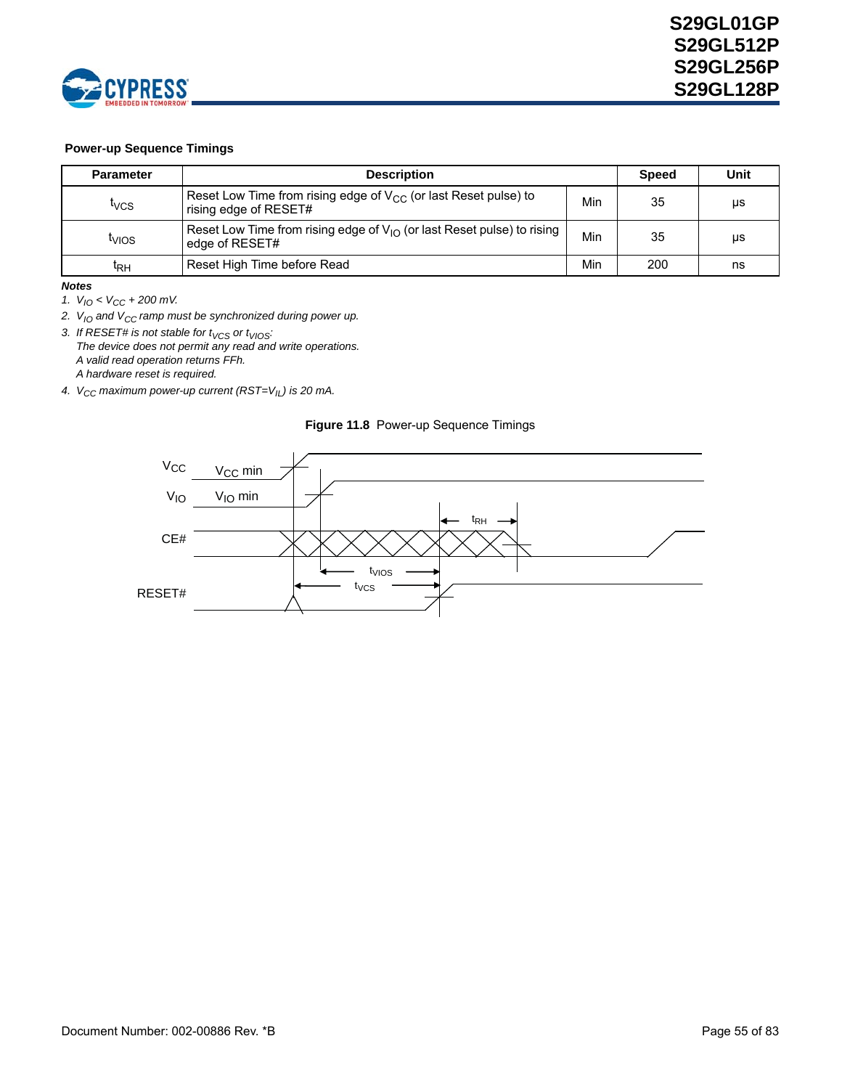

### **Power-up Sequence Timings**

| <b>Parameter</b>        | <b>Description</b>                                                                            |     | <b>Speed</b> | Unit |
|-------------------------|-----------------------------------------------------------------------------------------------|-----|--------------|------|
| <b>T</b> <sub>VCS</sub> | Reset Low Time from rising edge of $V_{CC}$ (or last Reset pulse) to<br>rising edge of RESET# | Min | 35           | μs   |
| <sup>I</sup> VIOS       | Reset Low Time from rising edge of $V_{10}$ (or last Reset pulse) to rising<br>edge of RESET# | Min | 35           | μs   |
| ΙRΗ                     | Reset High Time before Read                                                                   | Min | 200          | ns   |

#### *Notes*

*1. VIO < VCC + 200 mV.* 

2. V<sub>IO</sub> and V<sub>CC</sub> ramp must be synchronized during power up.

3. If RESET# is not stable for t<sub>VCS</sub> or t<sub>VIOS</sub>: *The device does not permit any read and write operations. A valid read operation returns FFh. A hardware reset is required.*

*4.*  $V_{CC}$  maximum power-up current (RST=V<sub>IL</sub>) is 20 mA.



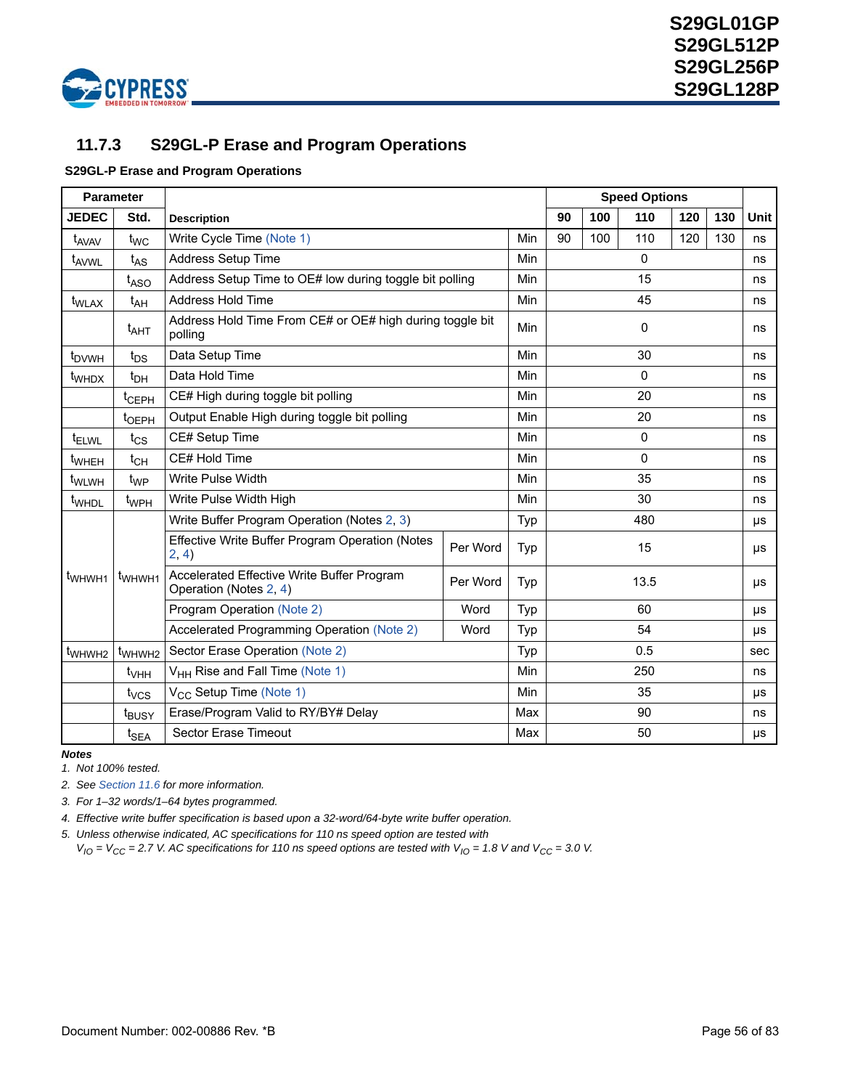

## **11.7.3 S29GL-P Erase and Program Operations**

### **S29GL-P Erase and Program Operations**

|                    | <b>Parameter</b>                   |                                                                      |          |            |              |     | <b>Speed Options</b> |     |         |             |  |
|--------------------|------------------------------------|----------------------------------------------------------------------|----------|------------|--------------|-----|----------------------|-----|---------|-------------|--|
| <b>JEDEC</b>       | Std.                               | <b>Description</b>                                                   |          |            | 90           | 100 | 110                  | 120 | 130     | <b>Unit</b> |  |
| t <sub>AVAV</sub>  | $t_{WC}$                           | Write Cycle Time (Note 1)                                            |          | Min        | 90           | 100 | 110                  | 120 | 130     | ns          |  |
| t <sub>AVWL</sub>  | $t_{AS}$                           | Address Setup Time                                                   |          | Min        | $\Omega$     |     |                      |     |         | ns          |  |
|                    | $t_{ASO}$                          | Address Setup Time to OE# low during toggle bit polling              |          | Min        | 15           |     |                      |     |         |             |  |
| t <sub>WLAX</sub>  | $t_{AH}$                           | Address Hold Time                                                    |          | Min        | 45           |     |                      |     |         |             |  |
|                    | $t_{\mathsf{AHT}}$                 | Address Hold Time From CE# or OE# high during toggle bit<br>polling  |          | <b>Min</b> | $\mathbf{0}$ |     |                      |     |         |             |  |
| t <sub>DVWH</sub>  | $t_{DS}$                           | Data Setup Time                                                      |          | Min        |              |     | 30                   |     |         | ns          |  |
| t <sub>WHDX</sub>  | $t_{DH}$                           | Data Hold Time                                                       |          | Min        |              |     | 0                    |     |         | ns          |  |
|                    | t <sub>CEPH</sub>                  | CE# High during toggle bit polling                                   |          | Min        |              |     | 20                   |     |         | ns          |  |
|                    | t <sub>OEPH</sub>                  | Output Enable High during toggle bit polling                         |          | Min        |              |     | 20                   |     |         | ns          |  |
| <sup>t</sup> ELWL  | $t_{CS}$                           | CE# Setup Time                                                       |          | Min        | $\Omega$     |     |                      |     |         | ns          |  |
| t <sub>WHEH</sub>  | $t_{CH}$                           | CE# Hold Time                                                        |          | Min        |              |     | 0                    |     |         | ns          |  |
| t <sub>WLWH</sub>  | $t_{WP}$                           | Write Pulse Width                                                    |          | Min        | 35           |     |                      |     |         | ns          |  |
| t <sub>WHDL</sub>  | t <sub>WPH</sub>                   | Write Pulse Width High                                               |          | Min        | 30           |     |                      |     |         | ns          |  |
|                    |                                    | Write Buffer Program Operation (Notes 2, 3)                          |          | Typ        | 480          |     |                      |     | $\mu s$ |             |  |
|                    |                                    | Effective Write Buffer Program Operation (Notes<br>2, 4)             | Per Word | Typ        | 15           |     |                      |     | $\mu s$ |             |  |
| t <sub>WHWH1</sub> | t <sub>WHWH1</sub>                 | Accelerated Effective Write Buffer Program<br>Operation (Notes 2, 4) | Per Word | Typ        |              |     | 13.5                 |     |         | μs          |  |
|                    | Program Operation (Note 2)<br>Word |                                                                      |          |            |              | 60  |                      |     |         |             |  |
|                    |                                    | Accelerated Programming Operation (Note 2)                           | Typ      |            |              | 54  |                      |     | μs      |             |  |
| t <sub>WHWH2</sub> | t <sub>WHWH2</sub>                 | Sector Erase Operation (Note 2)                                      |          | Typ        | 0.5          |     |                      |     | sec     |             |  |
|                    | $t_{\sf VHH}$                      | V <sub>HH</sub> Rise and Fall Time (Note 1)                          |          | Min        | 250          |     |                      |     |         | ns          |  |
|                    | t <sub>vcs</sub>                   | V <sub>CC</sub> Setup Time (Note 1)                                  |          | Min        | 35           |     |                      |     | $\mu s$ |             |  |
|                    | t <sub>BUSY</sub>                  | Erase/Program Valid to RY/BY# Delay                                  |          | Max        | 90           |     |                      |     | ns      |             |  |
|                    | $t_{\sf SEA}$                      | Sector Erase Timeout                                                 | Max      | 50<br>μs   |              |     |                      |     |         |             |  |

*Notes*

<span id="page-55-0"></span>*1. Not 100% tested.*

<span id="page-55-1"></span>*2. See [Section 11.6](#page-50-0) for more information.*

<span id="page-55-2"></span>*3. For 1–32 words/1–64 bytes programmed.*

<span id="page-55-3"></span>*4. Effective write buffer specification is based upon a 32-word/64-byte write buffer operation.*

*5. Unless otherwise indicated, AC specifications for 110 ns speed option are tested with*

 $V_{IO}$  =  $V_{CC}$  = 2.7 V. AC specifications for 110 ns speed options are tested with  $V_{IO}$  = 1.8 V and  $V_{CC}$  = 3.0 V.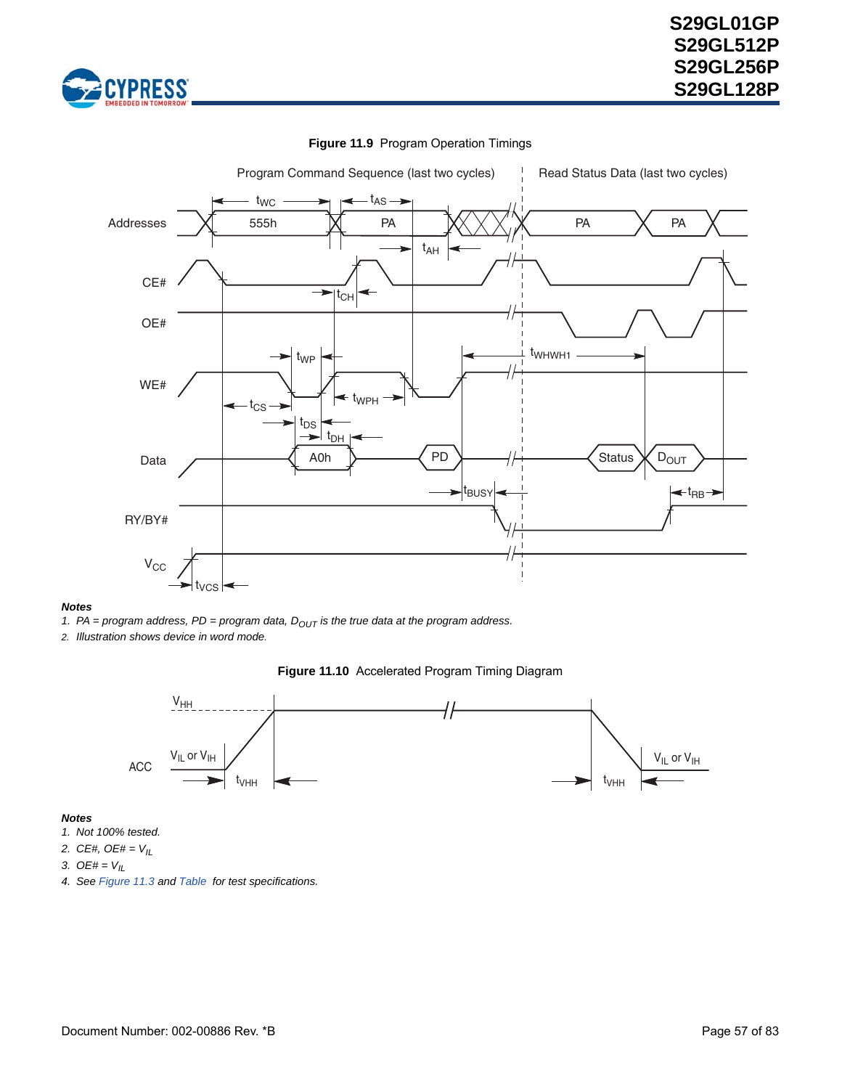



### **Figure 11.9** Program Operation Timings

#### *Notes*

1. PA = program address,  $PD = program$  data,  $D_{OUT}$  is the true data at the program address.

*2. Illustration shows device in word mode.*

#### **Figure 11.10** Accelerated Program Timing Diagram



- *1. Not 100% tested.*
- *2. CE#, OE# = VIL*
- 3.  $OE# = V_{IL}$
- *4. See [Figure 11.3](#page-48-1) and [Table](#page-48-2) for test specifications.*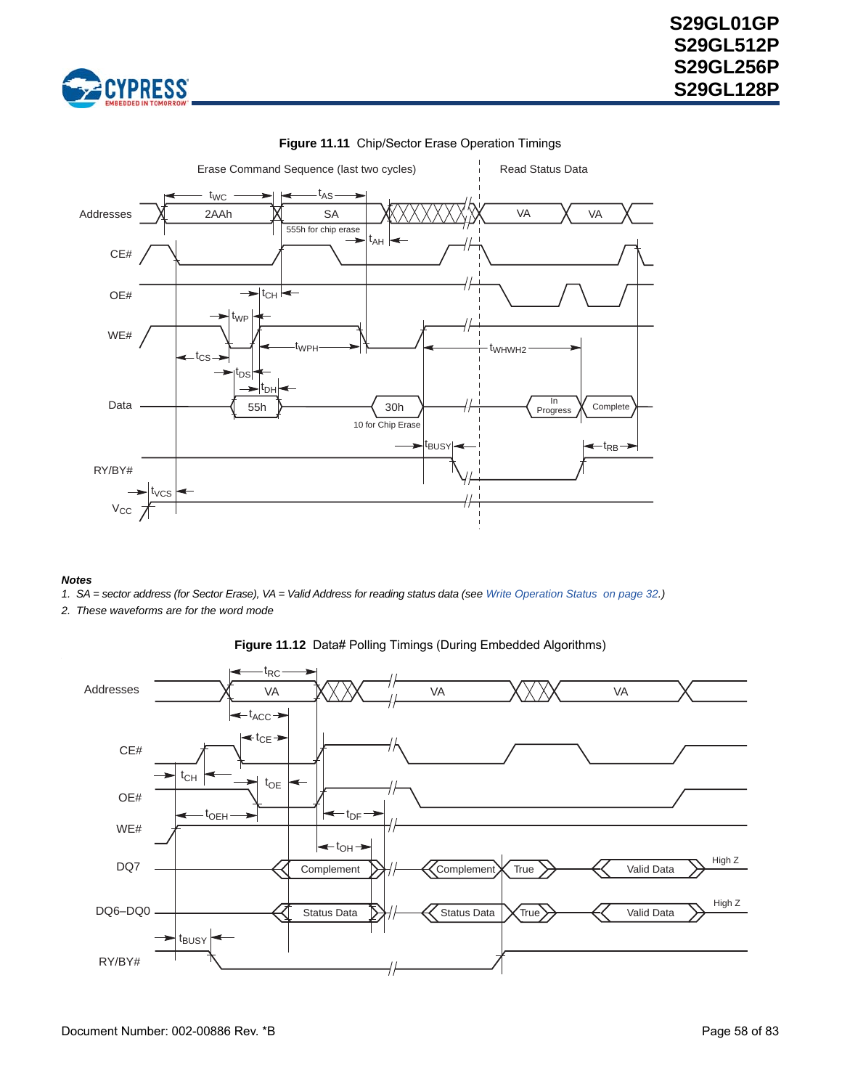



### **Figure 11.11** Chip/Sector Erase Operation Timings

- *1. SA = sector address (for Sector Erase), VA = Valid Address for reading status data (see [Write Operation Status on page 32.](#page-30-0))*
- *2. These waveforms are for the word mode*



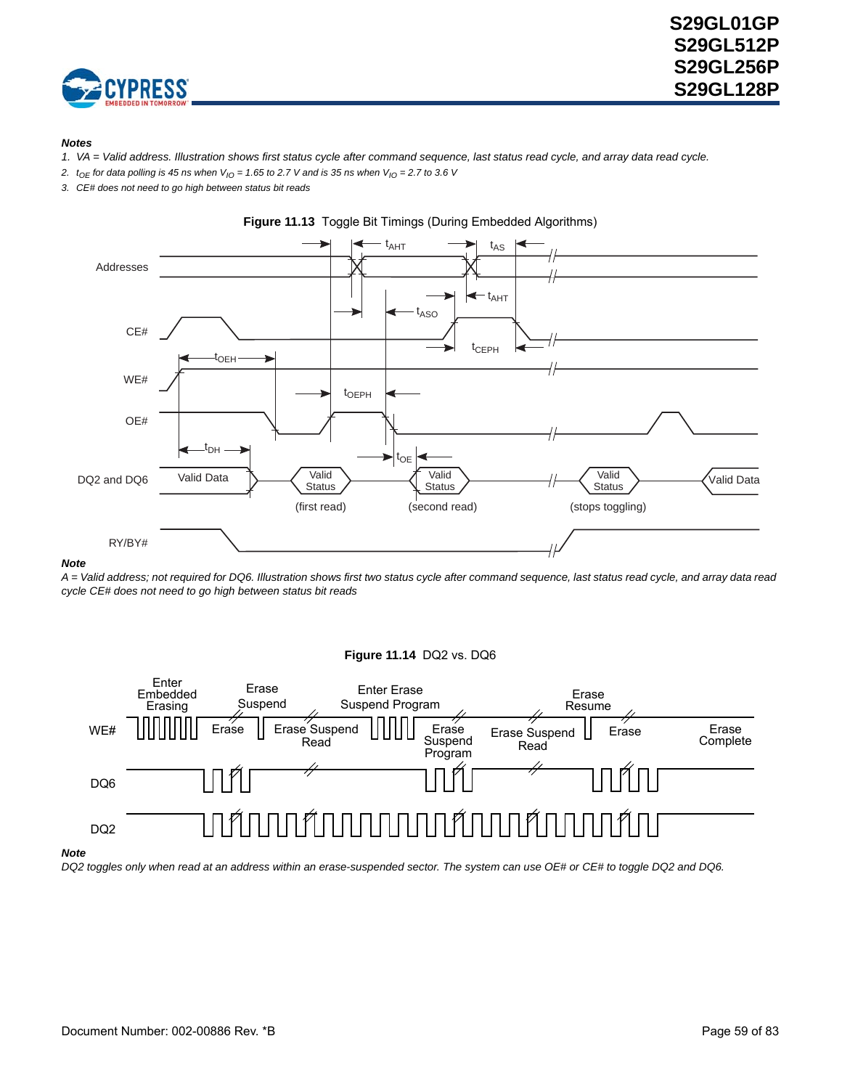

#### *Notes*

- *1. VA = Valid address. Illustration shows first status cycle after command sequence, last status read cycle, and array data read cycle.*
- 2.  $t_{OE}$  for data polling is 45 ns when  $V_{IO} = 1.65$  to 2.7 V and is 35 ns when  $V_{IO} = 2.7$  to 3.6 V
- *3. CE# does not need to go high between status bit reads*





#### *Note*

*A = Valid address; not required for DQ6. Illustration shows first two status cycle after command sequence, last status read cycle, and array data read cycle CE# does not need to go high between status bit reads*

#### **Figure 11.14** DQ2 vs. DQ6



#### *Note*

*DQ2 toggles only when read at an address within an erase-suspended sector. The system can use OE# or CE# to toggle DQ2 and DQ6.*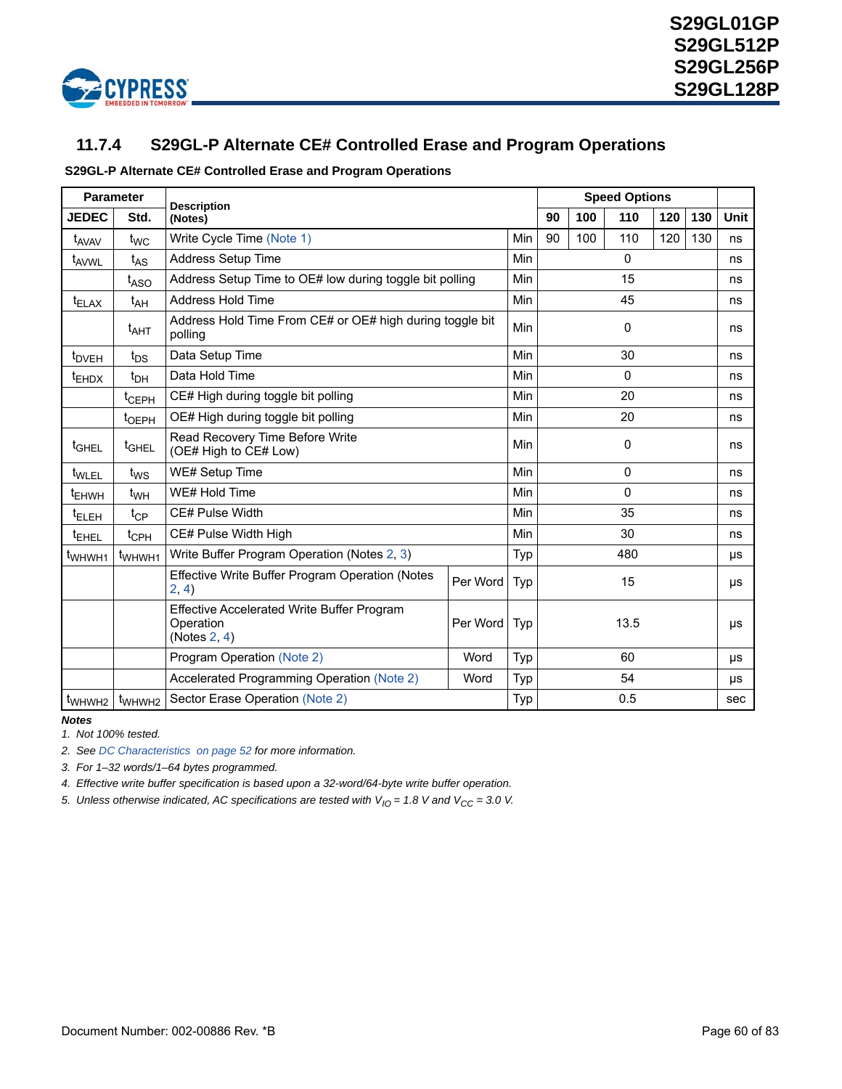

## **11.7.4 S29GL-P Alternate CE# Controlled Erase and Program Operations**

### **S29GL-P Alternate CE# Controlled Erase and Program Operations**

|                    | <b>Parameter</b>        | <b>Description</b>                                                         |      |     | <b>Speed Options</b> |      |              |     |     |      |
|--------------------|-------------------------|----------------------------------------------------------------------------|------|-----|----------------------|------|--------------|-----|-----|------|
| <b>JEDEC</b>       | Std.                    | (Notes)                                                                    |      |     | 90                   | 100  | 110          | 120 | 130 | Unit |
| t <sub>AVAV</sub>  | $t_{WC}$                | Write Cycle Time (Note 1)                                                  |      | Min | 90                   | 100  | 110          | 120 | 130 | ns   |
| t <sub>AVWL</sub>  | $t_{AS}$                | <b>Address Setup Time</b>                                                  |      | Min | $\Omega$             |      |              |     |     | ns   |
|                    | t <sub>ASO</sub>        | Address Setup Time to OE# low during toggle bit polling                    |      | Min | 15                   |      |              |     |     | ns   |
| $t_{\text{ELAX}}$  | t <sub>AH</sub>         | Address Hold Time                                                          |      | Min | 45                   |      |              |     |     | ns   |
|                    | $t_{\mathsf{AHT}}$      | Address Hold Time From CE# or OE# high during toggle bit<br>polling        |      | Min | 0                    |      |              |     |     | ns   |
| t <sub>DVEH</sub>  | $t_{DS}$                | Data Setup Time                                                            |      | 30  |                      |      | ns           |     |     |      |
| <sup>t</sup> EHDX  | $t_{\text{DH}}$         | Data Hold Time                                                             |      | Min |                      |      | $\mathbf{0}$ |     |     | ns   |
|                    | t <sub>CEPH</sub>       | CE# High during toggle bit polling                                         |      | Min | 20                   |      |              |     | ns  |      |
|                    | t <sub>OEPH</sub>       | OE# High during toggle bit polling                                         |      | Min |                      |      | 20           |     |     | ns   |
| t <sub>GHEL</sub>  | t <sub>GHEL</sub>       | Read Recovery Time Before Write<br>(OE# High to CE# Low)                   |      | Min |                      |      | 0            |     |     | ns   |
| t <sub>WLEL</sub>  | $t_{WS}$                | WE# Setup Time                                                             |      | Min | $\Omega$             |      |              |     | ns  |      |
| t <sub>EHWH</sub>  | $t_{WH}$                | WE# Hold Time                                                              |      | Min | 0                    |      |              |     | ns  |      |
| <sup>t</sup> ELEH  | $t_{CP}$                | CE# Pulse Width                                                            |      | Min | 35                   |      |              |     | ns  |      |
| <sup>t</sup> EHEL  | $t_{\text{CPH}}$        | CE# Pulse Width High                                                       |      | Min | 30                   |      |              |     | ns  |      |
| t <sub>WHWH1</sub> | t <sub>WHWH1</sub>      | Write Buffer Program Operation (Notes 2, 3)                                |      | Typ | 480                  |      |              |     | μs  |      |
|                    |                         | Effective Write Buffer Program Operation (Notes<br>2, 4)                   | Typ  |     |                      | 15   |              |     | μs  |      |
|                    |                         | Effective Accelerated Write Buffer Program<br>Operation<br>(Notes $2, 4$ ) | Typ  |     |                      | 13.5 |              |     | μs  |      |
|                    |                         | Program Operation (Note 2)                                                 | Word | Typ | 60                   |      |              |     | μs  |      |
|                    |                         | Accelerated Programming Operation (Note 2)                                 | Word | Typ | 54                   |      |              |     | μs  |      |
|                    | $t_{WHWH2}$ $t_{WHWH2}$ | 0.5<br>Sector Erase Operation (Note 2)<br>Typ                              |      |     |                      |      |              |     |     |      |

### *Notes*

*1. Not 100% tested.*

<span id="page-59-0"></span>*2. See [DC Characteristics on page 52](#page-50-0) for more information.*

<span id="page-59-1"></span>*3. For 1–32 words/1–64 bytes programmed.*

<span id="page-59-2"></span>*4. Effective write buffer specification is based upon a 32-word/64-byte write buffer operation.*

5. Unless otherwise indicated, AC specifications are tested with  $V_{10} = 1.8$  V and  $V_{CC} = 3.0$  V.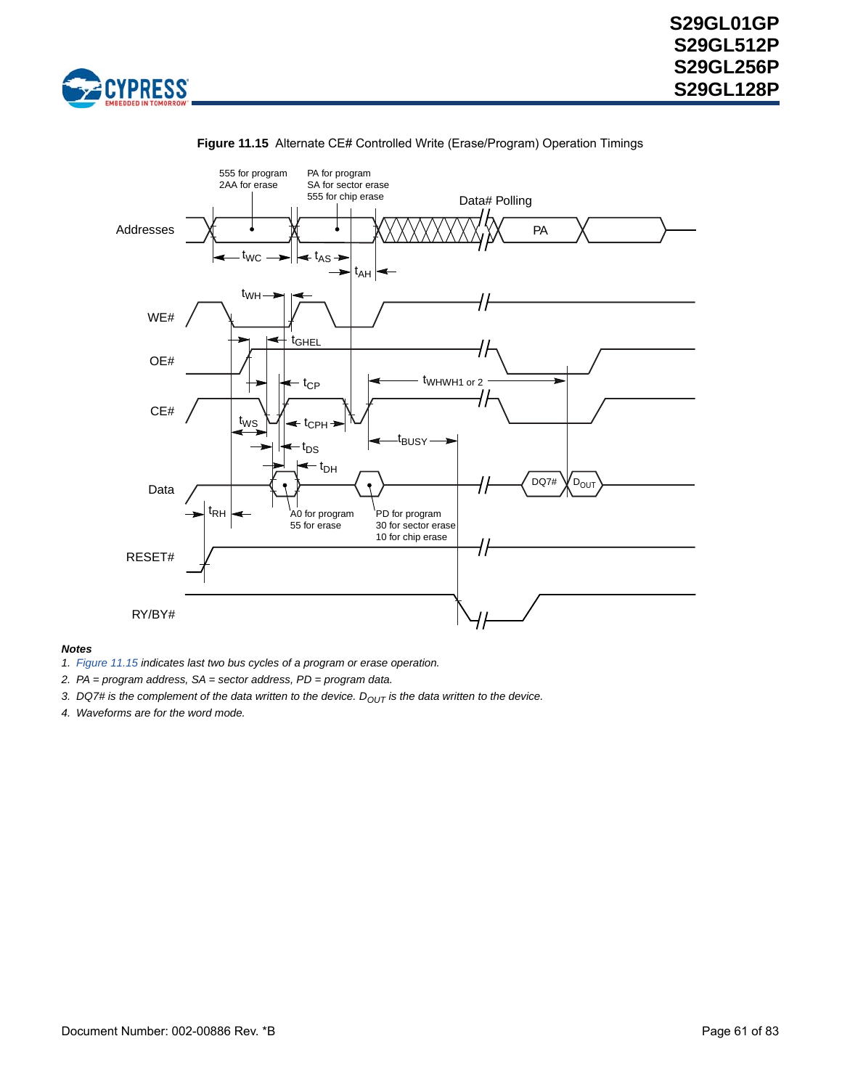

<span id="page-60-0"></span>

### **Figure 11.15** Alternate CE# Controlled Write (Erase/Program) Operation Timings

- *1. [Figure 11.15](#page-60-0) indicates last two bus cycles of a program or erase operation.*
- *2. PA = program address, SA = sector address, PD = program data.*
- 3. DQ7# is the complement of the data written to the device. D<sub>OUT</sub> is the data written to the device.
- *4. Waveforms are for the word mode.*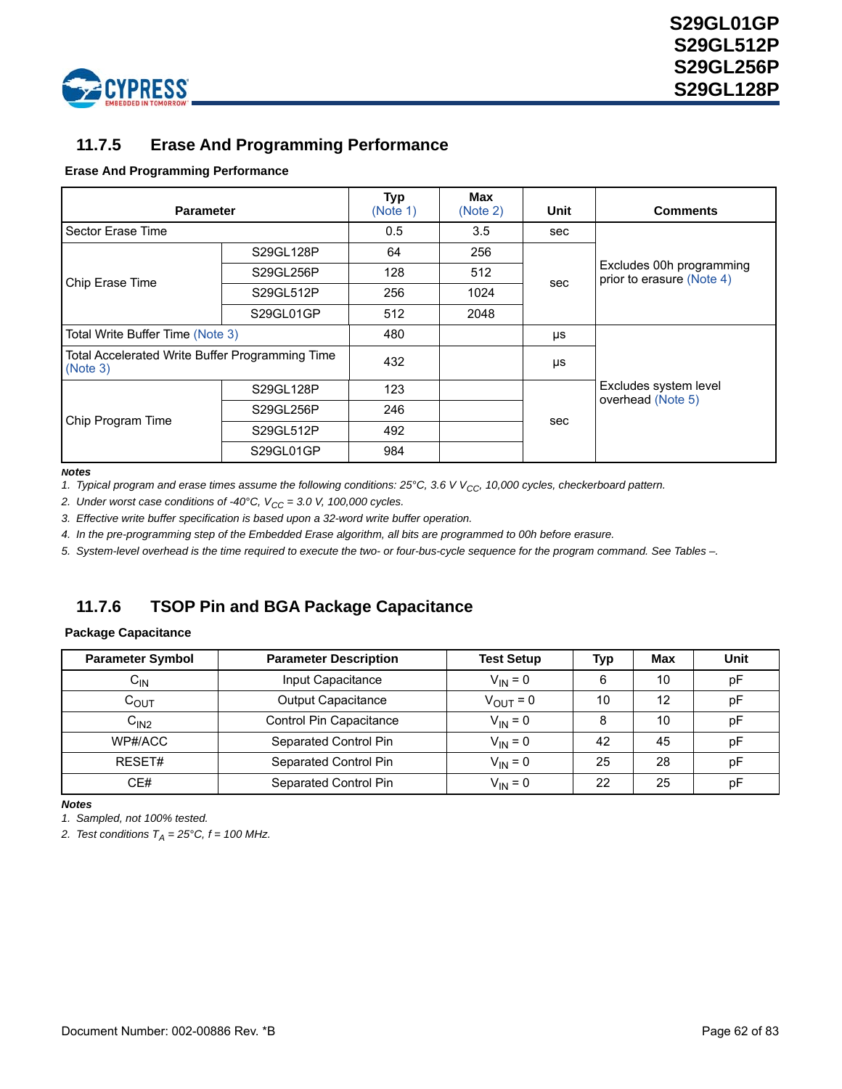



### **11.7.5 Erase And Programming Performance**

### **Erase And Programming Performance**

| <b>Parameter</b>                                            |           | <b>Typ</b><br>(Note 1) | <b>Max</b><br>(Note 2) | Unit | <b>Comments</b>                                       |  |  |  |
|-------------------------------------------------------------|-----------|------------------------|------------------------|------|-------------------------------------------------------|--|--|--|
| Sector Erase Time                                           |           | 0.5                    | 3.5                    | sec  |                                                       |  |  |  |
|                                                             | S29GL128P | 64                     | 256                    |      |                                                       |  |  |  |
|                                                             | S29GL256P | 128                    | 512                    |      | Excludes 00h programming<br>prior to erasure (Note 4) |  |  |  |
| Chip Erase Time                                             | S29GL512P | 256                    | 1024                   | sec  |                                                       |  |  |  |
|                                                             | S29GL01GP | 512                    | 2048                   |      |                                                       |  |  |  |
| Total Write Buffer Time (Note 3)                            |           | 480                    |                        | μs   |                                                       |  |  |  |
| Total Accelerated Write Buffer Programming Time<br>(Note 3) |           | 432                    |                        | μs   |                                                       |  |  |  |
|                                                             | S29GL128P | 123                    |                        |      | Excludes system level<br>overhead (Note 5)            |  |  |  |
| Chip Program Time                                           | S29GL256P | 246                    |                        |      |                                                       |  |  |  |
|                                                             | S29GL512P | 492                    |                        | sec  |                                                       |  |  |  |
|                                                             | S29GL01GP | 984                    |                        |      |                                                       |  |  |  |

#### *Notes*

<span id="page-61-0"></span>1. Typical program and erase times assume the following conditions: 25°C, 3.6 V V<sub>CC</sub>, 10,000 cycles, checkerboard pattern.

<span id="page-61-1"></span>2. Under worst case conditions of  $-40^{\circ}$ C,  $V_{CC} = 3.0$  V, 100,000 cycles.

<span id="page-61-3"></span>*3. Effective write buffer specification is based upon a 32-word write buffer operation.*

<span id="page-61-2"></span>*4. In the pre-programming step of the Embedded Erase algorithm, all bits are programmed to 00h before erasure.*

<span id="page-61-4"></span>*5. System-level overhead is the time required to execute the two- or four-bus-cycle sequence for the program command. See Tables [–.](#page-69-0)*

### **11.7.6 TSOP Pin and BGA Package Capacitance**

#### **Package Capacitance**

| <b>Parameter Symbol</b> | <b>Parameter Description</b> | <b>Test Setup</b>    | Typ | Max | Unit |
|-------------------------|------------------------------|----------------------|-----|-----|------|
| ${\sf C_{IN}}$          | Input Capacitance            | $V_{IN} = 0$         | 6   | 10  | рF   |
| $C_{\text{OUT}}$        | <b>Output Capacitance</b>    | $V_{\text{OUT}} = 0$ | 10  | 12  | рF   |
| C <sub>IN2</sub>        | Control Pin Capacitance      | $V_{IN} = 0$         | 8   | 10  | рF   |
| WP#/ACC                 | Separated Control Pin        | $V_{IN} = 0$         | 42  | 45  | рF   |
| RESET#                  | Separated Control Pin        | $V_{IN} = 0$         | 25  | 28  | рF   |
| CE#                     | Separated Control Pin        | $V_{IN} = 0$         | 22  | 25  | рF   |

*Notes*

*1. Sampled, not 100% tested.*

2. Test conditions  $T_A = 25^{\circ}$ C,  $f = 100$  MHz.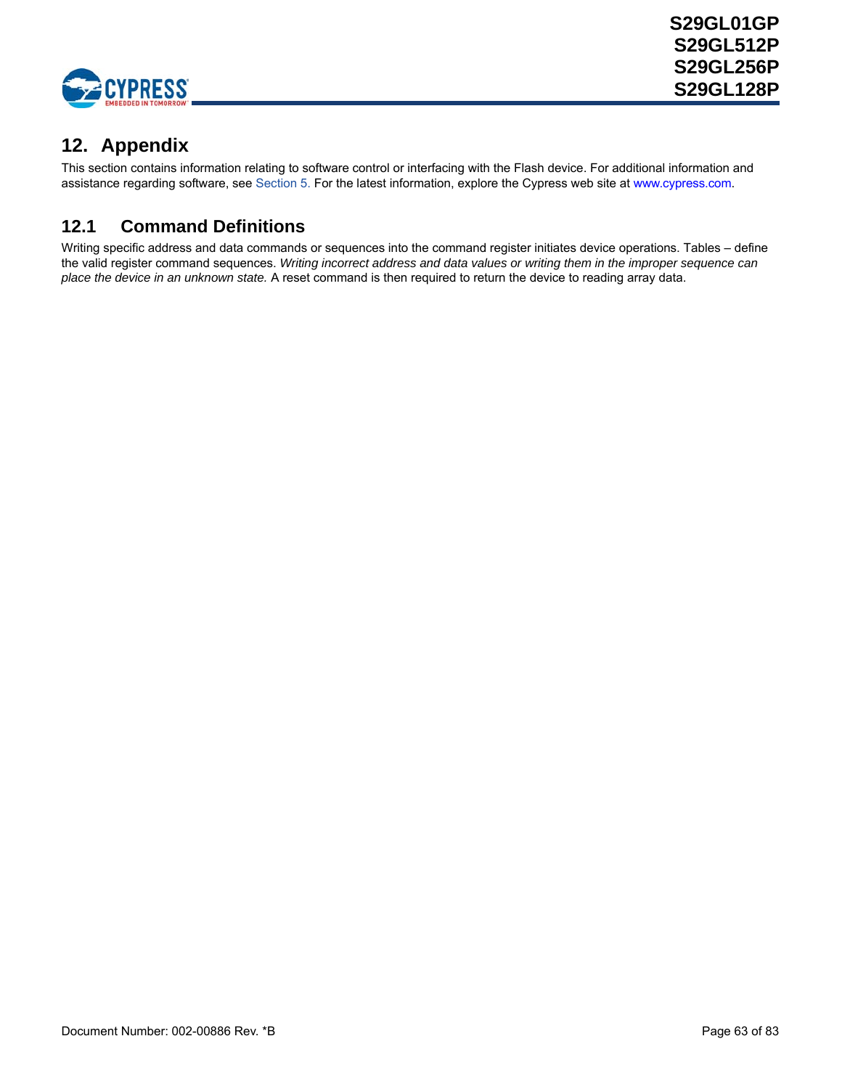

# **12. Appendix**

This section contains information relating to software control or interfacing with the Flash device. For additional information and assistance regarding software, see [Section 5.](#page-11-0) [For the latest information, explore the Cypress web site at w](http://www.spansion.com)ww.cypress.com.

# <span id="page-62-0"></span>**12.1 Command Definitions**

Writing specific address and data commands or sequences into the command register initiates device operations. Tables – define the valid register command sequences. *Writing incorrect address and data values or writing them in the improper sequence can place the device in an unknown state.* A reset command is then required to return the device to reading array data.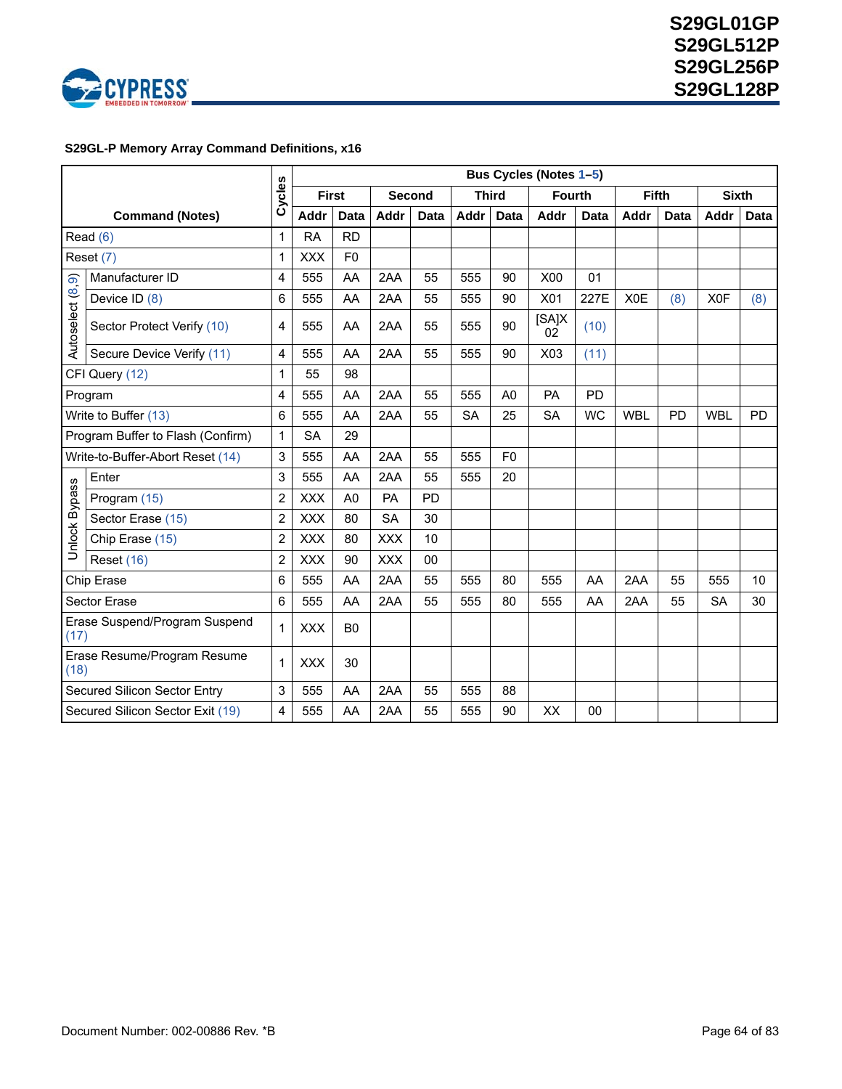

### <span id="page-63-0"></span> **S29GL-P Memory Array Command Definitions, x16**

|                                       |                                  |                |              |                |            |             |           |                | Bus Cycles (Notes 1-5) |             |              |             |                  |             |
|---------------------------------------|----------------------------------|----------------|--------------|----------------|------------|-------------|-----------|----------------|------------------------|-------------|--------------|-------------|------------------|-------------|
|                                       |                                  | Cycles         | <b>First</b> |                |            | Second      |           | <b>Third</b>   | <b>Fourth</b>          |             | <b>Fifth</b> |             | <b>Sixth</b>     |             |
|                                       | <b>Command (Notes)</b>           |                | Addr         | <b>Data</b>    | Addr       | <b>Data</b> | Addr      | <b>Data</b>    | Addr                   | <b>Data</b> | Addr         | <b>Data</b> | Addr             | <b>Data</b> |
|                                       | Read $(6)$                       | $\mathbf{1}$   | <b>RA</b>    | <b>RD</b>      |            |             |           |                |                        |             |              |             |                  |             |
|                                       | Reset (7)                        | 1              | <b>XXX</b>   | F <sub>0</sub> |            |             |           |                |                        |             |              |             |                  |             |
| $\widehat{\mathcal{O}}$               | Manufacturer ID                  | 4              | 555          | AA             | 2AA        | 55          | 555       | 90             | X00                    | 01          |              |             |                  |             |
|                                       | Device ID (8)                    | 6              | 555          | AA             | 2AA        | 55          | 555       | 90             | X01                    | 227E        | X0E          | (8)         | X <sub>0</sub> F | (8)         |
| Autoselect (8                         | Sector Protect Verify (10)       | 4              | 555          | AA             | 2AA        | 55          | 555       | 90             | [SA]X<br>02            | (10)        |              |             |                  |             |
|                                       | Secure Device Verify (11)        | 4              | 555          | AA             | 2AA        | 55          | 555       | 90             | X03                    | (11)        |              |             |                  |             |
| CFI Query (12)                        |                                  | 1              | 55           | 98             |            |             |           |                |                        |             |              |             |                  |             |
| Program                               |                                  | 4              | 555          | AA             | 2AA        | 55          | 555       | A <sub>0</sub> | <b>PA</b>              | PD          |              |             |                  |             |
| Write to Buffer (13)                  |                                  | 6              | 555          | AA             | 2AA        | 55          | <b>SA</b> | 25             | <b>SA</b>              | <b>WC</b>   | <b>WBL</b>   | PD          | <b>WBL</b>       | <b>PD</b>   |
| Program Buffer to Flash (Confirm)     |                                  | $\mathbf{1}$   | <b>SA</b>    | 29             |            |             |           |                |                        |             |              |             |                  |             |
|                                       | Write-to-Buffer-Abort Reset (14) | 3              | 555          | AA             | 2AA        | 55          | 555       | F <sub>0</sub> |                        |             |              |             |                  |             |
|                                       | Enter                            | $\mathbf{3}$   | 555          | AA             | 2AA        | 55          | 555       | 20             |                        |             |              |             |                  |             |
| Unlock Bypass                         | Program (15)                     | $\overline{2}$ | <b>XXX</b>   | A <sub>0</sub> | PA         | PD          |           |                |                        |             |              |             |                  |             |
|                                       | Sector Erase (15)                | $\overline{2}$ | <b>XXX</b>   | 80             | <b>SA</b>  | 30          |           |                |                        |             |              |             |                  |             |
|                                       | Chip Erase (15)                  | $\overline{2}$ | <b>XXX</b>   | 80             | <b>XXX</b> | 10          |           |                |                        |             |              |             |                  |             |
|                                       | <b>Reset (16)</b>                | $\overline{2}$ | <b>XXX</b>   | 90             | <b>XXX</b> | 00          |           |                |                        |             |              |             |                  |             |
|                                       | Chip Erase                       | 6              | 555          | AA             | 2AA        | 55          | 555       | 80             | 555                    | AA          | 2AA          | 55          | 555              | 10          |
|                                       | Sector Erase                     | 6              | 555          | AA             | 2AA        | 55          | 555       | 80             | 555                    | AA          | 2AA          | 55          | <b>SA</b>        | 30          |
| Erase Suspend/Program Suspend<br>(17) |                                  | 1              | <b>XXX</b>   | B <sub>0</sub> |            |             |           |                |                        |             |              |             |                  |             |
| Erase Resume/Program Resume<br>(18)   |                                  | 1              | <b>XXX</b>   | 30             |            |             |           |                |                        |             |              |             |                  |             |
|                                       | Secured Silicon Sector Entry     | 3              | 555          | AA             | 2AA        | 55          | 555       | 88             |                        |             |              |             |                  |             |
|                                       | Secured Silicon Sector Exit (19) | 4              | 555          | AA             | 2AA        | 55          | 555       | 90             | XX                     | 00          |              |             |                  |             |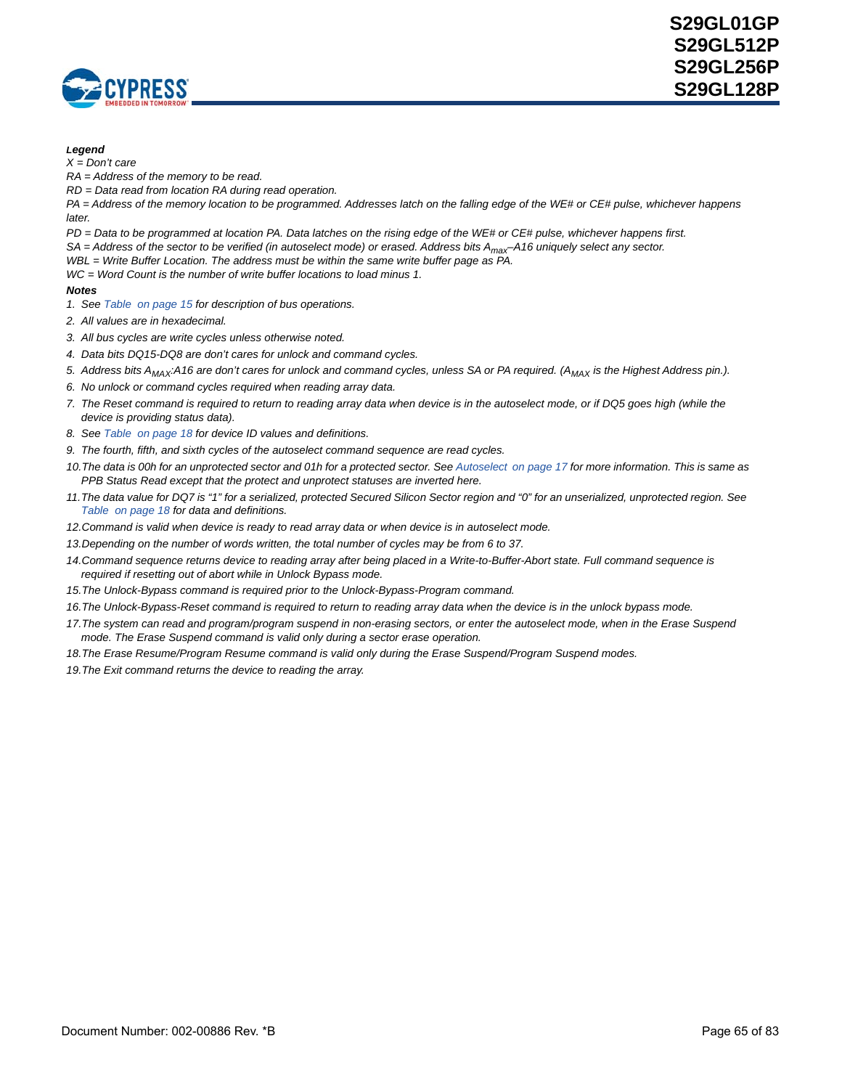

#### *Legend*

*X = Don't care*

*RA = Address of the memory to be read.*

*RD = Data read from location RA during read operation.* 

*PA = Address of the memory location to be programmed. Addresses latch on the falling edge of the WE# or CE# pulse, whichever happens later.*

*PD = Data to be programmed at location PA. Data latches on the rising edge of the WE# or CE# pulse, whichever happens first. SA = Address of the sector to be verified (in autoselect mode) or erased. Address bits Amax–A16 uniquely select any sector.*

*WBL = Write Buffer Location. The address must be within the same write buffer page as PA.*

*WC = Word Count is the number of write buffer locations to load minus 1.*

- <span id="page-64-0"></span>*1. See [Table on page 15](#page-14-0) for description of bus operations.*
- *2. All values are in hexadecimal.*
- *3. All bus cycles are write cycles unless otherwise noted.*
- *4. Data bits DQ15-DQ8 are don't cares for unlock and command cycles.*
- <span id="page-64-1"></span>5. Address bits A<sub>MAX</sub>:A16 are don't cares for unlock and command cycles, unless SA or PA required. (A<sub>MAX</sub> is the Highest Address pin.).
- <span id="page-64-2"></span>*6. No unlock or command cycles required when reading array data.*
- <span id="page-64-3"></span>*7. The Reset command is required to return to reading array data when device is in the autoselect mode, or if DQ5 goes high (while the device is providing status data).*
- <span id="page-64-4"></span>*8. See [Table on page 18](#page-17-0) for device ID values and definitions.*
- <span id="page-64-5"></span>*9. The fourth, fifth, and sixth cycles of the autoselect command sequence are read cycles.*
- <span id="page-64-6"></span>10. The data is 00h for an unprotected sector and 01h for a protected sector. See [Autoselect on page 17](#page-16-0) for more information. This is same as *PPB Status Read except that the protect and unprotect statuses are inverted here.*
- <span id="page-64-7"></span>*11.The data value for DQ7 is "1" for a serialized, protected Secured Silicon Sector region and "0" for an unserialized, unprotected region. See [Table on page 18](#page-17-1) for data and definitions.*
- <span id="page-64-8"></span>*12.Command is valid when device is ready to read array data or when device is in autoselect mode.*
- <span id="page-64-9"></span>*13.Depending on the number of words written, the total number of cycles may be from 6 to 37.*
- <span id="page-64-10"></span>*14.Command sequence returns device to reading array after being placed in a Write-to-Buffer-Abort state. Full command sequence is required if resetting out of abort while in Unlock Bypass mode.*
- <span id="page-64-11"></span>*15.The Unlock-Bypass command is required prior to the Unlock-Bypass-Program command.*
- <span id="page-64-12"></span>*16.The Unlock-Bypass-Reset command is required to return to reading array data when the device is in the unlock bypass mode.*
- <span id="page-64-13"></span>17. The system can read and program/program suspend in non-erasing sectors, or enter the autoselect mode, when in the Erase Suspend *mode. The Erase Suspend command is valid only during a sector erase operation.*
- <span id="page-64-14"></span>*18.The Erase Resume/Program Resume command is valid only during the Erase Suspend/Program Suspend modes.*
- <span id="page-64-15"></span>*19.The Exit command returns the device to reading the array.*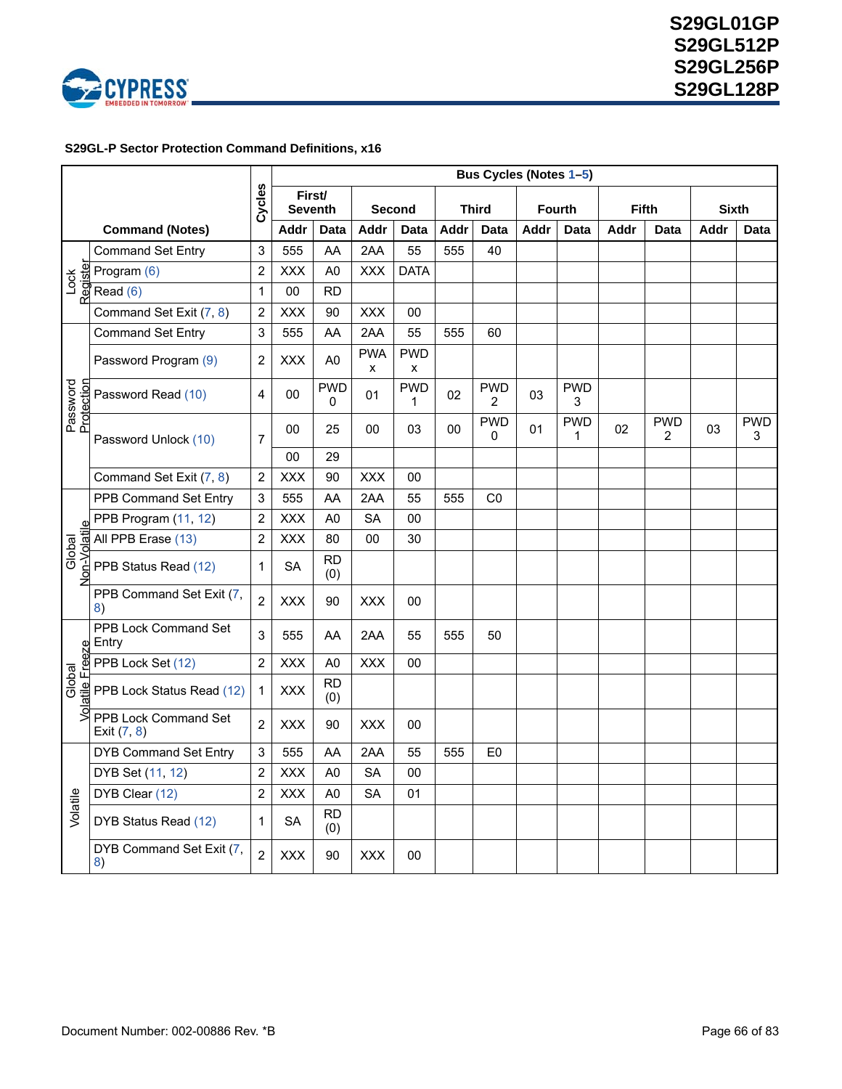

### <span id="page-65-0"></span> **S29GL-P Sector Protection Command Definitions, x16**

|                        |                                     |                | Bus Cycles (Notes 1-5)   |                  |                 |                 |      |                              |      |                 |              |                              |              |                 |  |  |
|------------------------|-------------------------------------|----------------|--------------------------|------------------|-----------------|-----------------|------|------------------------------|------|-----------------|--------------|------------------------------|--------------|-----------------|--|--|
|                        |                                     | Cycles         | First/<br><b>Seventh</b> |                  |                 | Second          |      | <b>Third</b>                 |      | <b>Fourth</b>   | <b>Fifth</b> |                              | <b>Sixth</b> |                 |  |  |
|                        | <b>Command (Notes)</b>              |                | Addr                     | Data             | <b>Addr</b>     | Data            | Addr | <b>Data</b>                  | Addr | Data            | Addr         | Data                         | Addr         | <b>Data</b>     |  |  |
|                        | <b>Command Set Entry</b>            | 3              | 555                      | AA               | 2AA             | 55              | 555  | 40                           |      |                 |              |                              |              |                 |  |  |
| Register<br>Lock       | Program (6)                         | $\overline{2}$ | <b>XXX</b>               | A <sub>0</sub>   | <b>XXX</b>      | <b>DATA</b>     |      |                              |      |                 |              |                              |              |                 |  |  |
|                        | Read (6)                            | $\mathbf{1}$   | 00                       | <b>RD</b>        |                 |                 |      |                              |      |                 |              |                              |              |                 |  |  |
|                        | Command Set Exit (7, 8)             | $\overline{2}$ | <b>XXX</b>               | 90               | <b>XXX</b>      | 00              |      |                              |      |                 |              |                              |              |                 |  |  |
|                        | <b>Command Set Entry</b>            | 3              | 555                      | AA               | 2AA             | 55              | 555  | 60                           |      |                 |              |                              |              |                 |  |  |
|                        | Password Program (9)                | $\overline{2}$ | <b>XXX</b>               | A <sub>0</sub>   | <b>PWA</b><br>x | <b>PWD</b><br>X |      |                              |      |                 |              |                              |              |                 |  |  |
| Password<br>Protection | Password Read (10)                  | 4              | 00                       | <b>PWD</b><br>0  | 01              | <b>PWD</b><br>1 | 02   | <b>PWD</b><br>$\overline{2}$ | 03   | <b>PWD</b><br>3 |              |                              |              |                 |  |  |
|                        | Password Unlock (10)                | $\overline{7}$ | 00                       | 25               | 00              | 03              | 00   | <b>PWD</b><br>0              | 01   | <b>PWD</b><br>1 | 02           | <b>PWD</b><br>$\overline{2}$ | 03           | <b>PWD</b><br>3 |  |  |
|                        |                                     |                | 00                       | 29               |                 |                 |      |                              |      |                 |              |                              |              |                 |  |  |
|                        | Command Set Exit (7, 8)             | 2              | <b>XXX</b>               | 90               | <b>XXX</b>      | 00              |      |                              |      |                 |              |                              |              |                 |  |  |
|                        | PPB Command Set Entry               | 3              | 555                      | AA               | 2AA             | 55              | 555  | C <sub>0</sub>               |      |                 |              |                              |              |                 |  |  |
|                        | PPB Program (11, 12)                | $\overline{2}$ | <b>XXX</b>               | A <sub>0</sub>   | <b>SA</b>       | 00              |      |                              |      |                 |              |                              |              |                 |  |  |
|                        | All PPB Erase (13)                  | $\overline{c}$ | <b>XXX</b>               | 80               | 00              | 30              |      |                              |      |                 |              |                              |              |                 |  |  |
| Non-Volatil<br>Global  | PPB Status Read (12)                | 1              | SА                       | <b>RD</b><br>(0) |                 |                 |      |                              |      |                 |              |                              |              |                 |  |  |
|                        | PPB Command Set Exit (7,<br>8)      | $\overline{2}$ | <b>XXX</b>               | 90               | <b>XXX</b>      | 00              |      |                              |      |                 |              |                              |              |                 |  |  |
|                        | PPB Lock Command Set<br>Entry       | 3              | 555                      | AA               | 2AA             | 55              | 555  | 50                           |      |                 |              |                              |              |                 |  |  |
|                        | PPB Lock Set (12)                   | $\overline{2}$ | <b>XXX</b>               | A <sub>0</sub>   | <b>XXX</b>      | 00              |      |                              |      |                 |              |                              |              |                 |  |  |
| atile Freeze<br>Global | PPB Lock Status Read (12)           | 1              | <b>XXX</b>               | <b>RD</b><br>(0) |                 |                 |      |                              |      |                 |              |                              |              |                 |  |  |
| 3                      | PPB Lock Command Set<br>Exit (7, 8) | $\overline{2}$ | <b>XXX</b>               | 90               | <b>XXX</b>      | 00              |      |                              |      |                 |              |                              |              |                 |  |  |
|                        | <b>DYB Command Set Entry</b>        | 3              | 555                      | AA               | 2AA             | 55              | 555  | E0                           |      |                 |              |                              |              |                 |  |  |
|                        | DYB Set (11, 12)                    | $\overline{c}$ | <b>XXX</b>               | A <sub>0</sub>   | <b>SA</b>       | 00              |      |                              |      |                 |              |                              |              |                 |  |  |
| Volatile               | DYB Clear (12)                      | $\overline{2}$ | <b>XXX</b>               | A <sub>0</sub>   | <b>SA</b>       | 01              |      |                              |      |                 |              |                              |              |                 |  |  |
|                        | DYB Status Read (12)                | $\mathbf{1}$   | <b>SA</b>                | <b>RD</b><br>(0) |                 |                 |      |                              |      |                 |              |                              |              |                 |  |  |
|                        | DYB Command Set Exit (7,<br>8)      | $\overline{2}$ | <b>XXX</b>               | 90               | <b>XXX</b>      | 00              |      |                              |      |                 |              |                              |              |                 |  |  |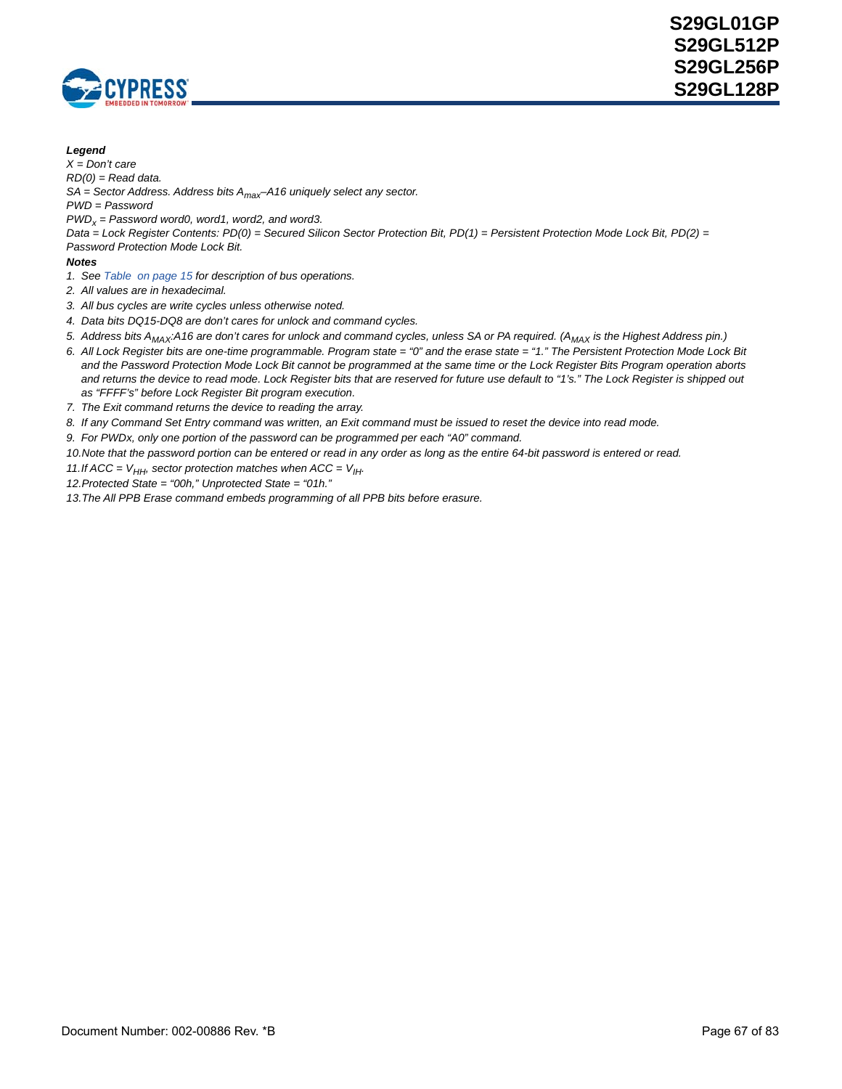

#### *Legend*

*X = Don't care*

*RD(0) = Read data.* 

*SA = Sector Address. Address bits Amax–A16 uniquely select any sector.*

*PWD = Password*

*PWDx = Password word0, word1, word2, and word3.*

*Data = Lock Register Contents: PD(0) = Secured Silicon Sector Protection Bit, PD(1) = Persistent Protection Mode Lock Bit, PD(2) = Password Protection Mode Lock Bit.*

- <span id="page-66-0"></span>*1. See [Table on page 15](#page-14-0) for description of bus operations.*
- *2. All values are in hexadecimal.*
- *3. All bus cycles are write cycles unless otherwise noted.*
- *4. Data bits DQ15-DQ8 are don't cares for unlock and command cycles.*
- <span id="page-66-1"></span>5. Address bits A<sub>MAX</sub>:A16 are don't cares for unlock and command cycles, unless SA or PA required. (A<sub>MAX</sub> is the Highest Address pin.)
- <span id="page-66-2"></span>*6. All Lock Register bits are one-time programmable. Program state = "0" and the erase state = "1." The Persistent Protection Mode Lock Bit and the Password Protection Mode Lock Bit cannot be programmed at the same time or the Lock Register Bits Program operation aborts*  and returns the device to read mode. Lock Register bits that are reserved for future use default to "1's." The Lock Register is shipped out *as "FFFF's" before Lock Register Bit program execution.*
- <span id="page-66-3"></span>*7. The Exit command returns the device to reading the array.*
- <span id="page-66-4"></span>*8. If any Command Set Entry command was written, an Exit command must be issued to reset the device into read mode.*
- <span id="page-66-5"></span>*9. For PWDx, only one portion of the password can be programmed per each "A0" command.*
- <span id="page-66-6"></span>*10.Note that the password portion can be entered or read in any order as long as the entire 64-bit password is entered or read.*
- <span id="page-66-7"></span>*11.If ACC =*  $V_{HH}$ *, sector protection matches when ACC =*  $V_{HH}$ *.*
- <span id="page-66-8"></span>*12.Protected State = "00h," Unprotected State = "01h."*
- <span id="page-66-9"></span>*13.The All PPB Erase command embeds programming of all PPB bits before erasure.*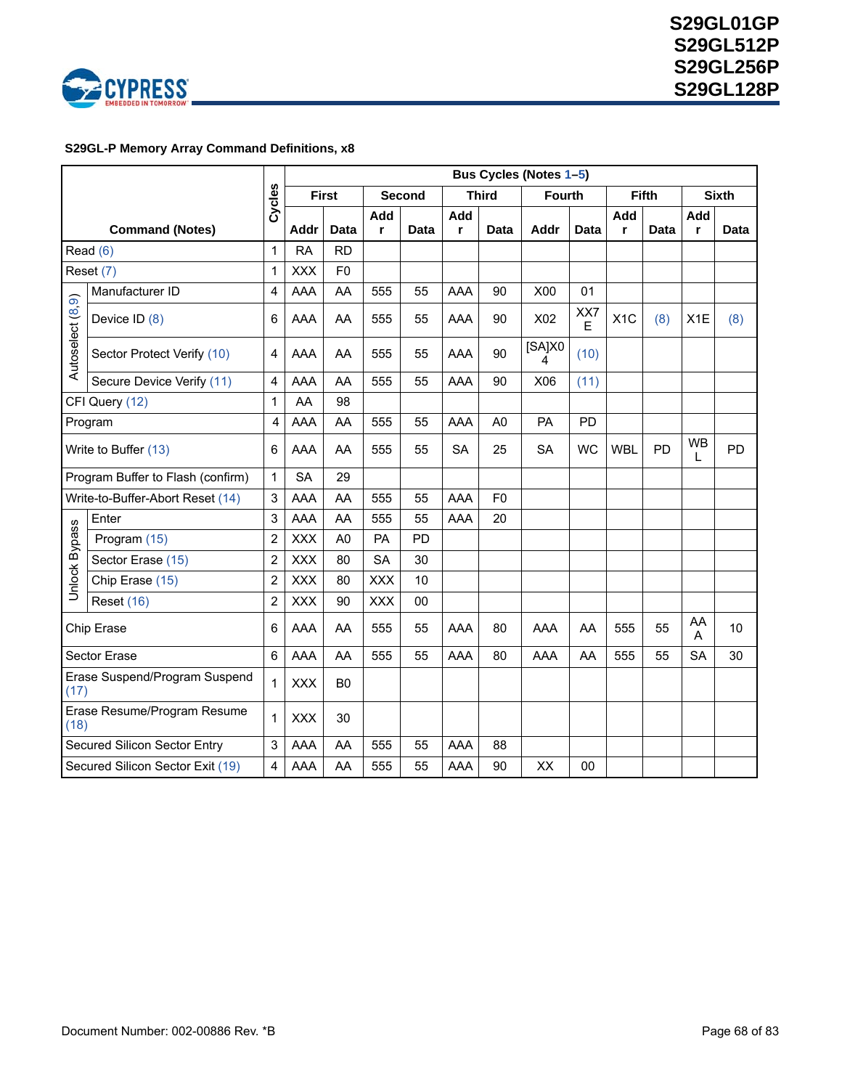

### **S29GL-P Memory Array Command Definitions, x8**

|                                       |                                      |                         |             |                   |            |        |     |                | Bus Cycles (Notes 1-5) |           |            |              |           |              |
|---------------------------------------|--------------------------------------|-------------------------|-------------|-------------------|------------|--------|-----|----------------|------------------------|-----------|------------|--------------|-----------|--------------|
|                                       |                                      | Cycles                  |             | <b>First</b>      |            | Second |     | <b>Third</b>   | <b>Fourth</b>          |           |            | <b>Fifth</b> |           | <b>Sixth</b> |
|                                       |                                      |                         | <b>Addr</b> |                   | Add        |        | Add |                |                        |           | Add        |              | Add       |              |
|                                       | <b>Command (Notes)</b><br>Read $(6)$ | 1                       | <b>RA</b>   | Data<br><b>RD</b> | r          | Data   | r   | <b>Data</b>    | Addr                   | Data      | r          | Data         | r         | Data         |
|                                       |                                      |                         | <b>XXX</b>  | F <sub>0</sub>    |            |        |     |                |                        |           |            |              |           |              |
| Reset (7)                             |                                      | $\mathbf{1}$            |             |                   |            |        |     |                |                        |           |            |              |           |              |
|                                       | Manufacturer ID                      | 4                       | AAA         | AA                | 555        | 55     | AAA | 90             | X00                    | 01        |            |              |           |              |
|                                       | Device ID (8)                        | 6                       | AAA         | AA                | 555        | 55     | AAA | 90             | X02                    | XX7<br>E  | X1C        | (8)          | X1E       | (8)          |
| Autoselect (8,9)                      | Sector Protect Verify (10)           | 4                       | AAA         | AA                | 555        | 55     | AAA | 90             | [SA]X0<br>4            | (10)      |            |              |           |              |
|                                       | Secure Device Verify (11)            | 4                       | AAA         | AA                | 555        | 55     | AAA | 90             | X06                    | (11)      |            |              |           |              |
|                                       | CFI Query (12)                       | $\mathbf{1}$            | AA          | 98                |            |        |     |                |                        |           |            |              |           |              |
| Program                               |                                      | 4                       | AAA         | AA                | 555        | 55     | AAA | A <sub>0</sub> | PA                     | PD        |            |              |           |              |
| Write to Buffer (13)                  |                                      | 6                       | AAA         | AA                | 555        | 55     | SA  | 25             | <b>SA</b>              | <b>WC</b> | <b>WBL</b> | <b>PD</b>    | WB<br>L   | <b>PD</b>    |
|                                       | Program Buffer to Flash (confirm)    | $\mathbf{1}$            | <b>SA</b>   | 29                |            |        |     |                |                        |           |            |              |           |              |
|                                       | Write-to-Buffer-Abort Reset (14)     | 3                       | <b>AAA</b>  | AA                | 555        | 55     | AAA | F <sub>0</sub> |                        |           |            |              |           |              |
|                                       | Enter                                | 3                       | AAA         | AA                | 555        | 55     | AAA | 20             |                        |           |            |              |           |              |
|                                       | Program (15)                         | $\overline{c}$          | <b>XXX</b>  | A <sub>0</sub>    | PA         | PD     |     |                |                        |           |            |              |           |              |
| <b>Unlock Bypass</b>                  | Sector Erase (15)                    | $\overline{\mathbf{c}}$ | <b>XXX</b>  | 80                | <b>SA</b>  | 30     |     |                |                        |           |            |              |           |              |
|                                       | Chip Erase (15)                      | $\overline{c}$          | <b>XXX</b>  | 80                | <b>XXX</b> | 10     |     |                |                        |           |            |              |           |              |
|                                       | <b>Reset (16)</b>                    | 2                       | <b>XXX</b>  | 90                | <b>XXX</b> | 00     |     |                |                        |           |            |              |           |              |
|                                       | Chip Erase                           | 6                       | AAA         | AA                | 555        | 55     | AAA | 80             | AAA                    | AA        | 555        | 55           | AA<br>A   | 10           |
|                                       | <b>Sector Erase</b>                  | 6                       | AAA         | AA                | 555        | 55     | AAA | 80             | AAA                    | AA        | 555        | 55           | <b>SA</b> | 30           |
| Erase Suspend/Program Suspend<br>(17) |                                      | $\mathbf{1}$            | <b>XXX</b>  | B <sub>0</sub>    |            |        |     |                |                        |           |            |              |           |              |
| Erase Resume/Program Resume<br>(18)   |                                      | $\mathbf{1}$            | <b>XXX</b>  | 30                |            |        |     |                |                        |           |            |              |           |              |
|                                       | Secured Silicon Sector Entry         | 3                       | AAA         | AA                | 555        | 55     | AAA | 88             |                        |           |            |              |           |              |
|                                       | Secured Silicon Sector Exit (19)     | 4                       | AAA         | AA                | 555        | 55     | AAA | 90             | XX                     | 00        |            |              |           |              |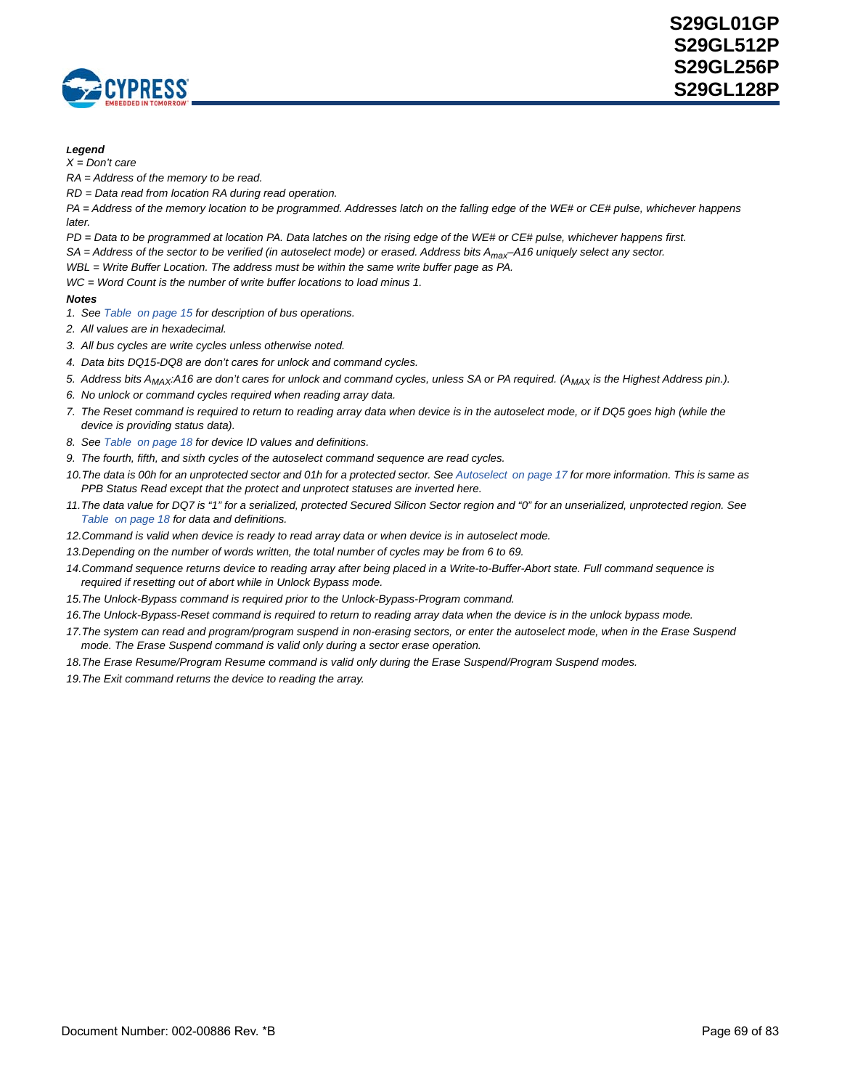

#### *Legend*

*X = Don't care*

*RA = Address of the memory to be read.*

*RD = Data read from location RA during read operation.* 

*PA = Address of the memory location to be programmed. Addresses latch on the falling edge of the WE# or CE# pulse, whichever happens later.* 

*PD = Data to be programmed at location PA. Data latches on the rising edge of the WE# or CE# pulse, whichever happens first.*

*SA = Address of the sector to be verified (in autoselect mode) or erased. Address bits Amax–A16 uniquely select any sector.*

*WBL = Write Buffer Location. The address must be within the same write buffer page as PA.*

*WC = Word Count is the number of write buffer locations to load minus 1.*

- <span id="page-68-0"></span>*1. See [Table on page 15](#page-14-0) for description of bus operations.*
- *2. All values are in hexadecimal.*
- *3. All bus cycles are write cycles unless otherwise noted.*
- *4. Data bits DQ15-DQ8 are don't cares for unlock and command cycles.*
- <span id="page-68-1"></span>5. Address bits A<sub>MAX</sub>:A16 are don't cares for unlock and command cycles, unless SA or PA required. (A<sub>MAX</sub> is the Highest Address pin.).
- <span id="page-68-2"></span>*6. No unlock or command cycles required when reading array data.*
- <span id="page-68-3"></span>*7. The Reset command is required to return to reading array data when device is in the autoselect mode, or if DQ5 goes high (while the device is providing status data).*
- <span id="page-68-4"></span>*8. See [Table on page 18](#page-17-0) for device ID values and definitions.*
- <span id="page-68-5"></span>*9. The fourth, fifth, and sixth cycles of the autoselect command sequence are read cycles.*
- <span id="page-68-6"></span>10. The data is 00h for an unprotected sector and 01h for a protected sector. See [Autoselect on page 17](#page-16-0) for more information. This is same as *PPB Status Read except that the protect and unprotect statuses are inverted here.*
- <span id="page-68-7"></span>*11.The data value for DQ7 is "1" for a serialized, protected Secured Silicon Sector region and "0" for an unserialized, unprotected region. See [Table on page 18](#page-17-1) for data and definitions.*
- <span id="page-68-8"></span>*12.Command is valid when device is ready to read array data or when device is in autoselect mode.*
- <span id="page-68-9"></span>*13.Depending on the number of words written, the total number of cycles may be from 6 to 69.*
- <span id="page-68-10"></span>*14.Command sequence returns device to reading array after being placed in a Write-to-Buffer-Abort state. Full command sequence is required if resetting out of abort while in Unlock Bypass mode.*
- <span id="page-68-11"></span>*15.The Unlock-Bypass command is required prior to the Unlock-Bypass-Program command.*
- <span id="page-68-12"></span>*16.The Unlock-Bypass-Reset command is required to return to reading array data when the device is in the unlock bypass mode.*
- <span id="page-68-13"></span>17. The system can read and program/program suspend in non-erasing sectors, or enter the autoselect mode, when in the Erase Suspend *mode. The Erase Suspend command is valid only during a sector erase operation.*
- <span id="page-68-14"></span>*18.The Erase Resume/Program Resume command is valid only during the Erase Suspend/Program Suspend modes.*
- <span id="page-68-15"></span>*19.The Exit command returns the device to reading the array.*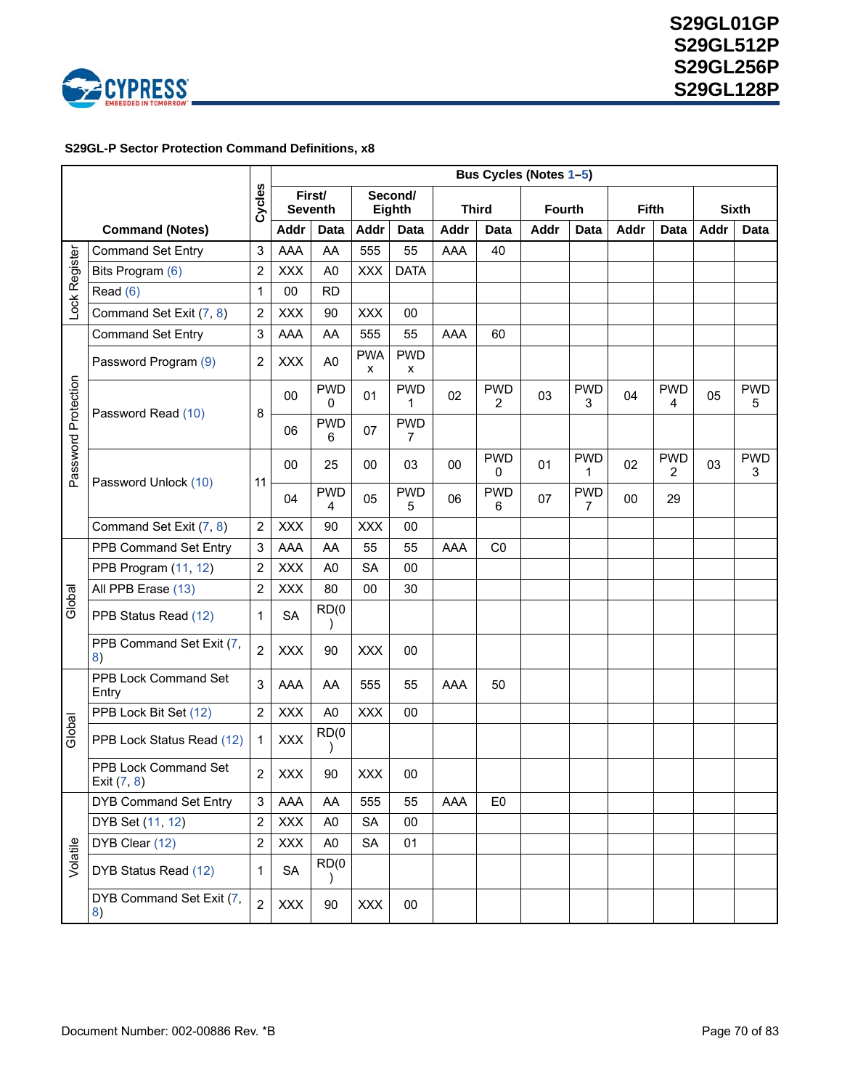

### <span id="page-69-0"></span> **S29GL-P Sector Protection Command Definitions, x8**

|                     |                                     |                  |            |                          |                 |                   |      |                 | Bus Cycles (Notes 1-5) |                 |              |                 |      |                 |
|---------------------|-------------------------------------|------------------|------------|--------------------------|-----------------|-------------------|------|-----------------|------------------------|-----------------|--------------|-----------------|------|-----------------|
|                     |                                     | Cycles           |            | First/<br><b>Seventh</b> |                 | Second/<br>Eighth |      | <b>Third</b>    | <b>Fourth</b>          |                 | <b>Fifth</b> |                 |      | <b>Sixth</b>    |
|                     | <b>Command (Notes)</b>              |                  | Addr       | <b>Data</b>              | <b>Addr</b>     | <b>Data</b>       | Addr | Data            | Addr                   | Data            | Addr         | Data            | Addr | Data            |
|                     | <b>Command Set Entry</b>            | 3                | AAA        | AA                       | 555             | 55                | AAA  | 40              |                        |                 |              |                 |      |                 |
| Lock Register       | Bits Program (6)                    | $\overline{2}$   | <b>XXX</b> | A <sub>0</sub>           | <b>XXX</b>      | <b>DATA</b>       |      |                 |                        |                 |              |                 |      |                 |
|                     | Read $(6)$                          | $\mathbf{1}$     | 00         | <b>RD</b>                |                 |                   |      |                 |                        |                 |              |                 |      |                 |
|                     | Command Set Exit (7, 8)             | $\overline{2}$   | <b>XXX</b> | 90                       | <b>XXX</b>      | $00\,$            |      |                 |                        |                 |              |                 |      |                 |
|                     | <b>Command Set Entry</b>            | $\mathsf 3$      | AAA        | AA                       | 555             | 55                | AAA  | 60              |                        |                 |              |                 |      |                 |
|                     | Password Program (9)                | $\overline{2}$   | <b>XXX</b> | A <sub>0</sub>           | <b>PWA</b><br>x | <b>PWD</b><br>x   |      |                 |                        |                 |              |                 |      |                 |
|                     | Password Read (10)                  | 8                | 00         | <b>PWD</b><br>0          | 01              | <b>PWD</b><br>1   | 02   | <b>PWD</b><br>2 | 03                     | <b>PWD</b><br>3 | 04           | <b>PWD</b><br>4 | 05   | <b>PWD</b><br>5 |
|                     |                                     |                  | 06         | <b>PWD</b><br>6          | 07              | <b>PWD</b><br>7   |      |                 |                        |                 |              |                 |      |                 |
| Password Protection |                                     |                  | 00         | 25                       | 00              | 03                | 00   | <b>PWD</b><br>0 | 01                     | <b>PWD</b><br>1 | 02           | <b>PWD</b><br>2 | 03   | <b>PWD</b><br>3 |
|                     | Password Unlock (10)                | 11               | 04         | <b>PWD</b><br>4          | 05              | <b>PWD</b><br>5   | 06   | <b>PWD</b><br>6 | 07                     | <b>PWD</b><br>7 | 00           | 29              |      |                 |
|                     | Command Set Exit (7, 8)             | $\overline{2}$   | <b>XXX</b> | 90                       | <b>XXX</b>      | $00\,$            |      |                 |                        |                 |              |                 |      |                 |
|                     | PPB Command Set Entry               | $\mathsf 3$      | AAA        | AA                       | 55              | 55                | AAA  | CO              |                        |                 |              |                 |      |                 |
|                     | PPB Program (11, 12)                | $\overline{2}$   | <b>XXX</b> | A <sub>0</sub>           | <b>SA</b>       | $00\,$            |      |                 |                        |                 |              |                 |      |                 |
|                     | All PPB Erase (13)                  | $\overline{2}$   | <b>XXX</b> | 80                       | 00              | 30                |      |                 |                        |                 |              |                 |      |                 |
| Global              | PPB Status Read (12)                | $\mathbf{1}$     | <b>SA</b>  | RD(0)<br>$\lambda$       |                 |                   |      |                 |                        |                 |              |                 |      |                 |
|                     | PPB Command Set Exit (7,<br>8)      | $\overline{2}$   | <b>XXX</b> | 90                       | <b>XXX</b>      | $00\,$            |      |                 |                        |                 |              |                 |      |                 |
|                     | PPB Lock Command Set<br>Entry       | 3                | AAA        | AA                       | 555             | 55                | AAA  | 50              |                        |                 |              |                 |      |                 |
|                     | PPB Lock Bit Set (12)               | $\overline{2}$   | XXX        | A <sub>0</sub>           | <b>XXX</b>      | 00                |      |                 |                        |                 |              |                 |      |                 |
| Global              | PPB Lock Status Read (12)           | 1                | XXX        | RD(0)                    |                 |                   |      |                 |                        |                 |              |                 |      |                 |
|                     | PPB Lock Command Set<br>Exit (7, 8) | $\overline{2}$   | XXX        | 90                       | <b>XXX</b>      | 00                |      |                 |                        |                 |              |                 |      |                 |
|                     | <b>DYB Command Set Entry</b>        | 3                | AAA        | AA                       | 555             | 55                | AAA  | E <sub>0</sub>  |                        |                 |              |                 |      |                 |
|                     | DYB Set (11, 12)                    | $\boldsymbol{2}$ | <b>XXX</b> | A <sub>0</sub>           | SA              | 00                |      |                 |                        |                 |              |                 |      |                 |
|                     | DYB Clear (12)                      | $\mathbf 2$      | <b>XXX</b> | A <sub>0</sub>           | <b>SA</b>       | 01                |      |                 |                        |                 |              |                 |      |                 |
| volatile            | DYB Status Read (12)                | $\mathbf{1}$     | SA         | RD(0)<br>$\lambda$       |                 |                   |      |                 |                        |                 |              |                 |      |                 |
|                     | DYB Command Set Exit (7,<br>8)      | $\overline{2}$   | XXX        | 90                       | <b>XXX</b>      | $00\,$            |      |                 |                        |                 |              |                 |      |                 |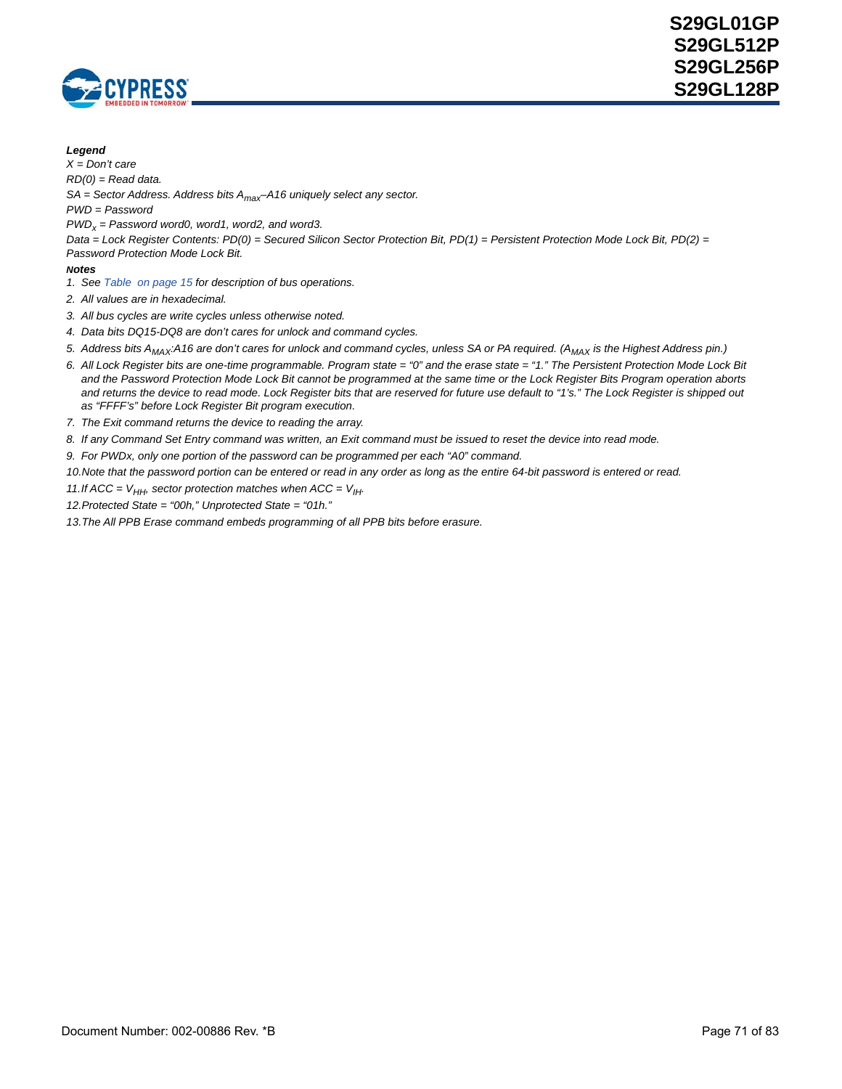

#### *Legend*

*X = Don't care*

*RD(0) = Read data.* 

*SA = Sector Address. Address bits Amax–A16 uniquely select any sector.*

*PWD = Password*

*PWDx = Password word0, word1, word2, and word3.*

*Data = Lock Register Contents: PD(0) = Secured Silicon Sector Protection Bit, PD(1) = Persistent Protection Mode Lock Bit, PD(2) = Password Protection Mode Lock Bit.*

#### *Notes*

<span id="page-70-0"></span>*1. See [Table on page 15](#page-14-0) for description of bus operations.*

*2. All values are in hexadecimal.*

- *3. All bus cycles are write cycles unless otherwise noted.*
- *4. Data bits DQ15-DQ8 are don't cares for unlock and command cycles.*
- <span id="page-70-1"></span>5. Address bits A<sub>MAX</sub>:A16 are don't cares for unlock and command cycles, unless SA or PA required. (A<sub>MAX</sub> is the Highest Address pin.)
- <span id="page-70-2"></span>*6. All Lock Register bits are one-time programmable. Program state = "0" and the erase state = "1." The Persistent Protection Mode Lock Bit and the Password Protection Mode Lock Bit cannot be programmed at the same time or the Lock Register Bits Program operation aborts*  and returns the device to read mode. Lock Register bits that are reserved for future use default to "1's." The Lock Register is shipped out *as "FFFF's" before Lock Register Bit program execution.*
- <span id="page-70-3"></span>*7. The Exit command returns the device to reading the array.*
- <span id="page-70-4"></span>*8. If any Command Set Entry command was written, an Exit command must be issued to reset the device into read mode.*
- <span id="page-70-5"></span>*9. For PWDx, only one portion of the password can be programmed per each "A0" command.*

<span id="page-70-6"></span>*10.Note that the password portion can be entered or read in any order as long as the entire 64-bit password is entered or read.*

- <span id="page-70-7"></span>*11.If ACC =*  $V_{HH}$ *, sector protection matches when ACC =*  $V_{HH}$ *.*
- <span id="page-70-8"></span>*12.Protected State = "00h," Unprotected State = "01h."*
- <span id="page-70-9"></span>*13.The All PPB Erase command embeds programming of all PPB bits before erasure.*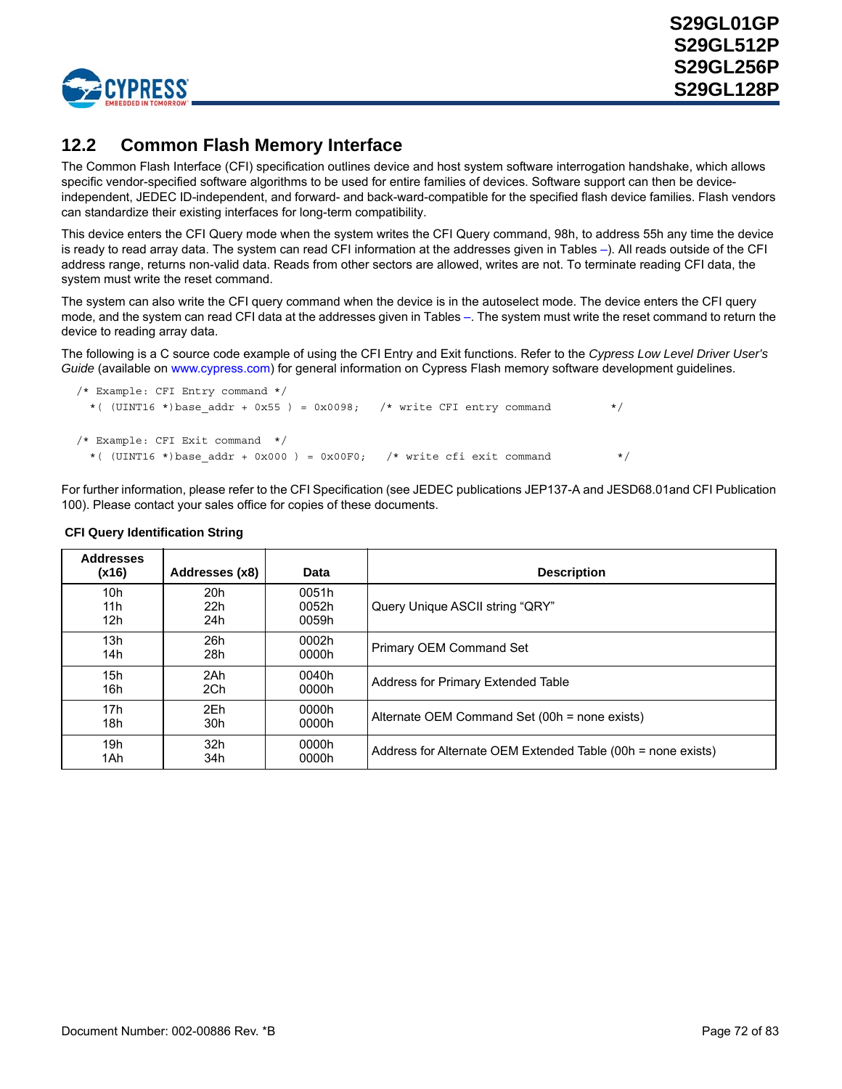

## **12.2 Common Flash Memory Interface**

The Common Flash Interface (CFI) specification outlines device and host system software interrogation handshake, which allows specific vendor-specified software algorithms to be used for entire families of devices. Software support can then be deviceindependent, JEDEC ID-independent, and forward- and back-ward-compatible for the specified flash device families. Flash vendors can standardize their existing interfaces for long-term compatibility.

This device enters the CFI Query mode when the system writes the CFI Query command, 98h, to address 55h any time the device is ready to read array data. The system can read CFI information at the addresses given in Tables –). All reads outside of the CFI address range, returns non-valid data. Reads from other sectors are allowed, writes are not. To terminate reading CFI data, the system must write the reset command.

The system can also write the CFI query command when the device is in the autoselect mode. The device enters the CFI query mode, and the system can read CFI data at the addresses given in Tables [–.](#page-74-0) The system must write the reset command to return the device to reading array data.

The following is a C source code example of using the CFI Entry and Exit functions. Refer to the *Cypress Low Level Driver User's Guide* [\(available on w](http://www.spansion.com)ww.cypress.com) for general information on Cypress Flash memory software development guidelines.

```
/* Example: CFI Entry command */
 *( (UINT16 *)base addr + 0x55 ) = 0x0098; /* write CFI entry command */
/* Example: CFI Exit command */
 *( (UINT16 *)base addr + 0x000 ) = 0x00F0; /* write cfi exit command */
```
For further information, please refer to the CFI Specification (see JEDEC publications JEP137-A and JESD68.01and CFI Publication 100). Please contact your sales office for copies of these documents.

| <b>Addresses</b><br>(x16) | Addresses (x8)  | Data  | <b>Description</b>                                           |
|---------------------------|-----------------|-------|--------------------------------------------------------------|
| 10 <sub>h</sub>           | 20h             | 0051h | Query Unique ASCII string "QRY"                              |
| 11h                       | 22h             | 0052h |                                                              |
| 12h                       | 24h             | 0059h |                                                              |
| 13h                       | 26h             | 0002h | Primary OEM Command Set                                      |
| 14h                       | 28h             | 0000h |                                                              |
| 15h                       | 2Ah             | 0040h | Address for Primary Extended Table                           |
| 16h                       | 2Ch             | 0000h |                                                              |
| 17h                       | 2Eh             | 0000h | Alternate OEM Command Set (00h = none exists)                |
| 18h                       | 30h             | 0000h |                                                              |
| 19h                       | 32 <sub>h</sub> | 0000h | Address for Alternate OEM Extended Table (00h = none exists) |
| 1Ah                       | 34h             | 0000h |                                                              |

### **CFI Query Identification String**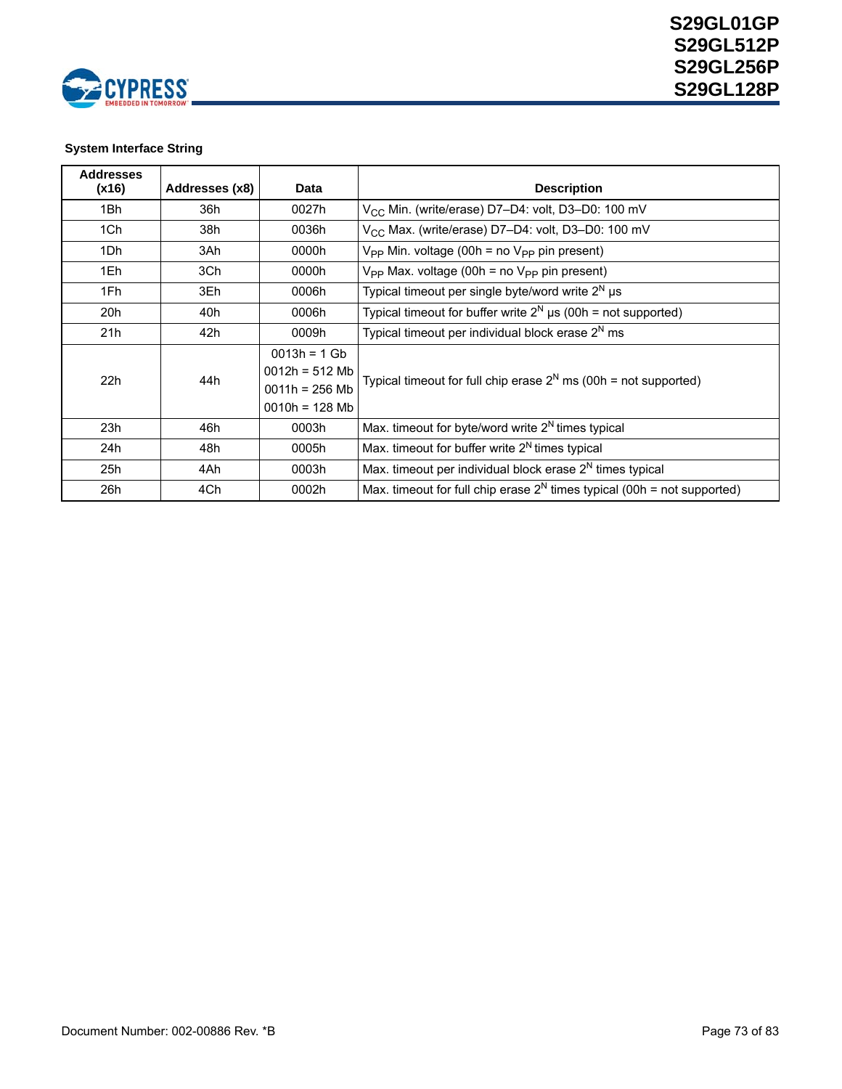

## **System Interface String**

| <b>Addresses</b><br>(x16) | Addresses (x8) | <b>Data</b>                                                               | <b>Description</b>                                                         |
|---------------------------|----------------|---------------------------------------------------------------------------|----------------------------------------------------------------------------|
| 1Bh                       | 36h            | 0027h                                                                     | V <sub>CC</sub> Min. (write/erase) D7-D4: volt, D3-D0: 100 mV              |
| 1Ch                       | 38h            | 0036h                                                                     | V <sub>CC</sub> Max. (write/erase) D7-D4: volt, D3-D0: 100 mV              |
| 1Dh                       | 3Ah            | 0000h                                                                     | $V_{PP}$ Min. voltage (00h = no $V_{PP}$ pin present)                      |
| 1Eh                       | 3Ch            | 0000h                                                                     | $V_{PP}$ Max. voltage (00h = no $V_{PP}$ pin present)                      |
| 1Fh                       | 3Eh            | 0006h                                                                     | Typical timeout per single byte/word write $2^N \mu s$                     |
| 20h                       | 40h            | 0006h                                                                     | Typical timeout for buffer write $2^N \mu s$ (00h = not supported)         |
| 21h                       | 42h            | 0009h                                                                     | Typical timeout per individual block erase $2^N$ ms                        |
| 22h                       | 44h            | $0013h = 1Gb$<br>$0012h = 512 Mb$<br>$0011h = 256 Mb$<br>$0010h = 128 Mb$ | Typical timeout for full chip erase $2^N$ ms (00h = not supported)         |
| 23h                       | 46h            | 0003h                                                                     | Max. timeout for byte/word write $2^N$ times typical                       |
| 24h                       | 48h            | 0005h                                                                     | Max. timeout for buffer write $2^N$ times typical                          |
| 25h                       | 4Ah            | 0003h                                                                     | Max. timeout per individual block erase $2N$ times typical                 |
| 26h                       | 4Ch            | 0002h                                                                     | Max. timeout for full chip erase $2^N$ times typical (00h = not supported) |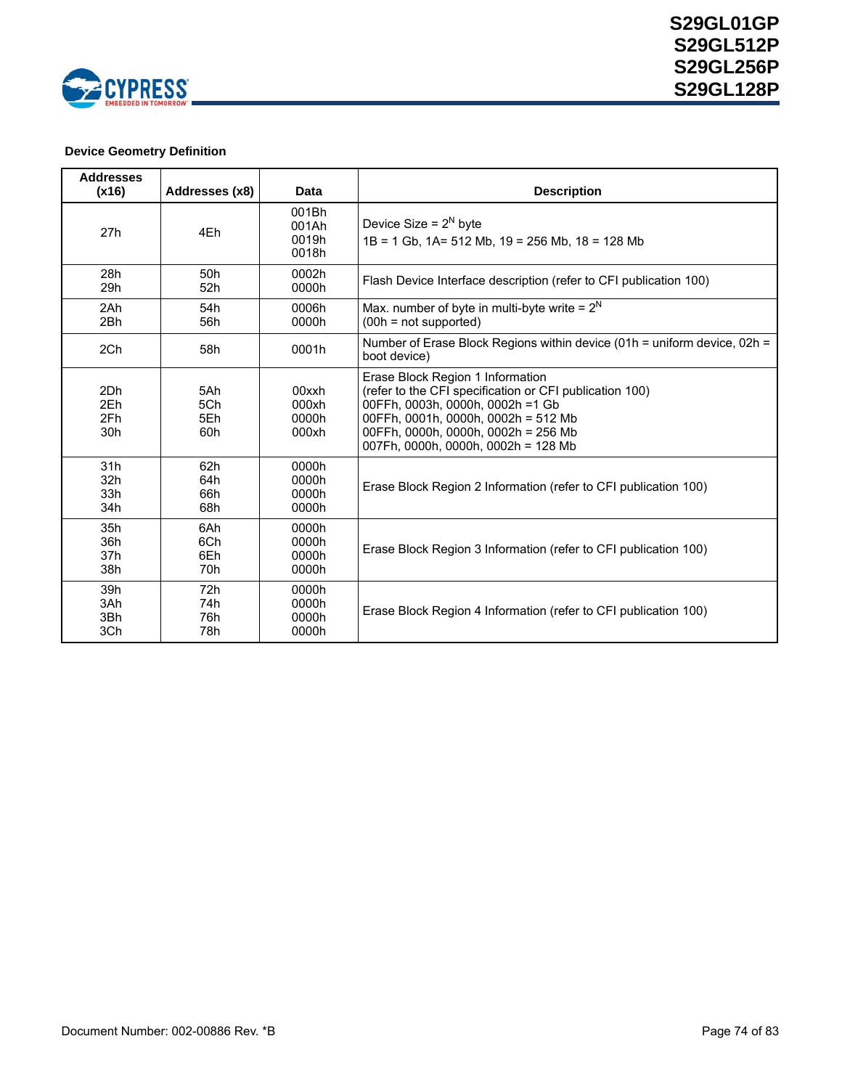

# **Device Geometry Definition**

| <b>Addresses</b><br>(x16) | Addresses (x8)           | Data                             | <b>Description</b>                                                                                                                                                                                                                                   |
|---------------------------|--------------------------|----------------------------------|------------------------------------------------------------------------------------------------------------------------------------------------------------------------------------------------------------------------------------------------------|
| 27h                       | 4Eh                      | 001Bh<br>001Ah<br>0019h<br>0018h | Device Size = $2^N$ byte<br>$1B = 1$ Gb, $1A = 512$ Mb, $19 = 256$ Mb, $18 = 128$ Mb                                                                                                                                                                 |
| 28h                       | 50h                      | 0002h                            | Flash Device Interface description (refer to CFI publication 100)                                                                                                                                                                                    |
| 29h                       | 52h                      | 0000h                            |                                                                                                                                                                                                                                                      |
| 2Ah                       | 54h                      | 0006h                            | Max. number of byte in multi-byte write = $2^N$                                                                                                                                                                                                      |
| 2Bh                       | 56h                      | 0000h                            | $(00h = not supported)$                                                                                                                                                                                                                              |
| 2Ch                       | 58h                      | 0001h                            | Number of Erase Block Regions within device (01h = uniform device, 02h =<br>boot device)                                                                                                                                                             |
| 2Dh<br>2Eh<br>2Fh<br>30h  | 5Ah<br>5Ch<br>5Eh<br>60h | 00xxh<br>000xh<br>0000h<br>000xh | Erase Block Region 1 Information<br>(refer to the CFI specification or CFI publication 100)<br>00FFh, 0003h, 0000h, 0002h =1 Gb<br>00FFh, 0001h, 0000h, 0002h = 512 Mb<br>00FFh. 0000h. 0000h. 0002h = 256 Mb<br>007Fh, 0000h, 0000h, 0002h = 128 Mb |
| 31h                       | 62h                      | 0000h                            | Erase Block Region 2 Information (refer to CFI publication 100)                                                                                                                                                                                      |
| 32h                       | 64h                      | 0000h                            |                                                                                                                                                                                                                                                      |
| 33h                       | 66h                      | 0000h                            |                                                                                                                                                                                                                                                      |
| 34h                       | 68h                      | 0000h                            |                                                                                                                                                                                                                                                      |
| 35h                       | 6Ah                      | 0000h                            | Erase Block Region 3 Information (refer to CFI publication 100)                                                                                                                                                                                      |
| 36h                       | 6Ch                      | 0000h                            |                                                                                                                                                                                                                                                      |
| 37h                       | 6Eh                      | 0000h                            |                                                                                                                                                                                                                                                      |
| 38h                       | 70h                      | 0000h                            |                                                                                                                                                                                                                                                      |
| 39h                       | 72h                      | 0000h                            | Erase Block Region 4 Information (refer to CFI publication 100)                                                                                                                                                                                      |
| 3Ah                       | 74h                      | 0000h                            |                                                                                                                                                                                                                                                      |
| 3Bh                       | 76h                      | 0000h                            |                                                                                                                                                                                                                                                      |
| 3Ch                       | 78h                      | 0000h                            |                                                                                                                                                                                                                                                      |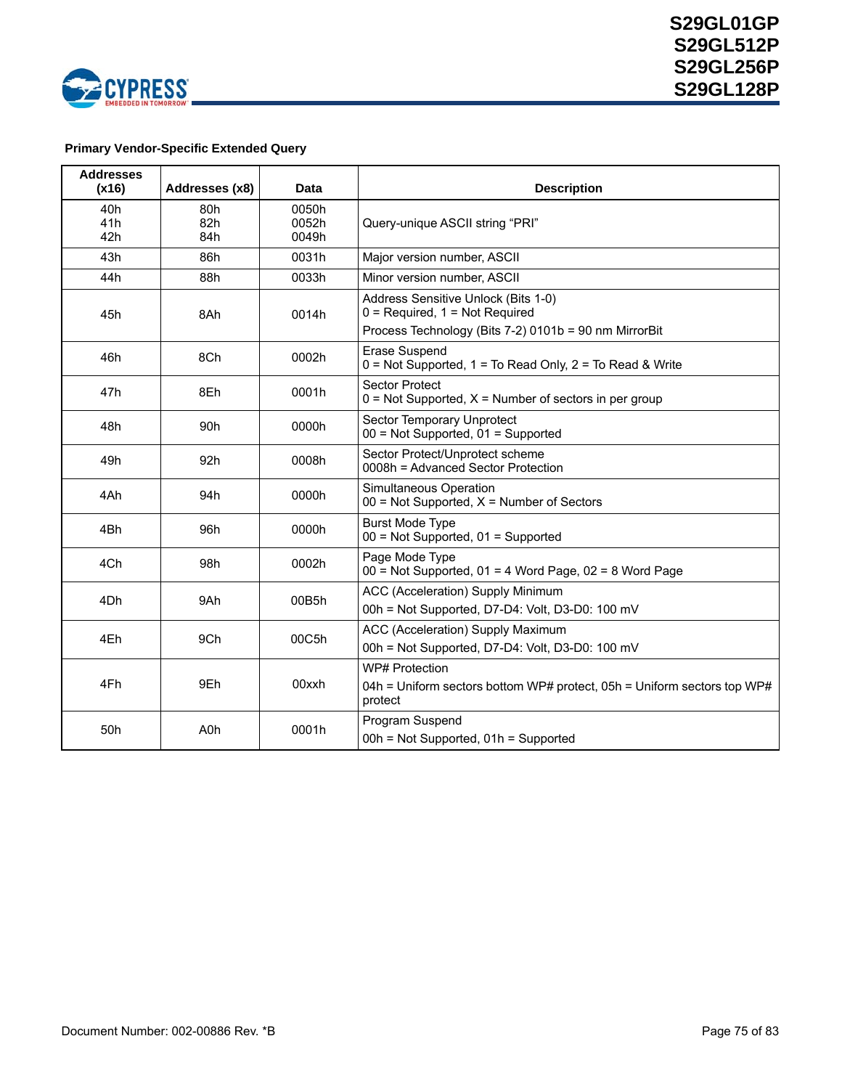

# **Primary Vendor-Specific Extended Query**

| <b>Addresses</b><br>(x16) | Addresses (x8)    | Data                    | <b>Description</b>                                                                                                                 |
|---------------------------|-------------------|-------------------------|------------------------------------------------------------------------------------------------------------------------------------|
| 40h<br>41h<br>42h         | 80h<br>82h<br>84h | 0050h<br>0052h<br>0049h | Query-unique ASCII string "PRI"                                                                                                    |
| 43h                       | 86h               | 0031h                   | Major version number, ASCII                                                                                                        |
| 44h                       | 88h               | 0033h                   | Minor version number, ASCII                                                                                                        |
| 45h                       | 8Ah               | 0014h                   | Address Sensitive Unlock (Bits 1-0)<br>$0$ = Required, $1$ = Not Required<br>Process Technology (Bits 7-2) 0101b = 90 nm MirrorBit |
|                           |                   |                         |                                                                                                                                    |
| 46h                       | 8Ch               | 0002h                   | <b>Erase Suspend</b><br>$0 = Not$ Supported, 1 = To Read Only, 2 = To Read & Write                                                 |
| 47h                       | 8Eh               | 0001h                   | <b>Sector Protect</b><br>$0 = Not$ Supported, $X =$ Number of sectors in per group                                                 |
| 48h                       | 90h               | 0000h                   | Sector Temporary Unprotect<br>$00 = Not$ Supported, $01 =$ Supported                                                               |
| 49h                       | 92h               | 0008h                   | Sector Protect/Unprotect scheme<br>0008h = Advanced Sector Protection                                                              |
| 4Ah                       | 94h               | 0000h                   | Simultaneous Operation<br>$00 = Not$ Supported, $X =$ Number of Sectors                                                            |
| 4Bh                       | 96h               | 0000h                   | <b>Burst Mode Type</b><br>$00 = Not$ Supported, $01 =$ Supported                                                                   |
| 4Ch                       | 98h               | 0002h                   | Page Mode Type<br>$00 =$ Not Supported, 01 = 4 Word Page, 02 = 8 Word Page                                                         |
| 4Dh                       | 9Ah               | 00B5h                   | ACC (Acceleration) Supply Minimum<br>00h = Not Supported, D7-D4: Volt, D3-D0: 100 mV                                               |
| 4Eh                       | 9Ch               | 00C5h                   | ACC (Acceleration) Supply Maximum<br>00h = Not Supported, D7-D4: Volt, D3-D0: 100 mV                                               |
| 4Fh                       | 9Eh               | 00xxh                   | WP# Protection<br>04h = Uniform sectors bottom WP# protect, 05h = Uniform sectors top WP#<br>protect                               |
| 50h                       | A <sub>0</sub> h  | 0001h                   | Program Suspend<br>00h = Not Supported, 01h = Supported                                                                            |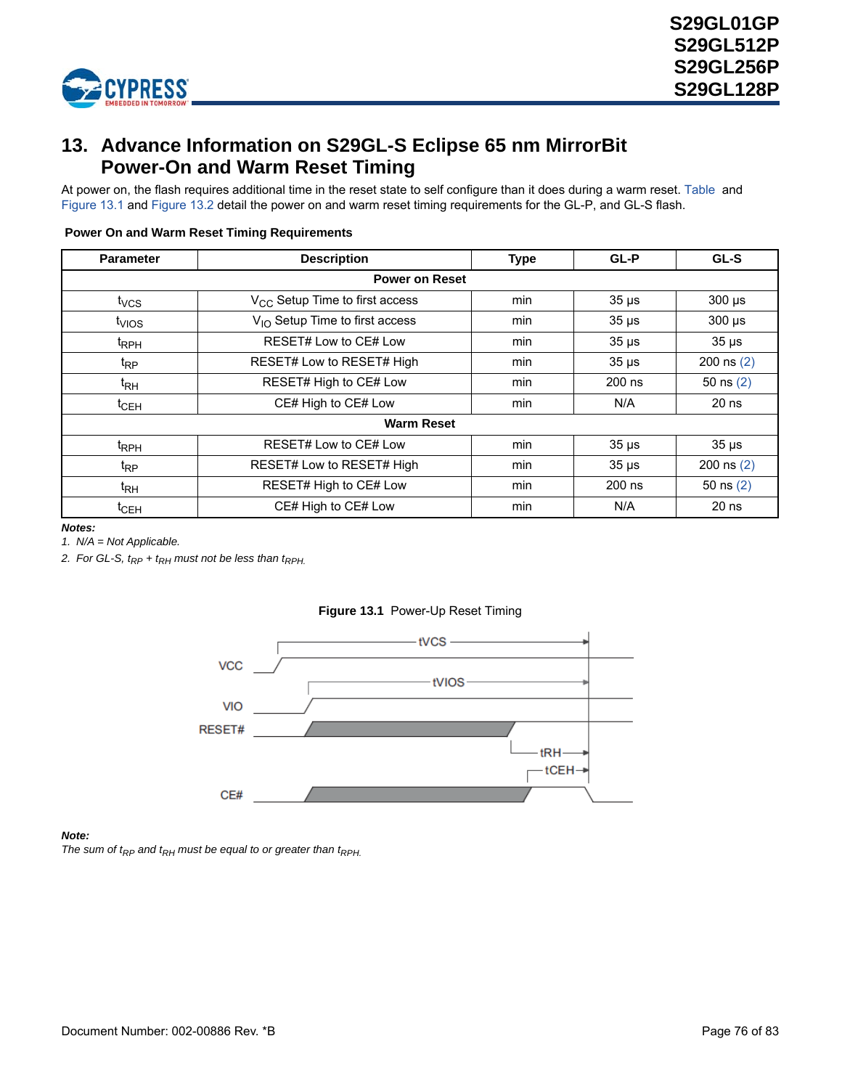

# **13. Advance Information on S29GL-S Eclipse 65 nm MirrorBit Power-On and Warm Reset Timing**

At power on, the flash requires additional time in the reset state to self configure than it does during a warm reset. [Table](#page-75-1) and [Figure 13.1](#page-75-2) and [Figure 13.2](#page-76-0) detail the power on and warm reset timing requirements for the GL-P, and GL-S flash.

| <b>Parameter</b>      | <b>Description</b>                  | <b>Type</b> | GL-P       | GL-S         |  |  |  |  |
|-----------------------|-------------------------------------|-------------|------------|--------------|--|--|--|--|
| <b>Power on Reset</b> |                                     |             |            |              |  |  |  |  |
| $t_{VCS}$             | $V_{CC}$ Setup Time to first access | min         | $35 \mu s$ | $300 \mu s$  |  |  |  |  |
| $t_{VIOS}$            | $V_{1O}$ Setup Time to first access | min         | $35 \mu s$ | $300 \mu s$  |  |  |  |  |
| <sup>t</sup> RPH      | RESET# Low to CE# Low               | min         | $35 \mu s$ | $35 \mu s$   |  |  |  |  |
| $t_{RP}$              | RESET# Low to RESET# High           | min         | $35 \mu s$ | 200 ns $(2)$ |  |  |  |  |
| $t_{\mathsf{RH}}$     | RESET# High to CE# Low              | min         | 200 ns     | 50 $ns(2)$   |  |  |  |  |
| $t_{\text{CEH}}$      | CE# High to CE# Low                 | min         | N/A        | $20$ ns      |  |  |  |  |
| <b>Warm Reset</b>     |                                     |             |            |              |  |  |  |  |
| t <sub>RPH</sub>      | RESET# Low to CE# Low               | min         | $35 \mu s$ | $35 \mu s$   |  |  |  |  |
| $t_{RP}$              | RESET# Low to RESET# High           | min         | $35 \mu s$ | 200 ns $(2)$ |  |  |  |  |
| $t_{\mathsf{RH}}$     | RESET# High to CE# Low              | min         | 200 ns     | 50 $ns(2)$   |  |  |  |  |
| $t_{\sf CEH}$         | CE# High to CE# Low                 | min         | N/A        | $20$ ns      |  |  |  |  |

#### <span id="page-75-1"></span> **Power On and Warm Reset Timing Requirements**

*Notes:*

*1. N/A = Not Applicable.*

<span id="page-75-2"></span><span id="page-75-0"></span>2. For GL-S,  $t_{RP}$  +  $t_{RH}$  must not be less than  $t_{RPH.}$ 



## **Figure 13.1** Power-Up Reset Timing

*Note:*

The sum of  $t_{RP}$  and  $t_{RH}$  must be equal to or greater than  $t_{RPH}$ .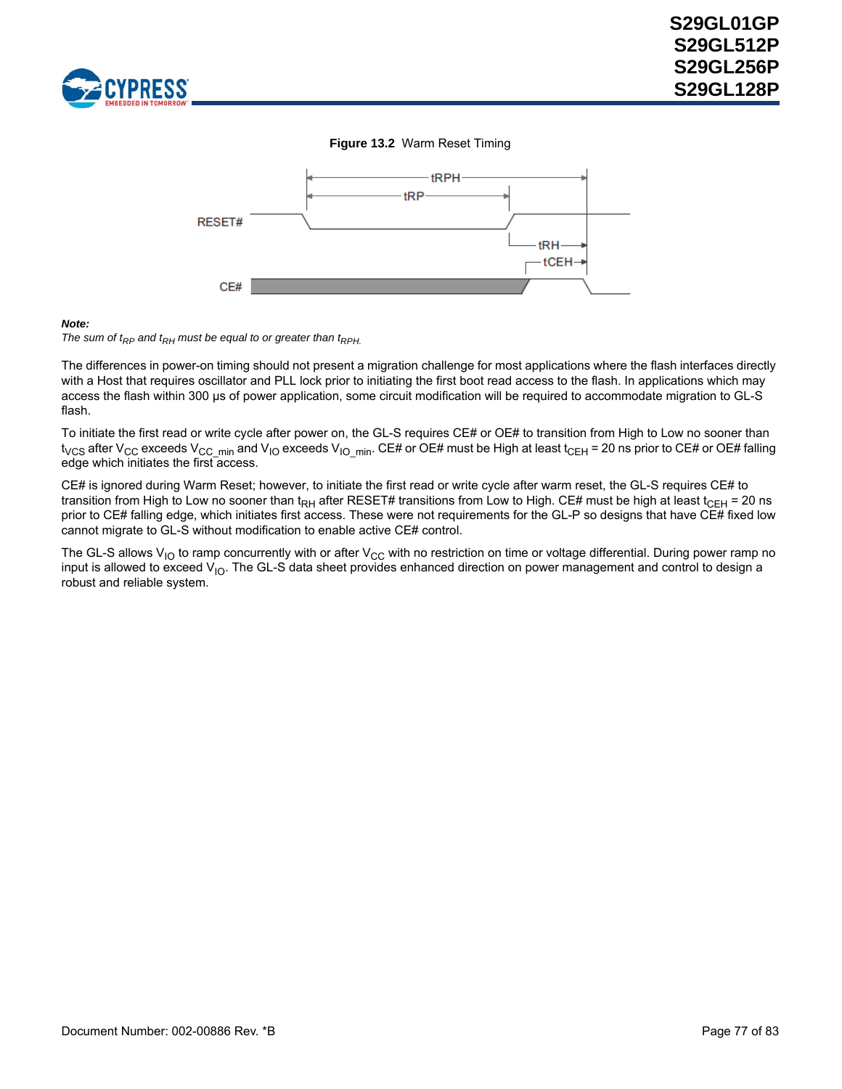<span id="page-76-0"></span>



#### *Note:*



The differences in power-on timing should not present a migration challenge for most applications where the flash interfaces directly with a Host that requires oscillator and PLL lock prior to initiating the first boot read access to the flash. In applications which may access the flash within 300 µs of power application, some circuit modification will be required to accommodate migration to GL-S flash.

To initiate the first read or write cycle after power on, the GL-S requires CE# or OE# to transition from High to Low no sooner than t<sub>VCS</sub> after V<sub>CC</sub> exceeds V<sub>CC\_min</sub> and V<sub>IO</sub> exceeds V<sub>IO\_min</sub>. CE# or OE# must be High at least t<sub>CEH</sub> = 20 ns prior to CE# or OE# falling edge which initiates the first access.

CE# is ignored during Warm Reset; however, to initiate the first read or write cycle after warm reset, the GL-S requires CE# to transition from High to Low no sooner than t<sub>RH</sub> after RESET# transitions from Low to High. CE# must be high at least t<sub>CEH</sub> = 20 ns prior to CE# falling edge, which initiates first access. These were not requirements for the GL-P so designs that have CE# fixed low cannot migrate to GL-S without modification to enable active CE# control.

The GL-S allows  $V_{IO}$  to ramp concurrently with or after  $V_{CC}$  with no restriction on time or voltage differential. During power ramp no input is allowed to exceed  $V_{10}$ . The GL-S data sheet provides enhanced direction on power management and control to design a robust and reliable system.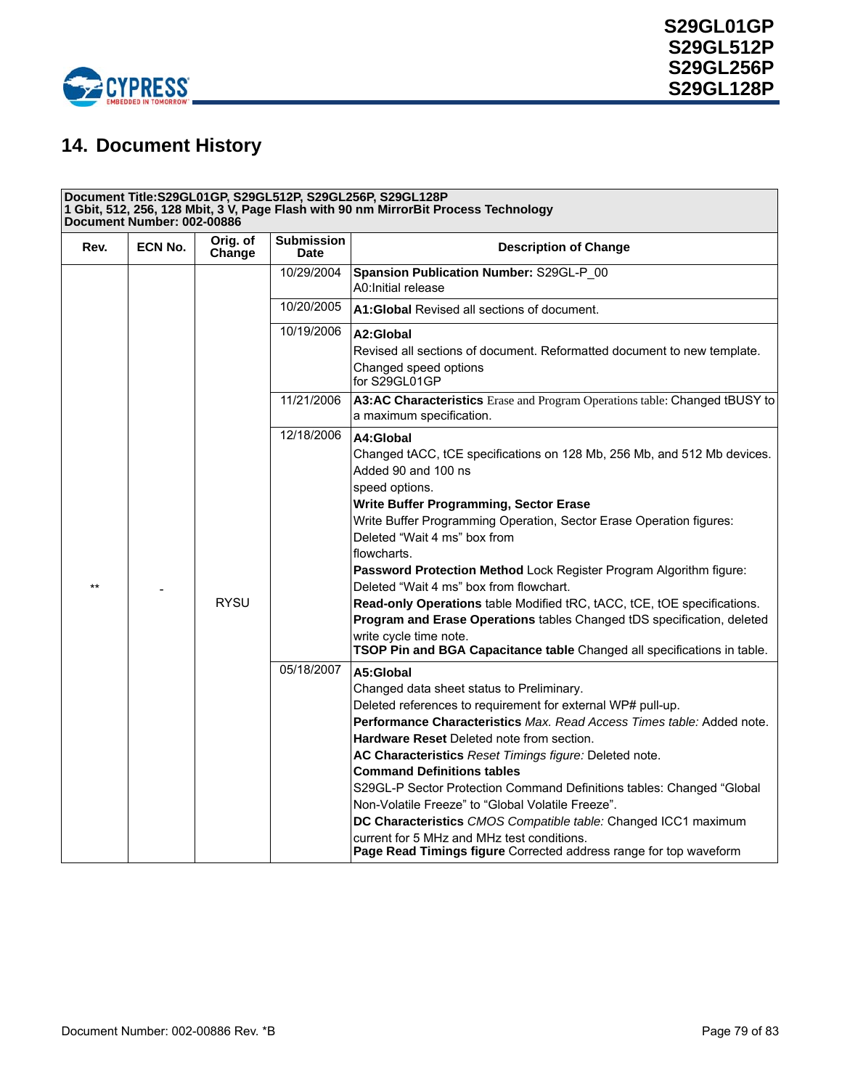

# **14. Document History**

| Document Title:S29GL01GP, S29GL512P, S29GL256P, S29GL128P<br>1 Gbit, 512, 256, 128 Mbit, 3 V, Page Flash with 90 nm MirrorBit Process Technology<br>Document Number: 002-00886 |                |                    |                                                                                                                                                                                                                                                                                                                                                                                                                                                                                                                                                                                                                                                                          |                                                                                                                                                                                                                                                                                                                                                                                                                                                                                                                                                                                                                                                                      |
|--------------------------------------------------------------------------------------------------------------------------------------------------------------------------------|----------------|--------------------|--------------------------------------------------------------------------------------------------------------------------------------------------------------------------------------------------------------------------------------------------------------------------------------------------------------------------------------------------------------------------------------------------------------------------------------------------------------------------------------------------------------------------------------------------------------------------------------------------------------------------------------------------------------------------|----------------------------------------------------------------------------------------------------------------------------------------------------------------------------------------------------------------------------------------------------------------------------------------------------------------------------------------------------------------------------------------------------------------------------------------------------------------------------------------------------------------------------------------------------------------------------------------------------------------------------------------------------------------------|
| Rev.                                                                                                                                                                           | <b>ECN No.</b> | Orig. of<br>Change | <b>Submission</b><br><b>Date</b>                                                                                                                                                                                                                                                                                                                                                                                                                                                                                                                                                                                                                                         | <b>Description of Change</b>                                                                                                                                                                                                                                                                                                                                                                                                                                                                                                                                                                                                                                         |
|                                                                                                                                                                                |                |                    | 10/29/2004                                                                                                                                                                                                                                                                                                                                                                                                                                                                                                                                                                                                                                                               | Spansion Publication Number: S29GL-P 00<br>A0: Initial release                                                                                                                                                                                                                                                                                                                                                                                                                                                                                                                                                                                                       |
|                                                                                                                                                                                |                |                    | 10/20/2005                                                                                                                                                                                                                                                                                                                                                                                                                                                                                                                                                                                                                                                               | A1: Global Revised all sections of document.                                                                                                                                                                                                                                                                                                                                                                                                                                                                                                                                                                                                                         |
|                                                                                                                                                                                |                |                    | 10/19/2006                                                                                                                                                                                                                                                                                                                                                                                                                                                                                                                                                                                                                                                               | A2:Global<br>Revised all sections of document. Reformatted document to new template.<br>Changed speed options<br>for S29GL01GP                                                                                                                                                                                                                                                                                                                                                                                                                                                                                                                                       |
|                                                                                                                                                                                |                |                    | 11/21/2006                                                                                                                                                                                                                                                                                                                                                                                                                                                                                                                                                                                                                                                               | A3:AC Characteristics Erase and Program Operations table: Changed tBUSY to<br>a maximum specification.                                                                                                                                                                                                                                                                                                                                                                                                                                                                                                                                                               |
| $\star\star$                                                                                                                                                                   | <b>RYSU</b>    | 12/18/2006         | A4:Global<br>Changed tACC, tCE specifications on 128 Mb, 256 Mb, and 512 Mb devices.<br>Added 90 and 100 ns<br>speed options.<br>Write Buffer Programming, Sector Erase<br>Write Buffer Programming Operation, Sector Erase Operation figures:<br>Deleted "Wait 4 ms" box from<br>flowcharts.<br>Password Protection Method Lock Register Program Algorithm figure:<br>Deleted "Wait 4 ms" box from flowchart.<br>Read-only Operations table Modified tRC, tACC, tCE, tOE specifications.<br>Program and Erase Operations tables Changed tDS specification, deleted<br>write cycle time note.<br>TSOP Pin and BGA Capacitance table Changed all specifications in table. |                                                                                                                                                                                                                                                                                                                                                                                                                                                                                                                                                                                                                                                                      |
|                                                                                                                                                                                |                |                    | 05/18/2007                                                                                                                                                                                                                                                                                                                                                                                                                                                                                                                                                                                                                                                               | A5:Global<br>Changed data sheet status to Preliminary.<br>Deleted references to requirement for external WP# pull-up.<br>Performance Characteristics Max. Read Access Times table: Added note.<br><b>Hardware Reset Deleted note from section.</b><br>AC Characteristics Reset Timings figure: Deleted note.<br><b>Command Definitions tables</b><br>S29GL-P Sector Protection Command Definitions tables: Changed "Global<br>Non-Volatile Freeze" to "Global Volatile Freeze".<br>DC Characteristics CMOS Compatible table: Changed ICC1 maximum<br>current for 5 MHz and MHz test conditions.<br>Page Read Timings figure Corrected address range for top waveform |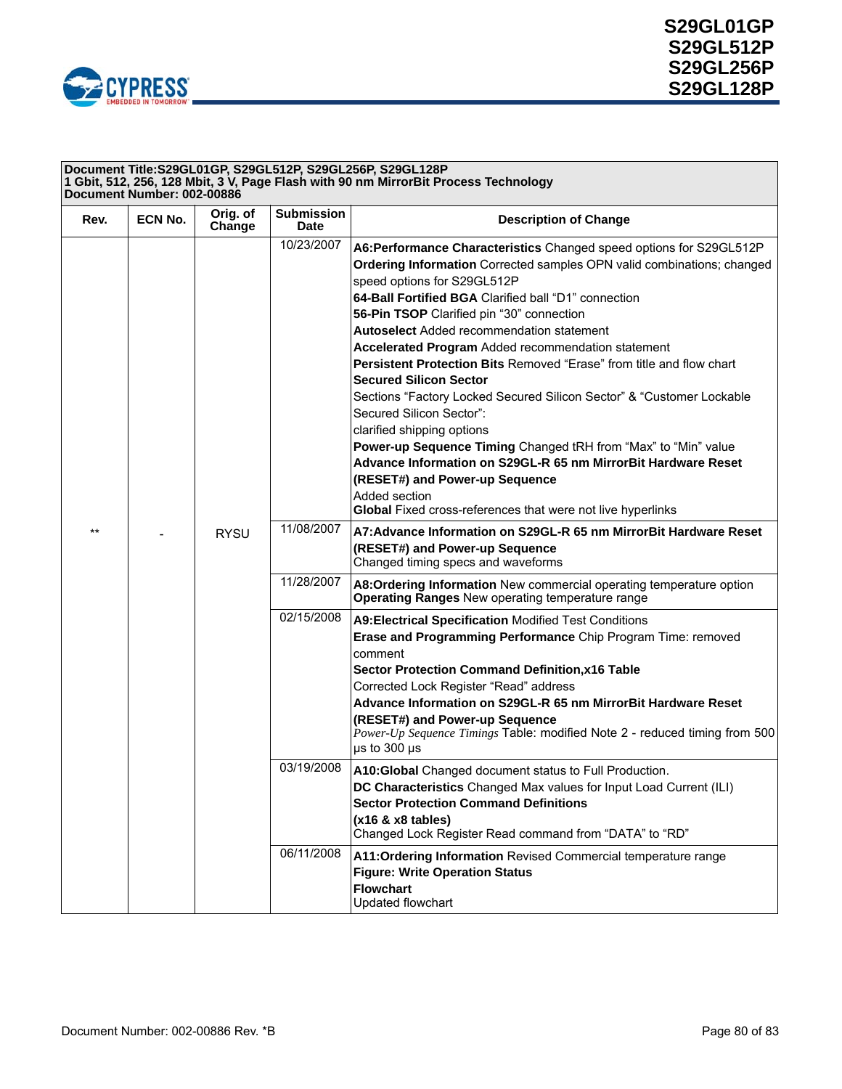

| Document Title:S29GL01GP, S29GL512P, S29GL256P, S29GL128P<br>1 Gbit, 512, 256, 128 Mbit, 3 V, Page Flash with 90 nm MirrorBit Process Technology<br>Document Number: 002-00886 |                |                    |                                  |                                                                                                                                                                                                                                                                                                                                                                                                                                                                                                                                                                                                                                                                                                                                                                                                                              |
|--------------------------------------------------------------------------------------------------------------------------------------------------------------------------------|----------------|--------------------|----------------------------------|------------------------------------------------------------------------------------------------------------------------------------------------------------------------------------------------------------------------------------------------------------------------------------------------------------------------------------------------------------------------------------------------------------------------------------------------------------------------------------------------------------------------------------------------------------------------------------------------------------------------------------------------------------------------------------------------------------------------------------------------------------------------------------------------------------------------------|
| Rev.                                                                                                                                                                           | <b>ECN No.</b> | Orig. of<br>Change | <b>Submission</b><br><b>Date</b> | <b>Description of Change</b>                                                                                                                                                                                                                                                                                                                                                                                                                                                                                                                                                                                                                                                                                                                                                                                                 |
|                                                                                                                                                                                |                |                    | 10/23/2007                       | A6:Performance Characteristics Changed speed options for S29GL512P<br>Ordering Information Corrected samples OPN valid combinations; changed<br>speed options for S29GL512P<br>64-Ball Fortified BGA Clarified ball "D1" connection<br>56-Pin TSOP Clarified pin "30" connection<br><b>Autoselect</b> Added recommendation statement<br>Accelerated Program Added recommendation statement<br>Persistent Protection Bits Removed "Erase" from title and flow chart<br><b>Secured Silicon Sector</b><br>Sections "Factory Locked Secured Silicon Sector" & "Customer Lockable<br>Secured Silicon Sector":<br>clarified shipping options<br>Power-up Sequence Timing Changed tRH from "Max" to "Min" value<br>Advance Information on S29GL-R 65 nm MirrorBit Hardware Reset<br>(RESET#) and Power-up Sequence<br>Added section |
| $**$                                                                                                                                                                           |                | <b>RYSU</b>        | 11/08/2007<br>11/28/2007         | Global Fixed cross-references that were not live hyperlinks<br>A7: Advance Information on S29GL-R 65 nm MirrorBit Hardware Reset<br>(RESET#) and Power-up Sequence<br>Changed timing specs and waveforms<br>A8: Ordering Information New commercial operating temperature option                                                                                                                                                                                                                                                                                                                                                                                                                                                                                                                                             |
|                                                                                                                                                                                |                |                    | 02/15/2008                       | <b>Operating Ranges New operating temperature range</b><br>A9: Electrical Specification Modified Test Conditions<br>Erase and Programming Performance Chip Program Time: removed<br>comment<br><b>Sector Protection Command Definition, x16 Table</b><br>Corrected Lock Register "Read" address<br>Advance Information on S29GL-R 65 nm MirrorBit Hardware Reset<br>(RESET#) and Power-up Sequence<br>Power-Up Sequence Timings Table: modified Note 2 - reduced timing from 500<br>$\mu$ s to 300 $\mu$ s                                                                                                                                                                                                                                                                                                                   |
|                                                                                                                                                                                |                |                    | 03/19/2008                       | A10: Global Changed document status to Full Production.<br>DC Characteristics Changed Max values for Input Load Current (ILI)<br><b>Sector Protection Command Definitions</b><br>$(x16 & x8$ tables)<br>Changed Lock Register Read command from "DATA" to "RD"                                                                                                                                                                                                                                                                                                                                                                                                                                                                                                                                                               |
|                                                                                                                                                                                |                |                    | 06/11/2008                       | A11: Ordering Information Revised Commercial temperature range<br><b>Figure: Write Operation Status</b><br><b>Flowchart</b><br><b>Updated flowchart</b>                                                                                                                                                                                                                                                                                                                                                                                                                                                                                                                                                                                                                                                                      |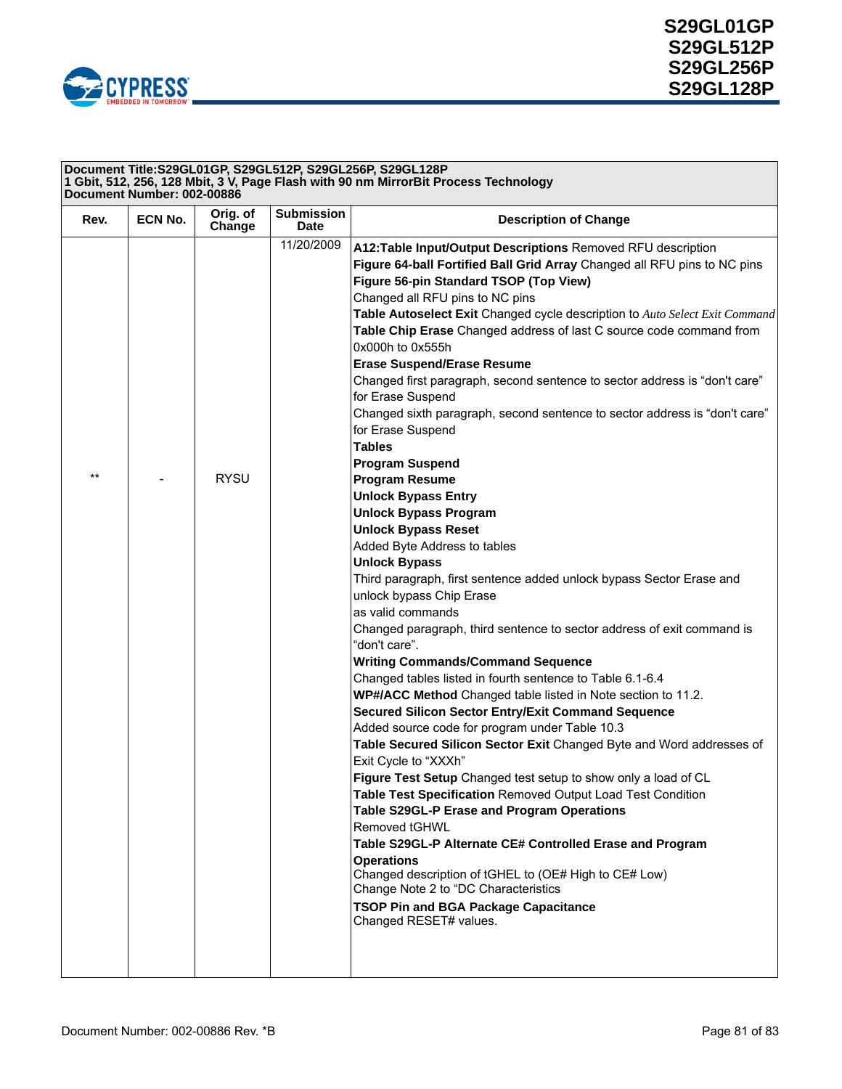

| Document Title:S29GL01GP, S29GL512P, S29GL256P, S29GL128P<br>1 Gbit, 512, 256, 128 Mbit, 3 V, Page Flash with 90 nm MirrorBit Process Technology<br>Document Number: 002-00886 |         |                    |                           |                                                                                                                                                                                                                                                                                                                                                                                                                                                                                                                                                                                                                                                                                                                                                                                                                                                                                                                                                                                                                                                                                                                                                                                                                                                                                                                                                                                                                                                                                                                                                                                                                                                                                                                                                                                                                                                                                                                                           |
|--------------------------------------------------------------------------------------------------------------------------------------------------------------------------------|---------|--------------------|---------------------------|-------------------------------------------------------------------------------------------------------------------------------------------------------------------------------------------------------------------------------------------------------------------------------------------------------------------------------------------------------------------------------------------------------------------------------------------------------------------------------------------------------------------------------------------------------------------------------------------------------------------------------------------------------------------------------------------------------------------------------------------------------------------------------------------------------------------------------------------------------------------------------------------------------------------------------------------------------------------------------------------------------------------------------------------------------------------------------------------------------------------------------------------------------------------------------------------------------------------------------------------------------------------------------------------------------------------------------------------------------------------------------------------------------------------------------------------------------------------------------------------------------------------------------------------------------------------------------------------------------------------------------------------------------------------------------------------------------------------------------------------------------------------------------------------------------------------------------------------------------------------------------------------------------------------------------------------|
| Rev.                                                                                                                                                                           | ECN No. | Orig. of<br>Change | <b>Submission</b><br>Date | <b>Description of Change</b>                                                                                                                                                                                                                                                                                                                                                                                                                                                                                                                                                                                                                                                                                                                                                                                                                                                                                                                                                                                                                                                                                                                                                                                                                                                                                                                                                                                                                                                                                                                                                                                                                                                                                                                                                                                                                                                                                                              |
| $***$                                                                                                                                                                          |         | <b>RYSU</b>        | 11/20/2009                | A12: Table Input/Output Descriptions Removed RFU description<br>Figure 64-ball Fortified Ball Grid Array Changed all RFU pins to NC pins<br>Figure 56-pin Standard TSOP (Top View)<br>Changed all RFU pins to NC pins<br>Table Autoselect Exit Changed cycle description to Auto Select Exit Command<br>Table Chip Erase Changed address of last C source code command from<br>0x000h to 0x555h<br><b>Erase Suspend/Erase Resume</b><br>Changed first paragraph, second sentence to sector address is "don't care"<br>for Erase Suspend<br>Changed sixth paragraph, second sentence to sector address is "don't care"<br>for Erase Suspend<br><b>Tables</b><br><b>Program Suspend</b><br><b>Program Resume</b><br><b>Unlock Bypass Entry</b><br><b>Unlock Bypass Program</b><br><b>Unlock Bypass Reset</b><br>Added Byte Address to tables<br><b>Unlock Bypass</b><br>Third paragraph, first sentence added unlock bypass Sector Erase and<br>unlock bypass Chip Erase<br>as valid commands<br>Changed paragraph, third sentence to sector address of exit command is<br>"don't care".<br><b>Writing Commands/Command Sequence</b><br>Changed tables listed in fourth sentence to Table 6.1-6.4<br>WP#/ACC Method Changed table listed in Note section to 11.2.<br><b>Secured Silicon Sector Entry/Exit Command Sequence</b><br>Added source code for program under Table 10.3<br>Table Secured Silicon Sector Exit Changed Byte and Word addresses of<br>Exit Cycle to "XXXh"<br>Figure Test Setup Changed test setup to show only a load of CL<br>Table Test Specification Removed Output Load Test Condition<br>Table S29GL-P Erase and Program Operations<br>Removed tGHWL<br>Table S29GL-P Alternate CE# Controlled Erase and Program<br><b>Operations</b><br>Changed description of tGHEL to (OE# High to CE# Low)<br>Change Note 2 to "DC Characteristics<br><b>TSOP Pin and BGA Package Capacitance</b><br>Changed RESET# values. |
|                                                                                                                                                                                |         |                    |                           |                                                                                                                                                                                                                                                                                                                                                                                                                                                                                                                                                                                                                                                                                                                                                                                                                                                                                                                                                                                                                                                                                                                                                                                                                                                                                                                                                                                                                                                                                                                                                                                                                                                                                                                                                                                                                                                                                                                                           |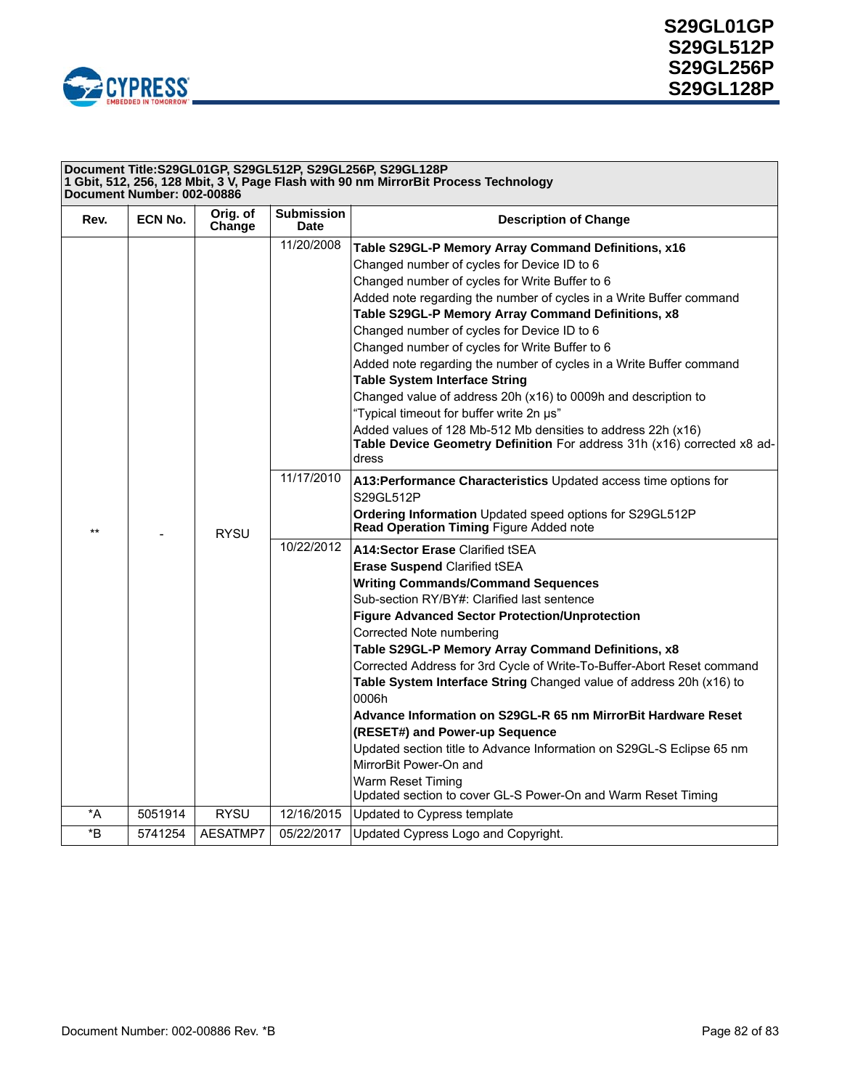

| Document Title:S29GL01GP, S29GL512P, S29GL256P, S29GL128P<br>1 Gbit, 512, 256, 128 Mbit, 3 V, Page Flash with 90 nm MirrorBit Process Technology<br>Document Number: 002-00886 |         |                    |                           |                                                                                                                                                  |
|--------------------------------------------------------------------------------------------------------------------------------------------------------------------------------|---------|--------------------|---------------------------|--------------------------------------------------------------------------------------------------------------------------------------------------|
| Rev.                                                                                                                                                                           | ECN No. | Orig. of<br>Change | <b>Submission</b><br>Date | <b>Description of Change</b>                                                                                                                     |
|                                                                                                                                                                                |         |                    | 11/20/2008                | Table S29GL-P Memory Array Command Definitions, x16                                                                                              |
|                                                                                                                                                                                |         |                    |                           | Changed number of cycles for Device ID to 6                                                                                                      |
|                                                                                                                                                                                |         |                    |                           | Changed number of cycles for Write Buffer to 6                                                                                                   |
|                                                                                                                                                                                |         |                    |                           | Added note regarding the number of cycles in a Write Buffer command                                                                              |
|                                                                                                                                                                                |         |                    |                           | Table S29GL-P Memory Array Command Definitions, x8                                                                                               |
|                                                                                                                                                                                |         |                    |                           | Changed number of cycles for Device ID to 6                                                                                                      |
|                                                                                                                                                                                |         |                    |                           | Changed number of cycles for Write Buffer to 6                                                                                                   |
|                                                                                                                                                                                |         |                    |                           | Added note regarding the number of cycles in a Write Buffer command                                                                              |
|                                                                                                                                                                                |         |                    |                           | <b>Table System Interface String</b>                                                                                                             |
|                                                                                                                                                                                |         |                    |                           | Changed value of address 20h (x16) to 0009h and description to                                                                                   |
|                                                                                                                                                                                |         |                    |                           | "Typical timeout for buffer write 2n µs"                                                                                                         |
| $***$                                                                                                                                                                          |         | <b>RYSU</b>        |                           | Added values of 128 Mb-512 Mb densities to address 22h (x16)<br>Table Device Geometry Definition For address 31h (x16) corrected x8 ad-<br>dress |
|                                                                                                                                                                                |         |                    | 11/17/2010                | A13: Performance Characteristics Updated access time options for<br>S29GL512P                                                                    |
|                                                                                                                                                                                |         |                    |                           | Ordering Information Updated speed options for S29GL512P<br>Read Operation Timing Figure Added note                                              |
|                                                                                                                                                                                |         |                    | 10/22/2012                | A14:Sector Erase Clarified tSEA                                                                                                                  |
|                                                                                                                                                                                |         |                    |                           | <b>Erase Suspend Clarified tSEA</b>                                                                                                              |
|                                                                                                                                                                                |         |                    |                           | <b>Writing Commands/Command Sequences</b>                                                                                                        |
|                                                                                                                                                                                |         |                    |                           | Sub-section RY/BY#: Clarified last sentence                                                                                                      |
|                                                                                                                                                                                |         |                    |                           | <b>Figure Advanced Sector Protection/Unprotection</b>                                                                                            |
|                                                                                                                                                                                |         |                    |                           | Corrected Note numbering                                                                                                                         |
|                                                                                                                                                                                |         |                    |                           | Table S29GL-P Memory Array Command Definitions, x8                                                                                               |
|                                                                                                                                                                                |         |                    |                           | Corrected Address for 3rd Cycle of Write-To-Buffer-Abort Reset command                                                                           |
|                                                                                                                                                                                |         |                    |                           | Table System Interface String Changed value of address 20h (x16) to<br>0006h                                                                     |
|                                                                                                                                                                                |         |                    |                           | Advance Information on S29GL-R 65 nm MirrorBit Hardware Reset                                                                                    |
|                                                                                                                                                                                |         |                    |                           | (RESET#) and Power-up Sequence                                                                                                                   |
|                                                                                                                                                                                |         |                    |                           | Updated section title to Advance Information on S29GL-S Eclipse 65 nm<br>MirrorBit Power-On and                                                  |
|                                                                                                                                                                                |         |                    |                           | Warm Reset Timing                                                                                                                                |
|                                                                                                                                                                                |         |                    |                           | Updated section to cover GL-S Power-On and Warm Reset Timing                                                                                     |
| *A                                                                                                                                                                             | 5051914 | <b>RYSU</b>        | 12/16/2015                | Updated to Cypress template                                                                                                                      |
| $\,{}^{\star}\mathsf{B}$                                                                                                                                                       | 5741254 | AESATMP7           | 05/22/2017                | Updated Cypress Logo and Copyright.                                                                                                              |